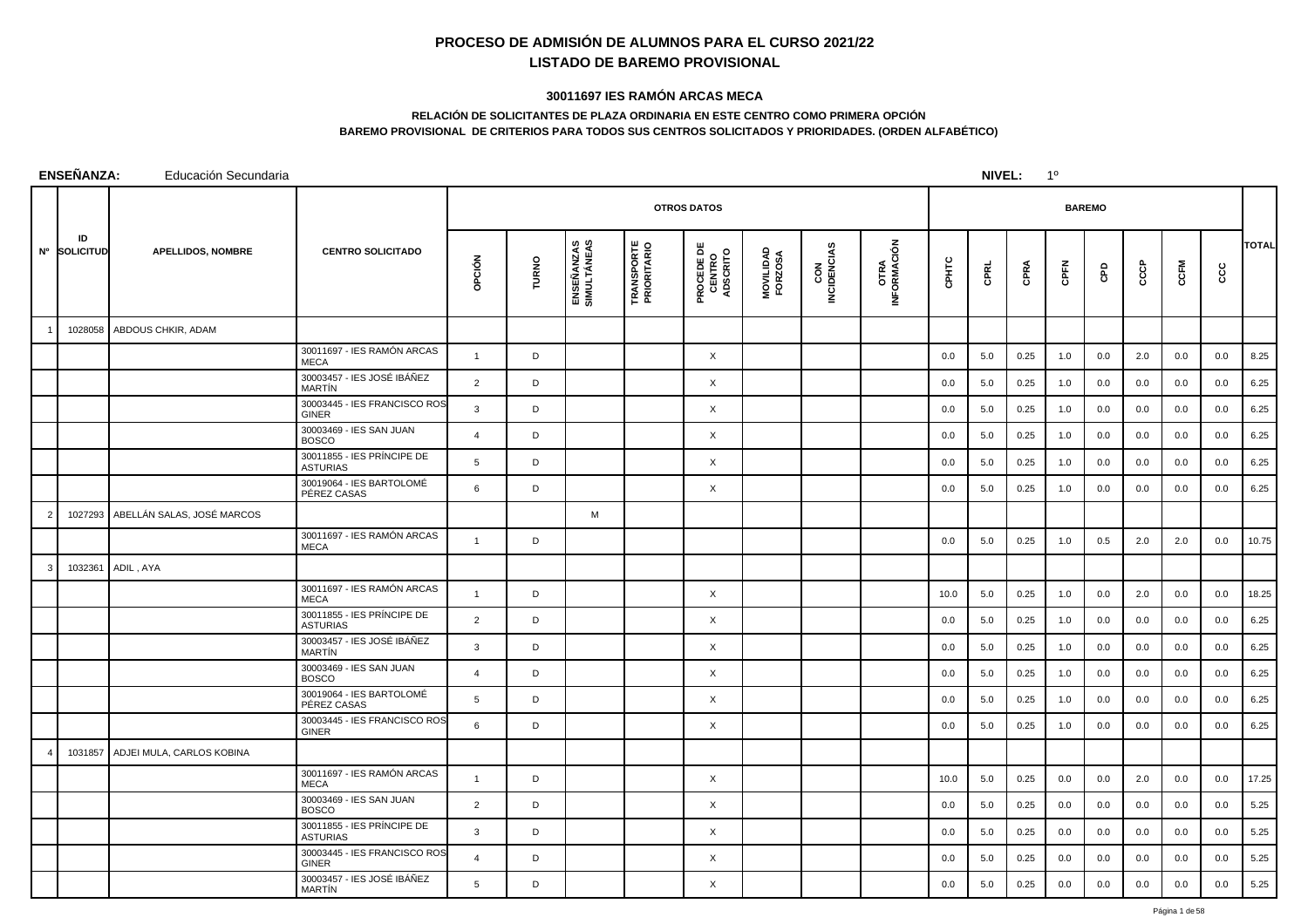## **PROCESO DE ADMISIÓN DE ALUMNOS PARA EL CURSO 2021/22LISTADO DE BAREMO PROVISIONAL**

## **30011697 IES RAMÓN ARCAS MECA**

## **RELACIÓN DE SOLICITANTES DE PLAZA ORDINARIA EN ESTE CENTRO COMO PRIMERA OPCIÓNBAREMO PROVISIONAL DE CRITERIOS PARA TODOS SUS CENTROS SOLICITADOS Y PRIORIDADES. (ORDEN ALFABÉTICO)**

|           | <b>ENSEÑANZA:</b>      | Educación Secundaria               |                                               |                |       |                           |                                  |                                           | NIVEL:               |                    | $1^{\circ}$                |       |      |      |             |               |      |      |     |              |
|-----------|------------------------|------------------------------------|-----------------------------------------------|----------------|-------|---------------------------|----------------------------------|-------------------------------------------|----------------------|--------------------|----------------------------|-------|------|------|-------------|---------------|------|------|-----|--------------|
|           |                        |                                    |                                               |                |       |                           |                                  | <b>OTROS DATOS</b>                        |                      |                    |                            |       |      |      |             | <b>BAREMO</b> |      |      |     |              |
| <b>N°</b> | ID<br><b>SOLICITUD</b> | <b>APELLIDOS, NOMBRE</b>           | <b>CENTRO SOLICITADO</b>                      | opción         | TURNO | ENSEÑANZAS<br>SIMULTÁNEAS | <b>TRANSPORTE</b><br>PRIORITARIO | <b>PROCEDE DE<br/>CENTRO<br/>ADSCRITO</b> | MOVILIDAD<br>FORZOSA | CON<br>INCIDENCIAS | <b>OTRA</b><br>INFORMACIÓN | CPHTC | CPRL | CPRA | <b>CPFN</b> | e<br>C        | CCCP | CCFM | ccc | <b>TOTAL</b> |
|           | 1028058                | ABDOUS CHKIR, ADAM                 |                                               |                |       |                           |                                  |                                           |                      |                    |                            |       |      |      |             |               |      |      |     |              |
|           |                        |                                    | 30011697 - IES RAMÓN ARCAS<br><b>MECA</b>     | $\overline{1}$ | D     |                           |                                  | X                                         |                      |                    |                            | 0.0   | 5.0  | 0.25 | 1.0         | 0.0           | 2.0  | 0.0  | 0.0 | 8.25         |
|           |                        |                                    | 30003457 - IES JOSÉ IBÁÑEZ<br>MARTÍN          | 2              | D     |                           |                                  | X                                         |                      |                    |                            | 0.0   | 5.0  | 0.25 | 1.0         | 0.0           | 0.0  | 0.0  | 0.0 | 6.25         |
|           |                        |                                    | 30003445 - IES FRANCISCO ROS<br><b>GINER</b>  | 3              | D     |                           |                                  | X                                         |                      |                    |                            | 0.0   | 5.0  | 0.25 | 1.0         | 0.0           | 0.0  | 0.0  | 0.0 | 6.25         |
|           |                        |                                    | 30003469 - IES SAN JUAN<br><b>BOSCO</b>       | $\overline{4}$ | D     |                           |                                  | X                                         |                      |                    |                            | 0.0   | 5.0  | 0.25 | 1.0         | 0.0           | 0.0  | 0.0  | 0.0 | 6.25         |
|           |                        |                                    | 30011855 - IES PRÍNCIPE DE<br><b>ASTURIAS</b> | 5              | D     |                           |                                  | X                                         |                      |                    |                            | 0.0   | 5.0  | 0.25 | 1.0         | 0.0           | 0.0  | 0.0  | 0.0 | 6.25         |
|           |                        |                                    | 30019064 - IES BARTOLOMÉ<br>PÉREZ CASAS       | 6              | D     |                           |                                  | X                                         |                      |                    |                            | 0.0   | 5.0  | 0.25 | 1.0         | 0.0           | 0.0  | 0.0  | 0.0 | 6.25         |
|           |                        | 1027293 ABELLÁN SALAS, JOSÉ MARCOS |                                               |                |       | M                         |                                  |                                           |                      |                    |                            |       |      |      |             |               |      |      |     |              |
|           |                        |                                    | 30011697 - IES RAMÓN ARCAS<br><b>MECA</b>     | $\overline{1}$ | D     |                           |                                  |                                           |                      |                    |                            | 0.0   | 5.0  | 0.25 | 1.0         | 0.5           | 2.0  | 2.0  | 0.0 | 10.75        |
|           | 1032361                | ADIL, AYA                          |                                               |                |       |                           |                                  |                                           |                      |                    |                            |       |      |      |             |               |      |      |     |              |
|           |                        |                                    | 30011697 - IES RAMÓN ARCAS<br><b>MECA</b>     | $\mathbf{1}$   | D     |                           |                                  | $\times$                                  |                      |                    |                            | 10.0  | 5.0  | 0.25 | 1.0         | 0.0           | 2.0  | 0.0  | 0.0 | 18.25        |
|           |                        |                                    | 30011855 - IES PRÍNCIPE DE<br><b>ASTURIAS</b> | 2              | D     |                           |                                  | X                                         |                      |                    |                            | 0.0   | 5.0  | 0.25 | 1.0         | 0.0           | 0.0  | 0.0  | 0.0 | 6.25         |
|           |                        |                                    | 30003457 - IES JOSÉ IBÁÑEZ<br>MARTÍN          | 3              | D     |                           |                                  | X                                         |                      |                    |                            | 0.0   | 5.0  | 0.25 | 1.0         | 0.0           | 0.0  | 0.0  | 0.0 | 6.25         |
|           |                        |                                    | 30003469 - IES SAN JUAN<br><b>BOSCO</b>       | $\overline{4}$ | D     |                           |                                  | $\times$                                  |                      |                    |                            | 0.0   | 5.0  | 0.25 | 1.0         | 0.0           | 0.0  | 0.0  | 0.0 | 6.25         |
|           |                        |                                    | 30019064 - IES BARTOLOMÉ<br>PÉREZ CASAS       | 5              | D     |                           |                                  | $\times$                                  |                      |                    |                            | 0.0   | 5.0  | 0.25 | 1.0         | 0.0           | 0.0  | 0.0  | 0.0 | 6.25         |
|           |                        |                                    | 30003445 - IES FRANCISCO ROS<br><b>GINER</b>  | 6              | D     |                           |                                  | X                                         |                      |                    |                            | 0.0   | 5.0  | 0.25 | 1.0         | 0.0           | 0.0  | 0.0  | 0.0 | 6.25         |
|           |                        | 1031857 ADJEI MULA, CARLOS KOBINA  |                                               |                |       |                           |                                  |                                           |                      |                    |                            |       |      |      |             |               |      |      |     |              |
|           |                        |                                    | 30011697 - IES RAMÓN ARCAS<br><b>MECA</b>     | $\overline{1}$ | D     |                           |                                  | $\times$                                  |                      |                    |                            | 10.0  | 5.0  | 0.25 | 0.0         | 0.0           | 2.0  | 0.0  | 0.0 | 17.25        |
|           |                        |                                    | 30003469 - IES SAN JUAN<br><b>BOSCO</b>       | $\overline{2}$ | D     |                           |                                  | X                                         |                      |                    |                            | 0.0   | 5.0  | 0.25 | 0.0         | 0.0           | 0.0  | 0.0  | 0.0 | 5.25         |
|           |                        |                                    | 30011855 - IES PRÍNCIPE DE<br><b>ASTURIAS</b> | 3              | D     |                           |                                  | X                                         |                      |                    |                            | 0.0   | 5.0  | 0.25 | 0.0         | 0.0           | 0.0  | 0.0  | 0.0 | 5.25         |
|           |                        |                                    | 30003445 - IES FRANCISCO ROS<br><b>GINER</b>  | $\overline{4}$ | D     |                           |                                  | X                                         |                      |                    |                            | 0.0   | 5.0  | 0.25 | 0.0         | 0.0           | 0.0  | 0.0  | 0.0 | 5.25         |
|           |                        |                                    | 30003457 - IES JOSÉ IBÁÑEZ<br>MARTÍN          | 5              | D     |                           |                                  | X                                         |                      |                    |                            | 0.0   | 5.0  | 0.25 | 0.0         | 0.0           | 0.0  | 0.0  | 0.0 | 5.25         |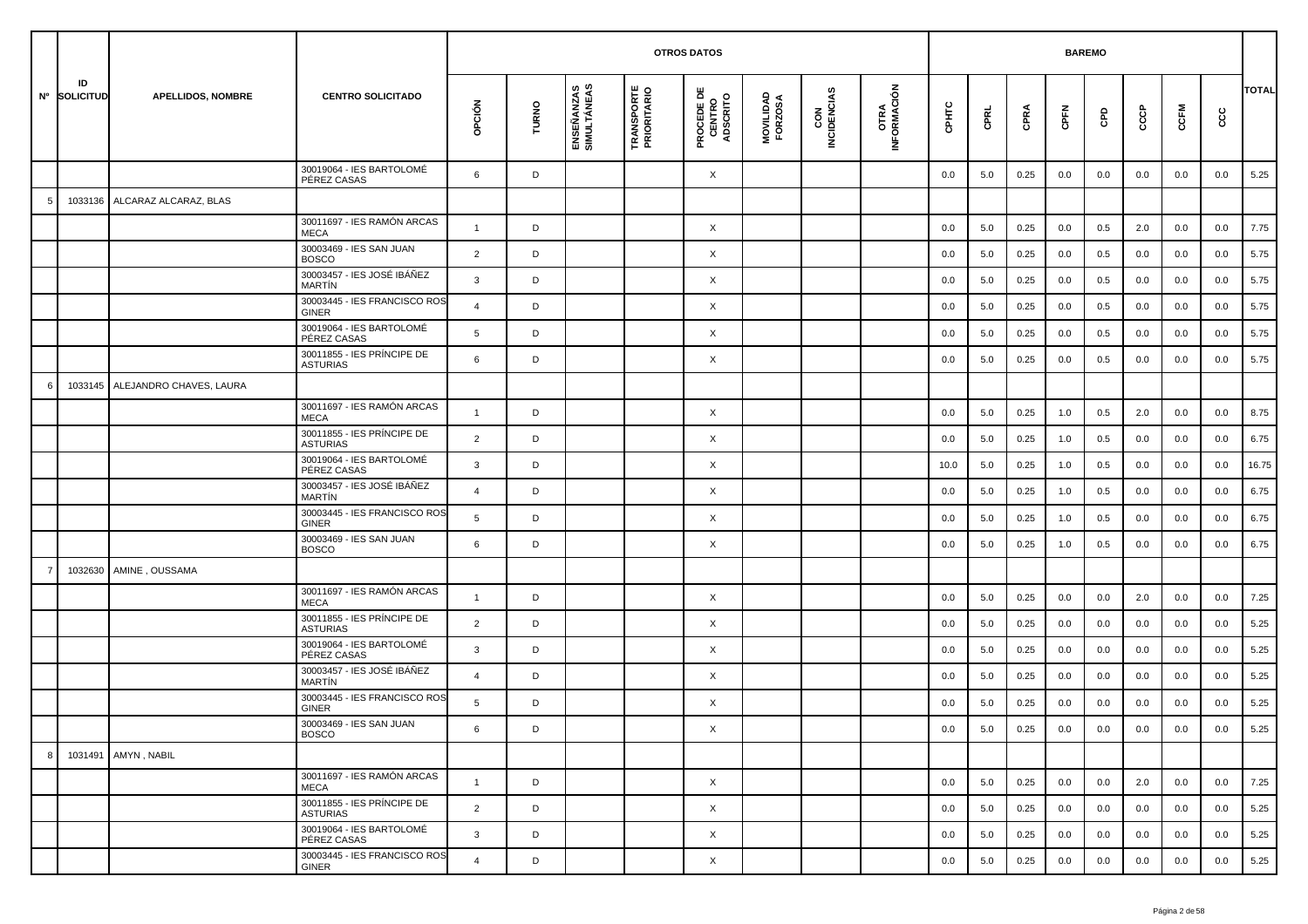|    |                    |                          |                                               |                |       |                           |                                  | <b>OTROS DATOS</b>                        |                      |                    |                     |         |         | <b>BAREMO</b> |         |         |     |         |         |              |
|----|--------------------|--------------------------|-----------------------------------------------|----------------|-------|---------------------------|----------------------------------|-------------------------------------------|----------------------|--------------------|---------------------|---------|---------|---------------|---------|---------|-----|---------|---------|--------------|
|    | ID<br>Nº SOLICITUD | <b>APELLIDOS, NOMBRE</b> | <b>CENTRO SOLICITADO</b>                      | opción         | TURNO | ENSEÑANZAS<br>SIMULTÁNEAS | <b>TRANSPORTE</b><br>PRIORITARIO | <b>PROCEDE DE<br/>CENTRO<br/>ADSCRITO</b> | MOVILIDAD<br>FORZOSA | CON<br>INCIDENCIAS | OTRA<br>INFORMACIÓN | CPHTC   | CPRL    | CPRA          | CPFN    | GPD     | င်င | CCFM    | င္ပင    | <b>TOTAL</b> |
|    |                    |                          | 30019064 - IES BARTOLOMÉ<br>PÉREZ CASAS       | 6              | D     |                           |                                  | X                                         |                      |                    |                     | 0.0     | 5.0     | 0.25          | 0.0     | 0.0     | 0.0 | 0.0     | 0.0     | 5.25         |
| 5  | 1033136            | ALCARAZ ALCARAZ, BLAS    |                                               |                |       |                           |                                  |                                           |                      |                    |                     |         |         |               |         |         |     |         |         |              |
|    |                    |                          | 30011697 - IES RAMÓN ARCAS<br><b>MECA</b>     | $\mathbf{1}$   | D     |                           |                                  | X                                         |                      |                    |                     | 0.0     | 5.0     | 0.25          | 0.0     | 0.5     | 2.0 | 0.0     | 0.0     | 7.75         |
|    |                    |                          | 30003469 - IES SAN JUAN<br><b>BOSCO</b>       | $\overline{2}$ | D     |                           |                                  | X                                         |                      |                    |                     | 0.0     | 5.0     | 0.25          | 0.0     | 0.5     | 0.0 | 0.0     | 0.0     | 5.75         |
|    |                    |                          | 30003457 - IES JOSÉ IBÁÑEZ<br><b>MARTÍN</b>   | 3              | D     |                           |                                  | X                                         |                      |                    |                     | 0.0     | 5.0     | 0.25          | 0.0     | 0.5     | 0.0 | 0.0     | 0.0     | 5.75         |
|    |                    |                          | 30003445 - IES FRANCISCO ROS<br><b>GINER</b>  | $\overline{4}$ | D     |                           |                                  | X                                         |                      |                    |                     | 0.0     | 5.0     | 0.25          | 0.0     | 0.5     | 0.0 | 0.0     | 0.0     | 5.75         |
|    |                    |                          | 30019064 - IES BARTOLOMÉ<br>PÉREZ CASAS       | 5              | D     |                           |                                  | X                                         |                      |                    |                     | 0.0     | 5.0     | 0.25          | 0.0     | 0.5     | 0.0 | 0.0     | 0.0     | 5.75         |
|    |                    |                          | 30011855 - IES PRÍNCIPE DE<br><b>ASTURIAS</b> | 6              | D     |                           |                                  | X                                         |                      |                    |                     | 0.0     | 5.0     | 0.25          | 0.0     | 0.5     | 0.0 | 0.0     | 0.0     | 5.75         |
| -6 | 1033145            | ALEJANDRO CHAVES, LAURA  |                                               |                |       |                           |                                  |                                           |                      |                    |                     |         |         |               |         |         |     |         |         |              |
|    |                    |                          | 30011697 - IES RAMÓN ARCAS<br><b>MECA</b>     | $\mathbf{1}$   | D     |                           |                                  | X                                         |                      |                    |                     | 0.0     | 5.0     | 0.25          | 1.0     | 0.5     | 2.0 | 0.0     | 0.0     | 8.75         |
|    |                    |                          | 30011855 - IES PRÍNCIPE DE<br><b>ASTURIAS</b> | $\overline{2}$ | D     |                           |                                  | X                                         |                      |                    |                     | 0.0     | 5.0     | 0.25          | 1.0     | 0.5     | 0.0 | 0.0     | 0.0     | 6.75         |
|    |                    |                          | 30019064 - IES BARTOLOMÉ<br>PÉREZ CASAS       | 3              | D     |                           |                                  | X                                         |                      |                    |                     | 10.0    | 5.0     | 0.25          | 1.0     | 0.5     | 0.0 | 0.0     | 0.0     | 16.75        |
|    |                    |                          | 30003457 - IES JOSÉ IBÁÑEZ<br>MARTÍN          | 4              | D     |                           |                                  | X                                         |                      |                    |                     | 0.0     | 5.0     | 0.25          | 1.0     | 0.5     | 0.0 | 0.0     | 0.0     | 6.75         |
|    |                    |                          | 30003445 - IES FRANCISCO ROS<br>GINER         | 5              | D     |                           |                                  | X                                         |                      |                    |                     | 0.0     | 5.0     | 0.25          | 1.0     | 0.5     | 0.0 | 0.0     | 0.0     | 6.75         |
|    |                    |                          | 30003469 - IES SAN JUAN<br><b>BOSCO</b>       | 6              | D     |                           |                                  | X                                         |                      |                    |                     | 0.0     | 5.0     | 0.25          | 1.0     | 0.5     | 0.0 | 0.0     | 0.0     | 6.75         |
| -7 | 1032630            | AMINE, OUSSAMA           |                                               |                |       |                           |                                  |                                           |                      |                    |                     |         |         |               |         |         |     |         |         |              |
|    |                    |                          | 30011697 - IES RAMÓN ARCAS<br><b>MECA</b>     | $\mathbf{1}$   | D     |                           |                                  | X                                         |                      |                    |                     | 0.0     | 5.0     | 0.25          | 0.0     | 0.0     | 2.0 | 0.0     | 0.0     | 7.25         |
|    |                    |                          | 30011855 - IES PRÍNCIPE DE<br><b>ASTURIAS</b> | 2              | D     |                           |                                  | X                                         |                      |                    |                     | 0.0     | 5.0     | 0.25          | 0.0     | 0.0     | 0.0 | 0.0     | 0.0     | 5.25         |
|    |                    |                          | 30019064 - IES BARTOLOMÉ<br>PÉREZ CASAS       | 3              | D     |                           |                                  | X                                         |                      |                    |                     | 0.0     | 5.0     | 0.25          | 0.0     | 0.0     | 0.0 | 0.0     | 0.0     | 5.25         |
|    |                    |                          | 30003457 - IES JOSÉ IBÁÑEZ<br><b>MARTIN</b>   | $\overline{4}$ | D     |                           |                                  | X                                         |                      |                    |                     | 0.0     | 5.0     | 0.25          | 0.0     | 0.0     | 0.0 | 0.0     | 0.0     | 5.25         |
|    |                    |                          | 30003445 - IES FRANCISCO ROS<br>GINER         | 5              | D     |                           |                                  | X                                         |                      |                    |                     | 0.0     | 5.0     | 0.25          | 0.0     | 0.0     | 0.0 | 0.0     | 0.0     | 5.25         |
|    |                    |                          | 30003469 - IES SAN JUAN<br><b>BOSCO</b>       | b              | D     |                           |                                  | X                                         |                      |                    |                     | $0.0\,$ | $5.0\,$ | 0.25          | $0.0\,$ | $0.0\,$ | 0.0 | $0.0\,$ | $0.0\,$ | 5.25         |
| 8  |                    | 1031491   AMYN, NABIL    |                                               |                |       |                           |                                  |                                           |                      |                    |                     |         |         |               |         |         |     |         |         |              |
|    |                    |                          | 30011697 - IES RAMÓN ARCAS<br>MECA            | $\mathbf{1}$   | D     |                           |                                  | $\times$                                  |                      |                    |                     | 0.0     | 5.0     | 0.25          | 0.0     | 0.0     | 2.0 | 0.0     | 0.0     | 7.25         |
|    |                    |                          | 30011855 - IES PRÍNCIPE DE<br><b>ASTURIAS</b> | $\overline{2}$ | D     |                           |                                  | X                                         |                      |                    |                     | 0.0     | 5.0     | 0.25          | 0.0     | 0.0     | 0.0 | 0.0     | 0.0     | 5.25         |
|    |                    |                          | 30019064 - IES BARTOLOMÉ<br>PÉREZ CASAS       | 3              | D     |                           |                                  | X                                         |                      |                    |                     | 0.0     | 5.0     | 0.25          | 0.0     | 0.0     | 0.0 | 0.0     | 0.0     | 5.25         |
|    |                    |                          | 30003445 - IES FRANCISCO ROS<br>GINER         | $\overline{4}$ | D     |                           |                                  | $\times$                                  |                      |                    |                     | 0.0     | 5.0     | 0.25          | 0.0     | 0.0     | 0.0 | 0.0     | 0.0     | 5.25         |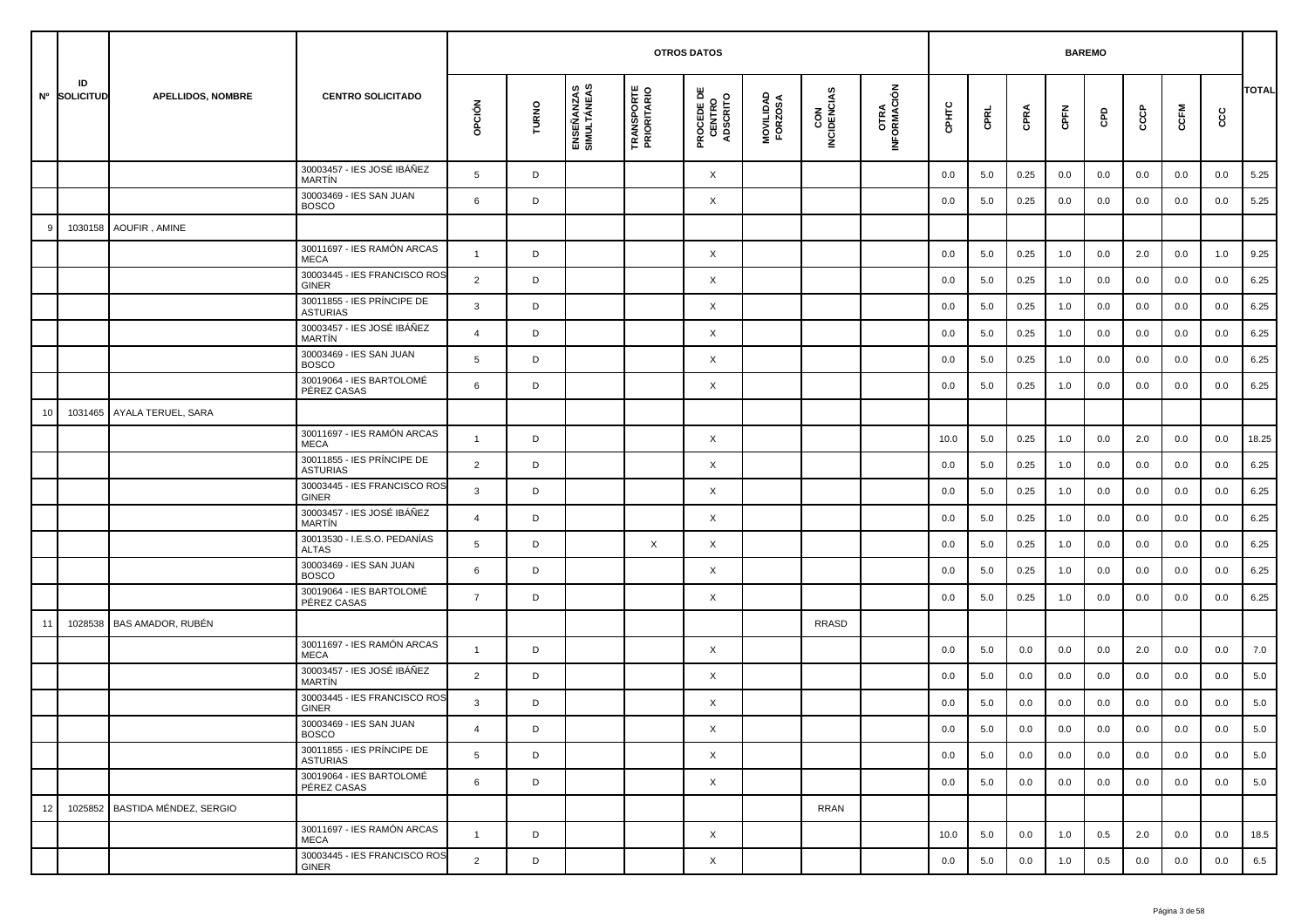|    |                    |                                |                                               |                |       |                           | <b>OTROS DATOS</b>               |                                           |                      |                    |                     |         | <b>BAREMO</b> |      |         |     |     |         |     |              |
|----|--------------------|--------------------------------|-----------------------------------------------|----------------|-------|---------------------------|----------------------------------|-------------------------------------------|----------------------|--------------------|---------------------|---------|---------------|------|---------|-----|-----|---------|-----|--------------|
|    | ID<br>Nº SOLICITUD | <b>APELLIDOS, NOMBRE</b>       | <b>CENTRO SOLICITADO</b>                      | opción         | TURNO | ENSEÑANZAS<br>SIMULTÁNEAS | <b>TRANSPORTE</b><br>PRIORITARIO | <b>PROCEDE DE<br/>CENTRO<br/>ADSCRITO</b> | MOVILIDAD<br>FORZOSA | CON<br>INCIDENCIAS | OTRA<br>INFORMACIÓN | срнтс   | CPRL          | CPRA | CPFN    | GPD | င်င | CCFM    | cc  | <b>TOTAL</b> |
|    |                    |                                | 30003457 - IES JOSÉ IBÁÑEZ<br><b>MARTIN</b>   | 5              | D     |                           |                                  | X                                         |                      |                    |                     | 0.0     | 5.0           | 0.25 | 0.0     | 0.0 | 0.0 | 0.0     | 0.0 | 5.25         |
|    |                    |                                | 30003469 - IES SAN JUAN<br><b>BOSCO</b>       | 6              | D     |                           |                                  | X                                         |                      |                    |                     | 0.0     | 5.0           | 0.25 | 0.0     | 0.0 | 0.0 | 0.0     | 0.0 | 5.25         |
|    | 1030158            | AOUFIR, AMINE                  |                                               |                |       |                           |                                  |                                           |                      |                    |                     |         |               |      |         |     |     |         |     |              |
|    |                    |                                | 30011697 - IES RAMÓN ARCAS<br><b>MECA</b>     | $\mathbf{1}$   | D     |                           |                                  | X                                         |                      |                    |                     | 0.0     | 5.0           | 0.25 | 1.0     | 0.0 | 2.0 | 0.0     | 1.0 | 9.25         |
|    |                    |                                | 30003445 - IES FRANCISCO ROS<br><b>GINER</b>  | $\overline{2}$ | D     |                           |                                  | X                                         |                      |                    |                     | 0.0     | 5.0           | 0.25 | 1.0     | 0.0 | 0.0 | 0.0     | 0.0 | 6.25         |
|    |                    |                                | 30011855 - IES PRÍNCIPE DE<br><b>ASTURIAS</b> | 3              | D     |                           |                                  | X                                         |                      |                    |                     | 0.0     | 5.0           | 0.25 | 1.0     | 0.0 | 0.0 | 0.0     | 0.0 | 6.25         |
|    |                    |                                | 30003457 - IES JOSÉ IBÁÑEZ<br><b>MARTIN</b>   | $\overline{4}$ | D     |                           |                                  | X                                         |                      |                    |                     | 0.0     | 5.0           | 0.25 | 1.0     | 0.0 | 0.0 | 0.0     | 0.0 | 6.25         |
|    |                    |                                | 30003469 - IES SAN JUAN<br><b>BOSCO</b>       | 5              | D     |                           |                                  | X                                         |                      |                    |                     | 0.0     | 5.0           | 0.25 | 1.0     | 0.0 | 0.0 | 0.0     | 0.0 | 6.25         |
|    |                    |                                | 30019064 - IES BARTOLOMÉ<br>PÉREZ CASAS       | 6              | D     |                           |                                  | X                                         |                      |                    |                     | 0.0     | 5.0           | 0.25 | 1.0     | 0.0 | 0.0 | 0.0     | 0.0 | 6.25         |
| 10 | 1031465            | AYALA TERUEL, SARA             |                                               |                |       |                           |                                  |                                           |                      |                    |                     |         |               |      |         |     |     |         |     |              |
|    |                    |                                | 30011697 - IES RAMÓN ARCAS<br><b>MECA</b>     | $\mathbf{1}$   | D     |                           |                                  | X                                         |                      |                    |                     | 10.0    | 5.0           | 0.25 | 1.0     | 0.0 | 2.0 | 0.0     | 0.0 | 18.25        |
|    |                    |                                | 30011855 - IES PRÍNCIPE DE<br><b>ASTURIAS</b> | $\overline{2}$ | D     |                           |                                  | X                                         |                      |                    |                     | 0.0     | 5.0           | 0.25 | 1.0     | 0.0 | 0.0 | 0.0     | 0.0 | 6.25         |
|    |                    |                                | 30003445 - IES FRANCISCO ROS<br><b>GINER</b>  | $\mathbf{3}$   | D     |                           |                                  | X                                         |                      |                    |                     | 0.0     | 5.0           | 0.25 | 1.0     | 0.0 | 0.0 | 0.0     | 0.0 | 6.25         |
|    |                    |                                | 30003457 - IES JOSÉ IBÁÑEZ<br><b>MARTIN</b>   | $\overline{4}$ | D     |                           |                                  | X                                         |                      |                    |                     | 0.0     | 5.0           | 0.25 | 1.0     | 0.0 | 0.0 | 0.0     | 0.0 | 6.25         |
|    |                    |                                | 30013530 - I.E.S.O. PEDANÍAS<br><b>ALTAS</b>  | 5              | D     |                           | $\times$                         | X                                         |                      |                    |                     | 0.0     | 5.0           | 0.25 | 1.0     | 0.0 | 0.0 | 0.0     | 0.0 | 6.25         |
|    |                    |                                | 30003469 - IES SAN JUAN<br><b>BOSCO</b>       | 6              | D     |                           |                                  | X                                         |                      |                    |                     | 0.0     | 5.0           | 0.25 | 1.0     | 0.0 | 0.0 | 0.0     | 0.0 | 6.25         |
|    |                    |                                | 30019064 - IES BARTOLOMÉ<br>PÉREZ CASAS       | $\overline{7}$ | D     |                           |                                  | X                                         |                      |                    |                     | 0.0     | 5.0           | 0.25 | 1.0     | 0.0 | 0.0 | 0.0     | 0.0 | 6.25         |
| 11 | 1028538            | <b>BAS AMADOR, RUBÉN</b>       |                                               |                |       |                           |                                  |                                           |                      | <b>RRASD</b>       |                     |         |               |      |         |     |     |         |     |              |
|    |                    |                                | 30011697 - IES RAMÓN ARCAS<br><b>MECA</b>     | $\mathbf{1}$   | D     |                           |                                  | X                                         |                      |                    |                     | 0.0     | 5.0           | 0.0  | 0.0     | 0.0 | 2.0 | 0.0     | 0.0 | 7.0          |
|    |                    |                                | 30003457 - IES JOSÉ IBÁÑEZ<br><b>MARTIN</b>   | $\overline{2}$ | D     |                           |                                  | X                                         |                      |                    |                     | 0.0     | 5.0           | 0.0  | 0.0     | 0.0 | 0.0 | 0.0     | 0.0 | 5.0          |
|    |                    |                                | 30003445 - IES FRANCISCO ROS<br><b>GINER</b>  | 3              | D     |                           |                                  | X                                         |                      |                    |                     | 0.0     | 5.0           | 0.0  | 0.0     | 0.0 | 0.0 | 0.0     | 0.0 | 5.0          |
|    |                    |                                | 30003469 - IES SAN JUAN<br><b>BOSCO</b>       |                | D     |                           |                                  | Χ                                         |                      |                    |                     | $0.0\,$ | 5.0           | 0.0  | $0.0\,$ | 0.0 | 0.0 | $0.0\,$ | 0.0 | $5.0\,$      |
|    |                    |                                | 30011855 - IES PRÍNCIPE DE<br><b>ASTURIAS</b> | 5              | D     |                           |                                  | $\times$                                  |                      |                    |                     | 0.0     | 5.0           | 0.0  | 0.0     | 0.0 | 0.0 | 0.0     | 0.0 | 5.0          |
|    |                    |                                | 30019064 - IES BARTOLOMÉ<br>PÉREZ CASAS       | 6              | D     |                           |                                  | $\times$                                  |                      |                    |                     | 0.0     | 5.0           | 0.0  | 0.0     | 0.0 | 0.0 | 0.0     | 0.0 | 5.0          |
| 12 |                    | 1025852 BASTIDA MÉNDEZ, SERGIO |                                               |                |       |                           |                                  |                                           |                      | <b>RRAN</b>        |                     |         |               |      |         |     |     |         |     |              |
|    |                    |                                | 30011697 - IES RAMÓN ARCAS<br>MECA            | $\overline{1}$ | D     |                           |                                  | $\times$                                  |                      |                    |                     | 10.0    | 5.0           | 0.0  | 1.0     | 0.5 | 2.0 | 0.0     | 0.0 | 18.5         |
|    |                    |                                | 30003445 - IES FRANCISCO ROS<br>GINER         | $\overline{2}$ | D     |                           |                                  | X                                         |                      |                    |                     | 0.0     | 5.0           | 0.0  | 1.0     | 0.5 | 0.0 | 0.0     | 0.0 | 6.5          |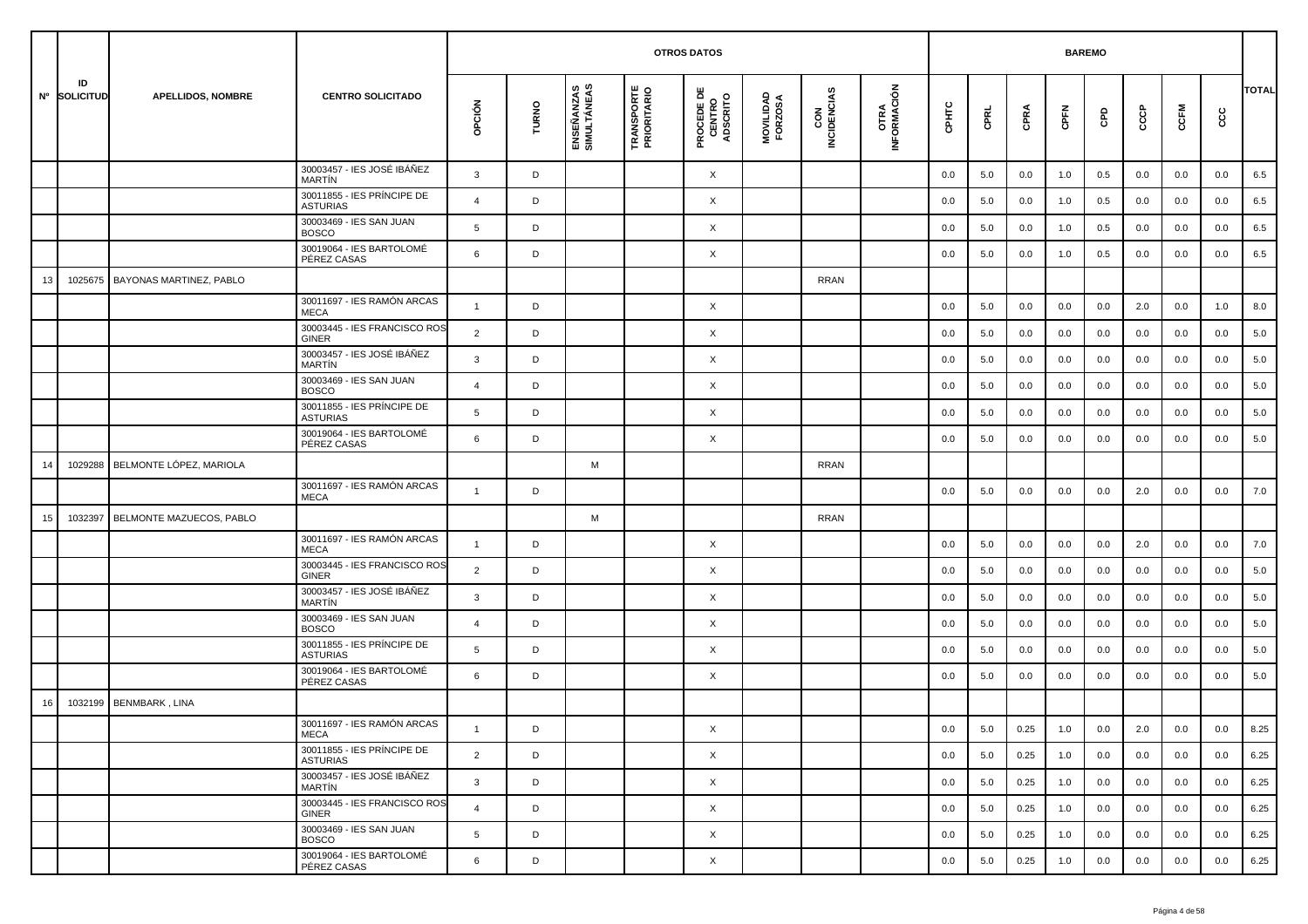|    |                    |                                |                                               |                |       |                           | <b>OTROS DATOS</b>               |                                           |                      |                    |                     |         | <b>BAREMO</b> |      |      |     |         |      |     |              |
|----|--------------------|--------------------------------|-----------------------------------------------|----------------|-------|---------------------------|----------------------------------|-------------------------------------------|----------------------|--------------------|---------------------|---------|---------------|------|------|-----|---------|------|-----|--------------|
|    | ID<br>Nº SOLICITUD | <b>APELLIDOS, NOMBRE</b>       | <b>CENTRO SOLICITADO</b>                      | OPCIÓN         | TURNO | ENSEÑANZAS<br>SIMULTÁNEAS | <b>TRANSPORTE</b><br>PRIORITARIO | <b>PROCEDE DE<br/>CENTRO<br/>ADSCRITO</b> | MOVILIDAD<br>FORZOSA | CON<br>INCIDENCIAS | OTRA<br>INFORMACIÓN | CPHTC   | CPRL          | CPRA | CPFN | GPD | င်င     | CCFM | cc  | <b>TOTAL</b> |
|    |                    |                                | 30003457 - IES JOSÉ IBÁÑEZ<br>MARTÍN          | $\mathbf{3}$   | D     |                           |                                  | X                                         |                      |                    |                     | 0.0     | 5.0           | 0.0  | 1.0  | 0.5 | 0.0     | 0.0  | 0.0 | 6.5          |
|    |                    |                                | 30011855 - IES PRÍNCIPE DE<br><b>ASTURIAS</b> | $\overline{4}$ | D     |                           |                                  | Χ                                         |                      |                    |                     | 0.0     | 5.0           | 0.0  | 1.0  | 0.5 | 0.0     | 0.0  | 0.0 | 6.5          |
|    |                    |                                | 30003469 - IES SAN JUAN<br><b>BOSCO</b>       | 5              | D     |                           |                                  | X                                         |                      |                    |                     | 0.0     | 5.0           | 0.0  | 1.0  | 0.5 | 0.0     | 0.0  | 0.0 | 6.5          |
|    |                    |                                | 30019064 - IES BARTOLOMÉ<br>PÉREZ CASAS       | 6              | D     |                           |                                  | Χ                                         |                      |                    |                     | 0.0     | 5.0           | 0.0  | 1.0  | 0.5 | 0.0     | 0.0  | 0.0 | 6.5          |
| 13 | 1025675            | <b>BAYONAS MARTINEZ, PABLO</b> |                                               |                |       |                           |                                  |                                           |                      | <b>RRAN</b>        |                     |         |               |      |      |     |         |      |     |              |
|    |                    |                                | 30011697 - IES RAMÓN ARCAS<br><b>MECA</b>     | $\mathbf{1}$   | D     |                           |                                  | X                                         |                      |                    |                     | 0.0     | 5.0           | 0.0  | 0.0  | 0.0 | 2.0     | 0.0  | 1.0 | 8.0          |
|    |                    |                                | 30003445 - IES FRANCISCO ROS<br><b>GINER</b>  | $\overline{2}$ | D     |                           |                                  | X                                         |                      |                    |                     | 0.0     | 5.0           | 0.0  | 0.0  | 0.0 | 0.0     | 0.0  | 0.0 | 5.0          |
|    |                    |                                | 30003457 - IES JOSÉ IBÁÑEZ<br>MARTÍN          | 3              | D     |                           |                                  | Χ                                         |                      |                    |                     | 0.0     | 5.0           | 0.0  | 0.0  | 0.0 | 0.0     | 0.0  | 0.0 | 5.0          |
|    |                    |                                | 30003469 - IES SAN JUAN<br><b>BOSCO</b>       | $\overline{4}$ | D     |                           |                                  | Χ                                         |                      |                    |                     | 0.0     | 5.0           | 0.0  | 0.0  | 0.0 | 0.0     | 0.0  | 0.0 | 5.0          |
|    |                    |                                | 30011855 - IES PRÍNCIPE DE<br><b>ASTURIAS</b> | 5              | D     |                           |                                  | Χ                                         |                      |                    |                     | 0.0     | 5.0           | 0.0  | 0.0  | 0.0 | 0.0     | 0.0  | 0.0 | 5.0          |
|    |                    |                                | 30019064 - IES BARTOLOMÉ<br>PÉREZ CASAS       | 6              | D     |                           |                                  | Χ                                         |                      |                    |                     | 0.0     | 5.0           | 0.0  | 0.0  | 0.0 | 0.0     | 0.0  | 0.0 | 5.0          |
| 14 | 1029288            | BELMONTE LÓPEZ, MARIOLA        |                                               |                |       | M                         |                                  |                                           |                      | RRAN               |                     |         |               |      |      |     |         |      |     |              |
|    |                    |                                | 30011697 - IES RAMÓN ARCAS<br>MECA            | $\mathbf{1}$   | D     |                           |                                  |                                           |                      |                    |                     | 0.0     | 5.0           | 0.0  | 0.0  | 0.0 | 2.0     | 0.0  | 0.0 | 7.0          |
| 15 | 1032397            | BELMONTE MAZUECOS, PABLO       |                                               |                |       | M                         |                                  |                                           |                      | RRAN               |                     |         |               |      |      |     |         |      |     |              |
|    |                    |                                | 30011697 - IES RAMÓN ARCAS<br><b>MECA</b>     | $\mathbf{1}$   | D     |                           |                                  | X                                         |                      |                    |                     | 0.0     | 5.0           | 0.0  | 0.0  | 0.0 | 2.0     | 0.0  | 0.0 | 7.0          |
|    |                    |                                | 30003445 - IES FRANCISCO ROS<br><b>GINER</b>  | 2              | D     |                           |                                  | X                                         |                      |                    |                     | 0.0     | 5.0           | 0.0  | 0.0  | 0.0 | 0.0     | 0.0  | 0.0 | 5.0          |
|    |                    |                                | 30003457 - IES JOSÉ IBÁÑEZ<br><b>MARTÍN</b>   | 3              | D     |                           |                                  | Χ                                         |                      |                    |                     | 0.0     | 5.0           | 0.0  | 0.0  | 0.0 | 0.0     | 0.0  | 0.0 | 5.0          |
|    |                    |                                | 30003469 - IES SAN JUAN<br><b>BOSCO</b>       | $\overline{4}$ | D     |                           |                                  | X                                         |                      |                    |                     | 0.0     | 5.0           | 0.0  | 0.0  | 0.0 | 0.0     | 0.0  | 0.0 | 5.0          |
|    |                    |                                | 30011855 - IES PRÍNCIPE DE<br><b>ASTURIAS</b> | 5              | D     |                           |                                  | X                                         |                      |                    |                     | 0.0     | 5.0           | 0.0  | 0.0  | 0.0 | 0.0     | 0.0  | 0.0 | 5.0          |
|    |                    |                                | 30019064 - IES BARTOLOMÉ<br>PÉREZ CASAS       | 6              | D     |                           |                                  | Χ                                         |                      |                    |                     | 0.0     | 5.0           | 0.0  | 0.0  | 0.0 | 0.0     | 0.0  | 0.0 | 5.0          |
| 16 | 1032199            | <b>BENMBARK, LINA</b>          |                                               |                |       |                           |                                  |                                           |                      |                    |                     |         |               |      |      |     |         |      |     |              |
|    |                    |                                | 30011697 - IES RAMÓN ARCAS<br>MECA            |                | D     |                           |                                  | X                                         |                      |                    |                     | $0.0\,$ | $5.0\,$       | 0.25 | 1.0  | 0.0 | $2.0\,$ | 0.0  | 0.0 | 8.25         |
|    |                    |                                | 30011855 - IES PRÍNCIPE DE<br>ASTURIAS        | $\overline{2}$ | D     |                           |                                  | $\times$                                  |                      |                    |                     | 0.0     | 5.0           | 0.25 | 1.0  | 0.0 | 0.0     | 0.0  | 0.0 | 6.25         |
|    |                    |                                | 30003457 - IES JOSÉ IBÁÑEZ<br>MARTÍN          | $\mathbf{3}$   | D     |                           |                                  | X                                         |                      |                    |                     | 0.0     | 5.0           | 0.25 | 1.0  | 0.0 | 0.0     | 0.0  | 0.0 | 6.25         |
|    |                    |                                | 30003445 - IES FRANCISCO ROS<br>GINER         | $\overline{4}$ | D     |                           |                                  | X                                         |                      |                    |                     | 0.0     | 5.0           | 0.25 | 1.0  | 0.0 | 0.0     | 0.0  | 0.0 | 6.25         |
|    |                    |                                | 30003469 - IES SAN JUAN<br><b>BOSCO</b>       | 5              | D     |                           |                                  | X                                         |                      |                    |                     | 0.0     | 5.0           | 0.25 | 1.0  | 0.0 | 0.0     | 0.0  | 0.0 | 6.25         |
|    |                    |                                | 30019064 - IES BARTOLOMÉ<br>PÉREZ CASAS       | 6              | D     |                           |                                  | X                                         |                      |                    |                     | 0.0     | 5.0           | 0.25 | 1.0  | 0.0 | 0.0     | 0.0  | 0.0 | 6.25         |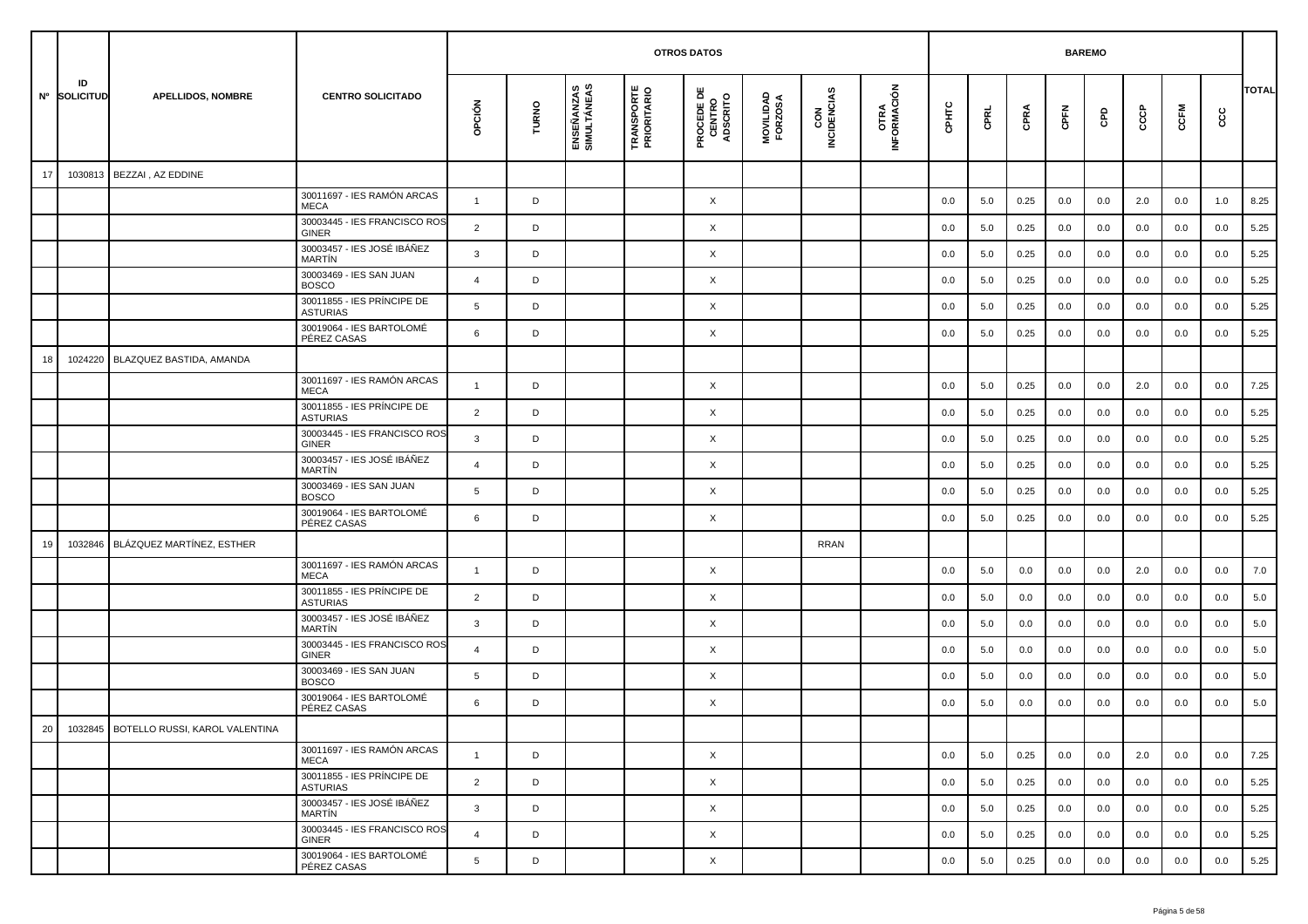|        |                    |                                        |                                               |                |       |                           |                                  | <b>OTROS DATOS</b>                        |                      |                    |                             |       |      |      | <b>BAREMO</b> |     |     |      |     |              |
|--------|--------------------|----------------------------------------|-----------------------------------------------|----------------|-------|---------------------------|----------------------------------|-------------------------------------------|----------------------|--------------------|-----------------------------|-------|------|------|---------------|-----|-----|------|-----|--------------|
|        | ID<br>Nº SOLICITUD | <b>APELLIDOS, NOMBRE</b>               | <b>CENTRO SOLICITADO</b>                      | opción         | TURNO | ENSEÑANZAS<br>SIMULTÁNEAS | <b>TRANSPORTE</b><br>PRIORITARIO | <b>PROCEDE DE<br/>CENTRO<br/>ADSCRITO</b> | MOVILIDAD<br>FORZOSA | CON<br>INCIDENCIAS | <b>OTRA<br/>INFORMACIÓN</b> | CPHTC | CPRL | CPRA | CPFN          | GPD | ငင  | CCFM | င်င | <b>TOTAL</b> |
| 17     | 1030813            | BEZZAI, AZ EDDINE                      |                                               |                |       |                           |                                  |                                           |                      |                    |                             |       |      |      |               |     |     |      |     |              |
|        |                    |                                        | 30011697 - IES RAMÓN ARCAS<br><b>MECA</b>     | $\mathbf{1}$   | D     |                           |                                  | X                                         |                      |                    |                             | 0.0   | 5.0  | 0.25 | 0.0           | 0.0 | 2.0 | 0.0  | 1.0 | 8.25         |
|        |                    |                                        | 30003445 - IES FRANCISCO ROS<br><b>GINER</b>  | 2              | D     |                           |                                  | $\times$                                  |                      |                    |                             | 0.0   | 5.0  | 0.25 | 0.0           | 0.0 | 0.0 | 0.0  | 0.0 | 5.25         |
|        |                    |                                        | 30003457 - IES JOSÉ IBÁÑEZ<br>MARTÍN          | 3              | D     |                           |                                  | X                                         |                      |                    |                             | 0.0   | 5.0  | 0.25 | 0.0           | 0.0 | 0.0 | 0.0  | 0.0 | 5.25         |
|        |                    |                                        | 30003469 - IES SAN JUAN<br><b>BOSCO</b>       | $\overline{4}$ | D     |                           |                                  | X                                         |                      |                    |                             | 0.0   | 5.0  | 0.25 | 0.0           | 0.0 | 0.0 | 0.0  | 0.0 | 5.25         |
|        |                    |                                        | 30011855 - IES PRÍNCIPE DE<br>ASTURIAS        | 5              | D     |                           |                                  | X                                         |                      |                    |                             | 0.0   | 5.0  | 0.25 | 0.0           | 0.0 | 0.0 | 0.0  | 0.0 | 5.25         |
|        |                    |                                        | 30019064 - IES BARTOLOMÉ<br>PÉREZ CASAS       | 6              | D     |                           |                                  | X                                         |                      |                    |                             | 0.0   | 5.0  | 0.25 | 0.0           | 0.0 | 0.0 | 0.0  | 0.0 | 5.25         |
| 18     | 1024220            | BLAZQUEZ BASTIDA, AMANDA               |                                               |                |       |                           |                                  |                                           |                      |                    |                             |       |      |      |               |     |     |      |     |              |
|        |                    |                                        | 30011697 - IES RAMÓN ARCAS<br><b>MECA</b>     | -1             | D     |                           |                                  | $\times$                                  |                      |                    |                             | 0.0   | 5.0  | 0.25 | 0.0           | 0.0 | 2.0 | 0.0  | 0.0 | 7.25         |
|        |                    |                                        | 30011855 - IES PRÍNCIPE DE<br><b>ASTURIAS</b> | $\overline{2}$ | D     |                           |                                  | X                                         |                      |                    |                             | 0.0   | 5.0  | 0.25 | 0.0           | 0.0 | 0.0 | 0.0  | 0.0 | 5.25         |
|        |                    |                                        | 30003445 - IES FRANCISCO ROS<br>GINER         | 3              | D     |                           |                                  | X                                         |                      |                    |                             | 0.0   | 5.0  | 0.25 | 0.0           | 0.0 | 0.0 | 0.0  | 0.0 | 5.25         |
|        |                    |                                        | 30003457 - IES JOSÉ IBÁÑEZ<br>MARTÍN          | $\overline{4}$ | D     |                           |                                  | X                                         |                      |                    |                             | 0.0   | 5.0  | 0.25 | 0.0           | 0.0 | 0.0 | 0.0  | 0.0 | 5.25         |
|        |                    |                                        | 30003469 - IES SAN JUAN<br><b>BOSCO</b>       | 5              | D     |                           |                                  | X                                         |                      |                    |                             | 0.0   | 5.0  | 0.25 | 0.0           | 0.0 | 0.0 | 0.0  | 0.0 | 5.25         |
|        |                    |                                        | 30019064 - IES BARTOLOMÉ<br>PÉREZ CASAS       | 6              | D     |                           |                                  | X                                         |                      |                    |                             | 0.0   | 5.0  | 0.25 | 0.0           | 0.0 | 0.0 | 0.0  | 0.0 | 5.25         |
| 19     | 1032846            | BLÁZQUEZ MARTÍNEZ, ESTHER              |                                               |                |       |                           |                                  |                                           |                      | <b>RRAN</b>        |                             |       |      |      |               |     |     |      |     |              |
|        |                    |                                        | 30011697 - IES RAMÓN ARCAS<br><b>MECA</b>     | $\overline{1}$ | D     |                           |                                  | X                                         |                      |                    |                             | 0.0   | 5.0  | 0.0  | 0.0           | 0.0 | 2.0 | 0.0  | 0.0 | 7.0          |
|        |                    |                                        | 30011855 - IES PRÍNCIPE DE<br><b>ASTURIAS</b> | $\overline{2}$ | D     |                           |                                  | X                                         |                      |                    |                             | 0.0   | 5.0  | 0.0  | 0.0           | 0.0 | 0.0 | 0.0  | 0.0 | 5.0          |
|        |                    |                                        | 30003457 - IES JOSÉ IBÁÑEZ<br>MARTÍN          | 3              | D     |                           |                                  | X                                         |                      |                    |                             | 0.0   | 5.0  | 0.0  | 0.0           | 0.0 | 0.0 | 0.0  | 0.0 | 5.0          |
|        |                    |                                        | 30003445 - IES FRANCISCO ROS<br>GINER         | 4              | D     |                           |                                  | X                                         |                      |                    |                             | 0.0   | 5.0  | 0.0  | 0.0           | 0.0 | 0.0 | 0.0  | 0.0 | 5.0          |
|        |                    |                                        | 30003469 - IES SAN JUAN<br><b>BOSCO</b>       | 5              | D     |                           |                                  | X                                         |                      |                    |                             | 0.0   | 5.0  | 0.0  | 0.0           | 0.0 | 0.0 | 0.0  | 0.0 | 5.0          |
|        |                    |                                        | 30019064 - IES BARTOLOMÉ<br>PÉREZ CASAS       | 6              | D     |                           |                                  | X                                         |                      |                    |                             | 0.0   | 5.0  | 0.0  | 0.0           | 0.0 | 0.0 | 0.0  | 0.0 | 5.0          |
| $20\,$ |                    | 1032845 BOTELLO RUSSI, KAROL VALENTINA |                                               |                |       |                           |                                  |                                           |                      |                    |                             |       |      |      |               |     |     |      |     |              |
|        |                    |                                        | 30011697 - IES RAMÓN ARCAS<br>MECA            | $\mathbf{1}$   | D     |                           |                                  | $\times$                                  |                      |                    |                             | 0.0   | 5.0  | 0.25 | 0.0           | 0.0 | 2.0 | 0.0  | 0.0 | 7.25         |
|        |                    |                                        | 30011855 - IES PRÍNCIPE DE<br>ASTURIAS        | $\overline{2}$ | D     |                           |                                  | $\times$                                  |                      |                    |                             | 0.0   | 5.0  | 0.25 | 0.0           | 0.0 | 0.0 | 0.0  | 0.0 | 5.25         |
|        |                    |                                        | 30003457 - IES JOSÉ IBÁÑEZ<br>MARTÍN          | $\mathbf{3}$   | D     |                           |                                  | $\times$                                  |                      |                    |                             | 0.0   | 5.0  | 0.25 | 0.0           | 0.0 | 0.0 | 0.0  | 0.0 | 5.25         |
|        |                    |                                        | 30003445 - IES FRANCISCO ROS<br>GINER         | $\overline{4}$ | D     |                           |                                  | $\times$                                  |                      |                    |                             | 0.0   | 5.0  | 0.25 | 0.0           | 0.0 | 0.0 | 0.0  | 0.0 | 5.25         |
|        |                    |                                        | 30019064 - IES BARTOLOMÉ<br>PÉREZ CASAS       | 5              | D     |                           |                                  | $\times$                                  |                      |                    |                             | 0.0   | 5.0  | 0.25 | 0.0           | 0.0 | 0.0 | 0.0  | 0.0 | 5.25         |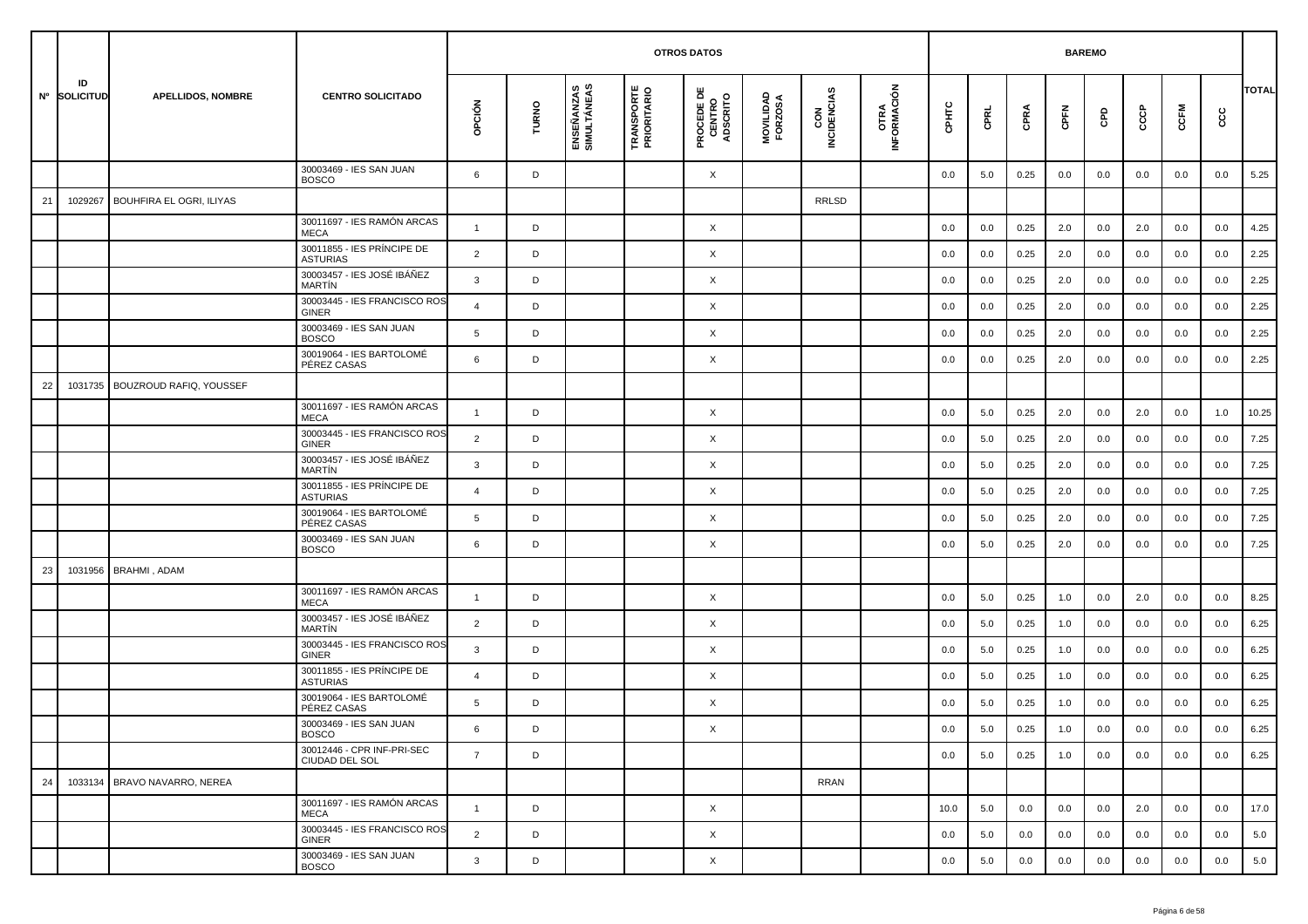|    |                    |                                 |                                               |                |       |                           |                                  |                                           |                      |                    |                     | <b>BAREMO</b> |         |      |         |     |     |         |         |              |
|----|--------------------|---------------------------------|-----------------------------------------------|----------------|-------|---------------------------|----------------------------------|-------------------------------------------|----------------------|--------------------|---------------------|---------------|---------|------|---------|-----|-----|---------|---------|--------------|
|    | ID<br>Nº SOLICITUD | <b>APELLIDOS, NOMBRE</b>        | <b>CENTRO SOLICITADO</b>                      | opción         | TURNO | ENSEÑANZAS<br>SIMULTÁNEAS | <b>TRANSPORTE</b><br>PRIORITARIO | <b>PROCEDE DE<br/>CENTRO<br/>ADSCRITO</b> | MOVILIDAD<br>FORZOSA | CON<br>INCIDENCIAS | OTRA<br>INFORMACIÓN | CPHTC         | CPRL    | CPRA | CPFN    | GPD | င်င | CCFM    | င္ပင    | <b>TOTAL</b> |
|    |                    |                                 | 30003469 - IES SAN JUAN<br><b>BOSCO</b>       | 6              | D     |                           |                                  | X                                         |                      |                    |                     | 0.0           | 5.0     | 0.25 | 0.0     | 0.0 | 0.0 | 0.0     | 0.0     | 5.25         |
| 21 | 1029267            | <b>BOUHFIRA EL OGRI, ILIYAS</b> |                                               |                |       |                           |                                  |                                           |                      | RRLSD              |                     |               |         |      |         |     |     |         |         |              |
|    |                    |                                 | 30011697 - IES RAMÓN ARCAS<br><b>MECA</b>     | $\mathbf{1}$   | D     |                           |                                  | X                                         |                      |                    |                     | 0.0           | 0.0     | 0.25 | 2.0     | 0.0 | 2.0 | 0.0     | 0.0     | 4.25         |
|    |                    |                                 | 30011855 - IES PRÍNCIPE DE<br><b>ASTURIAS</b> | $\overline{2}$ | D     |                           |                                  | X                                         |                      |                    |                     | 0.0           | 0.0     | 0.25 | 2.0     | 0.0 | 0.0 | 0.0     | 0.0     | 2.25         |
|    |                    |                                 | 30003457 - IES JOSÉ IBÁÑEZ<br><b>MARTÍN</b>   | 3              | D     |                           |                                  | X                                         |                      |                    |                     | 0.0           | 0.0     | 0.25 | 2.0     | 0.0 | 0.0 | 0.0     | 0.0     | 2.25         |
|    |                    |                                 | 30003445 - IES FRANCISCO ROS<br><b>GINER</b>  | $\overline{4}$ | D     |                           |                                  | X                                         |                      |                    |                     | 0.0           | 0.0     | 0.25 | 2.0     | 0.0 | 0.0 | 0.0     | 0.0     | 2.25         |
|    |                    |                                 | 30003469 - IES SAN JUAN<br><b>BOSCO</b>       | 5              | D     |                           |                                  | X                                         |                      |                    |                     | 0.0           | 0.0     | 0.25 | 2.0     | 0.0 | 0.0 | 0.0     | 0.0     | 2.25         |
|    |                    |                                 | 30019064 - IES BARTOLOMÉ<br>PÉREZ CASAS       | 6              | D     |                           |                                  | X                                         |                      |                    |                     | 0.0           | 0.0     | 0.25 | 2.0     | 0.0 | 0.0 | 0.0     | 0.0     | 2.25         |
| 22 | 1031735            | BOUZROUD RAFIQ, YOUSSEF         |                                               |                |       |                           |                                  |                                           |                      |                    |                     |               |         |      |         |     |     |         |         |              |
|    |                    |                                 | 30011697 - IES RAMÓN ARCAS<br><b>MECA</b>     | $\mathbf{1}$   | D     |                           |                                  | X                                         |                      |                    |                     | 0.0           | 5.0     | 0.25 | 2.0     | 0.0 | 2.0 | 0.0     | 1.0     | 10.25        |
|    |                    |                                 | 30003445 - IES FRANCISCO ROS<br><b>GINER</b>  | $\overline{2}$ | D     |                           |                                  | X                                         |                      |                    |                     | 0.0           | 5.0     | 0.25 | 2.0     | 0.0 | 0.0 | 0.0     | 0.0     | 7.25         |
|    |                    |                                 | 30003457 - IES JOSÉ IBÁÑEZ<br><b>MARTIN</b>   | 3              | D     |                           |                                  | X                                         |                      |                    |                     | 0.0           | 5.0     | 0.25 | 2.0     | 0.0 | 0.0 | 0.0     | 0.0     | 7.25         |
|    |                    |                                 | 30011855 - IES PRÍNCIPE DE<br><b>ASTURIAS</b> | 4              | D     |                           |                                  | X                                         |                      |                    |                     | 0.0           | 5.0     | 0.25 | 2.0     | 0.0 | 0.0 | 0.0     | 0.0     | 7.25         |
|    |                    |                                 | 30019064 - IES BARTOLOMÉ<br>PÉREZ CASAS       | 5              | D     |                           |                                  | X                                         |                      |                    |                     | 0.0           | 5.0     | 0.25 | 2.0     | 0.0 | 0.0 | 0.0     | 0.0     | 7.25         |
|    |                    |                                 | 30003469 - IES SAN JUAN<br><b>BOSCO</b>       | 6              | D     |                           |                                  | X                                         |                      |                    |                     | 0.0           | 5.0     | 0.25 | 2.0     | 0.0 | 0.0 | 0.0     | 0.0     | 7.25         |
| 23 |                    | 1031956 BRAHMI, ADAM            |                                               |                |       |                           |                                  |                                           |                      |                    |                     |               |         |      |         |     |     |         |         |              |
|    |                    |                                 | 30011697 - IES RAMÓN ARCAS<br><b>MECA</b>     | $\mathbf{1}$   | D     |                           |                                  | X                                         |                      |                    |                     | 0.0           | 5.0     | 0.25 | 1.0     | 0.0 | 2.0 | 0.0     | 0.0     | 8.25         |
|    |                    |                                 | 30003457 - IES JOSÉ IBÁÑEZ<br><b>MARTIN</b>   | 2              | D     |                           |                                  | X                                         |                      |                    |                     | 0.0           | 5.0     | 0.25 | 1.0     | 0.0 | 0.0 | 0.0     | 0.0     | 6.25         |
|    |                    |                                 | 30003445 - IES FRANCISCO ROS<br>GINER         | 3              | D     |                           |                                  | X                                         |                      |                    |                     | 0.0           | 5.0     | 0.25 | 1.0     | 0.0 | 0.0 | 0.0     | 0.0     | 6.25         |
|    |                    |                                 | 30011855 - IES PRÍNCIPE DE<br><b>ASTURIAS</b> | $\overline{4}$ | D     |                           |                                  | X                                         |                      |                    |                     | 0.0           | 5.0     | 0.25 | 1.0     | 0.0 | 0.0 | 0.0     | 0.0     | 6.25         |
|    |                    |                                 | 30019064 - IES BARTOLOMÉ<br>PÉREZ CASAS       | 5              | D     |                           |                                  | X                                         |                      |                    |                     | 0.0           | 5.0     | 0.25 | 1.0     | 0.0 | 0.0 | 0.0     | 0.0     | 6.25         |
|    |                    |                                 | 30003469 - IES SAN JUAN<br><b>BOSCO</b>       | 6              | D     |                           |                                  | X                                         |                      |                    |                     | $0.0\,$       | $5.0\,$ | 0.25 | $1.0\,$ | 0.0 | 0.0 | $0.0\,$ | $0.0\,$ | 6.25         |
|    |                    |                                 | 30012446 - CPR INF-PRI-SEC<br>CIUDAD DEL SOL  | $7^{\circ}$    | D     |                           |                                  |                                           |                      |                    |                     | 0.0           | 5.0     | 0.25 | 1.0     | 0.0 | 0.0 | 0.0     | 0.0     | 6.25         |
| 24 |                    | 1033134 BRAVO NAVARRO, NEREA    |                                               |                |       |                           |                                  |                                           |                      | <b>RRAN</b>        |                     |               |         |      |         |     |     |         |         |              |
|    |                    |                                 | 30011697 - IES RAMÓN ARCAS<br><b>MECA</b>     | $\mathbf{1}$   | D     |                           |                                  | X                                         |                      |                    |                     | 10.0          | 5.0     | 0.0  | 0.0     | 0.0 | 2.0 | 0.0     | 0.0     | 17.0         |
|    |                    |                                 | 30003445 - IES FRANCISCO ROS<br>GINER         | 2              | D     |                           |                                  | X                                         |                      |                    |                     | 0.0           | 5.0     | 0.0  | 0.0     | 0.0 | 0.0 | 0.0     | 0.0     | 5.0          |
|    |                    |                                 | 30003469 - IES SAN JUAN<br><b>BOSCO</b>       | $\mathbf{3}$   | D     |                           |                                  | X                                         |                      |                    |                     | 0.0           | 5.0     | 0.0  | 0.0     | 0.0 | 0.0 | 0.0     | 0.0     | 5.0          |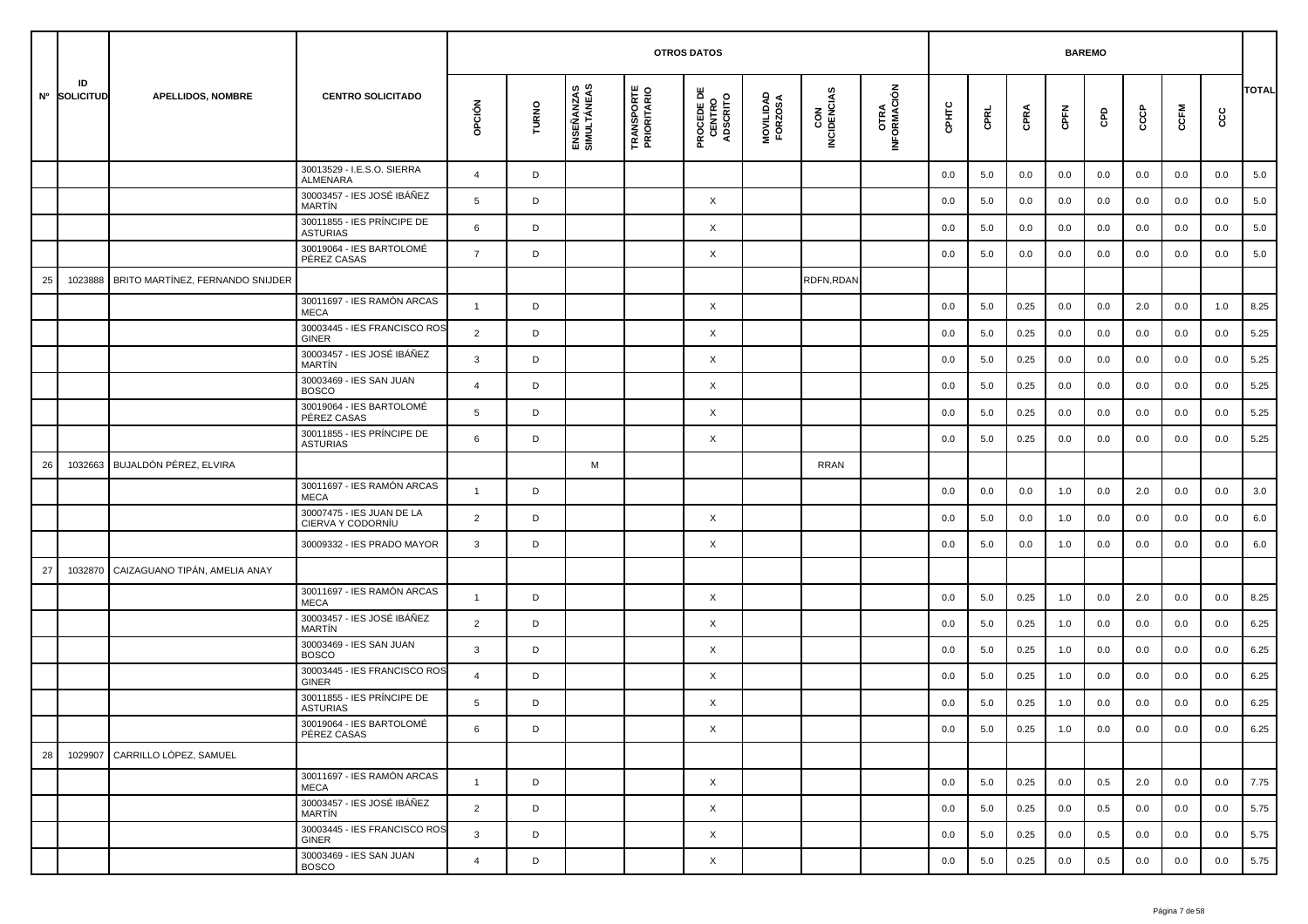|    |                    |                                  |                                                |                |       |                           |                                  | <b>OTROS DATOS</b>                        |                      |                    |                     |         |             |          | <b>BAREMO</b> |         |     |         |     |              |
|----|--------------------|----------------------------------|------------------------------------------------|----------------|-------|---------------------------|----------------------------------|-------------------------------------------|----------------------|--------------------|---------------------|---------|-------------|----------|---------------|---------|-----|---------|-----|--------------|
|    | ID<br>Nº SOLICITUD | <b>APELLIDOS, NOMBRE</b>         | <b>CENTRO SOLICITADO</b>                       | OPCIÓN         | TURNO | ENSEÑANZAS<br>SIMULTÁNEAS | <b>TRANSPORTE</b><br>PRIORITARIO | <b>PROCEDE DE<br/>CENTRO<br/>ADSCRITO</b> | MOVILIDAD<br>FORZOSA | CON<br>INCIDENCIAS | OTRA<br>INFORMACIÓN | CPHTC   | <b>CPRL</b> | CPRA     | CPFN          | GPD     | င်င | CCFM    | ပ္ပ | <b>TOTAL</b> |
|    |                    |                                  | 30013529 - I.E.S.O. SIERRA<br>ALMENARA         | $\overline{4}$ | D     |                           |                                  |                                           |                      |                    |                     | 0.0     | 5.0         | 0.0      | 0.0           | 0.0     | 0.0 | 0.0     | 0.0 | 5.0          |
|    |                    |                                  | 30003457 - IES JOSÉ IBÁÑEZ<br>MARTÍN           | 5              | D     |                           |                                  | X                                         |                      |                    |                     | 0.0     | 5.0         | 0.0      | 0.0           | 0.0     | 0.0 | 0.0     | 0.0 | 5.0          |
|    |                    |                                  | 30011855 - IES PRÍNCIPE DE<br><b>ASTURIAS</b>  | 6              | D     |                           |                                  | X                                         |                      |                    |                     | 0.0     | 5.0         | 0.0      | 0.0           | 0.0     | 0.0 | 0.0     | 0.0 | 5.0          |
|    |                    |                                  | 30019064 - IES BARTOLOMÉ<br>PÉREZ CASAS        | $\overline{7}$ | D     |                           |                                  | X                                         |                      |                    |                     | 0.0     | 5.0         | 0.0      | 0.0           | 0.0     | 0.0 | 0.0     | 0.0 | 5.0          |
| 25 | 1023888            | BRITO MARTÍNEZ, FERNANDO SNIJDER |                                                |                |       |                           |                                  |                                           |                      | RDFN,RDAN          |                     |         |             |          |               |         |     |         |     |              |
|    |                    |                                  | 30011697 - IES RAMÓN ARCAS<br><b>MECA</b>      | $\mathbf{1}$   | D     |                           |                                  | X                                         |                      |                    |                     | 0.0     | 5.0         | 0.25     | 0.0           | 0.0     | 2.0 | 0.0     | 1.0 | 8.25         |
|    |                    |                                  | 30003445 - IES FRANCISCO ROS<br><b>GINER</b>   | $\overline{2}$ | D     |                           |                                  | X                                         |                      |                    |                     | 0.0     | 5.0         | 0.25     | 0.0           | 0.0     | 0.0 | 0.0     | 0.0 | 5.25         |
|    |                    |                                  | 30003457 - IES JOSÉ IBÁÑEZ<br>MARTÍN           | 3              | D     |                           |                                  | X                                         |                      |                    |                     | 0.0     | 5.0         | 0.25     | 0.0           | 0.0     | 0.0 | 0.0     | 0.0 | 5.25         |
|    |                    |                                  | 30003469 - IES SAN JUAN<br><b>BOSCO</b>        | 4              | D     |                           |                                  | X                                         |                      |                    |                     | 0.0     | 5.0         | 0.25     | 0.0           | 0.0     | 0.0 | 0.0     | 0.0 | 5.25         |
|    |                    |                                  | 30019064 - IES BARTOLOMÉ<br>PÉREZ CASAS        | 5              | D     |                           |                                  | X                                         |                      |                    |                     | 0.0     | 5.0         | 0.25     | 0.0           | 0.0     | 0.0 | 0.0     | 0.0 | 5.25         |
|    |                    |                                  | 30011855 - IES PRÍNCIPE DE<br><b>ASTURIAS</b>  | 6              | D     |                           |                                  | X                                         |                      |                    |                     | 0.0     | 5.0         | 0.25     | 0.0           | 0.0     | 0.0 | 0.0     | 0.0 | 5.25         |
| 26 | 1032663            | BUJALDÓN PÉREZ, ELVIRA           |                                                |                |       | M                         |                                  |                                           |                      | <b>RRAN</b>        |                     |         |             |          |               |         |     |         |     |              |
|    |                    |                                  | 30011697 - IES RAMÓN ARCAS<br><b>MECA</b>      | $\mathbf{1}$   | D     |                           |                                  |                                           |                      |                    |                     | 0.0     | 0.0         | 0.0      | 1.0           | 0.0     | 2.0 | 0.0     | 0.0 | 3.0          |
|    |                    |                                  | 30007475 - IES JUAN DE LA<br>CIERVA Y CODORNÍU | 2              | D     |                           |                                  | X                                         |                      |                    |                     | 0.0     | 5.0         | 0.0      | 1.0           | 0.0     | 0.0 | 0.0     | 0.0 | 6.0          |
|    |                    |                                  | 30009332 - IES PRADO MAYOR                     | 3              | D     |                           |                                  | X                                         |                      |                    |                     | 0.0     | 5.0         | 0.0      | 1.0           | 0.0     | 0.0 | 0.0     | 0.0 | 6.0          |
| 27 | 1032870            | CAIZAGUANO TIPÁN, AMELIA ANAY    |                                                |                |       |                           |                                  |                                           |                      |                    |                     |         |             |          |               |         |     |         |     |              |
|    |                    |                                  | 30011697 - IES RAMÓN ARCAS<br><b>MECA</b>      | $\mathbf{1}$   | D     |                           |                                  | X                                         |                      |                    |                     | 0.0     | 5.0         | 0.25     | 1.0           | 0.0     | 2.0 | 0.0     | 0.0 | 8.25         |
|    |                    |                                  | 30003457 - IES JOSÉ IBÁÑEZ<br><b>MARTIN</b>    | 2              | D     |                           |                                  | X                                         |                      |                    |                     | 0.0     | 5.0         | 0.25     | 1.0           | 0.0     | 0.0 | 0.0     | 0.0 | 6.25         |
|    |                    |                                  | 30003469 - IES SAN JUAN<br><b>BOSCO</b>        | 3              | D     |                           |                                  | X                                         |                      |                    |                     | 0.0     | 5.0         | 0.25     | 1.0           | 0.0     | 0.0 | 0.0     | 0.0 | 6.25         |
|    |                    |                                  | 30003445 - IES FRANCISCO ROS<br><b>GINER</b>   | $\overline{a}$ | D     |                           |                                  | X                                         |                      |                    |                     | 0.0     | 5.0         | 0.25     | 1.0           | 0.0     | 0.0 | 0.0     | 0.0 | 6.25         |
|    |                    |                                  | 30011855 - IES PRÍNCIPE DE<br><b>ASTURIAS</b>  | 5              | D     |                           |                                  | X                                         |                      |                    |                     | 0.0     | 5.0         | 0.25     | 1.0           | 0.0     | 0.0 | 0.0     | 0.0 | 6.25         |
|    |                    |                                  | 30019064 - IES BARTOLOMÉ<br>PÉREZ CASAS        | 6              |       |                           |                                  | Χ                                         |                      |                    |                     | $0.0\,$ | $5.0\,$     | $0.25\,$ | $1.0\,$       | $0.0\,$ | 0.0 | $0.0\,$ | 0.0 | 6.25         |
| 28 |                    | 1029907 CARRILLO LÓPEZ, SAMUEL   |                                                |                |       |                           |                                  |                                           |                      |                    |                     |         |             |          |               |         |     |         |     |              |
|    |                    |                                  | 30011697 - IES RAMÓN ARCAS<br>MECA             | $\mathbf{1}$   | D     |                           |                                  | $\times$                                  |                      |                    |                     | 0.0     | 5.0         | 0.25     | 0.0           | 0.5     | 2.0 | 0.0     | 0.0 | 7.75         |
|    |                    |                                  | 30003457 - IES JOSÉ IBÁÑEZ<br>MARTÍN           | 2              | D     |                           |                                  | X                                         |                      |                    |                     | 0.0     | 5.0         | 0.25     | 0.0           | 0.5     | 0.0 | 0.0     | 0.0 | 5.75         |
|    |                    |                                  | 30003445 - IES FRANCISCO ROS<br>GINER          | 3              | D     |                           |                                  | X                                         |                      |                    |                     | 0.0     | 5.0         | 0.25     | 0.0           | 0.5     | 0.0 | 0.0     | 0.0 | 5.75         |
|    |                    |                                  | 30003469 - IES SAN JUAN<br><b>BOSCO</b>        | $\overline{4}$ | D     |                           |                                  | $\times$                                  |                      |                    |                     | 0.0     | 5.0         | 0.25     | 0.0           | 0.5     | 0.0 | 0.0     | 0.0 | 5.75         |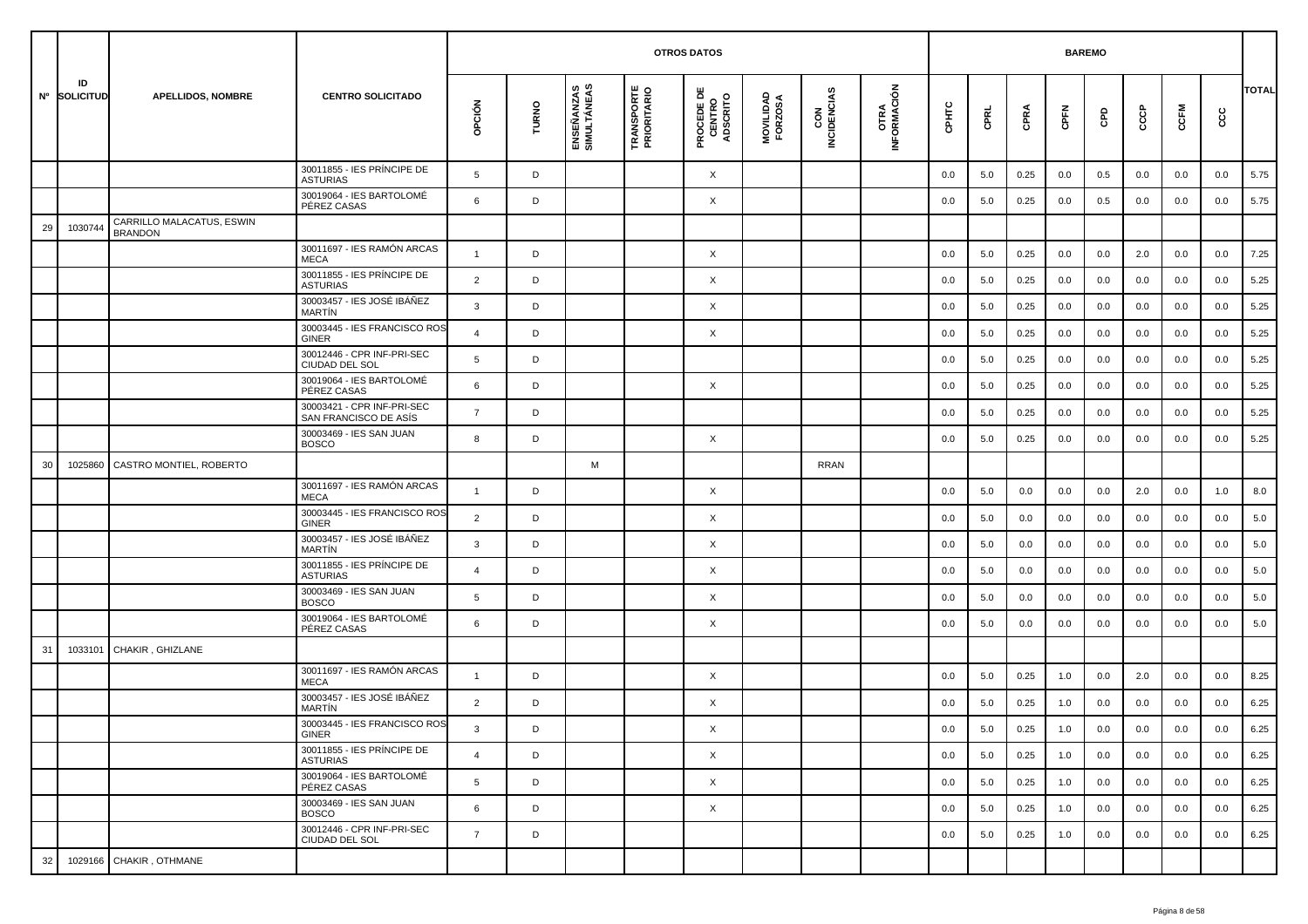|    |                    |                                             |                                                     |                |       |                           | <b>OTROS DATOS</b>               |                                           |                      |                    |                     |         | <b>BAREMO</b> |      |         |     |     |      |     |              |
|----|--------------------|---------------------------------------------|-----------------------------------------------------|----------------|-------|---------------------------|----------------------------------|-------------------------------------------|----------------------|--------------------|---------------------|---------|---------------|------|---------|-----|-----|------|-----|--------------|
|    | ID<br>Nº SOLICITUD | <b>APELLIDOS, NOMBRE</b>                    | <b>CENTRO SOLICITADO</b>                            | opción         | TURNO | ENSEÑANZAS<br>SIMULTÁNEAS | <b>TRANSPORTE</b><br>PRIORITARIO | <b>PROCEDE DE<br/>CENTRO<br/>ADSCRITO</b> | MOVILIDAD<br>FORZOSA | CON<br>INCIDENCIAS | OTRA<br>INFORMACIÓN | CPHTC   | CPRL          | CPRA | CPFN    | GPD | င်င | CCFM | cc  | <b>TOTAL</b> |
|    |                    |                                             | 30011855 - IES PRÍNCIPE DE<br><b>ASTURIAS</b>       | 5              | D     |                           |                                  | X                                         |                      |                    |                     | 0.0     | 5.0           | 0.25 | 0.0     | 0.5 | 0.0 | 0.0  | 0.0 | 5.75         |
|    |                    |                                             | 30019064 - IES BARTOLOMÉ<br>PÉREZ CASAS             | 6              | D     |                           |                                  | X                                         |                      |                    |                     | 0.0     | 5.0           | 0.25 | 0.0     | 0.5 | 0.0 | 0.0  | 0.0 | 5.75         |
| 29 | 1030744            | CARRILLO MALACATUS, ESWIN<br><b>BRANDON</b> |                                                     |                |       |                           |                                  |                                           |                      |                    |                     |         |               |      |         |     |     |      |     |              |
|    |                    |                                             | 30011697 - IES RAMÓN ARCAS<br><b>MECA</b>           | $\mathbf{1}$   | D     |                           |                                  | X                                         |                      |                    |                     | 0.0     | 5.0           | 0.25 | 0.0     | 0.0 | 2.0 | 0.0  | 0.0 | 7.25         |
|    |                    |                                             | 30011855 - IES PRÍNCIPE DE<br><b>ASTURIAS</b>       | $\overline{2}$ | D     |                           |                                  | X                                         |                      |                    |                     | 0.0     | 5.0           | 0.25 | 0.0     | 0.0 | 0.0 | 0.0  | 0.0 | 5.25         |
|    |                    |                                             | 30003457 - IES JOSÉ IBÁÑEZ<br>MARTÍN                | 3              | D     |                           |                                  | X                                         |                      |                    |                     | 0.0     | 5.0           | 0.25 | 0.0     | 0.0 | 0.0 | 0.0  | 0.0 | 5.25         |
|    |                    |                                             | 30003445 - IES FRANCISCO ROS<br><b>GINER</b>        | 4              | D     |                           |                                  | X                                         |                      |                    |                     | 0.0     | 5.0           | 0.25 | 0.0     | 0.0 | 0.0 | 0.0  | 0.0 | 5.25         |
|    |                    |                                             | 30012446 - CPR INF-PRI-SEC<br>CIUDAD DEL SOL        | 5              | D     |                           |                                  |                                           |                      |                    |                     | 0.0     | 5.0           | 0.25 | 0.0     | 0.0 | 0.0 | 0.0  | 0.0 | 5.25         |
|    |                    |                                             | 30019064 - IES BARTOLOMÉ<br>PÉREZ CASAS             | 6              | D     |                           |                                  | X                                         |                      |                    |                     | 0.0     | 5.0           | 0.25 | 0.0     | 0.0 | 0.0 | 0.0  | 0.0 | 5.25         |
|    |                    |                                             | 30003421 - CPR INF-PRI-SEC<br>SAN FRANCISCO DE ASÍS | $\overline{7}$ | D     |                           |                                  |                                           |                      |                    |                     | 0.0     | 5.0           | 0.25 | 0.0     | 0.0 | 0.0 | 0.0  | 0.0 | 5.25         |
|    |                    |                                             | 30003469 - IES SAN JUAN<br><b>BOSCO</b>             | 8              | D     |                           |                                  | X                                         |                      |                    |                     | 0.0     | 5.0           | 0.25 | 0.0     | 0.0 | 0.0 | 0.0  | 0.0 | 5.25         |
| 30 | 1025860            | CASTRO MONTIEL, ROBERTO                     |                                                     |                |       | M                         |                                  |                                           |                      | RRAN               |                     |         |               |      |         |     |     |      |     |              |
|    |                    |                                             | 30011697 - IES RAMÓN ARCAS<br><b>MECA</b>           | $\overline{1}$ | D     |                           |                                  | X                                         |                      |                    |                     | 0.0     | 5.0           | 0.0  | 0.0     | 0.0 | 2.0 | 0.0  | 1.0 | 8.0          |
|    |                    |                                             | 30003445 - IES FRANCISCO ROS<br><b>GINER</b>        | $\overline{2}$ | D     |                           |                                  | X                                         |                      |                    |                     | 0.0     | 5.0           | 0.0  | 0.0     | 0.0 | 0.0 | 0.0  | 0.0 | 5.0          |
|    |                    |                                             | 30003457 - IES JOSÉ IBÁÑEZ<br>MARTÍN                | 3              | D     |                           |                                  | X                                         |                      |                    |                     | 0.0     | 5.0           | 0.0  | 0.0     | 0.0 | 0.0 | 0.0  | 0.0 | 5.0          |
|    |                    |                                             | 30011855 - IES PRÍNCIPE DE<br><b>ASTURIAS</b>       | 4              | D     |                           |                                  | X                                         |                      |                    |                     | 0.0     | 5.0           | 0.0  | 0.0     | 0.0 | 0.0 | 0.0  | 0.0 | 5.0          |
|    |                    |                                             | 30003469 - IES SAN JUAN<br><b>BOSCO</b>             | 5              | D     |                           |                                  | X                                         |                      |                    |                     | 0.0     | 5.0           | 0.0  | 0.0     | 0.0 | 0.0 | 0.0  | 0.0 | 5.0          |
|    |                    |                                             | 30019064 - IES BARTOLOMÉ<br>PÉREZ CASAS             | 6              | D     |                           |                                  | X                                         |                      |                    |                     | 0.0     | 5.0           | 0.0  | 0.0     | 0.0 | 0.0 | 0.0  | 0.0 | 5.0          |
| 31 | 1033101            | CHAKIR, GHIZLANE                            |                                                     |                |       |                           |                                  |                                           |                      |                    |                     |         |               |      |         |     |     |      |     |              |
|    |                    |                                             | 30011697 - IES RAMÓN ARCAS<br><b>MECA</b>           | $\mathbf{1}$   | D     |                           |                                  | X                                         |                      |                    |                     | 0.0     | 5.0           | 0.25 | 1.0     | 0.0 | 2.0 | 0.0  | 0.0 | 8.25         |
|    |                    |                                             | 30003457 - IES JOSÉ IBÁÑEZ<br><b>MARTIN</b>         | 2              | D     |                           |                                  | X                                         |                      |                    |                     | 0.0     | 5.0           | 0.25 | 1.0     | 0.0 | 0.0 | 0.0  | 0.0 | 6.25         |
|    |                    |                                             | 30003445 - IES FRANCISCO ROS<br>GINER               | 3              | D     |                           |                                  | X                                         |                      |                    |                     | $0.0\,$ | 5.0           | 0.25 | $1.0\,$ | 0.0 | 0.0 | 0.0  | 0.0 | 6.25         |
|    |                    |                                             | 30011855 - IES PRÍNCIPE DE<br><b>ASTURIAS</b>       | $\overline{4}$ | D     |                           |                                  | $\times$                                  |                      |                    |                     | 0.0     | 5.0           | 0.25 | 1.0     | 0.0 | 0.0 | 0.0  | 0.0 | 6.25         |
|    |                    |                                             | 30019064 - IES BARTOLOMÉ<br>PÉREZ CASAS             | 5              | D     |                           |                                  | $\times$                                  |                      |                    |                     | 0.0     | 5.0           | 0.25 | 1.0     | 0.0 | 0.0 | 0.0  | 0.0 | 6.25         |
|    |                    |                                             | 30003469 - IES SAN JUAN<br><b>BOSCO</b>             | 6              | D     |                           |                                  | X                                         |                      |                    |                     | 0.0     | 5.0           | 0.25 | 1.0     | 0.0 | 0.0 | 0.0  | 0.0 | 6.25         |
|    |                    |                                             | 30012446 - CPR INF-PRI-SEC<br>CIUDAD DEL SOL        | $\overline{7}$ | D     |                           |                                  |                                           |                      |                    |                     | 0.0     | 5.0           | 0.25 | 1.0     | 0.0 | 0.0 | 0.0  | 0.0 | 6.25         |
| 32 |                    | 1029166 CHAKIR, OTHMANE                     |                                                     |                |       |                           |                                  |                                           |                      |                    |                     |         |               |      |         |     |     |      |     |              |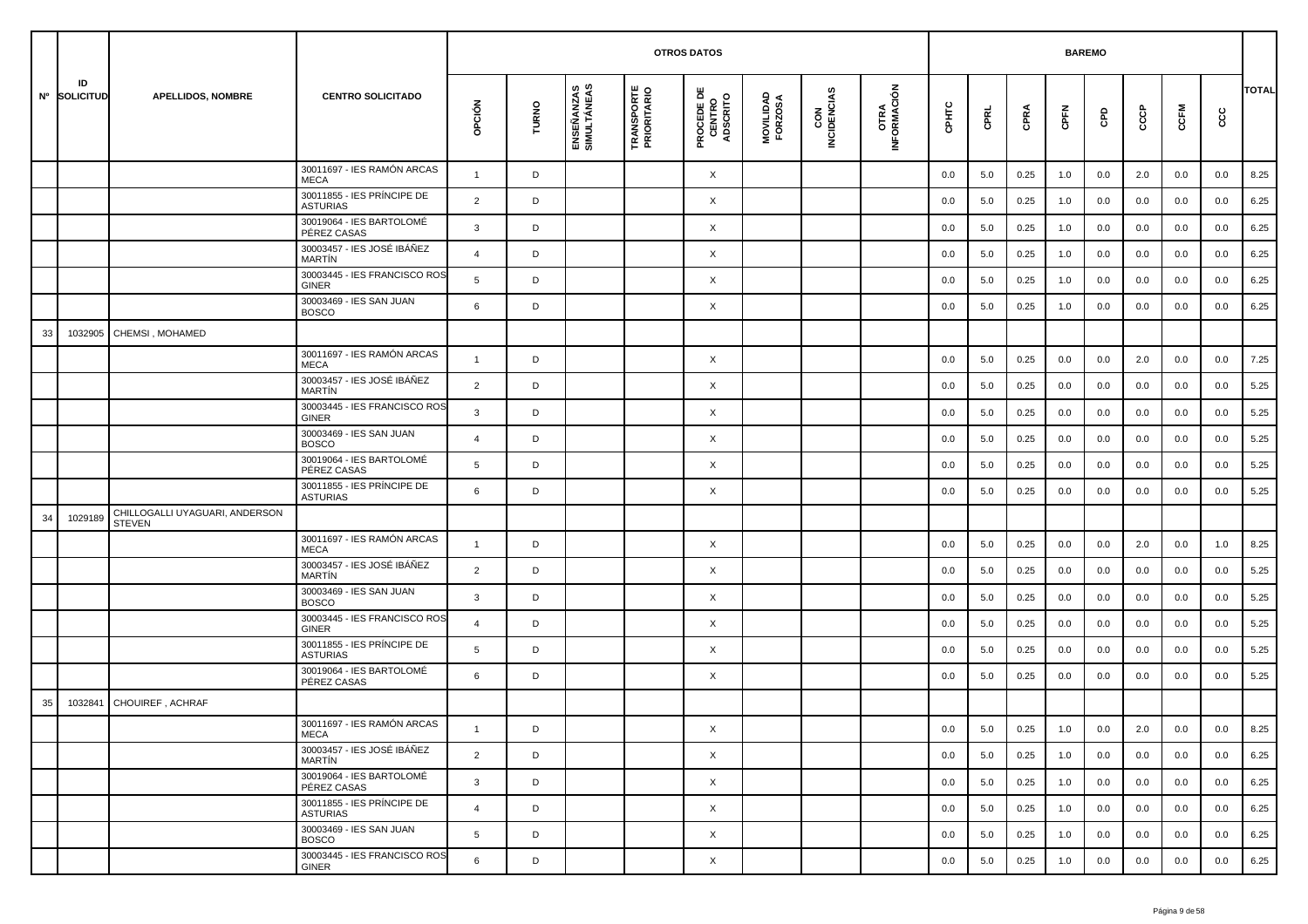|    |                    |                                                 |                                               |                |       |                           | <b>OTROS DATOS</b>               |                                           |                      |                    |                            |         | <b>BAREMO</b> |      |      |     |         |      |     |              |
|----|--------------------|-------------------------------------------------|-----------------------------------------------|----------------|-------|---------------------------|----------------------------------|-------------------------------------------|----------------------|--------------------|----------------------------|---------|---------------|------|------|-----|---------|------|-----|--------------|
|    | ID<br>Nº SOLICITUD | <b>APELLIDOS, NOMBRE</b>                        | <b>CENTRO SOLICITADO</b>                      | opción         | TURNO | ENSEÑANZAS<br>SIMULTÁNEAS | <b>TRANSPORTE</b><br>PRIORITARIO | <b>PROCEDE DE<br/>CENTRO<br/>ADSCRITO</b> | MOVILIDAD<br>FORZOSA | CON<br>INCIDENCIAS | <b>OTRA</b><br>INFORMACIÓN | CPHTC   | CPRL          | CPRA | CPFN | GPD | င်င     | CCFM | cc  | <b>TOTAL</b> |
|    |                    |                                                 | 30011697 - IES RAMÓN ARCAS<br><b>MECA</b>     | $\mathbf{1}$   | D     |                           |                                  | X                                         |                      |                    |                            | 0.0     | 5.0           | 0.25 | 1.0  | 0.0 | 2.0     | 0.0  | 0.0 | 8.25         |
|    |                    |                                                 | 30011855 - IES PRÍNCIPE DE<br><b>ASTURIAS</b> | 2              | D     |                           |                                  | X                                         |                      |                    |                            | 0.0     | 5.0           | 0.25 | 1.0  | 0.0 | 0.0     | 0.0  | 0.0 | 6.25         |
|    |                    |                                                 | 30019064 - IES BARTOLOMÉ<br>PÉREZ CASAS       | 3              | D     |                           |                                  | X                                         |                      |                    |                            | 0.0     | 5.0           | 0.25 | 1.0  | 0.0 | 0.0     | 0.0  | 0.0 | 6.25         |
|    |                    |                                                 | 30003457 - IES JOSÉ IBÁÑEZ<br><b>MARTIN</b>   | $\overline{4}$ | D     |                           |                                  | X                                         |                      |                    |                            | 0.0     | 5.0           | 0.25 | 1.0  | 0.0 | 0.0     | 0.0  | 0.0 | 6.25         |
|    |                    |                                                 | 30003445 - IES FRANCISCO ROS<br><b>GINER</b>  | 5              | D     |                           |                                  | X                                         |                      |                    |                            | 0.0     | 5.0           | 0.25 | 1.0  | 0.0 | 0.0     | 0.0  | 0.0 | 6.25         |
|    |                    |                                                 | 30003469 - IES SAN JUAN<br><b>BOSCO</b>       | 6              | D     |                           |                                  | X                                         |                      |                    |                            | 0.0     | 5.0           | 0.25 | 1.0  | 0.0 | 0.0     | 0.0  | 0.0 | 6.25         |
| 33 | 1032905            | CHEMSI, MOHAMED                                 |                                               |                |       |                           |                                  |                                           |                      |                    |                            |         |               |      |      |     |         |      |     |              |
|    |                    |                                                 | 30011697 - IES RAMÓN ARCAS<br><b>MECA</b>     | $\mathbf{1}$   | D     |                           |                                  | X                                         |                      |                    |                            | 0.0     | 5.0           | 0.25 | 0.0  | 0.0 | 2.0     | 0.0  | 0.0 | 7.25         |
|    |                    |                                                 | 30003457 - IES JOSÉ IBÁÑEZ<br><b>MARTIN</b>   | $\overline{2}$ | D     |                           |                                  | X                                         |                      |                    |                            | 0.0     | 5.0           | 0.25 | 0.0  | 0.0 | 0.0     | 0.0  | 0.0 | 5.25         |
|    |                    |                                                 | 30003445 - IES FRANCISCO ROS<br><b>GINER</b>  | $\mathbf{3}$   | D     |                           |                                  | X                                         |                      |                    |                            | 0.0     | 5.0           | 0.25 | 0.0  | 0.0 | 0.0     | 0.0  | 0.0 | 5.25         |
|    |                    |                                                 | 30003469 - IES SAN JUAN<br><b>BOSCO</b>       | $\overline{4}$ | D     |                           |                                  | X                                         |                      |                    |                            | 0.0     | 5.0           | 0.25 | 0.0  | 0.0 | 0.0     | 0.0  | 0.0 | 5.25         |
|    |                    |                                                 | 30019064 - IES BARTOLOMÉ<br>PÉREZ CASAS       | 5              | D     |                           |                                  | X                                         |                      |                    |                            | 0.0     | 5.0           | 0.25 | 0.0  | 0.0 | 0.0     | 0.0  | 0.0 | 5.25         |
|    |                    |                                                 | 30011855 - IES PRÍNCIPE DE<br><b>ASTURIAS</b> | 6              | D     |                           |                                  | X                                         |                      |                    |                            | 0.0     | 5.0           | 0.25 | 0.0  | 0.0 | 0.0     | 0.0  | 0.0 | 5.25         |
| 34 | 1029189            | CHILLOGALLI UYAGUARI, ANDERSON<br><b>STEVEN</b> |                                               |                |       |                           |                                  |                                           |                      |                    |                            |         |               |      |      |     |         |      |     |              |
|    |                    |                                                 | 30011697 - IES RAMÓN ARCAS<br><b>MECA</b>     | $\overline{1}$ | D     |                           |                                  | X                                         |                      |                    |                            | 0.0     | 5.0           | 0.25 | 0.0  | 0.0 | 2.0     | 0.0  | 1.0 | 8.25         |
|    |                    |                                                 | 30003457 - IES JOSÉ IBÁÑEZ<br><b>MARTIN</b>   | 2              | D     |                           |                                  | X                                         |                      |                    |                            | 0.0     | 5.0           | 0.25 | 0.0  | 0.0 | 0.0     | 0.0  | 0.0 | 5.25         |
|    |                    |                                                 | 30003469 - IES SAN JUAN<br><b>BOSCO</b>       | $\mathbf{3}$   | D     |                           |                                  | X                                         |                      |                    |                            | 0.0     | 5.0           | 0.25 | 0.0  | 0.0 | 0.0     | 0.0  | 0.0 | 5.25         |
|    |                    |                                                 | 30003445 - IES FRANCISCO ROS<br><b>GINER</b>  | $\overline{4}$ | D     |                           |                                  | X                                         |                      |                    |                            | 0.0     | 5.0           | 0.25 | 0.0  | 0.0 | 0.0     | 0.0  | 0.0 | 5.25         |
|    |                    |                                                 | 30011855 - IES PRÍNCIPE DE<br><b>ASTURIAS</b> | 5              | D     |                           |                                  | X                                         |                      |                    |                            | 0.0     | 5.0           | 0.25 | 0.0  | 0.0 | 0.0     | 0.0  | 0.0 | 5.25         |
|    |                    |                                                 | 30019064 - IES BARTOLOMÉ<br>PÉREZ CASAS       | 6              | D     |                           |                                  | X                                         |                      |                    |                            | 0.0     | 5.0           | 0.25 | 0.0  | 0.0 | 0.0     | 0.0  | 0.0 | 5.25         |
| 35 | 1032841            | CHOUIREF, ACHRAF                                |                                               |                |       |                           |                                  |                                           |                      |                    |                            |         |               |      |      |     |         |      |     |              |
|    |                    |                                                 | 30011697 - IES RAMÓN ARCAS<br>MECA            |                |       |                           |                                  | X                                         |                      |                    |                            | $0.0\,$ | $5.0\,$       | 0.25 | 1.0  | 0.0 | $2.0\,$ | 0.0  | 0.0 | 8.25         |
|    |                    |                                                 | 30003457 - IES JOSÉ IBÁÑEZ<br>MARTÍN          | $\overline{2}$ | D     |                           |                                  | $\times$                                  |                      |                    |                            | 0.0     | 5.0           | 0.25 | 1.0  | 0.0 | 0.0     | 0.0  | 0.0 | 6.25         |
|    |                    |                                                 | 30019064 - IES BARTOLOMÉ<br>PÉREZ CASAS       | $\mathbf{3}$   | D     |                           |                                  | $\times$                                  |                      |                    |                            | 0.0     | 5.0           | 0.25 | 1.0  | 0.0 | 0.0     | 0.0  | 0.0 | 6.25         |
|    |                    |                                                 | 30011855 - IES PRÍNCIPE DE<br><b>ASTURIAS</b> | $\overline{4}$ | D     |                           |                                  | X                                         |                      |                    |                            | 0.0     | 5.0           | 0.25 | 1.0  | 0.0 | 0.0     | 0.0  | 0.0 | 6.25         |
|    |                    |                                                 | 30003469 - IES SAN JUAN<br><b>BOSCO</b>       | 5              | D     |                           |                                  | X                                         |                      |                    |                            | 0.0     | 5.0           | 0.25 | 1.0  | 0.0 | 0.0     | 0.0  | 0.0 | 6.25         |
|    |                    |                                                 | 30003445 - IES FRANCISCO ROS<br>GINER         | 6              | D     |                           |                                  | X                                         |                      |                    |                            | 0.0     | 5.0           | 0.25 | 1.0  | 0.0 | 0.0     | 0.0  | 0.0 | 6.25         |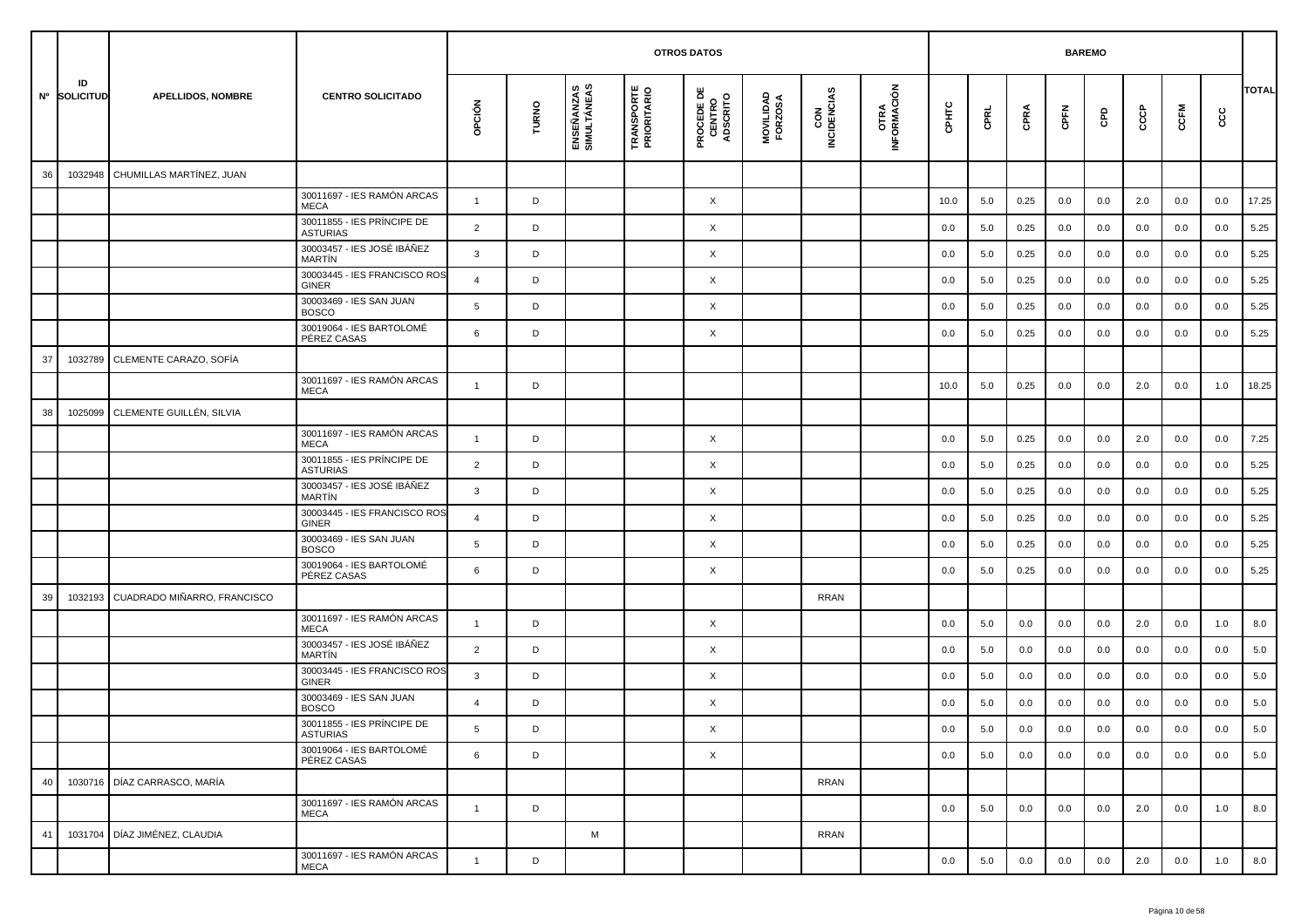|    |                    |                             |                                               |                |       |                           |                                  | <b>OTROS DATOS</b>                        |                      |                    |                             |       |         |         | <b>BAREMO</b> |     |     |      |     |              |
|----|--------------------|-----------------------------|-----------------------------------------------|----------------|-------|---------------------------|----------------------------------|-------------------------------------------|----------------------|--------------------|-----------------------------|-------|---------|---------|---------------|-----|-----|------|-----|--------------|
|    | ID<br>Nº SOLICITUD | <b>APELLIDOS, NOMBRE</b>    | <b>CENTRO SOLICITADO</b>                      | opción         | TURNO | ENSEÑANZAS<br>SIMULTÁNEAS | <b>TRANSPORTE</b><br>PRIORITARIO | <b>PROCEDE DE<br/>CENTRO<br/>ADSCRITO</b> | MOVILIDAD<br>FORZOSA | CON<br>INCIDENCIAS | <b>OTRA<br/>INFORMACIÓN</b> | CPHTC | CPRL    | CPRA    | CPFN          | GPD | ငင  | CCFM | င်င | <b>TOTAL</b> |
| 36 | 1032948            | CHUMILLAS MARTÍNEZ, JUAN    |                                               |                |       |                           |                                  |                                           |                      |                    |                             |       |         |         |               |     |     |      |     |              |
|    |                    |                             | 30011697 - IES RAMÓN ARCAS<br><b>MECA</b>     | $\mathbf{1}$   | D     |                           |                                  | X                                         |                      |                    |                             | 10.0  | 5.0     | 0.25    | 0.0           | 0.0 | 2.0 | 0.0  | 0.0 | 17.25        |
|    |                    |                             | 30011855 - IES PRÍNCIPE DE<br><b>ASTURIAS</b> | 2              | D     |                           |                                  | X                                         |                      |                    |                             | 0.0   | 5.0     | 0.25    | 0.0           | 0.0 | 0.0 | 0.0  | 0.0 | 5.25         |
|    |                    |                             | 30003457 - IES JOSÉ IBÁÑEZ<br>MARTÍN          | 3              | D     |                           |                                  | X                                         |                      |                    |                             | 0.0   | 5.0     | 0.25    | 0.0           | 0.0 | 0.0 | 0.0  | 0.0 | 5.25         |
|    |                    |                             | 30003445 - IES FRANCISCO ROS<br>GINER         | $\overline{4}$ | D     |                           |                                  | X                                         |                      |                    |                             | 0.0   | 5.0     | 0.25    | 0.0           | 0.0 | 0.0 | 0.0  | 0.0 | 5.25         |
|    |                    |                             | 30003469 - IES SAN JUAN<br><b>BOSCO</b>       | 5              | D     |                           |                                  | X                                         |                      |                    |                             | 0.0   | 5.0     | 0.25    | 0.0           | 0.0 | 0.0 | 0.0  | 0.0 | 5.25         |
|    |                    |                             | 30019064 - IES BARTOLOMÉ<br>PÉREZ CASAS       | 6              | D     |                           |                                  | X                                         |                      |                    |                             | 0.0   | 5.0     | 0.25    | 0.0           | 0.0 | 0.0 | 0.0  | 0.0 | 5.25         |
| 37 | 1032789            | CLEMENTE CARAZO, SOFÍA      |                                               |                |       |                           |                                  |                                           |                      |                    |                             |       |         |         |               |     |     |      |     |              |
|    |                    |                             | 30011697 - IES RAMÓN ARCAS<br><b>MECA</b>     | $\overline{1}$ | D     |                           |                                  |                                           |                      |                    |                             | 10.0  | 5.0     | 0.25    | 0.0           | 0.0 | 2.0 | 0.0  | 1.0 | 18.25        |
| 38 | 1025099            | CLEMENTE GUILLÉN, SILVIA    |                                               |                |       |                           |                                  |                                           |                      |                    |                             |       |         |         |               |     |     |      |     |              |
|    |                    |                             | 30011697 - IES RAMÓN ARCAS<br>MECA            | $\overline{1}$ | D     |                           |                                  | X                                         |                      |                    |                             | 0.0   | 5.0     | 0.25    | 0.0           | 0.0 | 2.0 | 0.0  | 0.0 | 7.25         |
|    |                    |                             | 30011855 - IES PRÍNCIPE DE<br>ASTURIAS        | 2              | D     |                           |                                  | X                                         |                      |                    |                             | 0.0   | 5.0     | 0.25    | 0.0           | 0.0 | 0.0 | 0.0  | 0.0 | 5.25         |
|    |                    |                             | 30003457 - IES JOSÉ IBÁÑEZ<br>MARTÍN          | 3              | D     |                           |                                  | X                                         |                      |                    |                             | 0.0   | 5.0     | 0.25    | 0.0           | 0.0 | 0.0 | 0.0  | 0.0 | 5.25         |
|    |                    |                             | 30003445 - IES FRANCISCO ROS<br><b>GINER</b>  | $\overline{4}$ | D     |                           |                                  | X                                         |                      |                    |                             | 0.0   | 5.0     | 0.25    | 0.0           | 0.0 | 0.0 | 0.0  | 0.0 | 5.25         |
|    |                    |                             | 30003469 - IES SAN JUAN<br><b>BOSCO</b>       | 5              | D     |                           |                                  | X                                         |                      |                    |                             | 0.0   | 5.0     | 0.25    | 0.0           | 0.0 | 0.0 | 0.0  | 0.0 | 5.25         |
|    |                    |                             | 30019064 - IES BARTOLOMÉ<br>PÉREZ CASAS       | 6              | D     |                           |                                  | X                                         |                      |                    |                             | 0.0   | 5.0     | 0.25    | 0.0           | 0.0 | 0.0 | 0.0  | 0.0 | 5.25         |
| 39 | 1032193            | CUADRADO MIÑARRO, FRANCISCO |                                               |                |       |                           |                                  |                                           |                      | <b>RRAN</b>        |                             |       |         |         |               |     |     |      |     |              |
|    |                    |                             | 30011697 - IES RAMÓN ARCAS<br>MECA            | $\overline{1}$ | D     |                           |                                  | X                                         |                      |                    |                             | 0.0   | 5.0     | 0.0     | 0.0           | 0.0 | 2.0 | 0.0  | 1.0 | 8.0          |
|    |                    |                             | 30003457 - IES JOSÉ IBÁÑEZ<br>MARTÍN          | $\overline{2}$ | D     |                           |                                  | X                                         |                      |                    |                             | 0.0   | 5.0     | 0.0     | 0.0           | 0.0 | 0.0 | 0.0  | 0.0 | 5.0          |
|    |                    |                             | 30003445 - IES FRANCISCO ROS<br>GINER         | 3              | D     |                           |                                  | X                                         |                      |                    |                             | 0.0   | 5.0     | 0.0     | 0.0           | 0.0 | 0.0 | 0.0  | 0.0 | 5.0          |
|    |                    |                             | 30003469 - IES SAN JUAN<br><b>BOSCO</b>       | $\overline{a}$ | D     |                           |                                  | X                                         |                      |                    |                             | 0.0   | 5.0     | 0.0     | 0.0           | 0.0 | 0.0 | 0.0  | 0.0 | 5.0          |
|    |                    |                             | 30011855 - IES PRÍNCIPE DE<br><b>ASTURIAS</b> | 5              | D     |                           |                                  | X                                         |                      |                    |                             | 0.0   | $5.0\,$ | $0.0\,$ | 0.0           | 0.0 | 0.0 | 0.0  | 0.0 | 5.0          |
|    |                    |                             | 30019064 - IES BARTOLOMÉ<br>PÉREZ CASAS       | 6              | D     |                           |                                  | $\times$                                  |                      |                    |                             | 0.0   | 5.0     | 0.0     | 0.0           | 0.0 | 0.0 | 0.0  | 0.0 | 5.0          |
| 40 | 1030716            | DÍAZ CARRASCO, MARÍA        |                                               |                |       |                           |                                  |                                           |                      | <b>RRAN</b>        |                             |       |         |         |               |     |     |      |     |              |
|    |                    |                             | 30011697 - IES RAMÓN ARCAS<br>MECA            | $\mathbf{1}$   | D     |                           |                                  |                                           |                      |                    |                             | 0.0   | 5.0     | 0.0     | 0.0           | 0.0 | 2.0 | 0.0  | 1.0 | 8.0          |
| 41 | 1031704            | DÍAZ JIMÉNEZ, CLAUDIA       |                                               |                |       | M                         |                                  |                                           |                      | <b>RRAN</b>        |                             |       |         |         |               |     |     |      |     |              |
|    |                    |                             | 30011697 - IES RAMÓN ARCAS<br>MECA            | $\overline{1}$ | D     |                           |                                  |                                           |                      |                    |                             | 0.0   | 5.0     | 0.0     | 0.0           | 0.0 | 2.0 | 0.0  | 1.0 | 8.0          |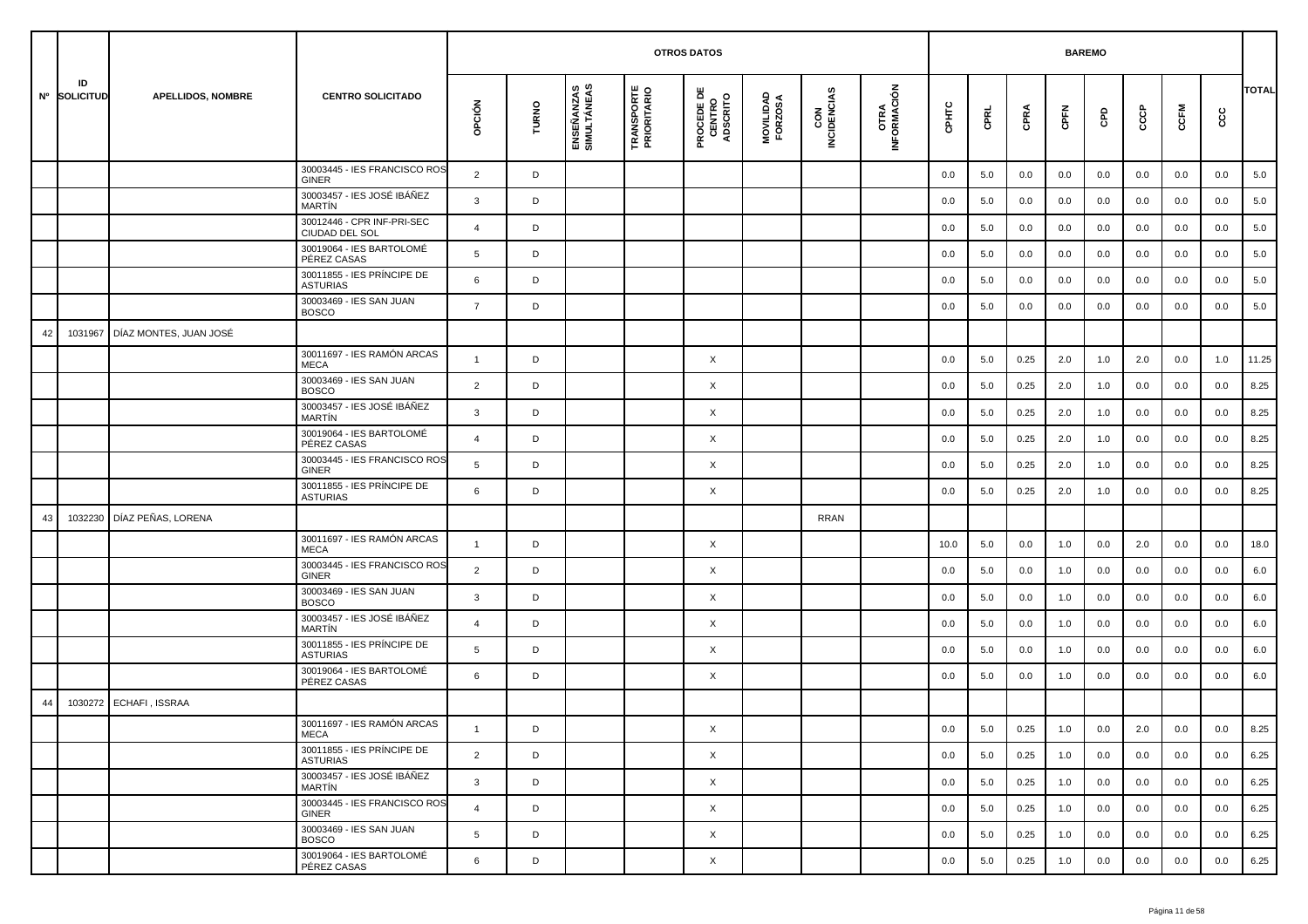|    |                    |                          |                                               |                |       |                           | <b>OTROS DATOS</b>               |                                           |                      |                    |                     |         | <b>BAREMO</b> |      |      |     |     |      |     |              |
|----|--------------------|--------------------------|-----------------------------------------------|----------------|-------|---------------------------|----------------------------------|-------------------------------------------|----------------------|--------------------|---------------------|---------|---------------|------|------|-----|-----|------|-----|--------------|
|    | ID<br>Nº SOLICITUD | <b>APELLIDOS, NOMBRE</b> | <b>CENTRO SOLICITADO</b>                      | opción         | TURNO | ENSEÑANZAS<br>SIMULTÁNEAS | <b>TRANSPORTE</b><br>PRIORITARIO | <b>PROCEDE DE<br/>CENTRO<br/>ADSCRITO</b> | MOVILIDAD<br>FORZOSA | CON<br>INCIDENCIAS | OTRA<br>INFORMACIÓN | CPHTC   | CPRL          | CPRA | CPFN | GPD | င်င | CCFM | cc  | <b>TOTAL</b> |
|    |                    |                          | 30003445 - IES FRANCISCO ROS<br>GINER         | $\overline{2}$ | D     |                           |                                  |                                           |                      |                    |                     | 0.0     | 5.0           | 0.0  | 0.0  | 0.0 | 0.0 | 0.0  | 0.0 | 5.0          |
|    |                    |                          | 30003457 - IES JOSÉ IBÁÑEZ<br><b>MARTÍN</b>   | 3              | D     |                           |                                  |                                           |                      |                    |                     | 0.0     | 5.0           | 0.0  | 0.0  | 0.0 | 0.0 | 0.0  | 0.0 | 5.0          |
|    |                    |                          | 30012446 - CPR INF-PRI-SEC<br>CIUDAD DEL SOL  | $\overline{4}$ | D     |                           |                                  |                                           |                      |                    |                     | 0.0     | 5.0           | 0.0  | 0.0  | 0.0 | 0.0 | 0.0  | 0.0 | 5.0          |
|    |                    |                          | 30019064 - IES BARTOLOMÉ<br>PÉREZ CASAS       | 5              | D     |                           |                                  |                                           |                      |                    |                     | 0.0     | 5.0           | 0.0  | 0.0  | 0.0 | 0.0 | 0.0  | 0.0 | 5.0          |
|    |                    |                          | 30011855 - IES PRÍNCIPE DE<br><b>ASTURIAS</b> | 6              | D     |                           |                                  |                                           |                      |                    |                     | 0.0     | 5.0           | 0.0  | 0.0  | 0.0 | 0.0 | 0.0  | 0.0 | 5.0          |
|    |                    |                          | 30003469 - IES SAN JUAN<br><b>BOSCO</b>       | $\overline{7}$ | D     |                           |                                  |                                           |                      |                    |                     | 0.0     | 5.0           | 0.0  | 0.0  | 0.0 | 0.0 | 0.0  | 0.0 | 5.0          |
| 42 | 1031967            | DÍAZ MONTES, JUAN JOSÉ   |                                               |                |       |                           |                                  |                                           |                      |                    |                     |         |               |      |      |     |     |      |     |              |
|    |                    |                          | 30011697 - IES RAMÓN ARCAS<br><b>MECA</b>     | $\mathbf{1}$   | D     |                           |                                  | X                                         |                      |                    |                     | 0.0     | 5.0           | 0.25 | 2.0  | 1.0 | 2.0 | 0.0  | 1.0 | 11.25        |
|    |                    |                          | 30003469 - IES SAN JUAN<br><b>BOSCO</b>       | $\overline{2}$ | D     |                           |                                  | X                                         |                      |                    |                     | 0.0     | 5.0           | 0.25 | 2.0  | 1.0 | 0.0 | 0.0  | 0.0 | 8.25         |
|    |                    |                          | 30003457 - IES JOSÉ IBÁÑEZ<br><b>MARTIN</b>   | $\mathbf{3}$   | D     |                           |                                  | X                                         |                      |                    |                     | 0.0     | 5.0           | 0.25 | 2.0  | 1.0 | 0.0 | 0.0  | 0.0 | 8.25         |
|    |                    |                          | 30019064 - IES BARTOLOMÉ<br>PÉREZ CASAS       | $\overline{4}$ | D     |                           |                                  | X                                         |                      |                    |                     | 0.0     | 5.0           | 0.25 | 2.0  | 1.0 | 0.0 | 0.0  | 0.0 | 8.25         |
|    |                    |                          | 30003445 - IES FRANCISCO ROS<br><b>GINER</b>  | 5              | D     |                           |                                  | X                                         |                      |                    |                     | 0.0     | 5.0           | 0.25 | 2.0  | 1.0 | 0.0 | 0.0  | 0.0 | 8.25         |
|    |                    |                          | 30011855 - IES PRÍNCIPE DE<br><b>ASTURIAS</b> | 6              | D     |                           |                                  | X                                         |                      |                    |                     | 0.0     | 5.0           | 0.25 | 2.0  | 1.0 | 0.0 | 0.0  | 0.0 | 8.25         |
| 43 | 1032230            | DÍAZ PEÑAS, LORENA       |                                               |                |       |                           |                                  |                                           |                      | <b>RRAN</b>        |                     |         |               |      |      |     |     |      |     |              |
|    |                    |                          | 30011697 - IES RAMÓN ARCAS<br><b>MECA</b>     | $\overline{1}$ | D     |                           |                                  | X                                         |                      |                    |                     | 10.0    | 5.0           | 0.0  | 1.0  | 0.0 | 2.0 | 0.0  | 0.0 | 18.0         |
|    |                    |                          | 30003445 - IES FRANCISCO ROS<br><b>GINER</b>  | 2              | D     |                           |                                  | X                                         |                      |                    |                     | 0.0     | 5.0           | 0.0  | 1.0  | 0.0 | 0.0 | 0.0  | 0.0 | 6.0          |
|    |                    |                          | 30003469 - IES SAN JUAN<br><b>BOSCO</b>       | $\mathbf{3}$   | D     |                           |                                  | X                                         |                      |                    |                     | 0.0     | 5.0           | 0.0  | 1.0  | 0.0 | 0.0 | 0.0  | 0.0 | 6.0          |
|    |                    |                          | 30003457 - IES JOSÉ IBÁÑEZ<br>MARTÍN          | $\overline{4}$ | D     |                           |                                  | X                                         |                      |                    |                     | 0.0     | 5.0           | 0.0  | 1.0  | 0.0 | 0.0 | 0.0  | 0.0 | 6.0          |
|    |                    |                          | 30011855 - IES PRÍNCIPE DE<br><b>ASTURIAS</b> | 5              | D     |                           |                                  | X                                         |                      |                    |                     | 0.0     | 5.0           | 0.0  | 1.0  | 0.0 | 0.0 | 0.0  | 0.0 | 6.0          |
|    |                    |                          | 30019064 - IES BARTOLOMÉ<br>PÉREZ CASAS       | 6              | D     |                           |                                  | X                                         |                      |                    |                     | 0.0     | 5.0           | 0.0  | 1.0  | 0.0 | 0.0 | 0.0  | 0.0 | 6.0          |
| 44 | 1030272            | ECHAFI, ISSRAA           |                                               |                |       |                           |                                  |                                           |                      |                    |                     |         |               |      |      |     |     |      |     |              |
|    |                    |                          | 30011697 - IES RAMÓN ARCAS<br>MECA            |                | D     |                           |                                  | X                                         |                      |                    |                     | $0.0\,$ | $5.0\,$       | 0.25 | 1.0  | 0.0 | 2.0 | 0.0  | 0.0 | 8.25         |
|    |                    |                          | 30011855 - IES PRÍNCIPE DE<br>ASTURIAS        | $\overline{2}$ | D     |                           |                                  | $\times$                                  |                      |                    |                     | 0.0     | 5.0           | 0.25 | 1.0  | 0.0 | 0.0 | 0.0  | 0.0 | 6.25         |
|    |                    |                          | 30003457 - IES JOSÉ IBÁÑEZ<br>MARTÍN          | $\mathbf{3}$   | D     |                           |                                  | $\times$                                  |                      |                    |                     | 0.0     | 5.0           | 0.25 | 1.0  | 0.0 | 0.0 | 0.0  | 0.0 | 6.25         |
|    |                    |                          | 30003445 - IES FRANCISCO ROS<br>GINER         | $\overline{4}$ | D     |                           |                                  | X                                         |                      |                    |                     | 0.0     | 5.0           | 0.25 | 1.0  | 0.0 | 0.0 | 0.0  | 0.0 | 6.25         |
|    |                    |                          | 30003469 - IES SAN JUAN<br><b>BOSCO</b>       | 5              | D     |                           |                                  | X                                         |                      |                    |                     | 0.0     | 5.0           | 0.25 | 1.0  | 0.0 | 0.0 | 0.0  | 0.0 | 6.25         |
|    |                    |                          | 30019064 - IES BARTOLOMÉ<br>PÉREZ CASAS       | 6              | D     |                           |                                  | X                                         |                      |                    |                     | 0.0     | 5.0           | 0.25 | 1.0  | 0.0 | 0.0 | 0.0  | 0.0 | 6.25         |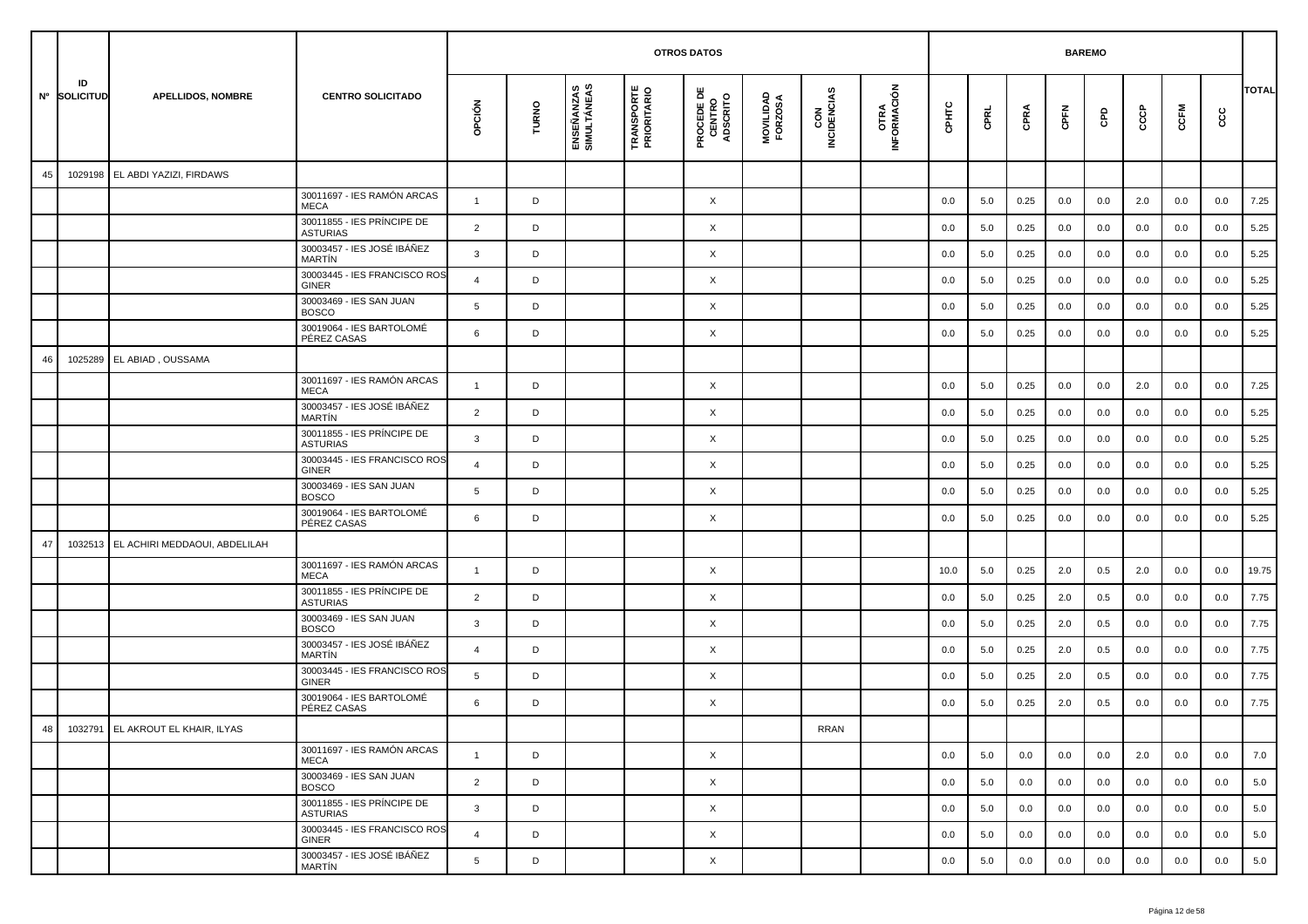|    |                    |                                   |                                               |                |       |                           |                                  | <b>OTROS DATOS</b>                        |                      |                    |                             |       |      |      | <b>BAREMO</b> |     |     |      |     |              |
|----|--------------------|-----------------------------------|-----------------------------------------------|----------------|-------|---------------------------|----------------------------------|-------------------------------------------|----------------------|--------------------|-----------------------------|-------|------|------|---------------|-----|-----|------|-----|--------------|
|    | ID<br>Nº SOLICITUD | <b>APELLIDOS, NOMBRE</b>          | <b>CENTRO SOLICITADO</b>                      | opción         | TURNO | ENSEÑANZAS<br>SIMULTÁNEAS | <b>TRANSPORTE</b><br>PRIORITARIO | <b>PROCEDE DE<br/>CENTRO<br/>ADSCRITO</b> | MOVILIDAD<br>FORZOSA | CON<br>INCIDENCIAS | <b>OTRA<br/>INFORMACIÓN</b> | CPHTC | CPRL | CPRA | CPFN          | GPD | ငင  | CCFM | င်င | <b>TOTAL</b> |
| 45 | 1029198            | EL ABDI YAZIZI, FIRDAWS           |                                               |                |       |                           |                                  |                                           |                      |                    |                             |       |      |      |               |     |     |      |     |              |
|    |                    |                                   | 30011697 - IES RAMÓN ARCAS<br><b>MECA</b>     | $\mathbf{1}$   | D     |                           |                                  | X                                         |                      |                    |                             | 0.0   | 5.0  | 0.25 | 0.0           | 0.0 | 2.0 | 0.0  | 0.0 | 7.25         |
|    |                    |                                   | 30011855 - IES PRÍNCIPE DE<br><b>ASTURIAS</b> | $\overline{2}$ | D     |                           |                                  | $\times$                                  |                      |                    |                             | 0.0   | 5.0  | 0.25 | 0.0           | 0.0 | 0.0 | 0.0  | 0.0 | 5.25         |
|    |                    |                                   | 30003457 - IES JOSÉ IBÁÑEZ<br>MARTÍN          | 3              | D     |                           |                                  | X                                         |                      |                    |                             | 0.0   | 5.0  | 0.25 | 0.0           | 0.0 | 0.0 | 0.0  | 0.0 | 5.25         |
|    |                    |                                   | 30003445 - IES FRANCISCO ROS<br>GINER         | $\overline{4}$ | D     |                           |                                  | X                                         |                      |                    |                             | 0.0   | 5.0  | 0.25 | 0.0           | 0.0 | 0.0 | 0.0  | 0.0 | 5.25         |
|    |                    |                                   | 30003469 - IES SAN JUAN<br><b>BOSCO</b>       | 5              | D     |                           |                                  | X                                         |                      |                    |                             | 0.0   | 5.0  | 0.25 | 0.0           | 0.0 | 0.0 | 0.0  | 0.0 | 5.25         |
|    |                    |                                   | 30019064 - IES BARTOLOMÉ<br>PÉREZ CASAS       | 6              | D     |                           |                                  | X                                         |                      |                    |                             | 0.0   | 5.0  | 0.25 | 0.0           | 0.0 | 0.0 | 0.0  | 0.0 | 5.25         |
| 46 | 1025289            | EL ABIAD, OUSSAMA                 |                                               |                |       |                           |                                  |                                           |                      |                    |                             |       |      |      |               |     |     |      |     |              |
|    |                    |                                   | 30011697 - IES RAMÓN ARCAS<br><b>MECA</b>     | -1             | D     |                           |                                  | $\times$                                  |                      |                    |                             | 0.0   | 5.0  | 0.25 | 0.0           | 0.0 | 2.0 | 0.0  | 0.0 | 7.25         |
|    |                    |                                   | 30003457 - IES JOSÉ IBÁÑEZ<br>MARTÍN          | $\overline{2}$ | D     |                           |                                  | X                                         |                      |                    |                             | 0.0   | 5.0  | 0.25 | 0.0           | 0.0 | 0.0 | 0.0  | 0.0 | 5.25         |
|    |                    |                                   | 30011855 - IES PRÍNCIPE DE<br><b>ASTURIAS</b> | 3              | D     |                           |                                  | X                                         |                      |                    |                             | 0.0   | 5.0  | 0.25 | 0.0           | 0.0 | 0.0 | 0.0  | 0.0 | 5.25         |
|    |                    |                                   | 30003445 - IES FRANCISCO ROS<br>GINER         | $\overline{4}$ | D     |                           |                                  | X                                         |                      |                    |                             | 0.0   | 5.0  | 0.25 | 0.0           | 0.0 | 0.0 | 0.0  | 0.0 | 5.25         |
|    |                    |                                   | 30003469 - IES SAN JUAN<br><b>BOSCO</b>       | 5              | D     |                           |                                  | X                                         |                      |                    |                             | 0.0   | 5.0  | 0.25 | 0.0           | 0.0 | 0.0 | 0.0  | 0.0 | 5.25         |
|    |                    |                                   | 30019064 - IES BARTOLOMÉ<br>PÉREZ CASAS       | 6              | D     |                           |                                  | X                                         |                      |                    |                             | 0.0   | 5.0  | 0.25 | 0.0           | 0.0 | 0.0 | 0.0  | 0.0 | 5.25         |
| 47 | 1032513            | EL ACHIRI MEDDAOUI, ABDELILAH     |                                               |                |       |                           |                                  |                                           |                      |                    |                             |       |      |      |               |     |     |      |     |              |
|    |                    |                                   | 30011697 - IES RAMÓN ARCAS<br><b>MECA</b>     | $\overline{1}$ | D     |                           |                                  | X                                         |                      |                    |                             | 10.0  | 5.0  | 0.25 | 2.0           | 0.5 | 2.0 | 0.0  | 0.0 | 19.75        |
|    |                    |                                   | 30011855 - IES PRÍNCIPE DE<br><b>ASTURIAS</b> | $\overline{2}$ | D     |                           |                                  | X                                         |                      |                    |                             | 0.0   | 5.0  | 0.25 | 2.0           | 0.5 | 0.0 | 0.0  | 0.0 | 7.75         |
|    |                    |                                   | 30003469 - IES SAN JUAN<br><b>BOSCO</b>       | 3              | D     |                           |                                  | X                                         |                      |                    |                             | 0.0   | 5.0  | 0.25 | 2.0           | 0.5 | 0.0 | 0.0  | 0.0 | 7.75         |
|    |                    |                                   | 30003457 - IES JOSÉ IBÁÑEZ<br>MARTÍN          | $\overline{4}$ | D     |                           |                                  | X                                         |                      |                    |                             | 0.0   | 5.0  | 0.25 | 2.0           | 0.5 | 0.0 | 0.0  | 0.0 | 7.75         |
|    |                    |                                   | 30003445 - IES FRANCISCO ROS<br>GINER         | 5              | D     |                           |                                  | X                                         |                      |                    |                             | 0.0   | 5.0  | 0.25 | 2.0           | 0.5 | 0.0 | 0.0  | 0.0 | 7.75         |
|    |                    |                                   | 30019064 - IES BARTOLOMÉ<br>PÉREZ CASAS       | 6              | D     |                           |                                  | X                                         |                      |                    |                             | 0.0   | 5.0  | 0.25 | 2.0           | 0.5 | 0.0 | 0.0  | 0.0 | 7.75         |
| 48 |                    | 1032791 EL AKROUT EL KHAIR, ILYAS |                                               |                |       |                           |                                  |                                           |                      | <b>RRAN</b>        |                             |       |      |      |               |     |     |      |     |              |
|    |                    |                                   | 30011697 - IES RAMÓN ARCAS<br>MECA            | $\mathbf{1}$   | D     |                           |                                  | $\times$                                  |                      |                    |                             | 0.0   | 5.0  | 0.0  | 0.0           | 0.0 | 2.0 | 0.0  | 0.0 | 7.0          |
|    |                    |                                   | 30003469 - IES SAN JUAN<br><b>BOSCO</b>       | $\overline{2}$ | D     |                           |                                  | $\times$                                  |                      |                    |                             | 0.0   | 5.0  | 0.0  | 0.0           | 0.0 | 0.0 | 0.0  | 0.0 | 5.0          |
|    |                    |                                   | 30011855 - IES PRÍNCIPE DE<br><b>ASTURIAS</b> | $\mathbf{3}$   | D     |                           |                                  | $\times$                                  |                      |                    |                             | 0.0   | 5.0  | 0.0  | 0.0           | 0.0 | 0.0 | 0.0  | 0.0 | 5.0          |
|    |                    |                                   | 30003445 - IES FRANCISCO ROS<br><b>GINER</b>  | $\overline{4}$ | D     |                           |                                  | $\times$                                  |                      |                    |                             | 0.0   | 5.0  | 0.0  | 0.0           | 0.0 | 0.0 | 0.0  | 0.0 | 5.0          |
|    |                    |                                   | 30003457 - IES JOSÉ IBÁÑEZ<br>MARTÍN          | 5              | D     |                           |                                  | $\times$                                  |                      |                    |                             | 0.0   | 5.0  | 0.0  | 0.0           | 0.0 | 0.0 | 0.0  | 0.0 | 5.0          |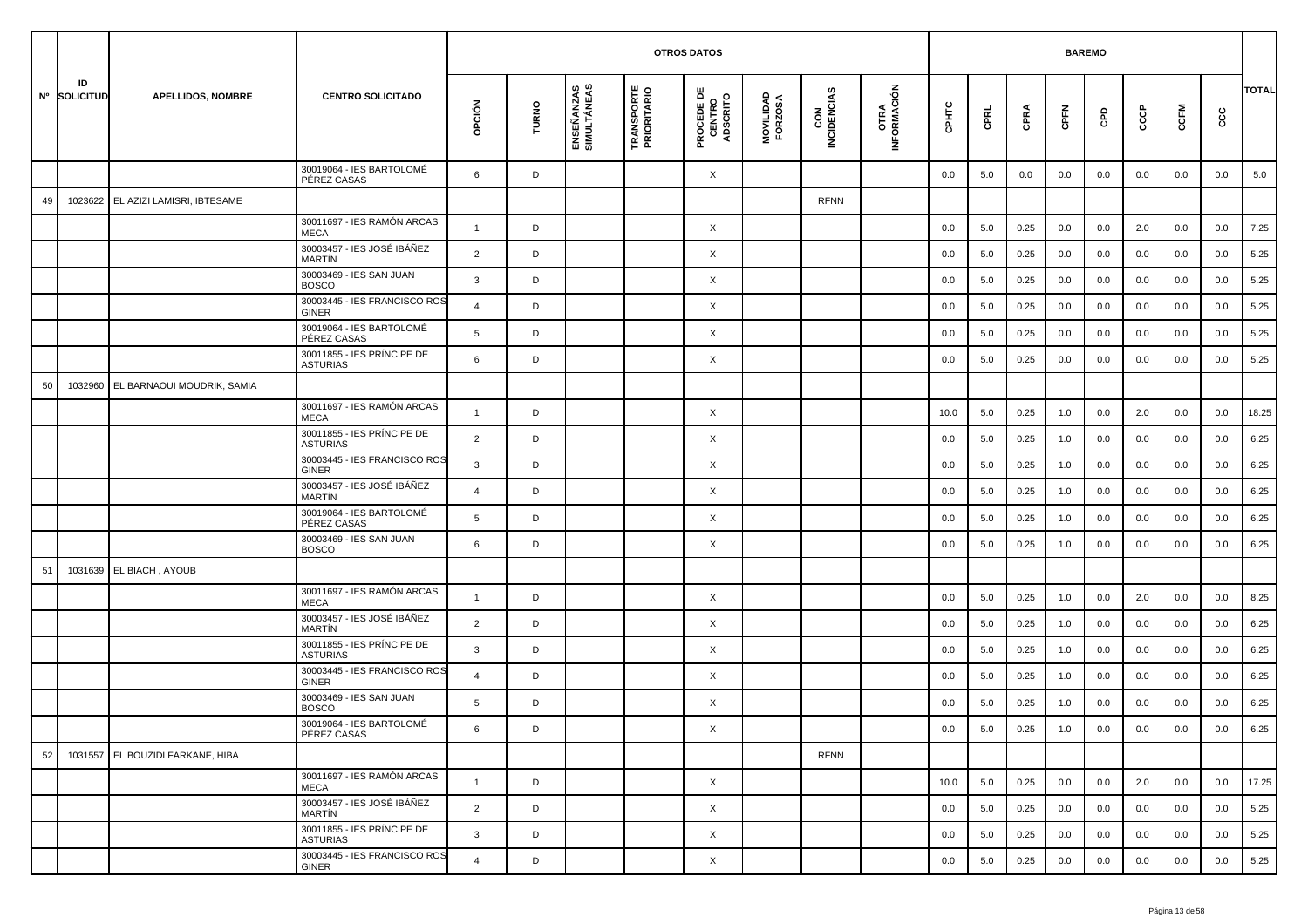|    |                    |                                  |                                               |                |       |                           | <b>OTROS DATOS</b>               |                                           |                      |                    |                     |         | <b>BAREMO</b> |      |      |     |     |         |     |              |
|----|--------------------|----------------------------------|-----------------------------------------------|----------------|-------|---------------------------|----------------------------------|-------------------------------------------|----------------------|--------------------|---------------------|---------|---------------|------|------|-----|-----|---------|-----|--------------|
|    | ID<br>Nº SOLICITUD | <b>APELLIDOS, NOMBRE</b>         | <b>CENTRO SOLICITADO</b>                      | OPCIÓN         | TURNO | ENSEÑANZAS<br>SIMULTÁNEAS | <b>TRANSPORTE</b><br>PRIORITARIO | <b>PROCEDE DE<br/>CENTRO<br/>ADSCRITO</b> | MOVILIDAD<br>FORZOSA | CON<br>INCIDENCIAS | OTRA<br>INFORMACIÓN | CPHTC   | CPRL          | CPRA | CPFN | GPD | င်င | CCFM    | cc  | <b>TOTAL</b> |
|    |                    |                                  | 30019064 - IES BARTOLOMÉ<br>PÉREZ CASAS       | 6              | D     |                           |                                  | X                                         |                      |                    |                     | 0.0     | 5.0           | 0.0  | 0.0  | 0.0 | 0.0 | 0.0     | 0.0 | 5.0          |
| 49 | 1023622            | EL AZIZI LAMISRI, IBTESAME       |                                               |                |       |                           |                                  |                                           |                      | RFNN               |                     |         |               |      |      |     |     |         |     |              |
|    |                    |                                  | 30011697 - IES RAMÓN ARCAS<br><b>MECA</b>     | $\mathbf{1}$   | D     |                           |                                  | X                                         |                      |                    |                     | 0.0     | 5.0           | 0.25 | 0.0  | 0.0 | 2.0 | 0.0     | 0.0 | 7.25         |
|    |                    |                                  | 30003457 - IES JOSÉ IBÁÑEZ<br><b>MARTÍN</b>   | 2              | D     |                           |                                  | X                                         |                      |                    |                     | 0.0     | 5.0           | 0.25 | 0.0  | 0.0 | 0.0 | 0.0     | 0.0 | 5.25         |
|    |                    |                                  | 30003469 - IES SAN JUAN<br><b>BOSCO</b>       | 3              | D     |                           |                                  | X                                         |                      |                    |                     | 0.0     | 5.0           | 0.25 | 0.0  | 0.0 | 0.0 | 0.0     | 0.0 | 5.25         |
|    |                    |                                  | 30003445 - IES FRANCISCO ROS<br><b>GINER</b>  | 4              | D     |                           |                                  | X                                         |                      |                    |                     | 0.0     | 5.0           | 0.25 | 0.0  | 0.0 | 0.0 | 0.0     | 0.0 | 5.25         |
|    |                    |                                  | 30019064 - IES BARTOLOMÉ<br>PÉREZ CASAS       | 5              | D     |                           |                                  | X                                         |                      |                    |                     | 0.0     | 5.0           | 0.25 | 0.0  | 0.0 | 0.0 | 0.0     | 0.0 | 5.25         |
|    |                    |                                  | 30011855 - IES PRINCIPE DE<br><b>ASTURIAS</b> | 6              | D     |                           |                                  | X                                         |                      |                    |                     | 0.0     | 5.0           | 0.25 | 0.0  | 0.0 | 0.0 | 0.0     | 0.0 | 5.25         |
| 50 | 1032960            | EL BARNAOUI MOUDRIK, SAMIA       |                                               |                |       |                           |                                  |                                           |                      |                    |                     |         |               |      |      |     |     |         |     |              |
|    |                    |                                  | 30011697 - IES RAMÓN ARCAS<br><b>MECA</b>     | $\mathbf{1}$   | D     |                           |                                  | X                                         |                      |                    |                     | 10.0    | 5.0           | 0.25 | 1.0  | 0.0 | 2.0 | 0.0     | 0.0 | 18.25        |
|    |                    |                                  | 30011855 - IES PRÍNCIPE DE<br><b>ASTURIAS</b> | 2              | D     |                           |                                  | X                                         |                      |                    |                     | 0.0     | 5.0           | 0.25 | 1.0  | 0.0 | 0.0 | 0.0     | 0.0 | 6.25         |
|    |                    |                                  | 30003445 - IES FRANCISCO ROS<br><b>GINER</b>  | 3              | D     |                           |                                  | X                                         |                      |                    |                     | 0.0     | 5.0           | 0.25 | 1.0  | 0.0 | 0.0 | 0.0     | 0.0 | 6.25         |
|    |                    |                                  | 30003457 - IES JOSÉ IBÁÑEZ<br>MARTÍN          | $\overline{4}$ | D     |                           |                                  | X                                         |                      |                    |                     | 0.0     | 5.0           | 0.25 | 1.0  | 0.0 | 0.0 | 0.0     | 0.0 | 6.25         |
|    |                    |                                  | 30019064 - IES BARTOLOMÉ<br>PÉREZ CASAS       | 5              | D     |                           |                                  | X                                         |                      |                    |                     | 0.0     | 5.0           | 0.25 | 1.0  | 0.0 | 0.0 | 0.0     | 0.0 | 6.25         |
|    |                    |                                  | 30003469 - IES SAN JUAN<br><b>BOSCO</b>       | 6              | D     |                           |                                  | X                                         |                      |                    |                     | 0.0     | 5.0           | 0.25 | 1.0  | 0.0 | 0.0 | 0.0     | 0.0 | 6.25         |
| 51 |                    | 1031639 EL BIACH, AYOUB          |                                               |                |       |                           |                                  |                                           |                      |                    |                     |         |               |      |      |     |     |         |     |              |
|    |                    |                                  | 30011697 - IES RAMÓN ARCAS<br><b>MECA</b>     | $\mathbf{1}$   | D     |                           |                                  | X                                         |                      |                    |                     | 0.0     | 5.0           | 0.25 | 1.0  | 0.0 | 2.0 | 0.0     | 0.0 | 8.25         |
|    |                    |                                  | 30003457 - IES JOSÉ IBÁÑEZ<br><b>MARTIN</b>   | $\overline{2}$ | D     |                           |                                  | X                                         |                      |                    |                     | 0.0     | 5.0           | 0.25 | 1.0  | 0.0 | 0.0 | 0.0     | 0.0 | 6.25         |
|    |                    |                                  | 30011855 - IES PRÍNCIPE DE<br><b>ASTURIAS</b> | 3              | D     |                           |                                  | X                                         |                      |                    |                     | 0.0     | 5.0           | 0.25 | 1.0  | 0.0 | 0.0 | 0.0     | 0.0 | 6.25         |
|    |                    |                                  | 30003445 - IES FRANCISCO ROS<br>GINER         | 4              | D     |                           |                                  | X                                         |                      |                    |                     | 0.0     | 5.0           | 0.25 | 1.0  | 0.0 | 0.0 | 0.0     | 0.0 | 6.25         |
|    |                    |                                  | 30003469 - IES SAN JUAN<br><b>BOSCO</b>       | 5              | D     |                           |                                  | X                                         |                      |                    |                     | 0.0     | 5.0           | 0.25 | 1.0  | 0.0 | 0.0 | 0.0     | 0.0 | 6.25         |
|    |                    |                                  | 30019064 - IES BARTOLOMÉ<br>PÉREZ CASAS       | 6              | D     |                           |                                  | X                                         |                      |                    |                     | $0.0\,$ | $5.0\,$       | 0.25 | 1.0  | 0.0 | 0.0 | $0.0\,$ | 0.0 | 6.25         |
| 52 |                    | 1031557 EL BOUZIDI FARKANE, HIBA |                                               |                |       |                           |                                  |                                           |                      | <b>RFNN</b>        |                     |         |               |      |      |     |     |         |     |              |
|    |                    |                                  | 30011697 - IES RAMÓN ARCAS<br>MECA            | $\mathbf{1}$   | D     |                           |                                  | $\times$                                  |                      |                    |                     | 10.0    | 5.0           | 0.25 | 0.0  | 0.0 | 2.0 | 0.0     | 0.0 | 17.25        |
|    |                    |                                  | 30003457 - IES JOSÉ IBÁÑEZ<br>MARTÍN          | $\overline{2}$ | D     |                           |                                  | X                                         |                      |                    |                     | 0.0     | 5.0           | 0.25 | 0.0  | 0.0 | 0.0 | 0.0     | 0.0 | 5.25         |
|    |                    |                                  | 30011855 - IES PRÍNCIPE DE<br><b>ASTURIAS</b> | 3              | D     |                           |                                  | $\times$                                  |                      |                    |                     | 0.0     | 5.0           | 0.25 | 0.0  | 0.0 | 0.0 | 0.0     | 0.0 | 5.25         |
|    |                    |                                  | 30003445 - IES FRANCISCO ROS<br><b>GINER</b>  | $\overline{4}$ | D     |                           |                                  | X                                         |                      |                    |                     | 0.0     | 5.0           | 0.25 | 0.0  | 0.0 | 0.0 | 0.0     | 0.0 | 5.25         |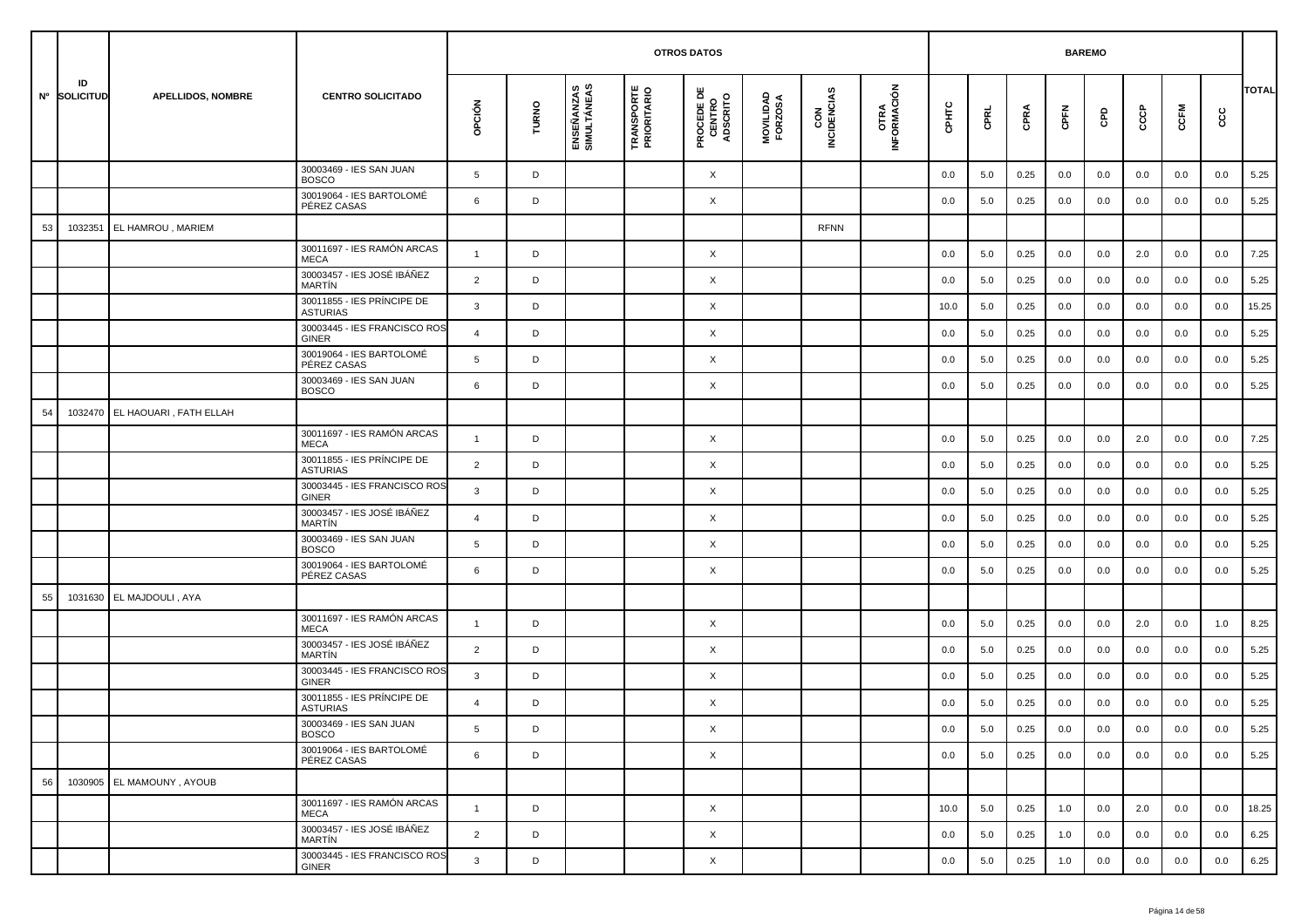|    |                    |                                |                                               |                |       |                           | <b>OTROS DATOS</b>               |                                           |                      |                    |                     |         | <b>BAREMO</b> |      |      |     |     |         |         |              |
|----|--------------------|--------------------------------|-----------------------------------------------|----------------|-------|---------------------------|----------------------------------|-------------------------------------------|----------------------|--------------------|---------------------|---------|---------------|------|------|-----|-----|---------|---------|--------------|
|    | ID<br>Nº SOLICITUD | <b>APELLIDOS, NOMBRE</b>       | <b>CENTRO SOLICITADO</b>                      | opción         | TURNO | ENSEÑANZAS<br>SIMULTÁNEAS | <b>TRANSPORTE</b><br>PRIORITARIO | <b>PROCEDE DE<br/>CENTRO<br/>ADSCRITO</b> | MOVILIDAD<br>FORZOSA | CON<br>INCIDENCIAS | OTRA<br>INFORMACIÓN | срнтс   | CPRL          | CPRA | CPFN | GPD | င်င | CCFM    | ငင      | <b>TOTAL</b> |
|    |                    |                                | 30003469 - IES SAN JUAN<br><b>BOSCO</b>       | 5              | D     |                           |                                  | X                                         |                      |                    |                     | 0.0     | 5.0           | 0.25 | 0.0  | 0.0 | 0.0 | 0.0     | 0.0     | 5.25         |
|    |                    |                                | 30019064 - IES BARTOLOMÉ<br>PÉREZ CASAS       | 6              | D     |                           |                                  | X                                         |                      |                    |                     | 0.0     | 5.0           | 0.25 | 0.0  | 0.0 | 0.0 | 0.0     | 0.0     | 5.25         |
| 53 | 1032351            | EL HAMROU, MARIEM              |                                               |                |       |                           |                                  |                                           |                      | <b>RFNN</b>        |                     |         |               |      |      |     |     |         |         |              |
|    |                    |                                | 30011697 - IES RAMÓN ARCAS<br><b>MECA</b>     | $\mathbf{1}$   | D     |                           |                                  | X                                         |                      |                    |                     | 0.0     | 5.0           | 0.25 | 0.0  | 0.0 | 2.0 | 0.0     | 0.0     | 7.25         |
|    |                    |                                | 30003457 - IES JOSÉ IBÁÑEZ<br><b>MARTÍN</b>   | $\overline{2}$ | D     |                           |                                  | X                                         |                      |                    |                     | 0.0     | 5.0           | 0.25 | 0.0  | 0.0 | 0.0 | 0.0     | 0.0     | 5.25         |
|    |                    |                                | 30011855 - IES PRÍNCIPE DE<br><b>ASTURIAS</b> | 3              | D     |                           |                                  | X                                         |                      |                    |                     | 10.0    | 5.0           | 0.25 | 0.0  | 0.0 | 0.0 | 0.0     | 0.0     | 15.25        |
|    |                    |                                | 30003445 - IES FRANCISCO ROS<br><b>GINER</b>  | $\overline{4}$ | D     |                           |                                  | X                                         |                      |                    |                     | 0.0     | 5.0           | 0.25 | 0.0  | 0.0 | 0.0 | 0.0     | 0.0     | 5.25         |
|    |                    |                                | 30019064 - IES BARTOLOMÉ<br>PÉREZ CASAS       | 5              | D     |                           |                                  | X                                         |                      |                    |                     | 0.0     | 5.0           | 0.25 | 0.0  | 0.0 | 0.0 | 0.0     | 0.0     | 5.25         |
|    |                    |                                | 30003469 - IES SAN JUAN<br><b>BOSCO</b>       | 6              | D     |                           |                                  | X                                         |                      |                    |                     | 0.0     | 5.0           | 0.25 | 0.0  | 0.0 | 0.0 | 0.0     | 0.0     | 5.25         |
| 54 |                    | 1032470 EL HAOUARI, FATH ELLAH |                                               |                |       |                           |                                  |                                           |                      |                    |                     |         |               |      |      |     |     |         |         |              |
|    |                    |                                | 30011697 - IES RAMÓN ARCAS<br><b>MECA</b>     | $\mathbf{1}$   | D     |                           |                                  | X                                         |                      |                    |                     | 0.0     | 5.0           | 0.25 | 0.0  | 0.0 | 2.0 | 0.0     | 0.0     | 7.25         |
|    |                    |                                | 30011855 - IES PRÍNCIPE DE<br><b>ASTURIAS</b> | $\overline{2}$ | D     |                           |                                  | X                                         |                      |                    |                     | 0.0     | 5.0           | 0.25 | 0.0  | 0.0 | 0.0 | 0.0     | 0.0     | 5.25         |
|    |                    |                                | 30003445 - IES FRANCISCO ROS<br><b>GINER</b>  | 3              | D     |                           |                                  | X                                         |                      |                    |                     | 0.0     | 5.0           | 0.25 | 0.0  | 0.0 | 0.0 | 0.0     | 0.0     | 5.25         |
|    |                    |                                | 30003457 - IES JOSÉ IBÁÑEZ<br><b>MARTÍN</b>   | $\overline{4}$ | D     |                           |                                  | X                                         |                      |                    |                     | 0.0     | 5.0           | 0.25 | 0.0  | 0.0 | 0.0 | 0.0     | 0.0     | 5.25         |
|    |                    |                                | 30003469 - IES SAN JUAN<br><b>BOSCO</b>       | 5              | D     |                           |                                  | X                                         |                      |                    |                     | 0.0     | 5.0           | 0.25 | 0.0  | 0.0 | 0.0 | 0.0     | 0.0     | 5.25         |
|    |                    |                                | 30019064 - IES BARTOLOMÉ<br>PÉREZ CASAS       | 6              | D     |                           |                                  | X                                         |                      |                    |                     | 0.0     | 5.0           | 0.25 | 0.0  | 0.0 | 0.0 | 0.0     | 0.0     | 5.25         |
| 55 |                    | 1031630 EL MAJDOULI, AYA       |                                               |                |       |                           |                                  |                                           |                      |                    |                     |         |               |      |      |     |     |         |         |              |
|    |                    |                                | 30011697 - IES RAMÓN ARCAS<br><b>MECA</b>     | $\overline{1}$ | D     |                           |                                  | X                                         |                      |                    |                     | 0.0     | 5.0           | 0.25 | 0.0  | 0.0 | 2.0 | 0.0     | 1.0     | 8.25         |
|    |                    |                                | 30003457 - IES JOSÉ IBÁÑEZ<br><b>MARTÍN</b>   | $\overline{2}$ | D     |                           |                                  | X                                         |                      |                    |                     | 0.0     | 5.0           | 0.25 | 0.0  | 0.0 | 0.0 | 0.0     | 0.0     | 5.25         |
|    |                    |                                | 30003445 - IES FRANCISCO ROS<br><b>GINER</b>  | 3              | D     |                           |                                  | X                                         |                      |                    |                     | 0.0     | 5.0           | 0.25 | 0.0  | 0.0 | 0.0 | 0.0     | 0.0     | 5.25         |
|    |                    |                                | 30011855 - IES PRÍNCIPE DE<br><b>ASTURIAS</b> | $\overline{4}$ | D     |                           |                                  | X                                         |                      |                    |                     | 0.0     | 5.0           | 0.25 | 0.0  | 0.0 | 0.0 | 0.0     | 0.0     | 5.25         |
|    |                    |                                | 30003469 - IES SAN JUAN<br><b>BOSCO</b>       |                |       |                           |                                  | Χ                                         |                      |                    |                     | $0.0\,$ | 5.0           | 0.25 | 0.0  | 0.0 | 0.0 | $0.0\,$ | $0.0\,$ | 5.25         |
|    |                    |                                | 30019064 - IES BARTOLOMÉ<br>PÉREZ CASAS       | 6              | D     |                           |                                  | $\times$                                  |                      |                    |                     | 0.0     | 5.0           | 0.25 | 0.0  | 0.0 | 0.0 | 0.0     | 0.0     | 5.25         |
| 56 |                    | 1030905 EL MAMOUNY, AYOUB      |                                               |                |       |                           |                                  |                                           |                      |                    |                     |         |               |      |      |     |     |         |         |              |
|    |                    |                                | 30011697 - IES RAMÓN ARCAS<br>MECA            | $\mathbf{1}$   | D     |                           |                                  | X                                         |                      |                    |                     | 10.0    | 5.0           | 0.25 | 1.0  | 0.0 | 2.0 | 0.0     | 0.0     | 18.25        |
|    |                    |                                | 30003457 - IES JOSÉ IBÁÑEZ<br>MARTÍN          | $\overline{2}$ | D     |                           |                                  | X                                         |                      |                    |                     | 0.0     | 5.0           | 0.25 | 1.0  | 0.0 | 0.0 | 0.0     | 0.0     | 6.25         |
|    |                    |                                | 30003445 - IES FRANCISCO ROS<br>GINER         | $\mathbf{3}$   | D     |                           |                                  | X                                         |                      |                    |                     | 0.0     | 5.0           | 0.25 | 1.0  | 0.0 | 0.0 | 0.0     | 0.0     | 6.25         |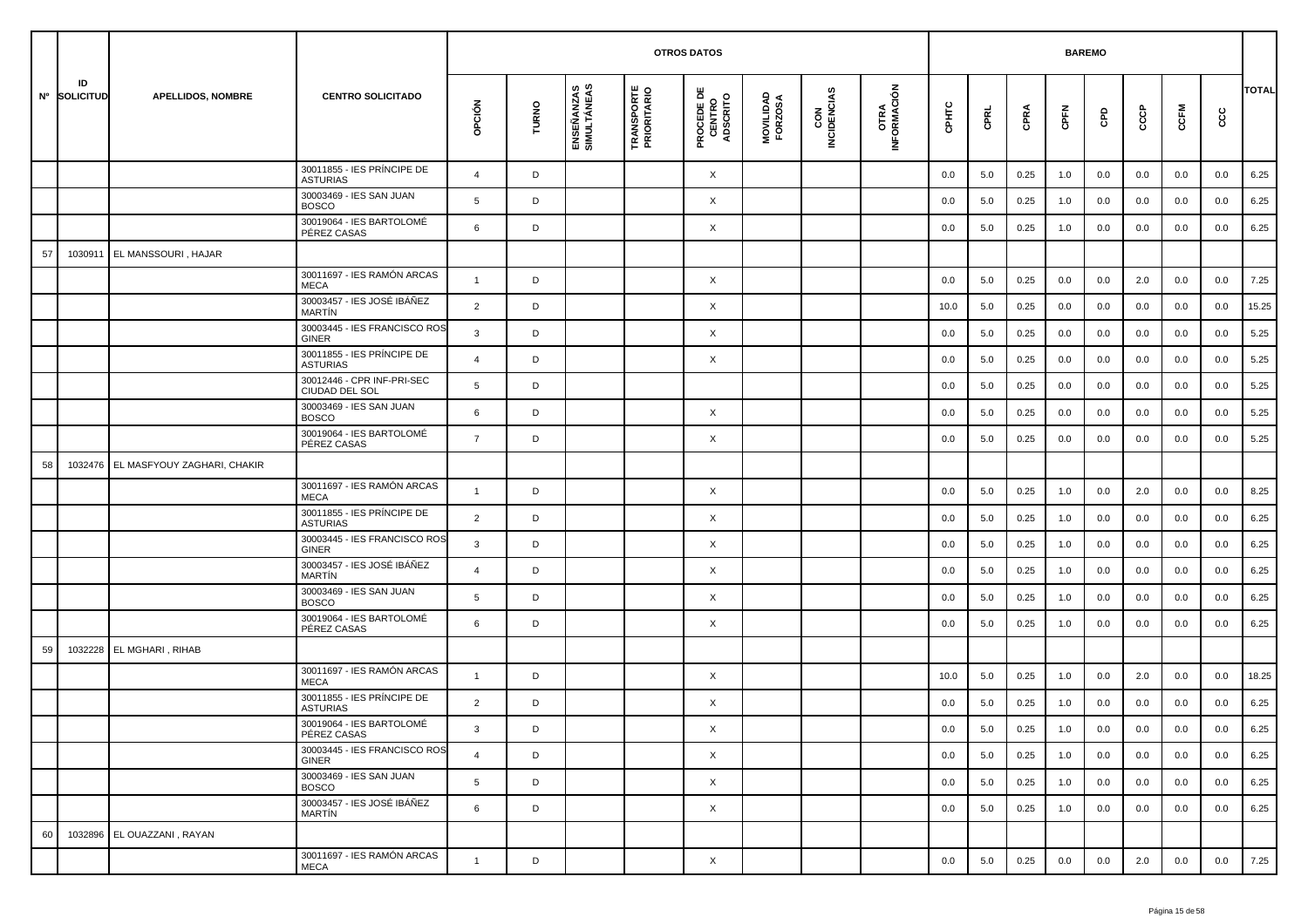|    |                    |                             |                                               |                |       |                           |                                  | <b>OTROS DATOS</b>                        |                      |                    |                     |         |         | <b>BAREMO</b> |         |     |     |         |      |              |
|----|--------------------|-----------------------------|-----------------------------------------------|----------------|-------|---------------------------|----------------------------------|-------------------------------------------|----------------------|--------------------|---------------------|---------|---------|---------------|---------|-----|-----|---------|------|--------------|
|    | ID<br>Nº SOLICITUD | <b>APELLIDOS, NOMBRE</b>    | <b>CENTRO SOLICITADO</b>                      | opción         | TURNO | ENSEÑANZAS<br>SIMULTÁNEAS | <b>TRANSPORTE</b><br>PRIORITARIO | <b>PROCEDE DE<br/>CENTRO<br/>ADSCRITO</b> | MOVILIDAD<br>FORZOSA | CON<br>INCIDENCIAS | OTRA<br>INFORMACIÓN | CPHTC   | CPRL    | CPRA          | CPFN    | GPD | င်င | CCFM    | င္ပင | <b>TOTAL</b> |
|    |                    |                             | 30011855 - IES PRÍNCIPE DE<br><b>ASTURIAS</b> | $\overline{4}$ | D     |                           |                                  | X                                         |                      |                    |                     | 0.0     | 5.0     | 0.25          | 1.0     | 0.0 | 0.0 | 0.0     | 0.0  | 6.25         |
|    |                    |                             | 30003469 - IES SAN JUAN<br><b>BOSCO</b>       | 5              | D     |                           |                                  | X                                         |                      |                    |                     | 0.0     | 5.0     | 0.25          | 1.0     | 0.0 | 0.0 | 0.0     | 0.0  | 6.25         |
|    |                    |                             | 30019064 - IES BARTOLOMÉ<br>PÉREZ CASAS       | 6              | D     |                           |                                  | X                                         |                      |                    |                     | 0.0     | 5.0     | 0.25          | 1.0     | 0.0 | 0.0 | 0.0     | 0.0  | 6.25         |
| 57 | 1030911            | EL MANSSOURI, HAJAR         |                                               |                |       |                           |                                  |                                           |                      |                    |                     |         |         |               |         |     |     |         |      |              |
|    |                    |                             | 30011697 - IES RAMÓN ARCAS<br><b>MECA</b>     | $\overline{1}$ | D     |                           |                                  | X                                         |                      |                    |                     | 0.0     | 5.0     | 0.25          | 0.0     | 0.0 | 2.0 | 0.0     | 0.0  | 7.25         |
|    |                    |                             | 30003457 - IES JOSÉ IBÁÑEZ<br><b>MARTIN</b>   | $\overline{2}$ | D     |                           |                                  | X                                         |                      |                    |                     | 10.0    | 5.0     | 0.25          | 0.0     | 0.0 | 0.0 | 0.0     | 0.0  | 15.25        |
|    |                    |                             | 30003445 - IES FRANCISCO ROS<br>GINER         | 3              | D     |                           |                                  | X                                         |                      |                    |                     | 0.0     | 5.0     | 0.25          | 0.0     | 0.0 | 0.0 | 0.0     | 0.0  | 5.25         |
|    |                    |                             | 30011855 - IES PRÍNCIPE DE<br><b>ASTURIAS</b> | $\overline{4}$ | D     |                           |                                  | X                                         |                      |                    |                     | 0.0     | 5.0     | 0.25          | 0.0     | 0.0 | 0.0 | 0.0     | 0.0  | 5.25         |
|    |                    |                             | 30012446 - CPR INF-PRI-SEC<br>CIUDAD DEL SOL  | 5              | D     |                           |                                  |                                           |                      |                    |                     | 0.0     | 5.0     | 0.25          | 0.0     | 0.0 | 0.0 | 0.0     | 0.0  | 5.25         |
|    |                    |                             | 30003469 - IES SAN JUAN<br><b>BOSCO</b>       | 6              | D     |                           |                                  | X                                         |                      |                    |                     | 0.0     | 5.0     | 0.25          | 0.0     | 0.0 | 0.0 | 0.0     | 0.0  | 5.25         |
|    |                    |                             | 30019064 - IES BARTOLOMÉ<br>PÉREZ CASAS       | $\overline{7}$ | D     |                           |                                  | X                                         |                      |                    |                     | 0.0     | 5.0     | 0.25          | 0.0     | 0.0 | 0.0 | 0.0     | 0.0  | 5.25         |
| 58 | 1032476            | EL MASFYOUY ZAGHARI, CHAKIR |                                               |                |       |                           |                                  |                                           |                      |                    |                     |         |         |               |         |     |     |         |      |              |
|    |                    |                             | 30011697 - IES RAMÓN ARCAS<br><b>MECA</b>     | $\mathbf{1}$   | D     |                           |                                  | X                                         |                      |                    |                     | 0.0     | 5.0     | 0.25          | 1.0     | 0.0 | 2.0 | 0.0     | 0.0  | 8.25         |
|    |                    |                             | 30011855 - IES PRÍNCIPE DE<br><b>ASTURIAS</b> | $\overline{2}$ | D     |                           |                                  | X                                         |                      |                    |                     | 0.0     | 5.0     | 0.25          | 1.0     | 0.0 | 0.0 | 0.0     | 0.0  | 6.25         |
|    |                    |                             | 30003445 - IES FRANCISCO ROS<br>GINER         | 3              | D     |                           |                                  | X                                         |                      |                    |                     | 0.0     | 5.0     | 0.25          | 1.0     | 0.0 | 0.0 | 0.0     | 0.0  | 6.25         |
|    |                    |                             | 30003457 - IES JOSÉ IBÁÑEZ<br><b>MARTÍN</b>   | 4              | D     |                           |                                  | X                                         |                      |                    |                     | 0.0     | 5.0     | 0.25          | 1.0     | 0.0 | 0.0 | 0.0     | 0.0  | 6.25         |
|    |                    |                             | 30003469 - IES SAN JUAN<br><b>BOSCO</b>       | 5              | D     |                           |                                  | X                                         |                      |                    |                     | 0.0     | 5.0     | 0.25          | 1.0     | 0.0 | 0.0 | 0.0     | 0.0  | 6.25         |
|    |                    |                             | 30019064 - IES BARTOLOMÉ<br>PÉREZ CASAS       | 6              | D     |                           |                                  | X                                         |                      |                    |                     | 0.0     | 5.0     | 0.25          | 1.0     | 0.0 | 0.0 | 0.0     | 0.0  | 6.25         |
| 59 | 1032228            | EL MGHARI, RIHAB            |                                               |                |       |                           |                                  |                                           |                      |                    |                     |         |         |               |         |     |     |         |      |              |
|    |                    |                             | 30011697 - IES RAMÓN ARCAS<br><b>MECA</b>     | $\mathbf{1}$   | D     |                           |                                  | X                                         |                      |                    |                     | 10.0    | 5.0     | 0.25          | 1.0     | 0.0 | 2.0 | 0.0     | 0.0  | 18.25        |
|    |                    |                             | 30011855 - IES PRÍNCIPE DE<br><b>ASTURIAS</b> | $\overline{2}$ | D     |                           |                                  | X                                         |                      |                    |                     | 0.0     | 5.0     | 0.25          | 1.0     | 0.0 | 0.0 | 0.0     | 0.0  | 6.25         |
|    |                    |                             | 30019064 - IES BARTOLOMÉ<br>PÉREZ CASAS       | 3              | D     |                           |                                  | X                                         |                      |                    |                     | $0.0\,$ | $5.0\,$ | 0.25          | $1.0\,$ | 0.0 | 0.0 | $0.0\,$ | 0.0  | 6.25         |
|    |                    |                             | 30003445 - IES FRANCISCO ROS<br>GINER         | $\overline{4}$ | D     |                           |                                  | $\times$                                  |                      |                    |                     | 0.0     | 5.0     | 0.25          | 1.0     | 0.0 | 0.0 | 0.0     | 0.0  | 6.25         |
|    |                    |                             | 30003469 - IES SAN JUAN<br><b>BOSCO</b>       | 5              | D     |                           |                                  | $\times$                                  |                      |                    |                     | 0.0     | 5.0     | 0.25          | 1.0     | 0.0 | 0.0 | 0.0     | 0.0  | 6.25         |
|    |                    |                             | 30003457 - IES JOSÉ IBÁÑEZ<br>MARTÍN          | 6              | D     |                           |                                  | X                                         |                      |                    |                     | 0.0     | 5.0     | 0.25          | 1.0     | 0.0 | 0.0 | 0.0     | 0.0  | 6.25         |
| 60 |                    | 1032896 EL OUAZZANI, RAYAN  |                                               |                |       |                           |                                  |                                           |                      |                    |                     |         |         |               |         |     |     |         |      |              |
|    |                    |                             | 30011697 - IES RAMÓN ARCAS<br>MECA            | $\mathbf{1}$   | D     |                           |                                  | X                                         |                      |                    |                     | 0.0     | 5.0     | 0.25          | 0.0     | 0.0 | 2.0 | 0.0     | 0.0  | 7.25         |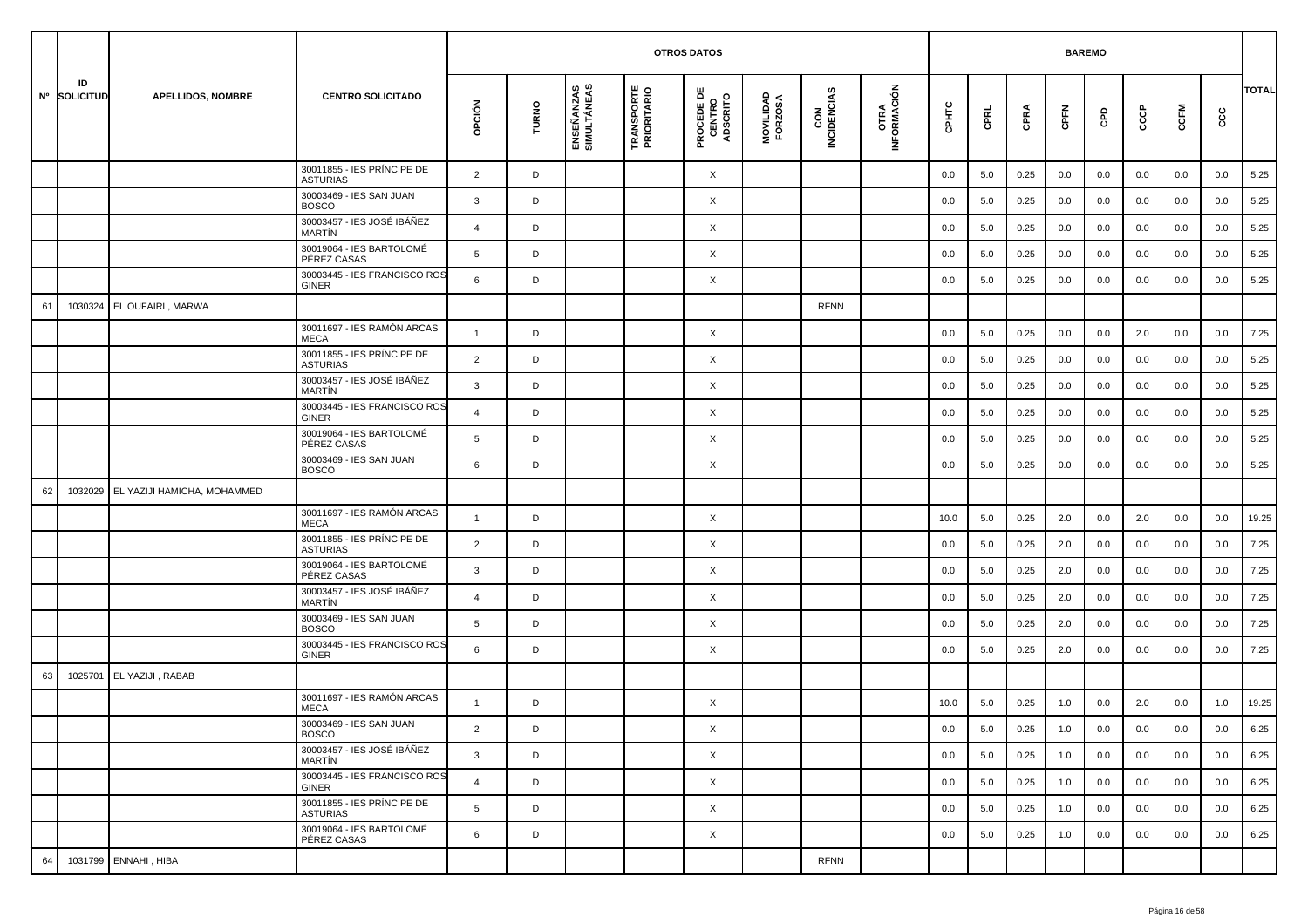|    |                    |                                     |                                               |                |       |                           | <b>OTROS DATOS</b>               |                                           |                      |                    |                     |         | <b>BAREMO</b> |      |      |     |     |         |      |              |
|----|--------------------|-------------------------------------|-----------------------------------------------|----------------|-------|---------------------------|----------------------------------|-------------------------------------------|----------------------|--------------------|---------------------|---------|---------------|------|------|-----|-----|---------|------|--------------|
|    | ID<br>Nº SOLICITUD | <b>APELLIDOS, NOMBRE</b>            | <b>CENTRO SOLICITADO</b>                      | OPCIÓN         | TURNO | ENSEÑANZAS<br>SIMULTÁNEAS | <b>TRANSPORTE</b><br>PRIORITARIO | <b>PROCEDE DE<br/>CENTRO<br/>ADSCRITO</b> | MOVILIDAD<br>FORZOSA | CON<br>INCIDENCIAS | OTRA<br>INFORMACIÓN | CPHTC   | CPRL          | CPRA | CPFN | GPD | င်င | CCFM    | င္ပင | <b>TOTAL</b> |
|    |                    |                                     | 30011855 - IES PRÍNCIPE DE<br><b>ASTURIAS</b> | $\overline{2}$ | D     |                           |                                  | X                                         |                      |                    |                     | 0.0     | 5.0           | 0.25 | 0.0  | 0.0 | 0.0 | 0.0     | 0.0  | 5.25         |
|    |                    |                                     | 30003469 - IES SAN JUAN<br><b>BOSCO</b>       | 3              | D     |                           |                                  | X                                         |                      |                    |                     | 0.0     | 5.0           | 0.25 | 0.0  | 0.0 | 0.0 | 0.0     | 0.0  | 5.25         |
|    |                    |                                     | 30003457 - IES JOSÉ IBÁÑEZ<br><b>MARTIN</b>   | $\overline{4}$ | D     |                           |                                  | X                                         |                      |                    |                     | 0.0     | 5.0           | 0.25 | 0.0  | 0.0 | 0.0 | 0.0     | 0.0  | 5.25         |
|    |                    |                                     | 30019064 - IES BARTOLOMÉ<br>PÉREZ CASAS       | 5              | D     |                           |                                  | X                                         |                      |                    |                     | 0.0     | 5.0           | 0.25 | 0.0  | 0.0 | 0.0 | 0.0     | 0.0  | 5.25         |
|    |                    |                                     | 30003445 - IES FRANCISCO ROS<br><b>GINER</b>  | 6              | D     |                           |                                  | X                                         |                      |                    |                     | 0.0     | 5.0           | 0.25 | 0.0  | 0.0 | 0.0 | 0.0     | 0.0  | 5.25         |
| 61 | 1030324            | <b>EL OUFAIRI, MARWA</b>            |                                               |                |       |                           |                                  |                                           |                      | <b>RFNN</b>        |                     |         |               |      |      |     |     |         |      |              |
|    |                    |                                     | 30011697 - IES RAMÓN ARCAS<br><b>MECA</b>     | $\overline{1}$ | D     |                           |                                  | X                                         |                      |                    |                     | 0.0     | 5.0           | 0.25 | 0.0  | 0.0 | 2.0 | 0.0     | 0.0  | 7.25         |
|    |                    |                                     | 30011855 - IES PRÍNCIPE DE<br><b>ASTURIAS</b> | $\overline{2}$ | D     |                           |                                  | X                                         |                      |                    |                     | 0.0     | 5.0           | 0.25 | 0.0  | 0.0 | 0.0 | 0.0     | 0.0  | 5.25         |
|    |                    |                                     | 30003457 - IES JOSÉ IBÁÑEZ<br>MARTÍN          | 3              | D     |                           |                                  | X                                         |                      |                    |                     | 0.0     | 5.0           | 0.25 | 0.0  | 0.0 | 0.0 | 0.0     | 0.0  | 5.25         |
|    |                    |                                     | 30003445 - IES FRANCISCO ROS<br><b>GINER</b>  | $\overline{4}$ | D     |                           |                                  | X                                         |                      |                    |                     | 0.0     | 5.0           | 0.25 | 0.0  | 0.0 | 0.0 | 0.0     | 0.0  | 5.25         |
|    |                    |                                     | 30019064 - IES BARTOLOMÉ<br>PÉREZ CASAS       | 5              | D     |                           |                                  | X                                         |                      |                    |                     | 0.0     | 5.0           | 0.25 | 0.0  | 0.0 | 0.0 | 0.0     | 0.0  | 5.25         |
|    |                    |                                     | 30003469 - IES SAN JUAN<br><b>BOSCO</b>       | 6              | D     |                           |                                  | X                                         |                      |                    |                     | 0.0     | 5.0           | 0.25 | 0.0  | 0.0 | 0.0 | 0.0     | 0.0  | 5.25         |
| 62 |                    | 1032029 EL YAZIJI HAMICHA, MOHAMMED |                                               |                |       |                           |                                  |                                           |                      |                    |                     |         |               |      |      |     |     |         |      |              |
|    |                    |                                     | 30011697 - IES RAMÓN ARCAS<br><b>MECA</b>     | $\overline{1}$ | D     |                           |                                  | X                                         |                      |                    |                     | 10.0    | 5.0           | 0.25 | 2.0  | 0.0 | 2.0 | 0.0     | 0.0  | 19.25        |
|    |                    |                                     | 30011855 - IES PRÍNCIPE DE<br><b>ASTURIAS</b> | 2              | D     |                           |                                  | X                                         |                      |                    |                     | 0.0     | 5.0           | 0.25 | 2.0  | 0.0 | 0.0 | 0.0     | 0.0  | 7.25         |
|    |                    |                                     | 30019064 - IES BARTOLOMÉ<br>PÉREZ CASAS       | 3              | D     |                           |                                  | X                                         |                      |                    |                     | 0.0     | 5.0           | 0.25 | 2.0  | 0.0 | 0.0 | 0.0     | 0.0  | 7.25         |
|    |                    |                                     | 30003457 - IES JOSÉ IBÁÑEZ<br>MARTÍN          | $\overline{4}$ | D     |                           |                                  | X                                         |                      |                    |                     | 0.0     | 5.0           | 0.25 | 2.0  | 0.0 | 0.0 | 0.0     | 0.0  | 7.25         |
|    |                    |                                     | 30003469 - IES SAN JUAN<br><b>BOSCO</b>       | 5              | D     |                           |                                  | X                                         |                      |                    |                     | 0.0     | 5.0           | 0.25 | 2.0  | 0.0 | 0.0 | 0.0     | 0.0  | 7.25         |
|    |                    |                                     | 30003445 - IES FRANCISCO ROS<br><b>GINER</b>  | 6              | D     |                           |                                  | X                                         |                      |                    |                     | 0.0     | 5.0           | 0.25 | 2.0  | 0.0 | 0.0 | 0.0     | 0.0  | 7.25         |
| 63 | 1025701            | EL YAZIJI, RABAB                    |                                               |                |       |                           |                                  |                                           |                      |                    |                     |         |               |      |      |     |     |         |      |              |
|    |                    |                                     | 30011697 - IES RAMÓN ARCAS<br><b>MECA</b>     | $\overline{1}$ | D     |                           |                                  | X                                         |                      |                    |                     | 10.0    | 5.0           | 0.25 | 1.0  | 0.0 | 2.0 | 0.0     | 1.0  | 19.25        |
|    |                    |                                     | 30003469 - IES SAN JUAN<br><b>BOSCO</b>       | $\overline{2}$ | D     |                           |                                  | X                                         |                      |                    |                     | $0.0\,$ | $5.0\,$       | 0.25 | 1.0  | 0.0 | 0.0 | $0.0\,$ | 0.0  | 6.25         |
|    |                    |                                     | 30003457 - IES JOSÉ IBÁÑEZ<br>MARTÍN          | $\mathbf{3}$   | D     |                           |                                  | $\times$                                  |                      |                    |                     | 0.0     | 5.0           | 0.25 | 1.0  | 0.0 | 0.0 | 0.0     | 0.0  | 6.25         |
|    |                    |                                     | 30003445 - IES FRANCISCO ROS<br>GINER         | $\overline{4}$ | D     |                           |                                  | $\times$                                  |                      |                    |                     | 0.0     | 5.0           | 0.25 | 1.0  | 0.0 | 0.0 | 0.0     | 0.0  | 6.25         |
|    |                    |                                     | 30011855 - IES PRÍNCIPE DE<br><b>ASTURIAS</b> | 5              | D     |                           |                                  | X                                         |                      |                    |                     | 0.0     | 5.0           | 0.25 | 1.0  | 0.0 | 0.0 | 0.0     | 0.0  | 6.25         |
|    |                    |                                     | 30019064 - IES BARTOLOMÉ<br>PÉREZ CASAS       | 6              | D     |                           |                                  | $\times$                                  |                      |                    |                     | 0.0     | 5.0           | 0.25 | 1.0  | 0.0 | 0.0 | 0.0     | 0.0  | 6.25         |
| 64 |                    | 1031799 ENNAHI, HIBA                |                                               |                |       |                           |                                  |                                           |                      | <b>RFNN</b>        |                     |         |               |      |      |     |     |         |      |              |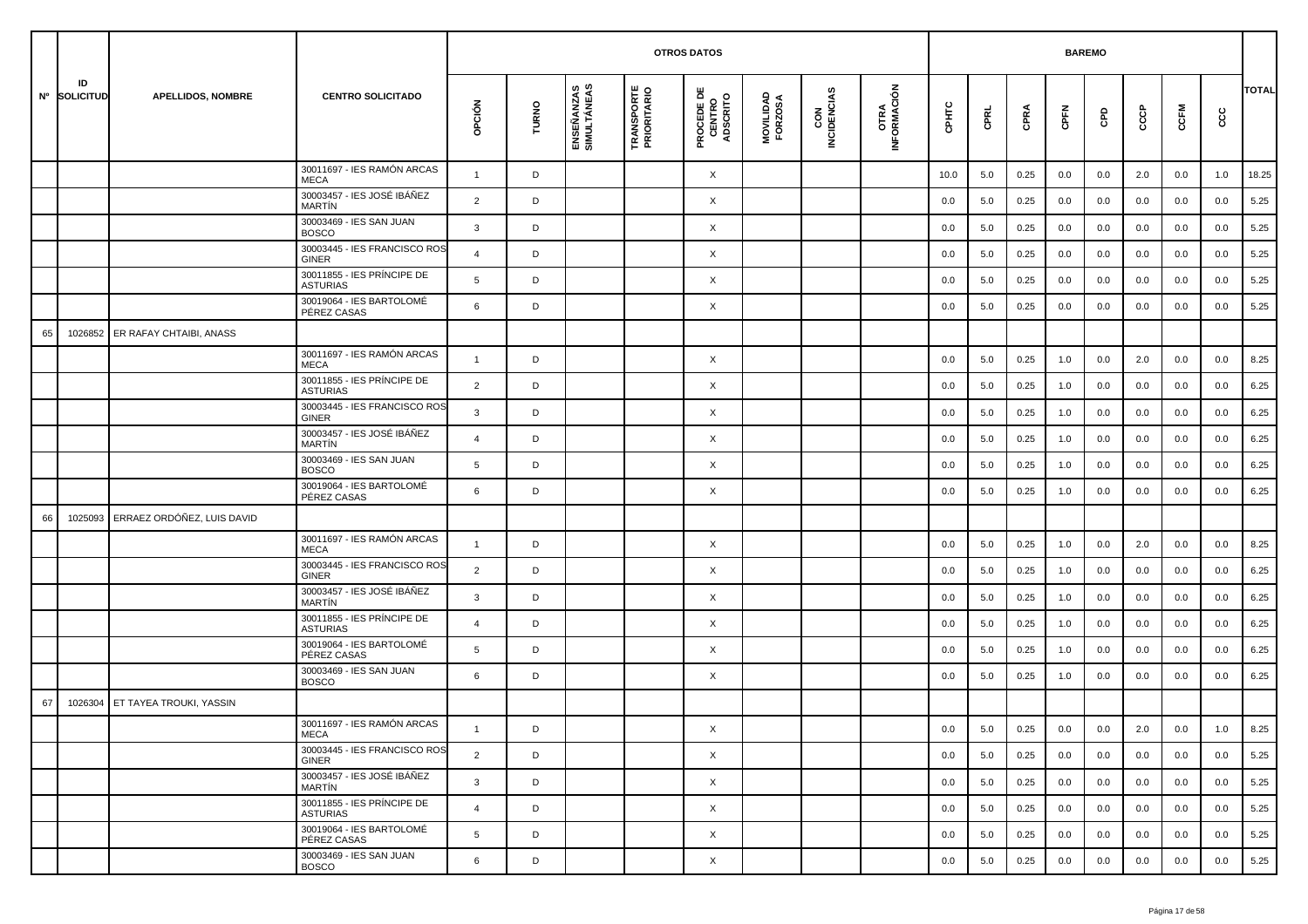|    |                    |                            |                                               |                |       |                           | <b>OTROS DATOS</b>               |                                           |                      |                    |                     |         | <b>BAREMO</b> |      |      |     |         |      |         |              |
|----|--------------------|----------------------------|-----------------------------------------------|----------------|-------|---------------------------|----------------------------------|-------------------------------------------|----------------------|--------------------|---------------------|---------|---------------|------|------|-----|---------|------|---------|--------------|
|    | ID<br>Nº SOLICITUD | <b>APELLIDOS, NOMBRE</b>   | <b>CENTRO SOLICITADO</b>                      | opción         | TURNO | ENSEÑANZAS<br>SIMULTÁNEAS | <b>TRANSPORTE</b><br>PRIORITARIO | <b>PROCEDE DE<br/>CENTRO<br/>ADSCRITO</b> | MOVILIDAD<br>FORZOSA | CON<br>INCIDENCIAS | OTRA<br>INFORMACIÓN | CPHTC   | CPRL          | CPRA | CPFN | GPD | င်င     | CCFM | cc      | <b>TOTAL</b> |
|    |                    |                            | 30011697 - IES RAMÓN ARCAS<br><b>MECA</b>     | $\mathbf{1}$   | D     |                           |                                  | X                                         |                      |                    |                     | 10.0    | 5.0           | 0.25 | 0.0  | 0.0 | 2.0     | 0.0  | 1.0     | 18.25        |
|    |                    |                            | 30003457 - IES JOSÉ IBÁÑEZ<br><b>MARTIN</b>   | 2              | D     |                           |                                  | X                                         |                      |                    |                     | 0.0     | 5.0           | 0.25 | 0.0  | 0.0 | 0.0     | 0.0  | 0.0     | 5.25         |
|    |                    |                            | 30003469 - IES SAN JUAN<br><b>BOSCO</b>       | 3              | D     |                           |                                  | X                                         |                      |                    |                     | 0.0     | 5.0           | 0.25 | 0.0  | 0.0 | 0.0     | 0.0  | 0.0     | 5.25         |
|    |                    |                            | 30003445 - IES FRANCISCO ROS<br><b>GINER</b>  | $\overline{4}$ | D     |                           |                                  | X                                         |                      |                    |                     | 0.0     | 5.0           | 0.25 | 0.0  | 0.0 | 0.0     | 0.0  | 0.0     | 5.25         |
|    |                    |                            | 30011855 - IES PRÍNCIPE DE<br><b>ASTURIAS</b> | 5              | D     |                           |                                  | X                                         |                      |                    |                     | 0.0     | 5.0           | 0.25 | 0.0  | 0.0 | 0.0     | 0.0  | 0.0     | 5.25         |
|    |                    |                            | 30019064 - IES BARTOLOMÉ<br>PÉREZ CASAS       | 6              | D     |                           |                                  | X                                         |                      |                    |                     | 0.0     | 5.0           | 0.25 | 0.0  | 0.0 | 0.0     | 0.0  | 0.0     | 5.25         |
| 65 | 1026852            | ER RAFAY CHTAIBI, ANASS    |                                               |                |       |                           |                                  |                                           |                      |                    |                     |         |               |      |      |     |         |      |         |              |
|    |                    |                            | 30011697 - IES RAMÓN ARCAS<br><b>MECA</b>     | $\mathbf{1}$   | D     |                           |                                  | X                                         |                      |                    |                     | 0.0     | 5.0           | 0.25 | 1.0  | 0.0 | 2.0     | 0.0  | 0.0     | 8.25         |
|    |                    |                            | 30011855 - IES PRÍNCIPE DE<br><b>ASTURIAS</b> | $\overline{2}$ | D     |                           |                                  | X                                         |                      |                    |                     | 0.0     | 5.0           | 0.25 | 1.0  | 0.0 | 0.0     | 0.0  | 0.0     | 6.25         |
|    |                    |                            | 30003445 - IES FRANCISCO ROS<br><b>GINER</b>  | $\mathbf{3}$   | D     |                           |                                  | X                                         |                      |                    |                     | 0.0     | 5.0           | 0.25 | 1.0  | 0.0 | 0.0     | 0.0  | 0.0     | 6.25         |
|    |                    |                            | 30003457 - IES JOSÉ IBÁÑEZ<br><b>MARTIN</b>   | $\overline{4}$ | D     |                           |                                  | X                                         |                      |                    |                     | 0.0     | 5.0           | 0.25 | 1.0  | 0.0 | 0.0     | 0.0  | 0.0     | 6.25         |
|    |                    |                            | 30003469 - IES SAN JUAN<br><b>BOSCO</b>       | 5              | D     |                           |                                  | X                                         |                      |                    |                     | 0.0     | 5.0           | 0.25 | 1.0  | 0.0 | 0.0     | 0.0  | 0.0     | 6.25         |
|    |                    |                            | 30019064 - IES BARTOLOMÉ<br>PÉREZ CASAS       | 6              | D     |                           |                                  | X                                         |                      |                    |                     | 0.0     | 5.0           | 0.25 | 1.0  | 0.0 | 0.0     | 0.0  | 0.0     | 6.25         |
| 66 | 1025093            | ERRAEZ ORDÓÑEZ, LUIS DAVID |                                               |                |       |                           |                                  |                                           |                      |                    |                     |         |               |      |      |     |         |      |         |              |
|    |                    |                            | 30011697 - IES RAMÓN ARCAS<br><b>MECA</b>     | $\overline{1}$ | D     |                           |                                  | X                                         |                      |                    |                     | 0.0     | 5.0           | 0.25 | 1.0  | 0.0 | 2.0     | 0.0  | 0.0     | 8.25         |
|    |                    |                            | 30003445 - IES FRANCISCO ROS<br><b>GINER</b>  | 2              | D     |                           |                                  | X                                         |                      |                    |                     | 0.0     | 5.0           | 0.25 | 1.0  | 0.0 | 0.0     | 0.0  | 0.0     | 6.25         |
|    |                    |                            | 30003457 - IES JOSÉ IBÁÑEZ<br>MARTÍN          | $\mathbf{3}$   | D     |                           |                                  | X                                         |                      |                    |                     | 0.0     | 5.0           | 0.25 | 1.0  | 0.0 | 0.0     | 0.0  | 0.0     | 6.25         |
|    |                    |                            | 30011855 - IES PRÍNCIPE DE<br><b>ASTURIAS</b> | $\overline{4}$ | D     |                           |                                  | X                                         |                      |                    |                     | 0.0     | 5.0           | 0.25 | 1.0  | 0.0 | 0.0     | 0.0  | 0.0     | 6.25         |
|    |                    |                            | 30019064 - IES BARTOLOMÉ<br>PÉREZ CASAS       | 5              | D     |                           |                                  | X                                         |                      |                    |                     | 0.0     | 5.0           | 0.25 | 1.0  | 0.0 | 0.0     | 0.0  | 0.0     | 6.25         |
|    |                    |                            | 30003469 - IES SAN JUAN<br><b>BOSCO</b>       | 6              | D     |                           |                                  | X                                         |                      |                    |                     | 0.0     | 5.0           | 0.25 | 1.0  | 0.0 | 0.0     | 0.0  | 0.0     | 6.25         |
| 67 | 1026304            | ET TAYEA TROUKI, YASSIN    |                                               |                |       |                           |                                  |                                           |                      |                    |                     |         |               |      |      |     |         |      |         |              |
|    |                    |                            | 30011697 - IES RAMÓN ARCAS<br>MECA            |                |       |                           |                                  | Χ                                         |                      |                    |                     | $0.0\,$ | $5.0\,$       | 0.25 | 0.0  | 0.0 | $2.0\,$ | 0.0  | $1.0\,$ | 8.25         |
|    |                    |                            | 30003445 - IES FRANCISCO ROS<br>GINER         | $\overline{2}$ | D     |                           |                                  | $\times$                                  |                      |                    |                     | 0.0     | 5.0           | 0.25 | 0.0  | 0.0 | 0.0     | 0.0  | 0.0     | 5.25         |
|    |                    |                            | 30003457 - IES JOSÉ IBÁÑEZ<br>MARTÍN          | $\mathbf{3}$   | D     |                           |                                  | $\times$                                  |                      |                    |                     | 0.0     | 5.0           | 0.25 | 0.0  | 0.0 | 0.0     | 0.0  | 0.0     | 5.25         |
|    |                    |                            | 30011855 - IES PRÍNCIPE DE<br><b>ASTURIAS</b> | $\overline{4}$ | D     |                           |                                  | X                                         |                      |                    |                     | 0.0     | 5.0           | 0.25 | 0.0  | 0.0 | 0.0     | 0.0  | 0.0     | 5.25         |
|    |                    |                            | 30019064 - IES BARTOLOMÉ<br>PÉREZ CASAS       | 5              | D     |                           |                                  | X                                         |                      |                    |                     | 0.0     | 5.0           | 0.25 | 0.0  | 0.0 | 0.0     | 0.0  | 0.0     | 5.25         |
|    |                    |                            | 30003469 - IES SAN JUAN<br><b>BOSCO</b>       | 6              | D     |                           |                                  | X                                         |                      |                    |                     | 0.0     | 5.0           | 0.25 | 0.0  | 0.0 | 0.0     | 0.0  | 0.0     | 5.25         |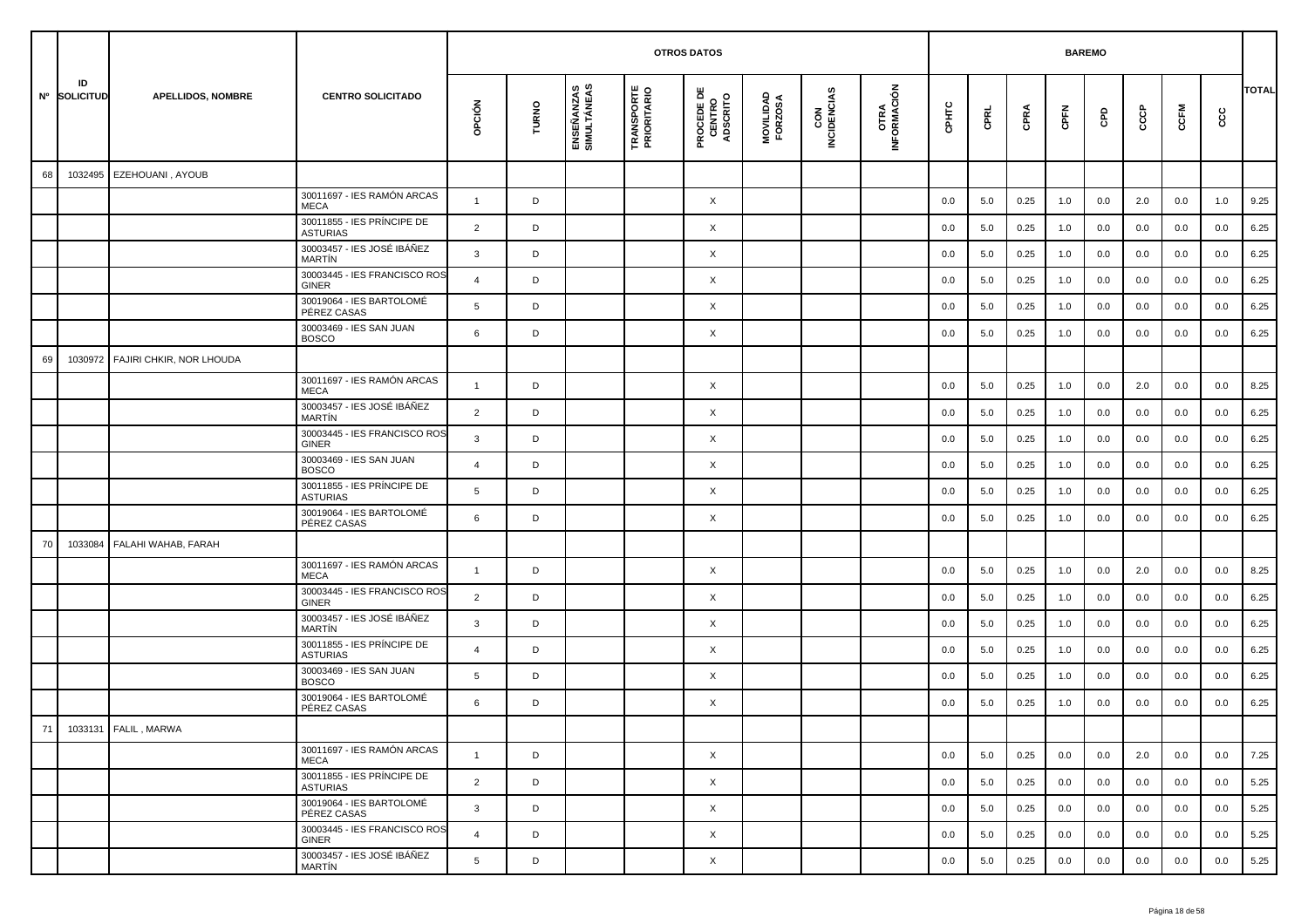|    |                    |                          |                                               |                |       |                           |                                  | <b>OTROS DATOS</b>                        |                      |                    |                             |       |      |      | <b>BAREMO</b> |     |     |      |     |              |
|----|--------------------|--------------------------|-----------------------------------------------|----------------|-------|---------------------------|----------------------------------|-------------------------------------------|----------------------|--------------------|-----------------------------|-------|------|------|---------------|-----|-----|------|-----|--------------|
|    | ID<br>Nº SOLICITUD | <b>APELLIDOS, NOMBRE</b> | <b>CENTRO SOLICITADO</b>                      | opción         | TURNO | ENSEÑANZAS<br>SIMULTÁNEAS | <b>TRANSPORTE</b><br>PRIORITARIO | <b>PROCEDE DE<br/>CENTRO<br/>ADSCRITO</b> | MOVILIDAD<br>FORZOSA | CON<br>INCIDENCIAS | <b>OTRA<br/>INFORMACIÓN</b> | CPHTC | CPRL | CPRA | CPFN          | GPD | ငင  | CCFM | င်င | <b>TOTAL</b> |
| 68 | 1032495            | EZEHOUANI, AYOUB         |                                               |                |       |                           |                                  |                                           |                      |                    |                             |       |      |      |               |     |     |      |     |              |
|    |                    |                          | 30011697 - IES RAMÓN ARCAS<br><b>MECA</b>     | $\mathbf{1}$   | D     |                           |                                  | X                                         |                      |                    |                             | 0.0   | 5.0  | 0.25 | 1.0           | 0.0 | 2.0 | 0.0  | 1.0 | 9.25         |
|    |                    |                          | 30011855 - IES PRÍNCIPE DE<br><b>ASTURIAS</b> | $\overline{2}$ | D     |                           |                                  | $\times$                                  |                      |                    |                             | 0.0   | 5.0  | 0.25 | 1.0           | 0.0 | 0.0 | 0.0  | 0.0 | 6.25         |
|    |                    |                          | 30003457 - IES JOSÉ IBÁÑEZ<br>MARTÍN          | 3              | D     |                           |                                  | X                                         |                      |                    |                             | 0.0   | 5.0  | 0.25 | 1.0           | 0.0 | 0.0 | 0.0  | 0.0 | 6.25         |
|    |                    |                          | 30003445 - IES FRANCISCO ROS<br>GINER         | $\overline{4}$ | D     |                           |                                  | X                                         |                      |                    |                             | 0.0   | 5.0  | 0.25 | 1.0           | 0.0 | 0.0 | 0.0  | 0.0 | 6.25         |
|    |                    |                          | 30019064 - IES BARTOLOMÉ<br>PÉREZ CASAS       | 5              | D     |                           |                                  | X                                         |                      |                    |                             | 0.0   | 5.0  | 0.25 | 1.0           | 0.0 | 0.0 | 0.0  | 0.0 | 6.25         |
|    |                    |                          | 30003469 - IES SAN JUAN<br><b>BOSCO</b>       | 6              | D     |                           |                                  | X                                         |                      |                    |                             | 0.0   | 5.0  | 0.25 | 1.0           | 0.0 | 0.0 | 0.0  | 0.0 | 6.25         |
| 69 | 1030972            | FAJIRI CHKIR, NOR LHOUDA |                                               |                |       |                           |                                  |                                           |                      |                    |                             |       |      |      |               |     |     |      |     |              |
|    |                    |                          | 30011697 - IES RAMÓN ARCAS<br><b>MECA</b>     | -1             | D     |                           |                                  | $\times$                                  |                      |                    |                             | 0.0   | 5.0  | 0.25 | 1.0           | 0.0 | 2.0 | 0.0  | 0.0 | 8.25         |
|    |                    |                          | 30003457 - IES JOSÉ IBÁÑEZ<br>MARTÍN          | $\overline{2}$ | D     |                           |                                  | X                                         |                      |                    |                             | 0.0   | 5.0  | 0.25 | 1.0           | 0.0 | 0.0 | 0.0  | 0.0 | 6.25         |
|    |                    |                          | 30003445 - IES FRANCISCO ROS<br>GINER         | 3              | D     |                           |                                  | X                                         |                      |                    |                             | 0.0   | 5.0  | 0.25 | 1.0           | 0.0 | 0.0 | 0.0  | 0.0 | 6.25         |
|    |                    |                          | 30003469 - IES SAN JUAN<br><b>BOSCO</b>       | 4              | D     |                           |                                  | X                                         |                      |                    |                             | 0.0   | 5.0  | 0.25 | 1.0           | 0.0 | 0.0 | 0.0  | 0.0 | 6.25         |
|    |                    |                          | 30011855 - IES PRÍNCIPE DE<br>ASTURIAS        | 5              | D     |                           |                                  | X                                         |                      |                    |                             | 0.0   | 5.0  | 0.25 | 1.0           | 0.0 | 0.0 | 0.0  | 0.0 | 6.25         |
|    |                    |                          | 30019064 - IES BARTOLOMÉ<br>PÉREZ CASAS       | 6              | D     |                           |                                  | X                                         |                      |                    |                             | 0.0   | 5.0  | 0.25 | 1.0           | 0.0 | 0.0 | 0.0  | 0.0 | 6.25         |
| 70 | 1033084            | FALAHI WAHAB, FARAH      |                                               |                |       |                           |                                  |                                           |                      |                    |                             |       |      |      |               |     |     |      |     |              |
|    |                    |                          | 30011697 - IES RAMÓN ARCAS<br>MECA            | $\mathbf{1}$   | D     |                           |                                  | X                                         |                      |                    |                             | 0.0   | 5.0  | 0.25 | 1.0           | 0.0 | 2.0 | 0.0  | 0.0 | 8.25         |
|    |                    |                          | 30003445 - IES FRANCISCO ROS<br>GINER         | $\overline{2}$ | D     |                           |                                  | X                                         |                      |                    |                             | 0.0   | 5.0  | 0.25 | 1.0           | 0.0 | 0.0 | 0.0  | 0.0 | 6.25         |
|    |                    |                          | 30003457 - IES JOSÉ IBÁÑEZ<br>MARTÍN          | 3              | D     |                           |                                  | X                                         |                      |                    |                             | 0.0   | 5.0  | 0.25 | 1.0           | 0.0 | 0.0 | 0.0  | 0.0 | 6.25         |
|    |                    |                          | 30011855 - IES PRÍNCIPE DE<br>ASTURIAS        | $\overline{4}$ | D     |                           |                                  | X                                         |                      |                    |                             | 0.0   | 5.0  | 0.25 | 1.0           | 0.0 | 0.0 | 0.0  | 0.0 | 6.25         |
|    |                    |                          | 30003469 - IES SAN JUAN<br><b>BOSCO</b>       | 5              | D     |                           |                                  | X                                         |                      |                    |                             | 0.0   | 5.0  | 0.25 | 1.0           | 0.0 | 0.0 | 0.0  | 0.0 | 6.25         |
|    |                    |                          | 30019064 - IES BARTOLOMÉ<br>PÉREZ CASAS       | 6              | D     |                           |                                  | X                                         |                      |                    |                             | 0.0   | 5.0  | 0.25 | 1.0           | 0.0 | 0.0 | 0.0  | 0.0 | 6.25         |
| 71 |                    | 1033131 FALIL, MARWA     |                                               |                |       |                           |                                  |                                           |                      |                    |                             |       |      |      |               |     |     |      |     |              |
|    |                    |                          | 30011697 - IES RAMÓN ARCAS<br>MECA            | $\mathbf{1}$   | D     |                           |                                  | $\times$                                  |                      |                    |                             | 0.0   | 5.0  | 0.25 | 0.0           | 0.0 | 2.0 | 0.0  | 0.0 | 7.25         |
|    |                    |                          | 30011855 - IES PRÍNCIPE DE<br><b>ASTURIAS</b> | $\overline{2}$ | D     |                           |                                  | $\times$                                  |                      |                    |                             | 0.0   | 5.0  | 0.25 | 0.0           | 0.0 | 0.0 | 0.0  | 0.0 | 5.25         |
|    |                    |                          | 30019064 - IES BARTOLOMÉ<br>PÉREZ CASAS       | $\mathbf{3}$   | D     |                           |                                  | $\times$                                  |                      |                    |                             | 0.0   | 5.0  | 0.25 | 0.0           | 0.0 | 0.0 | 0.0  | 0.0 | 5.25         |
|    |                    |                          | 30003445 - IES FRANCISCO ROS<br>GINER         | $\overline{4}$ | D     |                           |                                  | $\times$                                  |                      |                    |                             | 0.0   | 5.0  | 0.25 | 0.0           | 0.0 | 0.0 | 0.0  | 0.0 | 5.25         |
|    |                    |                          | 30003457 - IES JOSÉ IBÁÑEZ<br>MARTÍN          | 5              | D     |                           |                                  | $\times$                                  |                      |                    |                             | 0.0   | 5.0  | 0.25 | 0.0           | 0.0 | 0.0 | 0.0  | 0.0 | 5.25         |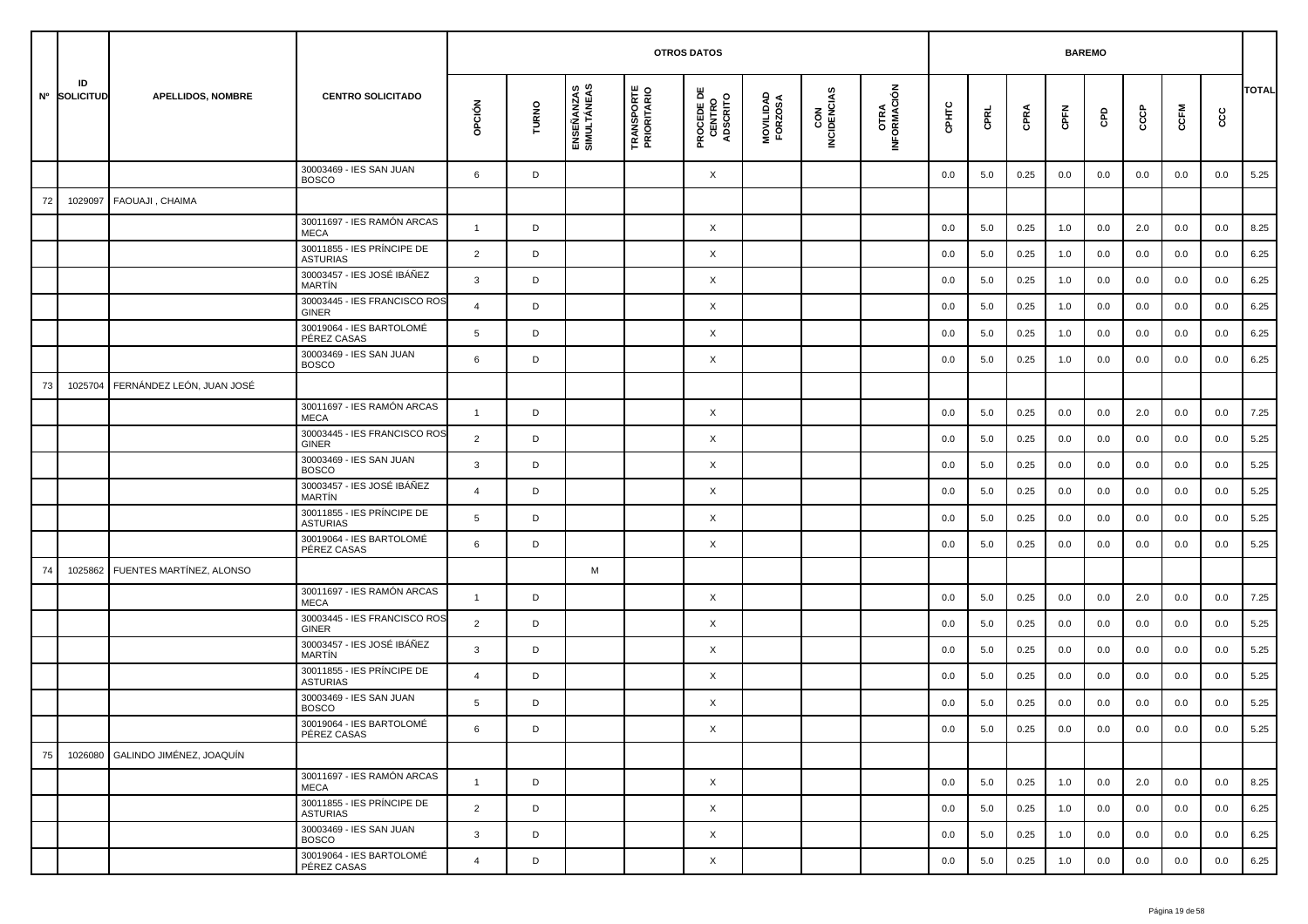|    |                    |                                  |                                               |                |       |                           |                                  | <b>OTROS DATOS</b>                        |                      |                    |                     |         |         |      | <b>BAREMO</b> |         |     |         |         |              |
|----|--------------------|----------------------------------|-----------------------------------------------|----------------|-------|---------------------------|----------------------------------|-------------------------------------------|----------------------|--------------------|---------------------|---------|---------|------|---------------|---------|-----|---------|---------|--------------|
|    | ID<br>Nº SOLICITUD | <b>APELLIDOS, NOMBRE</b>         | <b>CENTRO SOLICITADO</b>                      | opción         | TURNO | ENSEÑANZAS<br>SIMULTÁNEAS | <b>TRANSPORTE</b><br>PRIORITARIO | <b>PROCEDE DE<br/>CENTRO<br/>ADSCRITO</b> | MOVILIDAD<br>FORZOSA | CON<br>INCIDENCIAS | OTRA<br>INFORMACIÓN | CPHTC   | CPRL    | CPRA | CPFN          | GPD     | င်င | CCFM    | င္ပင    | <b>TOTAL</b> |
|    |                    |                                  | 30003469 - IES SAN JUAN<br><b>BOSCO</b>       | 6              | D     |                           |                                  | X                                         |                      |                    |                     | 0.0     | 5.0     | 0.25 | 0.0           | 0.0     | 0.0 | 0.0     | 0.0     | 5.25         |
| 72 | 1029097            | FAOUAJI, CHAIMA                  |                                               |                |       |                           |                                  |                                           |                      |                    |                     |         |         |      |               |         |     |         |         |              |
|    |                    |                                  | 30011697 - IES RAMÓN ARCAS<br><b>MECA</b>     | $\mathbf{1}$   | D     |                           |                                  | X                                         |                      |                    |                     | 0.0     | 5.0     | 0.25 | 1.0           | 0.0     | 2.0 | 0.0     | 0.0     | 8.25         |
|    |                    |                                  | 30011855 - IES PRÍNCIPE DE<br><b>ASTURIAS</b> | $\overline{2}$ | D     |                           |                                  | X                                         |                      |                    |                     | 0.0     | 5.0     | 0.25 | 1.0           | 0.0     | 0.0 | 0.0     | 0.0     | 6.25         |
|    |                    |                                  | 30003457 - IES JOSÉ IBÁÑEZ<br><b>MARTÍN</b>   | 3              | D     |                           |                                  | X                                         |                      |                    |                     | 0.0     | 5.0     | 0.25 | 1.0           | 0.0     | 0.0 | 0.0     | 0.0     | 6.25         |
|    |                    |                                  | 30003445 - IES FRANCISCO ROS<br><b>GINER</b>  | $\overline{4}$ | D     |                           |                                  | X                                         |                      |                    |                     | 0.0     | 5.0     | 0.25 | 1.0           | 0.0     | 0.0 | 0.0     | 0.0     | 6.25         |
|    |                    |                                  | 30019064 - IES BARTOLOMÉ<br>PÉREZ CASAS       | 5              | D     |                           |                                  | X                                         |                      |                    |                     | 0.0     | 5.0     | 0.25 | 1.0           | 0.0     | 0.0 | 0.0     | 0.0     | 6.25         |
|    |                    |                                  | 30003469 - IES SAN JUAN<br><b>BOSCO</b>       | 6              | D     |                           |                                  | X                                         |                      |                    |                     | 0.0     | 5.0     | 0.25 | 1.0           | 0.0     | 0.0 | 0.0     | 0.0     | 6.25         |
| 73 | 1025704            | FERNÁNDEZ LEÓN, JUAN JOSÉ        |                                               |                |       |                           |                                  |                                           |                      |                    |                     |         |         |      |               |         |     |         |         |              |
|    |                    |                                  | 30011697 - IES RAMÓN ARCAS<br><b>MECA</b>     | $\mathbf{1}$   | D     |                           |                                  | X                                         |                      |                    |                     | 0.0     | 5.0     | 0.25 | 0.0           | 0.0     | 2.0 | 0.0     | 0.0     | 7.25         |
|    |                    |                                  | 30003445 - IES FRANCISCO ROS<br><b>GINER</b>  | $\overline{2}$ | D     |                           |                                  | X                                         |                      |                    |                     | 0.0     | 5.0     | 0.25 | 0.0           | 0.0     | 0.0 | 0.0     | 0.0     | 5.25         |
|    |                    |                                  | 30003469 - IES SAN JUAN<br><b>BOSCO</b>       | 3              | D     |                           |                                  | X                                         |                      |                    |                     | 0.0     | 5.0     | 0.25 | 0.0           | 0.0     | 0.0 | 0.0     | 0.0     | 5.25         |
|    |                    |                                  | 30003457 - IES JOSÉ IBÁÑEZ<br>MARTÍN          | 4              | D     |                           |                                  | X                                         |                      |                    |                     | 0.0     | 5.0     | 0.25 | 0.0           | 0.0     | 0.0 | 0.0     | 0.0     | 5.25         |
|    |                    |                                  | 30011855 - IES PRÍNCIPE DE<br><b>ASTURIAS</b> | 5              | D     |                           |                                  | X                                         |                      |                    |                     | 0.0     | 5.0     | 0.25 | 0.0           | 0.0     | 0.0 | 0.0     | 0.0     | 5.25         |
|    |                    |                                  | 30019064 - IES BARTOLOMÉ<br>PÉREZ CASAS       | 6              | D     |                           |                                  | X                                         |                      |                    |                     | 0.0     | 5.0     | 0.25 | 0.0           | 0.0     | 0.0 | 0.0     | 0.0     | 5.25         |
| 74 | 1025862            | FUENTES MARTÍNEZ, ALONSO         |                                               |                |       | M                         |                                  |                                           |                      |                    |                     |         |         |      |               |         |     |         |         |              |
|    |                    |                                  | 30011697 - IES RAMÓN ARCAS<br><b>MECA</b>     | $\mathbf{1}$   | D     |                           |                                  | X                                         |                      |                    |                     | 0.0     | 5.0     | 0.25 | 0.0           | 0.0     | 2.0 | 0.0     | 0.0     | 7.25         |
|    |                    |                                  | 30003445 - IES FRANCISCO ROS<br><b>GINER</b>  | 2              | D     |                           |                                  | X                                         |                      |                    |                     | 0.0     | 5.0     | 0.25 | 0.0           | 0.0     | 0.0 | 0.0     | 0.0     | 5.25         |
|    |                    |                                  | 30003457 - IES JOSÉ IBÁÑEZ<br>MARTÍN          | 3              | D     |                           |                                  | X                                         |                      |                    |                     | 0.0     | 5.0     | 0.25 | 0.0           | 0.0     | 0.0 | 0.0     | 0.0     | 5.25         |
|    |                    |                                  | 30011855 - IES PRÍNCIPE DE<br><b>ASTURIAS</b> | $\overline{4}$ | D     |                           |                                  | X                                         |                      |                    |                     | 0.0     | 5.0     | 0.25 | 0.0           | 0.0     | 0.0 | 0.0     | 0.0     | 5.25         |
|    |                    |                                  | 30003469 - IES SAN JUAN<br><b>BOSCO</b>       | 5              | D     |                           |                                  | X                                         |                      |                    |                     | 0.0     | 5.0     | 0.25 | 0.0           | 0.0     | 0.0 | 0.0     | 0.0     | 5.25         |
|    |                    |                                  | 30019064 - IES BARTOLOMÉ<br>PÉREZ CASAS       | -6             | D     |                           |                                  | X                                         |                      |                    |                     | $0.0\,$ | $5.0\,$ | 0.25 | $0.0\,$       | $0.0\,$ | 0.0 | $0.0\,$ | $0.0\,$ | 5.25         |
| 75 |                    | 1026080 GALINDO JIMÉNEZ, JOAQUÍN |                                               |                |       |                           |                                  |                                           |                      |                    |                     |         |         |      |               |         |     |         |         |              |
|    |                    |                                  | 30011697 - IES RAMÓN ARCAS<br>MECA            | $\mathbf{1}$   | D     |                           |                                  | $\times$                                  |                      |                    |                     | 0.0     | 5.0     | 0.25 | 1.0           | 0.0     | 2.0 | 0.0     | 0.0     | 8.25         |
|    |                    |                                  | 30011855 - IES PRÍNCIPE DE<br><b>ASTURIAS</b> | $\overline{2}$ | D     |                           |                                  | X                                         |                      |                    |                     | 0.0     | 5.0     | 0.25 | 1.0           | 0.0     | 0.0 | 0.0     | 0.0     | 6.25         |
|    |                    |                                  | 30003469 - IES SAN JUAN<br><b>BOSCO</b>       | 3              | D     |                           |                                  | X                                         |                      |                    |                     | 0.0     | 5.0     | 0.25 | 1.0           | 0.0     | 0.0 | 0.0     | 0.0     | 6.25         |
|    |                    |                                  | 30019064 - IES BARTOLOMÉ<br>PÉREZ CASAS       | $\overline{4}$ | D     |                           |                                  | X                                         |                      |                    |                     | 0.0     | 5.0     | 0.25 | 1.0           | 0.0     | 0.0 | 0.0     | 0.0     | 6.25         |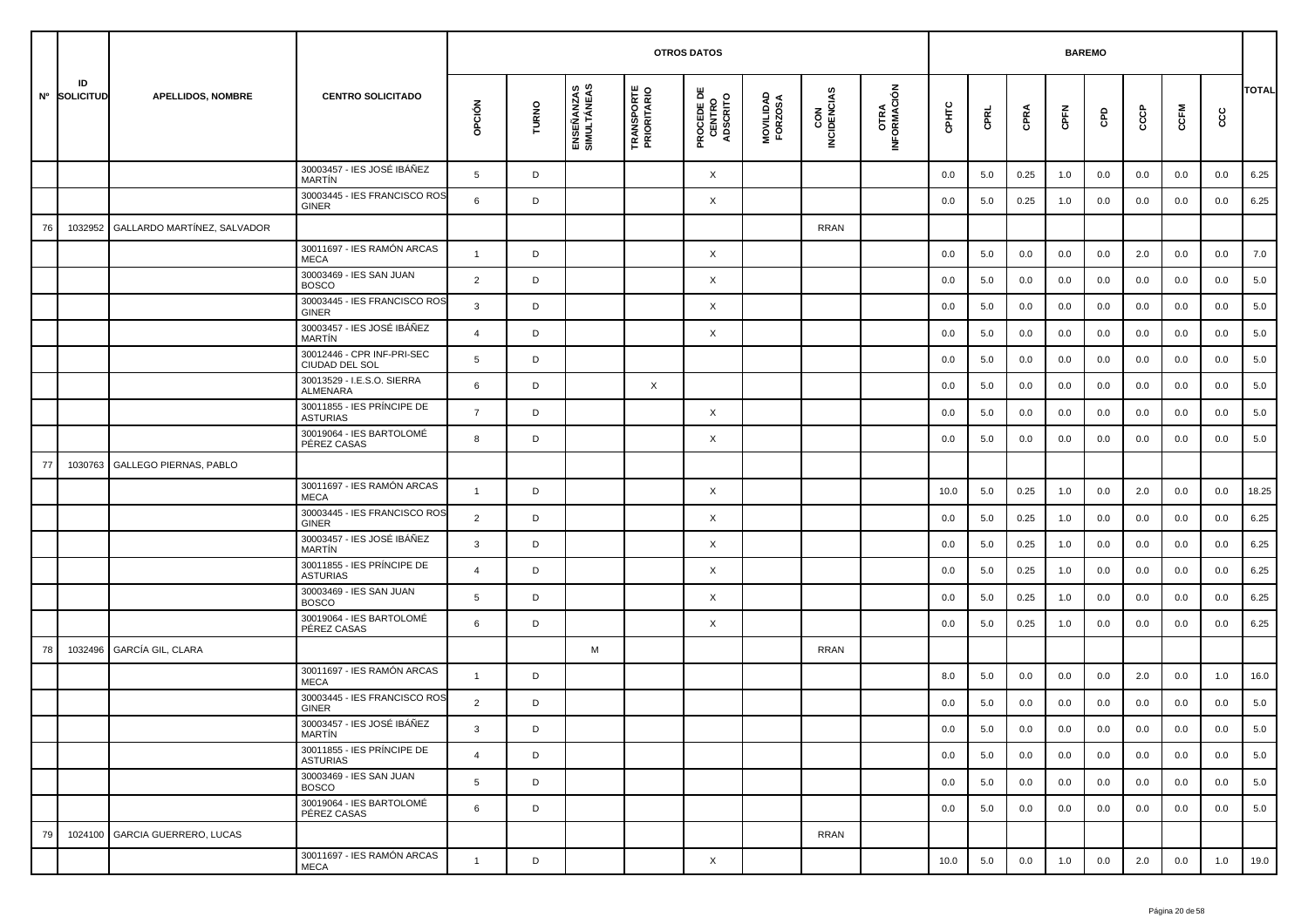|    |                    |                               |                                               |                 |       |                           |                                  | <b>OTROS DATOS</b>                        |                      |                    |                     |         |         |      | <b>BAREMO</b> |         |     |         |      |              |
|----|--------------------|-------------------------------|-----------------------------------------------|-----------------|-------|---------------------------|----------------------------------|-------------------------------------------|----------------------|--------------------|---------------------|---------|---------|------|---------------|---------|-----|---------|------|--------------|
|    | ID<br>Nº SOLICITUD | <b>APELLIDOS, NOMBRE</b>      | <b>CENTRO SOLICITADO</b>                      | opción          | TURNO | ENSEÑANZAS<br>SIMULTÁNEAS | <b>TRANSPORTE</b><br>PRIORITARIO | <b>PROCEDE DE<br/>CENTRO<br/>ADSCRITO</b> | MOVILIDAD<br>FORZOSA | CON<br>INCIDENCIAS | OTRA<br>INFORMACIÓN | CPHTC   | CPRL    | CPRA | CPFN          | GPD     | င်င | CCFM    | င္ပင | <b>TOTAL</b> |
|    |                    |                               | 30003457 - IES JOSÉ IBÁÑEZ<br><b>MARTIN</b>   | $5\overline{5}$ | D     |                           |                                  | X                                         |                      |                    |                     | 0.0     | 5.0     | 0.25 | 1.0           | 0.0     | 0.0 | 0.0     | 0.0  | 6.25         |
|    |                    |                               | 30003445 - IES FRANCISCO ROS<br><b>GINER</b>  | 6               | D     |                           |                                  | X                                         |                      |                    |                     | 0.0     | 5.0     | 0.25 | 1.0           | 0.0     | 0.0 | 0.0     | 0.0  | 6.25         |
| 76 | 1032952            | GALLARDO MARTÍNEZ, SALVADOR   |                                               |                 |       |                           |                                  |                                           |                      | <b>RRAN</b>        |                     |         |         |      |               |         |     |         |      |              |
|    |                    |                               | 30011697 - IES RAMÓN ARCAS<br><b>MECA</b>     | $\mathbf{1}$    | D     |                           |                                  | X                                         |                      |                    |                     | 0.0     | 5.0     | 0.0  | 0.0           | 0.0     | 2.0 | 0.0     | 0.0  | 7.0          |
|    |                    |                               | 30003469 - IES SAN JUAN<br><b>BOSCO</b>       | $\overline{2}$  | D     |                           |                                  | X                                         |                      |                    |                     | 0.0     | 5.0     | 0.0  | 0.0           | 0.0     | 0.0 | 0.0     | 0.0  | 5.0          |
|    |                    |                               | 30003445 - IES FRANCISCO ROS<br><b>GINER</b>  | 3               | D     |                           |                                  | X                                         |                      |                    |                     | 0.0     | 5.0     | 0.0  | 0.0           | 0.0     | 0.0 | 0.0     | 0.0  | 5.0          |
|    |                    |                               | 30003457 - IES JOSÉ IBÁÑEZ<br>MARTÍN          | $\overline{4}$  | D     |                           |                                  | X                                         |                      |                    |                     | 0.0     | 5.0     | 0.0  | 0.0           | 0.0     | 0.0 | 0.0     | 0.0  | 5.0          |
|    |                    |                               | 30012446 - CPR INF-PRI-SEC<br>CIUDAD DEL SOL  | 5               | D     |                           |                                  |                                           |                      |                    |                     | 0.0     | 5.0     | 0.0  | 0.0           | 0.0     | 0.0 | 0.0     | 0.0  | 5.0          |
|    |                    |                               | 30013529 - I.E.S.O. SIERRA<br><b>ALMENARA</b> | 6               | D     |                           | $\times$                         |                                           |                      |                    |                     | 0.0     | 5.0     | 0.0  | 0.0           | 0.0     | 0.0 | 0.0     | 0.0  | 5.0          |
|    |                    |                               | 30011855 - IES PRÍNCIPE DE<br><b>ASTURIAS</b> | $\overline{7}$  | D     |                           |                                  | X                                         |                      |                    |                     | 0.0     | 5.0     | 0.0  | 0.0           | 0.0     | 0.0 | 0.0     | 0.0  | 5.0          |
|    |                    |                               | 30019064 - IES BARTOLOMÉ<br>PÉREZ CASAS       | 8               | D     |                           |                                  | X                                         |                      |                    |                     | 0.0     | 5.0     | 0.0  | 0.0           | 0.0     | 0.0 | 0.0     | 0.0  | 5.0          |
| 77 | 1030763            | <b>GALLEGO PIERNAS, PABLO</b> |                                               |                 |       |                           |                                  |                                           |                      |                    |                     |         |         |      |               |         |     |         |      |              |
|    |                    |                               | 30011697 - IES RAMÓN ARCAS<br><b>MECA</b>     | $\mathbf{1}$    | D     |                           |                                  | X                                         |                      |                    |                     | 10.0    | 5.0     | 0.25 | 1.0           | 0.0     | 2.0 | 0.0     | 0.0  | 18.25        |
|    |                    |                               | 30003445 - IES FRANCISCO ROS<br>GINER         | $\overline{2}$  | D     |                           |                                  | X                                         |                      |                    |                     | 0.0     | 5.0     | 0.25 | 1.0           | 0.0     | 0.0 | 0.0     | 0.0  | 6.25         |
|    |                    |                               | 30003457 - IES JOSÉ IBÁÑEZ<br><b>MARTIN</b>   | 3               | D     |                           |                                  | X                                         |                      |                    |                     | 0.0     | 5.0     | 0.25 | 1.0           | 0.0     | 0.0 | 0.0     | 0.0  | 6.25         |
|    |                    |                               | 30011855 - IES PRÍNCIPE DE<br><b>ASTURIAS</b> | 4               | D     |                           |                                  | X                                         |                      |                    |                     | 0.0     | 5.0     | 0.25 | 1.0           | 0.0     | 0.0 | 0.0     | 0.0  | 6.25         |
|    |                    |                               | 30003469 - IES SAN JUAN<br><b>BOSCO</b>       | 5               | D     |                           |                                  | X                                         |                      |                    |                     | 0.0     | 5.0     | 0.25 | 1.0           | 0.0     | 0.0 | 0.0     | 0.0  | 6.25         |
|    |                    |                               | 30019064 - IES BARTOLOMÉ<br>PÉREZ CASAS       | 6               | D     |                           |                                  | X                                         |                      |                    |                     | 0.0     | 5.0     | 0.25 | 1.0           | 0.0     | 0.0 | 0.0     | 0.0  | 6.25         |
| 78 | 1032496            | GARCÍA GIL, CLARA             |                                               |                 |       | M                         |                                  |                                           |                      | RRAN               |                     |         |         |      |               |         |     |         |      |              |
|    |                    |                               | 30011697 - IES RAMÓN ARCAS<br><b>MECA</b>     | $\mathbf{1}$    | D     |                           |                                  |                                           |                      |                    |                     | 8.0     | 5.0     | 0.0  | 0.0           | 0.0     | 2.0 | 0.0     | 1.0  | 16.0         |
|    |                    |                               | 30003445 - IES FRANCISCO ROS<br>GINER         | $\overline{2}$  | D     |                           |                                  |                                           |                      |                    |                     | 0.0     | 5.0     | 0.0  | 0.0           | 0.0     | 0.0 | 0.0     | 0.0  | 5.0          |
|    |                    |                               | 30003457 - IES JOSÉ IBÁÑEZ<br>MARTÍN          | ు               | D     |                           |                                  |                                           |                      |                    |                     | $0.0\,$ | $5.0\,$ | 0.0  | $0.0\,$       | $0.0\,$ | 0.0 | $0.0\,$ | 0.0  | 5.0          |
|    |                    |                               | 30011855 - IES PRÍNCIPE DE<br><b>ASTURIAS</b> | $\overline{4}$  | D     |                           |                                  |                                           |                      |                    |                     | 0.0     | 5.0     | 0.0  | 0.0           | 0.0     | 0.0 | 0.0     | 0.0  | 5.0          |
|    |                    |                               | 30003469 - IES SAN JUAN<br><b>BOSCO</b>       | 5               | D     |                           |                                  |                                           |                      |                    |                     | 0.0     | 5.0     | 0.0  | 0.0           | 0.0     | 0.0 | 0.0     | 0.0  | 5.0          |
|    |                    |                               | 30019064 - IES BARTOLOMÉ<br>PÉREZ CASAS       | 6               | D     |                           |                                  |                                           |                      |                    |                     | 0.0     | 5.0     | 0.0  | 0.0           | 0.0     | 0.0 | 0.0     | 0.0  | 5.0          |
| 79 | 1024100            | <b>GARCIA GUERRERO, LUCAS</b> |                                               |                 |       |                           |                                  |                                           |                      | RRAN               |                     |         |         |      |               |         |     |         |      |              |
|    |                    |                               | 30011697 - IES RAMÓN ARCAS<br>MECA            | $\mathbf{1}$    | D     |                           |                                  | $\times$                                  |                      |                    |                     | 10.0    | 5.0     | 0.0  | 1.0           | 0.0     | 2.0 | 0.0     | 1.0  | 19.0         |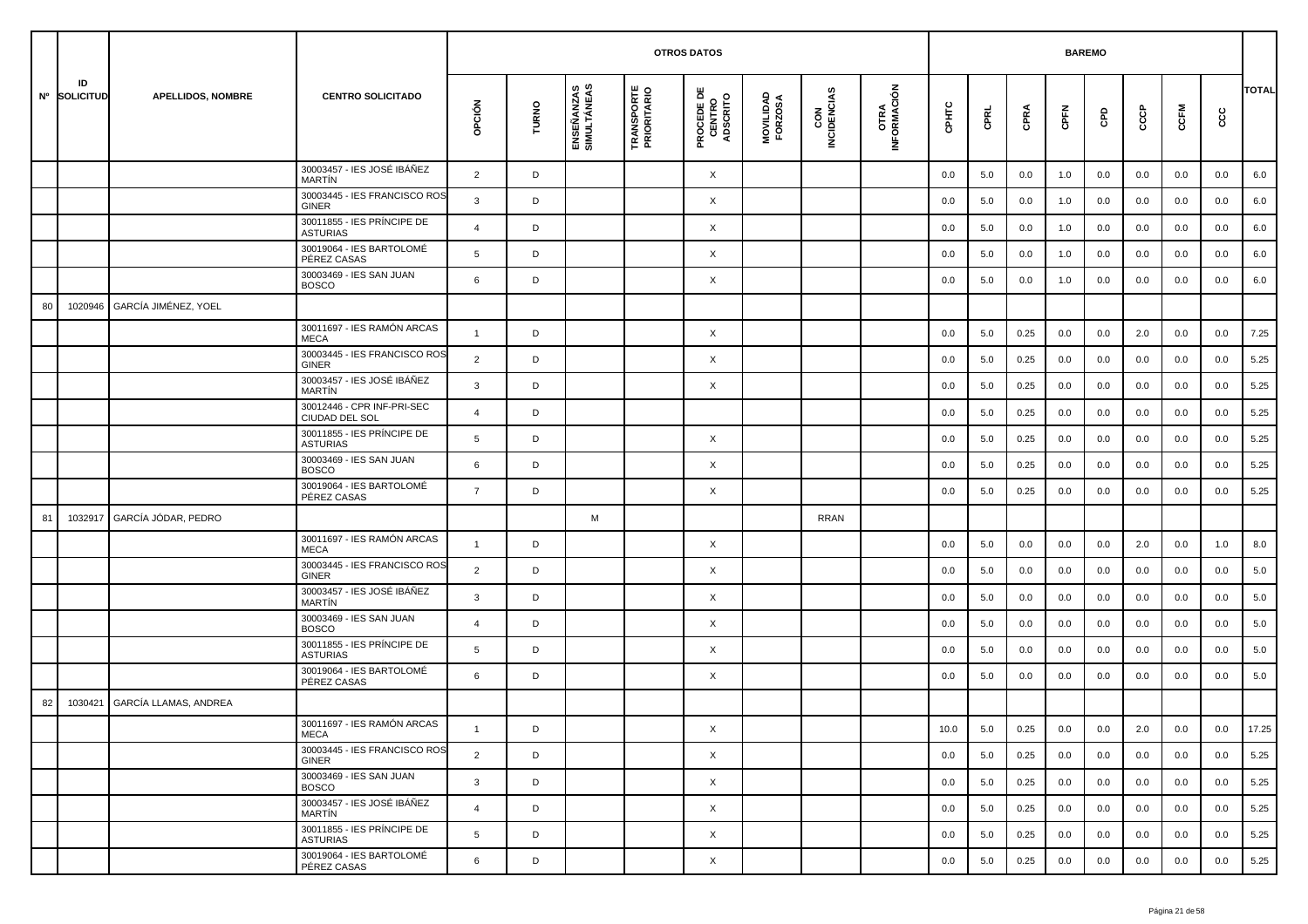|    |                    |                             |                                               |                |       |                           | <b>OTROS DATOS</b>               |                                           |                      |                    |                     |       | <b>BAREMO</b> |      |      |     |     |      |         |              |
|----|--------------------|-----------------------------|-----------------------------------------------|----------------|-------|---------------------------|----------------------------------|-------------------------------------------|----------------------|--------------------|---------------------|-------|---------------|------|------|-----|-----|------|---------|--------------|
|    | ID<br>Nº SOLICITUD | <b>APELLIDOS, NOMBRE</b>    | <b>CENTRO SOLICITADO</b>                      | OPCIÓN         | TURNO | ENSEÑANZAS<br>SIMULTÁNEAS | <b>TRANSPORTE</b><br>PRIORITARIO | <b>PROCEDE DE<br/>CENTRO<br/>ADSCRITO</b> | MOVILIDAD<br>FORZOSA | CON<br>INCIDENCIAS | OTRA<br>INFORMACIÓN | CPHTC | CPRL          | CPRA | CPFN | GPD | င်င | CCFM | ပ္ပ     | <b>TOTAL</b> |
|    |                    |                             | 30003457 - IES JOSÉ IBÁÑEZ<br><b>MARTIN</b>   | $\overline{2}$ | D     |                           |                                  | X                                         |                      |                    |                     | 0.0   | 5.0           | 0.0  | 1.0  | 0.0 | 0.0 | 0.0  | 0.0     | 6.0          |
|    |                    |                             | 30003445 - IES FRANCISCO ROS<br><b>GINER</b>  | $\mathbf{3}$   | D     |                           |                                  | X                                         |                      |                    |                     | 0.0   | 5.0           | 0.0  | 1.0  | 0.0 | 0.0 | 0.0  | 0.0     | 6.0          |
|    |                    |                             | 30011855 - IES PRÍNCIPE DE<br><b>ASTURIAS</b> | $\overline{4}$ | D     |                           |                                  | X                                         |                      |                    |                     | 0.0   | 5.0           | 0.0  | 1.0  | 0.0 | 0.0 | 0.0  | 0.0     | 6.0          |
|    |                    |                             | 30019064 - IES BARTOLOMÉ<br>PÉREZ CASAS       | 5              | D     |                           |                                  | X                                         |                      |                    |                     | 0.0   | 5.0           | 0.0  | 1.0  | 0.0 | 0.0 | 0.0  | 0.0     | 6.0          |
|    |                    |                             | 30003469 - IES SAN JUAN<br><b>BOSCO</b>       | 6              | D     |                           |                                  | X                                         |                      |                    |                     | 0.0   | 5.0           | 0.0  | 1.0  | 0.0 | 0.0 | 0.0  | 0.0     | 6.0          |
| 80 | 1020946            | <b>GARCÍA JIMÉNEZ, YOEL</b> |                                               |                |       |                           |                                  |                                           |                      |                    |                     |       |               |      |      |     |     |      |         |              |
|    |                    |                             | 30011697 - IES RAMÓN ARCAS<br><b>MECA</b>     | $\overline{1}$ | D     |                           |                                  | X                                         |                      |                    |                     | 0.0   | 5.0           | 0.25 | 0.0  | 0.0 | 2.0 | 0.0  | 0.0     | 7.25         |
|    |                    |                             | 30003445 - IES FRANCISCO ROS<br><b>GINER</b>  | 2              | D     |                           |                                  | X                                         |                      |                    |                     | 0.0   | 5.0           | 0.25 | 0.0  | 0.0 | 0.0 | 0.0  | 0.0     | 5.25         |
|    |                    |                             | 30003457 - IES JOSÉ IBÁÑEZ<br>MARTÍN          | 3              | D     |                           |                                  | X                                         |                      |                    |                     | 0.0   | 5.0           | 0.25 | 0.0  | 0.0 | 0.0 | 0.0  | 0.0     | 5.25         |
|    |                    |                             | 30012446 - CPR INF-PRI-SEC<br>CIUDAD DEL SOL  | $\overline{4}$ | D     |                           |                                  |                                           |                      |                    |                     | 0.0   | 5.0           | 0.25 | 0.0  | 0.0 | 0.0 | 0.0  | 0.0     | 5.25         |
|    |                    |                             | 30011855 - IES PRÍNCIPE DE<br><b>ASTURIAS</b> | 5              | D     |                           |                                  | X                                         |                      |                    |                     | 0.0   | 5.0           | 0.25 | 0.0  | 0.0 | 0.0 | 0.0  | 0.0     | 5.25         |
|    |                    |                             | 30003469 - IES SAN JUAN<br><b>BOSCO</b>       | 6              | D     |                           |                                  | X                                         |                      |                    |                     | 0.0   | 5.0           | 0.25 | 0.0  | 0.0 | 0.0 | 0.0  | 0.0     | 5.25         |
|    |                    |                             | 30019064 - IES BARTOLOMÉ<br>PÉREZ CASAS       | $\overline{7}$ | D     |                           |                                  | X                                         |                      |                    |                     | 0.0   | 5.0           | 0.25 | 0.0  | 0.0 | 0.0 | 0.0  | 0.0     | 5.25         |
| 81 | 1032917            | GARCÍA JÓDAR, PEDRO         |                                               |                |       | M                         |                                  |                                           |                      | <b>RRAN</b>        |                     |       |               |      |      |     |     |      |         |              |
|    |                    |                             | 30011697 - IES RAMÓN ARCAS<br><b>MECA</b>     | $\overline{1}$ | D     |                           |                                  | X                                         |                      |                    |                     | 0.0   | 5.0           | 0.0  | 0.0  | 0.0 | 2.0 | 0.0  | 1.0     | 8.0          |
|    |                    |                             | 30003445 - IES FRANCISCO ROS<br><b>GINER</b>  | $\overline{2}$ | D     |                           |                                  | X                                         |                      |                    |                     | 0.0   | 5.0           | 0.0  | 0.0  | 0.0 | 0.0 | 0.0  | 0.0     | 5.0          |
|    |                    |                             | 30003457 - IES JOSÉ IBÁÑEZ<br><b>MARTIN</b>   | 3              | D     |                           |                                  | X                                         |                      |                    |                     | 0.0   | 5.0           | 0.0  | 0.0  | 0.0 | 0.0 | 0.0  | 0.0     | 5.0          |
|    |                    |                             | 30003469 - IES SAN JUAN<br><b>BOSCO</b>       | $\overline{4}$ | D     |                           |                                  | X                                         |                      |                    |                     | 0.0   | 5.0           | 0.0  | 0.0  | 0.0 | 0.0 | 0.0  | 0.0     | 5.0          |
|    |                    |                             | 30011855 - IES PRÍNCIPE DE<br><b>ASTURIAS</b> | 5              | D     |                           |                                  | X                                         |                      |                    |                     | 0.0   | 5.0           | 0.0  | 0.0  | 0.0 | 0.0 | 0.0  | 0.0     | 5.0          |
|    |                    |                             | 30019064 - IES BARTOLOMÉ<br>PÉREZ CASAS       | 6              | D     |                           |                                  | X                                         |                      |                    |                     | 0.0   | 5.0           | 0.0  | 0.0  | 0.0 | 0.0 | 0.0  | 0.0     | 5.0          |
| 82 | 1030421            | GARCÍA LLAMAS, ANDREA       |                                               |                |       |                           |                                  |                                           |                      |                    |                     |       |               |      |      |     |     |      |         |              |
|    |                    |                             | 30011697 - IES RAMÓN ARCAS<br>MECA            |                | D     |                           |                                  | X                                         |                      |                    |                     | 10.0  | 5.0           | 0.25 | 0.0  | 0.0 | 2.0 | 0.0  | $0.0\,$ | 17.25        |
|    |                    |                             | 30003445 - IES FRANCISCO ROS<br>GINER         | $\overline{2}$ | D     |                           |                                  | $\times$                                  |                      |                    |                     | 0.0   | 5.0           | 0.25 | 0.0  | 0.0 | 0.0 | 0.0  | 0.0     | 5.25         |
|    |                    |                             | 30003469 - IES SAN JUAN<br><b>BOSCO</b>       | $\mathbf{3}$   | D     |                           |                                  | X                                         |                      |                    |                     | 0.0   | 5.0           | 0.25 | 0.0  | 0.0 | 0.0 | 0.0  | 0.0     | 5.25         |
|    |                    |                             | 30003457 - IES JOSÉ IBÁÑEZ<br>MARTÍN          | $\overline{4}$ | D     |                           |                                  | X                                         |                      |                    |                     | 0.0   | 5.0           | 0.25 | 0.0  | 0.0 | 0.0 | 0.0  | 0.0     | 5.25         |
|    |                    |                             | 30011855 - IES PRÍNCIPE DE<br><b>ASTURIAS</b> | 5              | D     |                           |                                  | X                                         |                      |                    |                     | 0.0   | 5.0           | 0.25 | 0.0  | 0.0 | 0.0 | 0.0  | 0.0     | 5.25         |
|    |                    |                             | 30019064 - IES BARTOLOMÉ<br>PÉREZ CASAS       | 6              | D     |                           |                                  | X                                         |                      |                    |                     | 0.0   | 5.0           | 0.25 | 0.0  | 0.0 | 0.0 | 0.0  | 0.0     | 5.25         |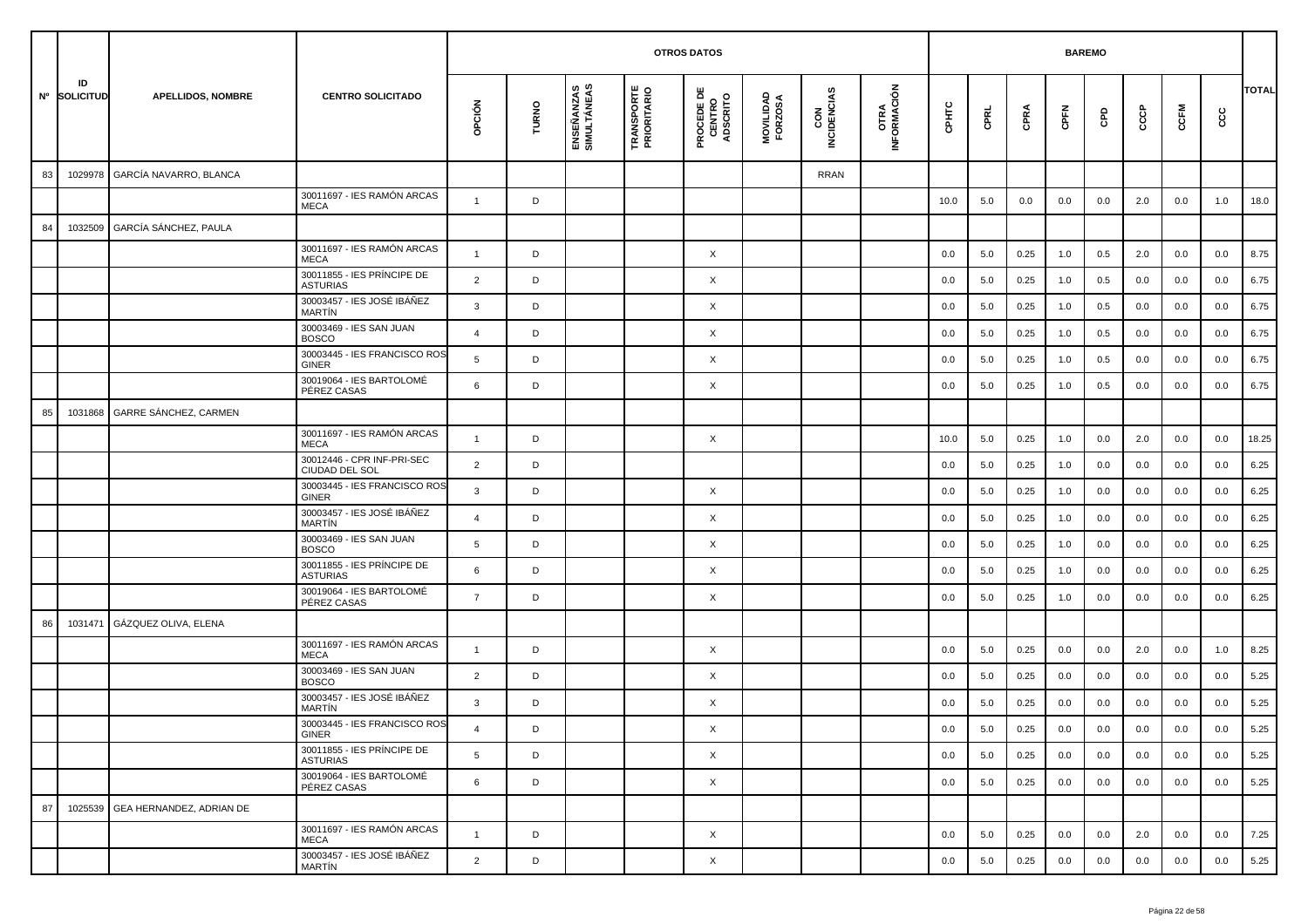|    |                    |                                  |                                               |                |       |                           |                                  | <b>OTROS DATOS</b>                        |                      |                    |                             |       |      | <b>BAREMO</b> |         |         |         |         |     |              |
|----|--------------------|----------------------------------|-----------------------------------------------|----------------|-------|---------------------------|----------------------------------|-------------------------------------------|----------------------|--------------------|-----------------------------|-------|------|---------------|---------|---------|---------|---------|-----|--------------|
|    | ID<br>Nº SOLICITUD | <b>APELLIDOS, NOMBRE</b>         | <b>CENTRO SOLICITADO</b>                      | OPCIÓN         | TURNO | ENSEÑANZAS<br>SIMULTÁNEAS | <b>TRANSPORTE</b><br>PRIORITARIO | <b>PROCEDE DE<br/>CENTRO<br/>ADSCRITO</b> | MOVILIDAD<br>FORZOSA | CON<br>INCIDENCIAS | <b>OTRA<br/>INFORMACIÓN</b> | CPHTC | CPRL | CPRA          | CPFN    | GPD     | င်င     | CCFM    | ccc | <b>TOTAL</b> |
| 83 | 1029978            | GARCÍA NAVARRO, BLANCA           |                                               |                |       |                           |                                  |                                           |                      | <b>RRAN</b>        |                             |       |      |               |         |         |         |         |     |              |
|    |                    |                                  | 30011697 - IES RAMÓN ARCAS<br><b>MECA</b>     | $\overline{1}$ | D     |                           |                                  |                                           |                      |                    |                             | 10.0  | 5.0  | 0.0           | 0.0     | 0.0     | 2.0     | 0.0     | 1.0 | 18.0         |
| 84 | 1032509            | GARCÍA SÁNCHEZ, PAULA            |                                               |                |       |                           |                                  |                                           |                      |                    |                             |       |      |               |         |         |         |         |     |              |
|    |                    |                                  | 30011697 - IES RAMÓN ARCAS<br><b>MECA</b>     | $\overline{1}$ | D     |                           |                                  | X                                         |                      |                    |                             | 0.0   | 5.0  | 0.25          | 1.0     | 0.5     | 2.0     | 0.0     | 0.0 | 8.75         |
|    |                    |                                  | 30011855 - IES PRÍNCIPE DE<br><b>ASTURIAS</b> | $\overline{2}$ | D     |                           |                                  | X                                         |                      |                    |                             | 0.0   | 5.0  | 0.25          | 1.0     | 0.5     | 0.0     | 0.0     | 0.0 | 6.75         |
|    |                    |                                  | 30003457 - IES JOSÉ IBÁÑEZ<br>MARTÍN          | 3              | D     |                           |                                  | $\times$                                  |                      |                    |                             | 0.0   | 5.0  | 0.25          | 1.0     | 0.5     | 0.0     | 0.0     | 0.0 | 6.75         |
|    |                    |                                  | 30003469 - IES SAN JUAN<br><b>BOSCO</b>       | $\overline{4}$ | D     |                           |                                  | X                                         |                      |                    |                             | 0.0   | 5.0  | 0.25          | 1.0     | 0.5     | 0.0     | 0.0     | 0.0 | 6.75         |
|    |                    |                                  | 30003445 - IES FRANCISCO ROS<br><b>GINER</b>  | 5              | D     |                           |                                  | X                                         |                      |                    |                             | 0.0   | 5.0  | 0.25          | 1.0     | 0.5     | 0.0     | 0.0     | 0.0 | 6.75         |
|    |                    |                                  | 30019064 - IES BARTOLOMÉ<br>PÉREZ CASAS       | 6              | D     |                           |                                  | $\times$                                  |                      |                    |                             | 0.0   | 5.0  | 0.25          | 1.0     | 0.5     | 0.0     | 0.0     | 0.0 | 6.75         |
| 85 | 1031868            | GARRE SÁNCHEZ, CARMEN            |                                               |                |       |                           |                                  |                                           |                      |                    |                             |       |      |               |         |         |         |         |     |              |
|    |                    |                                  | 30011697 - IES RAMÓN ARCAS<br><b>MECA</b>     | $\overline{1}$ | D     |                           |                                  | $\times$                                  |                      |                    |                             | 10.0  | 5.0  | 0.25          | 1.0     | 0.0     | 2.0     | 0.0     | 0.0 | 18.25        |
|    |                    |                                  | 30012446 - CPR INF-PRI-SEC<br>CIUDAD DEL SOL  | $\overline{2}$ | D     |                           |                                  |                                           |                      |                    |                             | 0.0   | 5.0  | 0.25          | 1.0     | 0.0     | 0.0     | 0.0     | 0.0 | 6.25         |
|    |                    |                                  | 30003445 - IES FRANCISCO ROS<br>GINER         | 3              | D     |                           |                                  | X                                         |                      |                    |                             | 0.0   | 5.0  | 0.25          | 1.0     | 0.0     | 0.0     | 0.0     | 0.0 | 6.25         |
|    |                    |                                  | 30003457 - IES JOSÉ IBÁÑEZ<br><b>MARTÍN</b>   | $\overline{4}$ | D     |                           |                                  | X                                         |                      |                    |                             | 0.0   | 5.0  | 0.25          | 1.0     | 0.0     | 0.0     | 0.0     | 0.0 | 6.25         |
|    |                    |                                  | 30003469 - IES SAN JUAN<br><b>BOSCO</b>       | 5              | D     |                           |                                  | $\times$                                  |                      |                    |                             | 0.0   | 5.0  | 0.25          | 1.0     | 0.0     | 0.0     | 0.0     | 0.0 | 6.25         |
|    |                    |                                  | 30011855 - IES PRÍNCIPE DE<br><b>ASTURIAS</b> | 6              | D     |                           |                                  | X                                         |                      |                    |                             | 0.0   | 5.0  | 0.25          | 1.0     | 0.0     | 0.0     | 0.0     | 0.0 | 6.25         |
|    |                    |                                  | 30019064 - IES BARTOLOMÉ<br>PÉREZ CASAS       | $\overline{7}$ | D     |                           |                                  | $\times$                                  |                      |                    |                             | 0.0   | 5.0  | 0.25          | 1.0     | 0.0     | 0.0     | 0.0     | 0.0 | 6.25         |
| 86 | 1031471            | GÁZQUEZ OLIVA, ELENA             |                                               |                |       |                           |                                  |                                           |                      |                    |                             |       |      |               |         |         |         |         |     |              |
|    |                    |                                  | 30011697 - IES RAMÓN ARCAS<br><b>MECA</b>     | $\overline{1}$ | D     |                           |                                  | X                                         |                      |                    |                             | 0.0   | 5.0  | 0.25          | 0.0     | 0.0     | 2.0     | 0.0     | 1.0 | 8.25         |
|    |                    |                                  | 30003469 - IES SAN JUAN<br><b>BOSCO</b>       | $\overline{2}$ | D     |                           |                                  | $\times$                                  |                      |                    |                             | 0.0   | 5.0  | 0.25          | 0.0     | 0.0     | 0.0     | 0.0     | 0.0 | 5.25         |
|    |                    |                                  | 30003457 - IES JOSÉ IBÁÑEZ<br><b>MARTIN</b>   | 3              | D     |                           |                                  | $\times$                                  |                      |                    |                             | 0.0   | 5.0  | 0.25          | 0.0     | 0.0     | 0.0     | 0.0     | 0.0 | 5.25         |
|    |                    |                                  | 30003445 - IES FRANCISCO ROS<br>GINER         |                | D     |                           |                                  | Χ                                         |                      |                    |                             | 0.0   | 5.0  | 0.25          | $0.0\,$ | $0.0\,$ | $0.0\,$ | $0.0\,$ | 0.0 | 5.25         |
|    |                    |                                  | 30011855 - IES PRÍNCIPE DE<br><b>ASTURIAS</b> | 5              | D     |                           |                                  | $\mathsf{X}$                              |                      |                    |                             | 0.0   | 5.0  | 0.25          | 0.0     | 0.0     | 0.0     | 0.0     | 0.0 | 5.25         |
|    |                    |                                  | 30019064 - IES BARTOLOMÉ<br>PÉREZ CASAS       | 6              | D     |                           |                                  | $\mathsf{X}$                              |                      |                    |                             | 0.0   | 5.0  | 0.25          | 0.0     | 0.0     | 0.0     | 0.0     | 0.0 | 5.25         |
| 87 |                    | 1025539 GEA HERNANDEZ, ADRIAN DE |                                               |                |       |                           |                                  |                                           |                      |                    |                             |       |      |               |         |         |         |         |     |              |
|    |                    |                                  | 30011697 - IES RAMÓN ARCAS<br>MECA            | $\mathbf{1}$   | D     |                           |                                  | $\boldsymbol{\mathsf{X}}$                 |                      |                    |                             | 0.0   | 5.0  | 0.25          | 0.0     | 0.0     | 2.0     | 0.0     | 0.0 | 7.25         |
|    |                    |                                  | 30003457 - IES JOSÉ IBÁÑEZ<br>MARTÍN          | $\overline{2}$ | D     |                           |                                  | $\boldsymbol{\mathsf{X}}$                 |                      |                    |                             | 0.0   | 5.0  | 0.25          | 0.0     | 0.0     | 0.0     | 0.0     | 0.0 | 5.25         |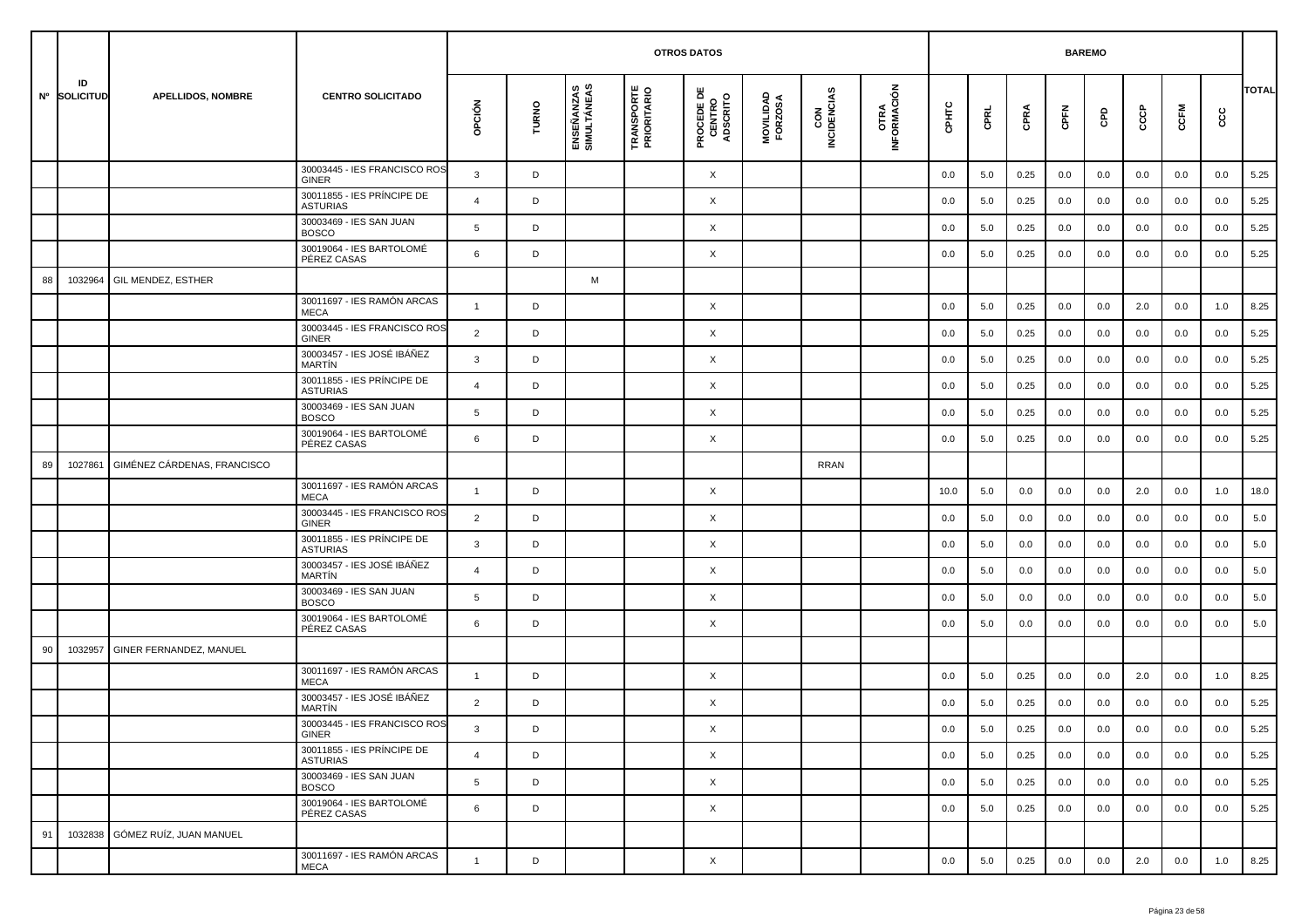|    |                    |                                |                                               |                |       |                           |                                  | <b>OTROS DATOS</b>                        |                      |                    |                     |         |         |      | <b>BAREMO</b> |         |     |         |      |              |
|----|--------------------|--------------------------------|-----------------------------------------------|----------------|-------|---------------------------|----------------------------------|-------------------------------------------|----------------------|--------------------|---------------------|---------|---------|------|---------------|---------|-----|---------|------|--------------|
|    | ID<br>Nº SOLICITUD | <b>APELLIDOS, NOMBRE</b>       | <b>CENTRO SOLICITADO</b>                      | opción         | TURNO | ENSEÑANZAS<br>SIMULTÁNEAS | <b>TRANSPORTE</b><br>PRIORITARIO | <b>PROCEDE DE<br/>CENTRO<br/>ADSCRITO</b> | MOVILIDAD<br>FORZOSA | CON<br>INCIDENCIAS | OTRA<br>INFORMACIÓN | CPHTC   | CPRL    | CPRA | CPFN          | GPD     | င်င | CCFM    | င္ပင | <b>TOTAL</b> |
|    |                    |                                | 30003445 - IES FRANCISCO ROS<br>GINER         | 3              | D     |                           |                                  | X                                         |                      |                    |                     | 0.0     | 5.0     | 0.25 | 0.0           | 0.0     | 0.0 | 0.0     | 0.0  | 5.25         |
|    |                    |                                | 30011855 - IES PRÍNCIPE DE<br><b>ASTURIAS</b> | $\overline{a}$ | D     |                           |                                  | X                                         |                      |                    |                     | 0.0     | 5.0     | 0.25 | 0.0           | 0.0     | 0.0 | 0.0     | 0.0  | 5.25         |
|    |                    |                                | 30003469 - IES SAN JUAN<br><b>BOSCO</b>       | 5              | D     |                           |                                  | X                                         |                      |                    |                     | 0.0     | 5.0     | 0.25 | 0.0           | 0.0     | 0.0 | 0.0     | 0.0  | 5.25         |
|    |                    |                                | 30019064 - IES BARTOLOMÉ<br>PÉREZ CASAS       | 6              | D     |                           |                                  | X                                         |                      |                    |                     | 0.0     | 5.0     | 0.25 | 0.0           | 0.0     | 0.0 | 0.0     | 0.0  | 5.25         |
| 88 | 1032964            | GIL MENDEZ, ESTHER             |                                               |                |       | M                         |                                  |                                           |                      |                    |                     |         |         |      |               |         |     |         |      |              |
|    |                    |                                | 30011697 - IES RAMÓN ARCAS<br><b>MECA</b>     | $\mathbf{1}$   | D     |                           |                                  | X                                         |                      |                    |                     | 0.0     | 5.0     | 0.25 | 0.0           | 0.0     | 2.0 | 0.0     | 1.0  | 8.25         |
|    |                    |                                | 30003445 - IES FRANCISCO ROS<br>GINER         | $\overline{2}$ | D     |                           |                                  | X                                         |                      |                    |                     | 0.0     | 5.0     | 0.25 | 0.0           | 0.0     | 0.0 | 0.0     | 0.0  | 5.25         |
|    |                    |                                | 30003457 - IES JOSÉ IBÁÑEZ<br><b>MARTIN</b>   | 3              | D     |                           |                                  | X                                         |                      |                    |                     | 0.0     | 5.0     | 0.25 | 0.0           | 0.0     | 0.0 | 0.0     | 0.0  | 5.25         |
|    |                    |                                | 30011855 - IES PRÍNCIPE DE<br><b>ASTURIAS</b> | 4              | D     |                           |                                  | X                                         |                      |                    |                     | 0.0     | 5.0     | 0.25 | 0.0           | 0.0     | 0.0 | 0.0     | 0.0  | 5.25         |
|    |                    |                                | 30003469 - IES SAN JUAN<br><b>BOSCO</b>       | 5              | D     |                           |                                  | X                                         |                      |                    |                     | 0.0     | 5.0     | 0.25 | 0.0           | 0.0     | 0.0 | 0.0     | 0.0  | 5.25         |
|    |                    |                                | 30019064 - IES BARTOLOMÉ<br>PÉREZ CASAS       | 6              | D     |                           |                                  | X                                         |                      |                    |                     | 0.0     | 5.0     | 0.25 | 0.0           | 0.0     | 0.0 | 0.0     | 0.0  | 5.25         |
| 89 | 1027861            | GIMÉNEZ CÁRDENAS, FRANCISCO    |                                               |                |       |                           |                                  |                                           |                      | <b>RRAN</b>        |                     |         |         |      |               |         |     |         |      |              |
|    |                    |                                | 30011697 - IES RAMÓN ARCAS<br><b>MECA</b>     | $\mathbf{1}$   | D     |                           |                                  | X                                         |                      |                    |                     | 10.0    | 5.0     | 0.0  | 0.0           | 0.0     | 2.0 | 0.0     | 1.0  | 18.0         |
|    |                    |                                | 30003445 - IES FRANCISCO ROS<br>GINER         | $\overline{2}$ | D     |                           |                                  | X                                         |                      |                    |                     | 0.0     | 5.0     | 0.0  | 0.0           | 0.0     | 0.0 | 0.0     | 0.0  | 5.0          |
|    |                    |                                | 30011855 - IES PRÍNCIPE DE<br><b>ASTURIAS</b> | 3              | D     |                           |                                  | X                                         |                      |                    |                     | 0.0     | 5.0     | 0.0  | 0.0           | 0.0     | 0.0 | 0.0     | 0.0  | 5.0          |
|    |                    |                                | 30003457 - IES JOSÉ IBÁÑEZ<br><b>MARTÍN</b>   | 4              | D     |                           |                                  | X                                         |                      |                    |                     | 0.0     | 5.0     | 0.0  | 0.0           | 0.0     | 0.0 | 0.0     | 0.0  | 5.0          |
|    |                    |                                | 30003469 - IES SAN JUAN<br><b>BOSCO</b>       | 5              | D     |                           |                                  | X                                         |                      |                    |                     | 0.0     | 5.0     | 0.0  | 0.0           | 0.0     | 0.0 | 0.0     | 0.0  | 5.0          |
|    |                    |                                | 30019064 - IES BARTOLOMÉ<br>PÉREZ CASAS       | 6              | D     |                           |                                  | X                                         |                      |                    |                     | 0.0     | 5.0     | 0.0  | 0.0           | 0.0     | 0.0 | 0.0     | 0.0  | 5.0          |
| 90 | 1032957            | <b>GINER FERNANDEZ, MANUEL</b> |                                               |                |       |                           |                                  |                                           |                      |                    |                     |         |         |      |               |         |     |         |      |              |
|    |                    |                                | 30011697 - IES RAMÓN ARCAS<br><b>MECA</b>     | $\mathbf{1}$   | D     |                           |                                  | X                                         |                      |                    |                     | 0.0     | 5.0     | 0.25 | 0.0           | 0.0     | 2.0 | 0.0     | 1.0  | 8.25         |
|    |                    |                                | 30003457 - IES JOSÉ IBÁÑEZ<br>MARTÍN          | $\overline{2}$ | D     |                           |                                  | X                                         |                      |                    |                     | 0.0     | 5.0     | 0.25 | 0.0           | 0.0     | 0.0 | 0.0     | 0.0  | 5.25         |
|    |                    |                                | 30003445 - IES FRANCISCO ROS<br>GINER         | 3              | D     |                           |                                  | X                                         |                      |                    |                     | $0.0\,$ | $5.0\,$ | 0.25 | $0.0\,$       | $0.0\,$ | 0.0 | $0.0\,$ | 0.0  | 5.25         |
|    |                    |                                | 30011855 - IES PRÍNCIPE DE<br><b>ASTURIAS</b> | $\overline{4}$ | D     |                           |                                  | $\times$                                  |                      |                    |                     | 0.0     | 5.0     | 0.25 | 0.0           | 0.0     | 0.0 | 0.0     | 0.0  | 5.25         |
|    |                    |                                | 30003469 - IES SAN JUAN<br><b>BOSCO</b>       | 5              | D     |                           |                                  | X                                         |                      |                    |                     | 0.0     | 5.0     | 0.25 | 0.0           | 0.0     | 0.0 | 0.0     | 0.0  | 5.25         |
|    |                    |                                | 30019064 - IES BARTOLOMÉ<br>PÉREZ CASAS       | 6              | D     |                           |                                  | X                                         |                      |                    |                     | 0.0     | 5.0     | 0.25 | 0.0           | 0.0     | 0.0 | 0.0     | 0.0  | 5.25         |
| 91 | 1032838            | GÓMEZ RUÍZ, JUAN MANUEL        |                                               |                |       |                           |                                  |                                           |                      |                    |                     |         |         |      |               |         |     |         |      |              |
|    |                    |                                | 30011697 - IES RAMÓN ARCAS<br>MECA            | $\mathbf{1}$   | D     |                           |                                  | $\times$                                  |                      |                    |                     | 0.0     | 5.0     | 0.25 | 0.0           | 0.0     | 2.0 | 0.0     | 1.0  | 8.25         |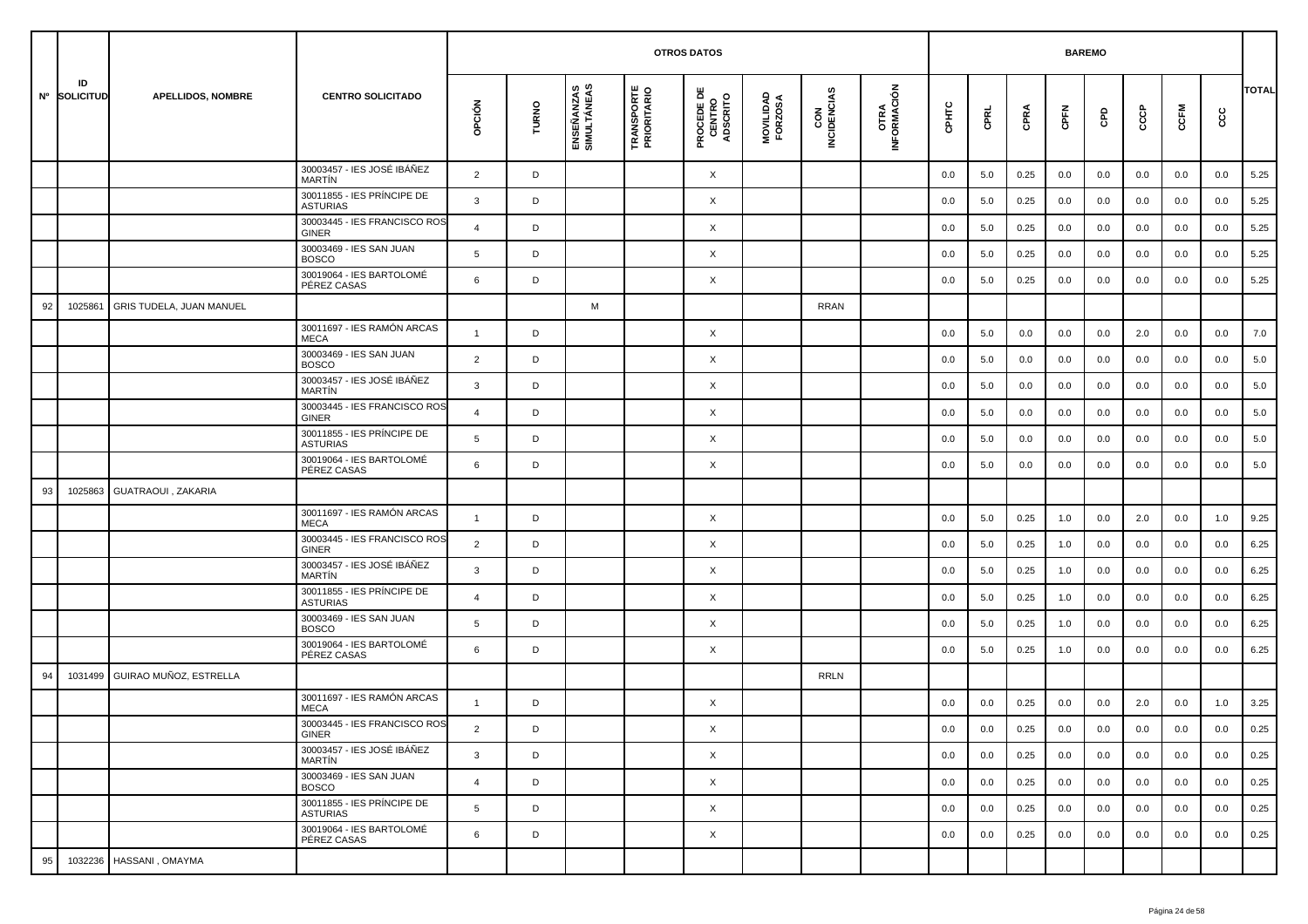|    |                    |                          |                                               |                |       |                           | <b>OTROS DATOS</b>               |                                           |                      |                    |                     |       | <b>BAREMO</b> |      |      |     |     |      |     |              |
|----|--------------------|--------------------------|-----------------------------------------------|----------------|-------|---------------------------|----------------------------------|-------------------------------------------|----------------------|--------------------|---------------------|-------|---------------|------|------|-----|-----|------|-----|--------------|
|    | ID<br>Nº SOLICITUD | <b>APELLIDOS, NOMBRE</b> | <b>CENTRO SOLICITADO</b>                      | opción         | TURNO | ENSEÑANZAS<br>SIMULTÁNEAS | <b>TRANSPORTE</b><br>PRIORITARIO | <b>PROCEDE DE<br/>CENTRO<br/>ADSCRITO</b> | MOVILIDAD<br>FORZOSA | CON<br>INCIDENCIAS | OTRA<br>INFORMACIÓN | срнтс | CPRL          | CPRA | CPFN | GPD | င်င | CCFM | cc  | <b>TOTAL</b> |
|    |                    |                          | 30003457 - IES JOSÉ IBÁÑEZ<br><b>MARTIN</b>   | $\overline{2}$ | D     |                           |                                  | X                                         |                      |                    |                     | 0.0   | 5.0           | 0.25 | 0.0  | 0.0 | 0.0 | 0.0  | 0.0 | 5.25         |
|    |                    |                          | 30011855 - IES PRÍNCIPE DE<br><b>ASTURIAS</b> | 3              | D     |                           |                                  | X                                         |                      |                    |                     | 0.0   | 5.0           | 0.25 | 0.0  | 0.0 | 0.0 | 0.0  | 0.0 | 5.25         |
|    |                    |                          | 30003445 - IES FRANCISCO ROS<br><b>GINER</b>  | $\overline{4}$ | D     |                           |                                  | X                                         |                      |                    |                     | 0.0   | 5.0           | 0.25 | 0.0  | 0.0 | 0.0 | 0.0  | 0.0 | 5.25         |
|    |                    |                          | 30003469 - IES SAN JUAN<br><b>BOSCO</b>       | 5              | D     |                           |                                  | X                                         |                      |                    |                     | 0.0   | 5.0           | 0.25 | 0.0  | 0.0 | 0.0 | 0.0  | 0.0 | 5.25         |
|    |                    |                          | 30019064 - IES BARTOLOMÉ<br>PÉREZ CASAS       | 6              | D     |                           |                                  | X                                         |                      |                    |                     | 0.0   | 5.0           | 0.25 | 0.0  | 0.0 | 0.0 | 0.0  | 0.0 | 5.25         |
| 92 | 1025861            | GRIS TUDELA, JUAN MANUEL |                                               |                |       | M                         |                                  |                                           |                      | <b>RRAN</b>        |                     |       |               |      |      |     |     |      |     |              |
|    |                    |                          | 30011697 - IES RAMÓN ARCAS<br><b>MECA</b>     | $\overline{1}$ | D     |                           |                                  | X                                         |                      |                    |                     | 0.0   | 5.0           | 0.0  | 0.0  | 0.0 | 2.0 | 0.0  | 0.0 | 7.0          |
|    |                    |                          | 30003469 - IES SAN JUAN<br><b>BOSCO</b>       | $\overline{2}$ | D     |                           |                                  | X                                         |                      |                    |                     | 0.0   | 5.0           | 0.0  | 0.0  | 0.0 | 0.0 | 0.0  | 0.0 | 5.0          |
|    |                    |                          | 30003457 - IES JOSÉ IBÁÑEZ<br><b>MARTIN</b>   | 3              | D     |                           |                                  | X                                         |                      |                    |                     | 0.0   | 5.0           | 0.0  | 0.0  | 0.0 | 0.0 | 0.0  | 0.0 | 5.0          |
|    |                    |                          | 30003445 - IES FRANCISCO ROS<br><b>GINER</b>  | $\overline{4}$ | D     |                           |                                  | X                                         |                      |                    |                     | 0.0   | 5.0           | 0.0  | 0.0  | 0.0 | 0.0 | 0.0  | 0.0 | 5.0          |
|    |                    |                          | 30011855 - IES PRÍNCIPE DE<br><b>ASTURIAS</b> | 5              | D     |                           |                                  | X                                         |                      |                    |                     | 0.0   | 5.0           | 0.0  | 0.0  | 0.0 | 0.0 | 0.0  | 0.0 | 5.0          |
|    |                    |                          | 30019064 - IES BARTOLOMÉ<br>PÉREZ CASAS       | 6              | D     |                           |                                  | X                                         |                      |                    |                     | 0.0   | 5.0           | 0.0  | 0.0  | 0.0 | 0.0 | 0.0  | 0.0 | 5.0          |
| 93 | 1025863            | GUATRAOUI, ZAKARIA       |                                               |                |       |                           |                                  |                                           |                      |                    |                     |       |               |      |      |     |     |      |     |              |
|    |                    |                          | 30011697 - IES RAMÓN ARCAS<br><b>MECA</b>     | $\mathbf{1}$   | D     |                           |                                  | X                                         |                      |                    |                     | 0.0   | 5.0           | 0.25 | 1.0  | 0.0 | 2.0 | 0.0  | 1.0 | 9.25         |
|    |                    |                          | 30003445 - IES FRANCISCO ROS<br><b>GINER</b>  | $\overline{2}$ | D     |                           |                                  | X                                         |                      |                    |                     | 0.0   | 5.0           | 0.25 | 1.0  | 0.0 | 0.0 | 0.0  | 0.0 | 6.25         |
|    |                    |                          | 30003457 - IES JOSÉ IBÁÑEZ<br><b>MARTIN</b>   | 3              | D     |                           |                                  | X                                         |                      |                    |                     | 0.0   | 5.0           | 0.25 | 1.0  | 0.0 | 0.0 | 0.0  | 0.0 | 6.25         |
|    |                    |                          | 30011855 - IES PRÍNCIPE DE<br><b>ASTURIAS</b> | $\overline{4}$ | D     |                           |                                  | X                                         |                      |                    |                     | 0.0   | 5.0           | 0.25 | 1.0  | 0.0 | 0.0 | 0.0  | 0.0 | 6.25         |
|    |                    |                          | 30003469 - IES SAN JUAN<br><b>BOSCO</b>       | 5              | D     |                           |                                  | X                                         |                      |                    |                     | 0.0   | 5.0           | 0.25 | 1.0  | 0.0 | 0.0 | 0.0  | 0.0 | 6.25         |
|    |                    |                          | 30019064 - IES BARTOLOMÉ<br>PÉREZ CASAS       | 6              | D     |                           |                                  | X                                         |                      |                    |                     | 0.0   | 5.0           | 0.25 | 1.0  | 0.0 | 0.0 | 0.0  | 0.0 | 6.25         |
| 94 | 1031499            | GUIRAO MUÑOZ, ESTRELLA   |                                               |                |       |                           |                                  |                                           |                      | <b>RRLN</b>        |                     |       |               |      |      |     |     |      |     |              |
|    |                    |                          | 30011697 - IES RAMÓN ARCAS<br><b>MECA</b>     | $\overline{1}$ | D     |                           |                                  | X                                         |                      |                    |                     | 0.0   | 0.0           | 0.25 | 0.0  | 0.0 | 2.0 | 0.0  | 1.0 | 3.25         |
|    |                    |                          | 30003445 - IES FRANCISCO ROS<br>GINER         | $\overline{2}$ | D     |                           |                                  | Χ                                         |                      |                    |                     | 0.0   | 0.0           | 0.25 | 0.0  | 0.0 | 0.0 | 0.0  | 0.0 | 0.25         |
|    |                    |                          | 30003457 - IES JOSÉ IBÁÑEZ<br>MARTÍN          | 3              | D     |                           |                                  | $\times$                                  |                      |                    |                     | 0.0   | 0.0           | 0.25 | 0.0  | 0.0 | 0.0 | 0.0  | 0.0 | 0.25         |
|    |                    |                          | 30003469 - IES SAN JUAN<br><b>BOSCO</b>       | $\overline{4}$ | D     |                           |                                  | $\times$                                  |                      |                    |                     | 0.0   | 0.0           | 0.25 | 0.0  | 0.0 | 0.0 | 0.0  | 0.0 | 0.25         |
|    |                    |                          | 30011855 - IES PRÍNCIPE DE<br><b>ASTURIAS</b> | 5              | D     |                           |                                  | X                                         |                      |                    |                     | 0.0   | 0.0           | 0.25 | 0.0  | 0.0 | 0.0 | 0.0  | 0.0 | 0.25         |
|    |                    |                          | 30019064 - IES BARTOLOMÉ<br>PÉREZ CASAS       | 6              | D     |                           |                                  | $\times$                                  |                      |                    |                     | 0.0   | 0.0           | 0.25 | 0.0  | 0.0 | 0.0 | 0.0  | 0.0 | 0.25         |
| 95 |                    | 1032236 HASSANI, OMAYMA  |                                               |                |       |                           |                                  |                                           |                      |                    |                     |       |               |      |      |     |     |      |     |              |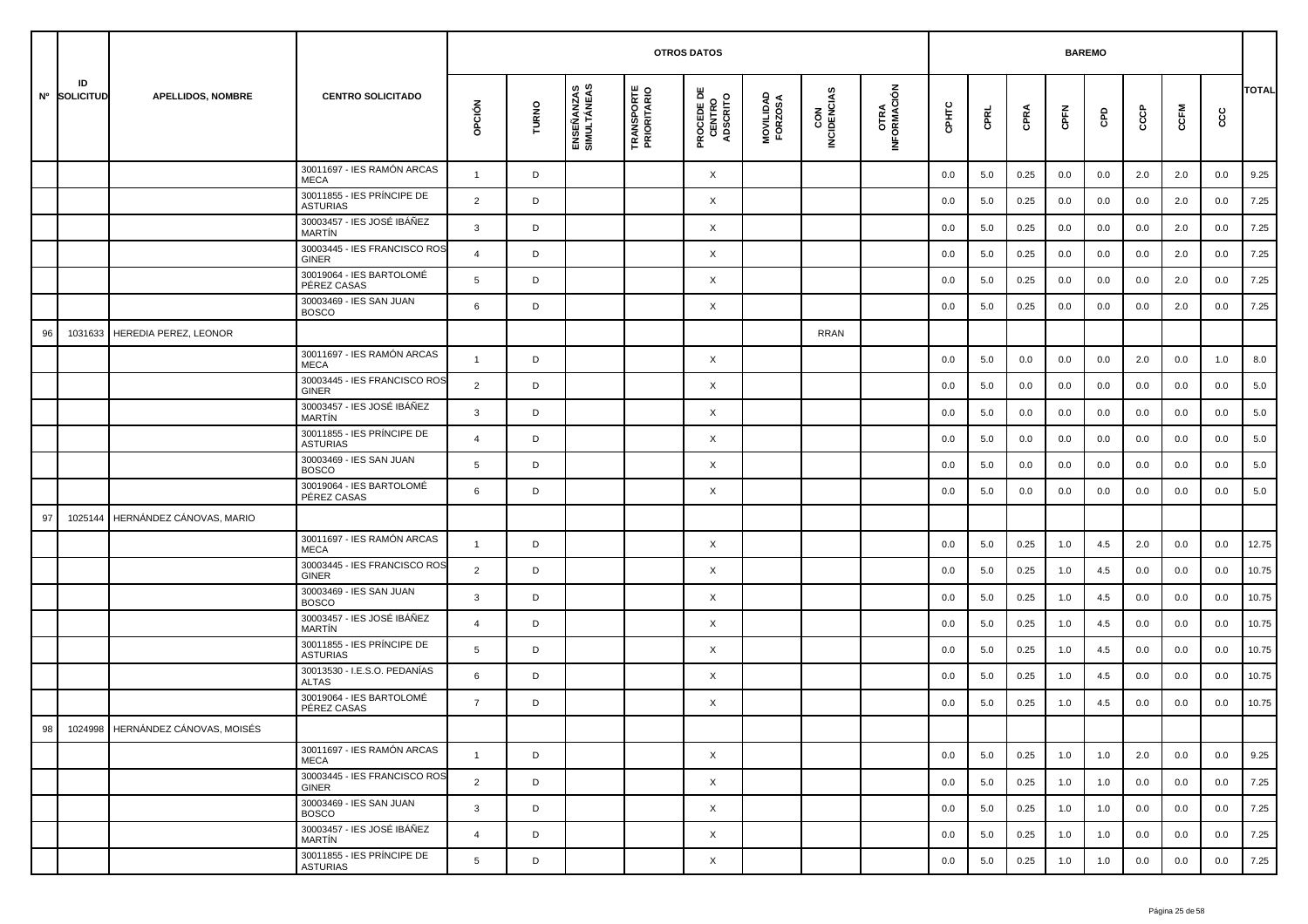|    |                    |                                   |                                               |                |       |                           | <b>OTROS DATOS</b>               |                                           |                      |                    |                     |       | <b>BAREMO</b> |      |      |     |     |      |     |              |
|----|--------------------|-----------------------------------|-----------------------------------------------|----------------|-------|---------------------------|----------------------------------|-------------------------------------------|----------------------|--------------------|---------------------|-------|---------------|------|------|-----|-----|------|-----|--------------|
|    | ID<br>Nº SOLICITUD | <b>APELLIDOS, NOMBRE</b>          | <b>CENTRO SOLICITADO</b>                      | opción         | TURNO | ENSEÑANZAS<br>SIMULTÁNEAS | <b>TRANSPORTE</b><br>PRIORITARIO | <b>PROCEDE DE<br/>CENTRO<br/>ADSCRITO</b> | MOVILIDAD<br>FORZOSA | CON<br>INCIDENCIAS | OTRA<br>INFORMACIÓN | CPHTC | CPRL          | CPRA | CPFN | GPD | င်င | CCFM | cc  | <b>TOTAL</b> |
|    |                    |                                   | 30011697 - IES RAMÓN ARCAS<br><b>MECA</b>     | $\mathbf{1}$   | D     |                           |                                  | X                                         |                      |                    |                     | 0.0   | 5.0           | 0.25 | 0.0  | 0.0 | 2.0 | 2.0  | 0.0 | 9.25         |
|    |                    |                                   | 30011855 - IES PRÍNCIPE DE<br><b>ASTURIAS</b> | 2              | D     |                           |                                  | X                                         |                      |                    |                     | 0.0   | 5.0           | 0.25 | 0.0  | 0.0 | 0.0 | 2.0  | 0.0 | 7.25         |
|    |                    |                                   | 30003457 - IES JOSÉ IBÁÑEZ<br><b>MARTIN</b>   | 3              | D     |                           |                                  | X                                         |                      |                    |                     | 0.0   | 5.0           | 0.25 | 0.0  | 0.0 | 0.0 | 2.0  | 0.0 | 7.25         |
|    |                    |                                   | 30003445 - IES FRANCISCO ROS<br><b>GINER</b>  | $\overline{4}$ | D     |                           |                                  | X                                         |                      |                    |                     | 0.0   | 5.0           | 0.25 | 0.0  | 0.0 | 0.0 | 2.0  | 0.0 | 7.25         |
|    |                    |                                   | 30019064 - IES BARTOLOMÉ<br>PÉREZ CASAS       | 5              | D     |                           |                                  | X                                         |                      |                    |                     | 0.0   | 5.0           | 0.25 | 0.0  | 0.0 | 0.0 | 2.0  | 0.0 | 7.25         |
|    |                    |                                   | 30003469 - IES SAN JUAN<br><b>BOSCO</b>       | 6              | D     |                           |                                  | X                                         |                      |                    |                     | 0.0   | 5.0           | 0.25 | 0.0  | 0.0 | 0.0 | 2.0  | 0.0 | 7.25         |
| 96 | 1031633            | HEREDIA PEREZ, LEONOR             |                                               |                |       |                           |                                  |                                           |                      | RRAN               |                     |       |               |      |      |     |     |      |     |              |
|    |                    |                                   | 30011697 - IES RAMÓN ARCAS<br><b>MECA</b>     | $\mathbf{1}$   | D     |                           |                                  | X                                         |                      |                    |                     | 0.0   | 5.0           | 0.0  | 0.0  | 0.0 | 2.0 | 0.0  | 1.0 | 8.0          |
|    |                    |                                   | 30003445 - IES FRANCISCO ROS<br><b>GINER</b>  | 2              | D     |                           |                                  | X                                         |                      |                    |                     | 0.0   | 5.0           | 0.0  | 0.0  | 0.0 | 0.0 | 0.0  | 0.0 | 5.0          |
|    |                    |                                   | 30003457 - IES JOSÉ IBÁÑEZ<br><b>MARTIN</b>   | $\mathbf{3}$   | D     |                           |                                  | X                                         |                      |                    |                     | 0.0   | 5.0           | 0.0  | 0.0  | 0.0 | 0.0 | 0.0  | 0.0 | 5.0          |
|    |                    |                                   | 30011855 - IES PRÍNCIPE DE<br><b>ASTURIAS</b> | $\overline{4}$ | D     |                           |                                  | X                                         |                      |                    |                     | 0.0   | 5.0           | 0.0  | 0.0  | 0.0 | 0.0 | 0.0  | 0.0 | 5.0          |
|    |                    |                                   | 30003469 - IES SAN JUAN<br><b>BOSCO</b>       | 5              | D     |                           |                                  | X                                         |                      |                    |                     | 0.0   | 5.0           | 0.0  | 0.0  | 0.0 | 0.0 | 0.0  | 0.0 | 5.0          |
|    |                    |                                   | 30019064 - IES BARTOLOMÉ<br>PÉREZ CASAS       | 6              | D     |                           |                                  | X                                         |                      |                    |                     | 0.0   | 5.0           | 0.0  | 0.0  | 0.0 | 0.0 | 0.0  | 0.0 | 5.0          |
| 97 | 1025144            | HERNÁNDEZ CÁNOVAS, MARIO          |                                               |                |       |                           |                                  |                                           |                      |                    |                     |       |               |      |      |     |     |      |     |              |
|    |                    |                                   | 30011697 - IES RAMÓN ARCAS<br><b>MECA</b>     | $\overline{1}$ | D     |                           |                                  | X                                         |                      |                    |                     | 0.0   | 5.0           | 0.25 | 1.0  | 4.5 | 2.0 | 0.0  | 0.0 | 12.75        |
|    |                    |                                   | 30003445 - IES FRANCISCO ROS<br><b>GINER</b>  | 2              | D     |                           |                                  | X                                         |                      |                    |                     | 0.0   | 5.0           | 0.25 | 1.0  | 4.5 | 0.0 | 0.0  | 0.0 | 10.75        |
|    |                    |                                   | 30003469 - IES SAN JUAN<br><b>BOSCO</b>       | $\mathbf{3}$   | D     |                           |                                  | X                                         |                      |                    |                     | 0.0   | 5.0           | 0.25 | 1.0  | 4.5 | 0.0 | 0.0  | 0.0 | 10.75        |
|    |                    |                                   | 30003457 - IES JOSÉ IBÁÑEZ<br>MARTÍN          | $\overline{4}$ | D     |                           |                                  | X                                         |                      |                    |                     | 0.0   | 5.0           | 0.25 | 1.0  | 4.5 | 0.0 | 0.0  | 0.0 | 10.75        |
|    |                    |                                   | 30011855 - IES PRÍNCIPE DE<br><b>ASTURIAS</b> | 5              | D     |                           |                                  | X                                         |                      |                    |                     | 0.0   | 5.0           | 0.25 | 1.0  | 4.5 | 0.0 | 0.0  | 0.0 | 10.75        |
|    |                    |                                   | 30013530 - I.E.S.O. PEDANÍAS<br><b>ALTAS</b>  | 6              | D     |                           |                                  | X                                         |                      |                    |                     | 0.0   | 5.0           | 0.25 | 1.0  | 4.5 | 0.0 | 0.0  | 0.0 | 10.75        |
|    |                    |                                   | 30019064 - IES BARTOLOMÉ<br>PÉREZ CASAS       | $\overline{7}$ | D     |                           |                                  | X                                         |                      |                    |                     | 0.0   | 5.0           | 0.25 | 1.0  | 4.5 | 0.0 | 0.0  | 0.0 | 10.75        |
| 98 |                    | 1024998 HERNÁNDEZ CÁNOVAS, MOISÉS |                                               |                |       |                           |                                  |                                           |                      |                    |                     |       |               |      |      |     |     |      |     |              |
|    |                    |                                   | 30011697 - IES RAMÓN ARCAS<br>MECA            | $\overline{1}$ | D     |                           |                                  | X                                         |                      |                    |                     | 0.0   | 5.0           | 0.25 | 1.0  | 1.0 | 2.0 | 0.0  | 0.0 | 9.25         |
|    |                    |                                   | 30003445 - IES FRANCISCO ROS<br>GINER         | 2              | D     |                           |                                  | X                                         |                      |                    |                     | 0.0   | 5.0           | 0.25 | 1.0  | 1.0 | 0.0 | 0.0  | 0.0 | 7.25         |
|    |                    |                                   | 30003469 - IES SAN JUAN<br><b>BOSCO</b>       | $\mathbf{3}$   | D     |                           |                                  | X                                         |                      |                    |                     | 0.0   | 5.0           | 0.25 | 1.0  | 1.0 | 0.0 | 0.0  | 0.0 | 7.25         |
|    |                    |                                   | 30003457 - IES JOSÉ IBÁÑEZ<br>MARTÍN          | $\overline{4}$ | D     |                           |                                  | X                                         |                      |                    |                     | 0.0   | 5.0           | 0.25 | 1.0  | 1.0 | 0.0 | 0.0  | 0.0 | 7.25         |
|    |                    |                                   | 30011855 - IES PRÍNCIPE DE<br><b>ASTURIAS</b> | 5              | D     |                           |                                  | X                                         |                      |                    |                     | 0.0   | 5.0           | 0.25 | 1.0  | 1.0 | 0.0 | 0.0  | 0.0 | 7.25         |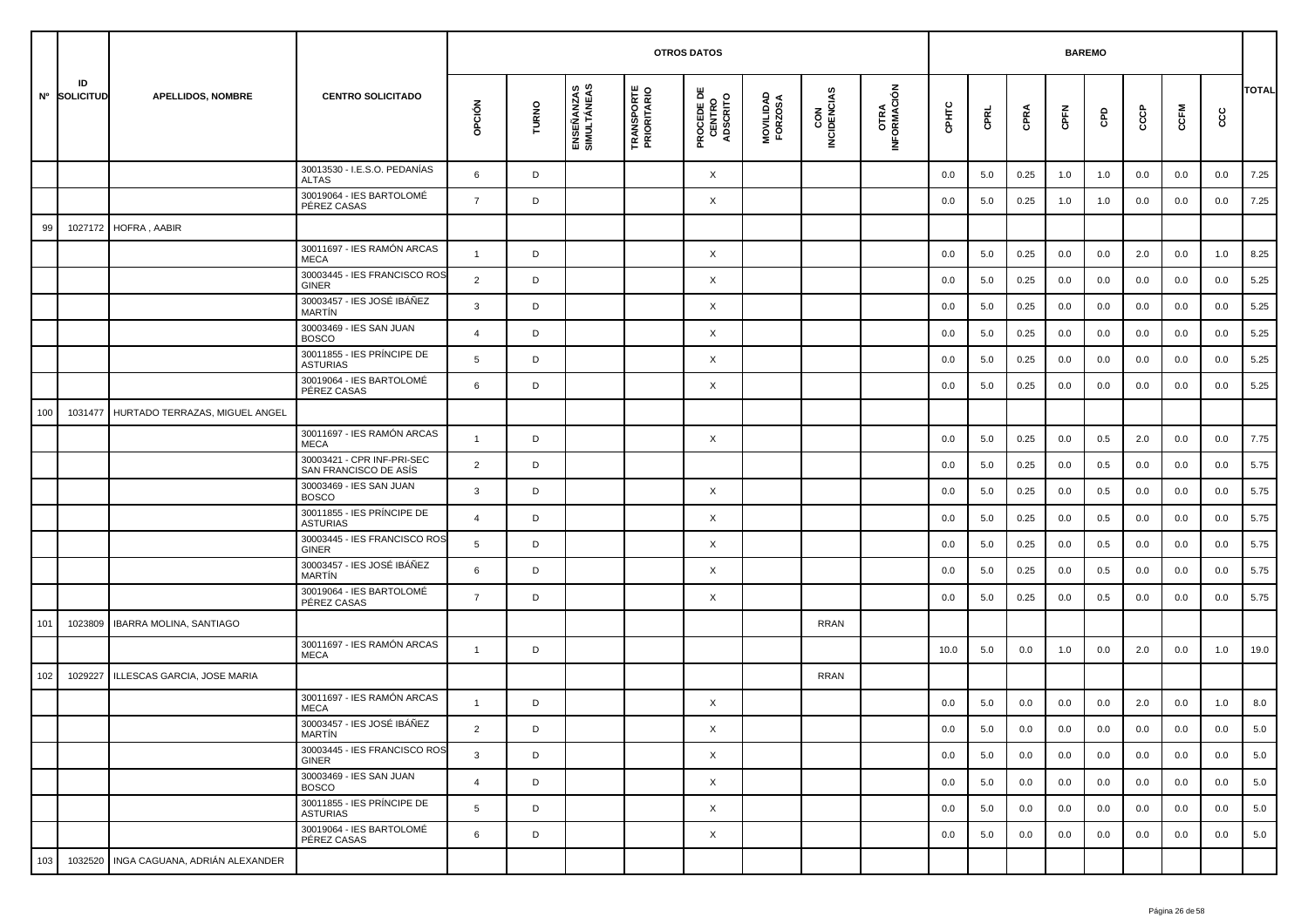|     |                    |                                        |                                                     |                |       |                           | <b>OTROS DATOS</b>               |                                           |                      |                    |                     |         | <b>BAREMO</b> |      |      |     |     |      |     |              |
|-----|--------------------|----------------------------------------|-----------------------------------------------------|----------------|-------|---------------------------|----------------------------------|-------------------------------------------|----------------------|--------------------|---------------------|---------|---------------|------|------|-----|-----|------|-----|--------------|
|     | ID<br>Nº SOLICITUD | <b>APELLIDOS, NOMBRE</b>               | <b>CENTRO SOLICITADO</b>                            | opción         | TURNO | ENSEÑANZAS<br>SIMULTÁNEAS | <b>TRANSPORTE</b><br>PRIORITARIO | <b>PROCEDE DE<br/>CENTRO<br/>ADSCRITO</b> | MOVILIDAD<br>FORZOSA | CON<br>INCIDENCIAS | OTRA<br>INFORMACIÓN | CPHTC   | CPRL          | CPRA | CPFN | GPD | င်င | CCFM | cc  | <b>TOTAL</b> |
|     |                    |                                        | 30013530 - I.E.S.O. PEDANÍAS<br><b>ALTAS</b>        | 6              | D     |                           |                                  | X                                         |                      |                    |                     | 0.0     | 5.0           | 0.25 | 1.0  | 1.0 | 0.0 | 0.0  | 0.0 | 7.25         |
|     |                    |                                        | 30019064 - IES BARTOLOMÉ<br>PÉREZ CASAS             | $\overline{7}$ | D     |                           |                                  | X                                         |                      |                    |                     | 0.0     | 5.0           | 0.25 | 1.0  | 1.0 | 0.0 | 0.0  | 0.0 | 7.25         |
| 99  | 1027172            | HOFRA, AABIR                           |                                                     |                |       |                           |                                  |                                           |                      |                    |                     |         |               |      |      |     |     |      |     |              |
|     |                    |                                        | 30011697 - IES RAMÓN ARCAS<br><b>MECA</b>           | $\mathbf{1}$   | D     |                           |                                  | X                                         |                      |                    |                     | 0.0     | 5.0           | 0.25 | 0.0  | 0.0 | 2.0 | 0.0  | 1.0 | 8.25         |
|     |                    |                                        | 30003445 - IES FRANCISCO ROS<br><b>GINER</b>        | $\overline{2}$ | D     |                           |                                  | X                                         |                      |                    |                     | 0.0     | 5.0           | 0.25 | 0.0  | 0.0 | 0.0 | 0.0  | 0.0 | 5.25         |
|     |                    |                                        | 30003457 - IES JOSÉ IBÁÑEZ<br><b>MARTIN</b>         | 3              | D     |                           |                                  | X                                         |                      |                    |                     | 0.0     | 5.0           | 0.25 | 0.0  | 0.0 | 0.0 | 0.0  | 0.0 | 5.25         |
|     |                    |                                        | 30003469 - IES SAN JUAN<br><b>BOSCO</b>             | $\overline{4}$ | D     |                           |                                  | X                                         |                      |                    |                     | 0.0     | 5.0           | 0.25 | 0.0  | 0.0 | 0.0 | 0.0  | 0.0 | 5.25         |
|     |                    |                                        | 30011855 - IES PRÍNCIPE DE<br><b>ASTURIAS</b>       | 5              | D     |                           |                                  | X                                         |                      |                    |                     | 0.0     | 5.0           | 0.25 | 0.0  | 0.0 | 0.0 | 0.0  | 0.0 | 5.25         |
|     |                    |                                        | 30019064 - IES BARTOLOMÉ<br>PÉREZ CASAS             | 6              | D     |                           |                                  | X                                         |                      |                    |                     | 0.0     | 5.0           | 0.25 | 0.0  | 0.0 | 0.0 | 0.0  | 0.0 | 5.25         |
| 100 | 1031477            | HURTADO TERRAZAS, MIGUEL ANGEL         |                                                     |                |       |                           |                                  |                                           |                      |                    |                     |         |               |      |      |     |     |      |     |              |
|     |                    |                                        | 30011697 - IES RAMÓN ARCAS<br><b>MECA</b>           | $\overline{1}$ | D     |                           |                                  | X                                         |                      |                    |                     | 0.0     | 5.0           | 0.25 | 0.0  | 0.5 | 2.0 | 0.0  | 0.0 | 7.75         |
|     |                    |                                        | 30003421 - CPR INF-PRI-SEC<br>SAN FRANCISCO DE ASÍS | $\overline{2}$ | D     |                           |                                  |                                           |                      |                    |                     | 0.0     | 5.0           | 0.25 | 0.0  | 0.5 | 0.0 | 0.0  | 0.0 | 5.75         |
|     |                    |                                        | 30003469 - IES SAN JUAN<br><b>BOSCO</b>             | $\mathbf{3}$   | D     |                           |                                  | X                                         |                      |                    |                     | 0.0     | 5.0           | 0.25 | 0.0  | 0.5 | 0.0 | 0.0  | 0.0 | 5.75         |
|     |                    |                                        | 30011855 - IES PRÍNCIPE DE<br><b>ASTURIAS</b>       | $\overline{a}$ | D     |                           |                                  | X                                         |                      |                    |                     | 0.0     | 5.0           | 0.25 | 0.0  | 0.5 | 0.0 | 0.0  | 0.0 | 5.75         |
|     |                    |                                        | 30003445 - IES FRANCISCO ROS<br><b>GINER</b>        | 5              | D     |                           |                                  | X                                         |                      |                    |                     | 0.0     | 5.0           | 0.25 | 0.0  | 0.5 | 0.0 | 0.0  | 0.0 | 5.75         |
|     |                    |                                        | 30003457 - IES JOSÉ IBÁÑEZ<br><b>MARTIN</b>         | 6              | D     |                           |                                  | X                                         |                      |                    |                     | 0.0     | 5.0           | 0.25 | 0.0  | 0.5 | 0.0 | 0.0  | 0.0 | 5.75         |
|     |                    |                                        | 30019064 - IES BARTOLOMÉ<br>PÉREZ CASAS             | $\overline{7}$ | D     |                           |                                  | X                                         |                      |                    |                     | 0.0     | 5.0           | 0.25 | 0.0  | 0.5 | 0.0 | 0.0  | 0.0 | 5.75         |
| 101 | 1023809            | <b>IBARRA MOLINA, SANTIAGO</b>         |                                                     |                |       |                           |                                  |                                           |                      | <b>RRAN</b>        |                     |         |               |      |      |     |     |      |     |              |
|     |                    |                                        | 30011697 - IES RAMÓN ARCAS<br><b>MECA</b>           | $\mathbf{1}$   | D     |                           |                                  |                                           |                      |                    |                     | 10.0    | 5.0           | 0.0  | 1.0  | 0.0 | 2.0 | 0.0  | 1.0 | 19.0         |
| 102 | 1029227            | ILLESCAS GARCIA, JOSE MARIA            |                                                     |                |       |                           |                                  |                                           |                      | <b>RRAN</b>        |                     |         |               |      |      |     |     |      |     |              |
|     |                    |                                        | 30011697 - IES RAMÓN ARCAS<br><b>MECA</b>           | $\overline{1}$ | D     |                           |                                  | X                                         |                      |                    |                     | 0.0     | 5.0           | 0.0  | 0.0  | 0.0 | 2.0 | 0.0  | 1.0 | 8.0          |
|     |                    |                                        | 30003457 - IES JOSÉ IBÁÑEZ<br>MARTÍN                | 2              | D     |                           |                                  | X                                         |                      |                    |                     | $0.0\,$ | 5.0           | 0.0  | 0.0  | 0.0 | 0.0 | 0.0  | 0.0 | $5.0\,$      |
|     |                    |                                        | 30003445 - IES FRANCISCO ROS<br>GINER               | $\mathbf{3}$   | D     |                           |                                  | $\times$                                  |                      |                    |                     | 0.0     | 5.0           | 0.0  | 0.0  | 0.0 | 0.0 | 0.0  | 0.0 | 5.0          |
|     |                    |                                        | 30003469 - IES SAN JUAN<br><b>BOSCO</b>             | $\overline{4}$ | D     |                           |                                  | $\times$                                  |                      |                    |                     | 0.0     | 5.0           | 0.0  | 0.0  | 0.0 | 0.0 | 0.0  | 0.0 | 5.0          |
|     |                    |                                        | 30011855 - IES PRÍNCIPE DE<br><b>ASTURIAS</b>       | 5              | D     |                           |                                  | X                                         |                      |                    |                     | 0.0     | 5.0           | 0.0  | 0.0  | 0.0 | 0.0 | 0.0  | 0.0 | 5.0          |
|     |                    |                                        | 30019064 - IES BARTOLOMÉ<br>PÉREZ CASAS             | 6              | D     |                           |                                  | X                                         |                      |                    |                     | 0.0     | 5.0           | 0.0  | 0.0  | 0.0 | 0.0 | 0.0  | 0.0 | 5.0          |
| 103 |                    | 1032520 INGA CAGUANA, ADRIÁN ALEXANDER |                                                     |                |       |                           |                                  |                                           |                      |                    |                     |         |               |      |      |     |     |      |     |              |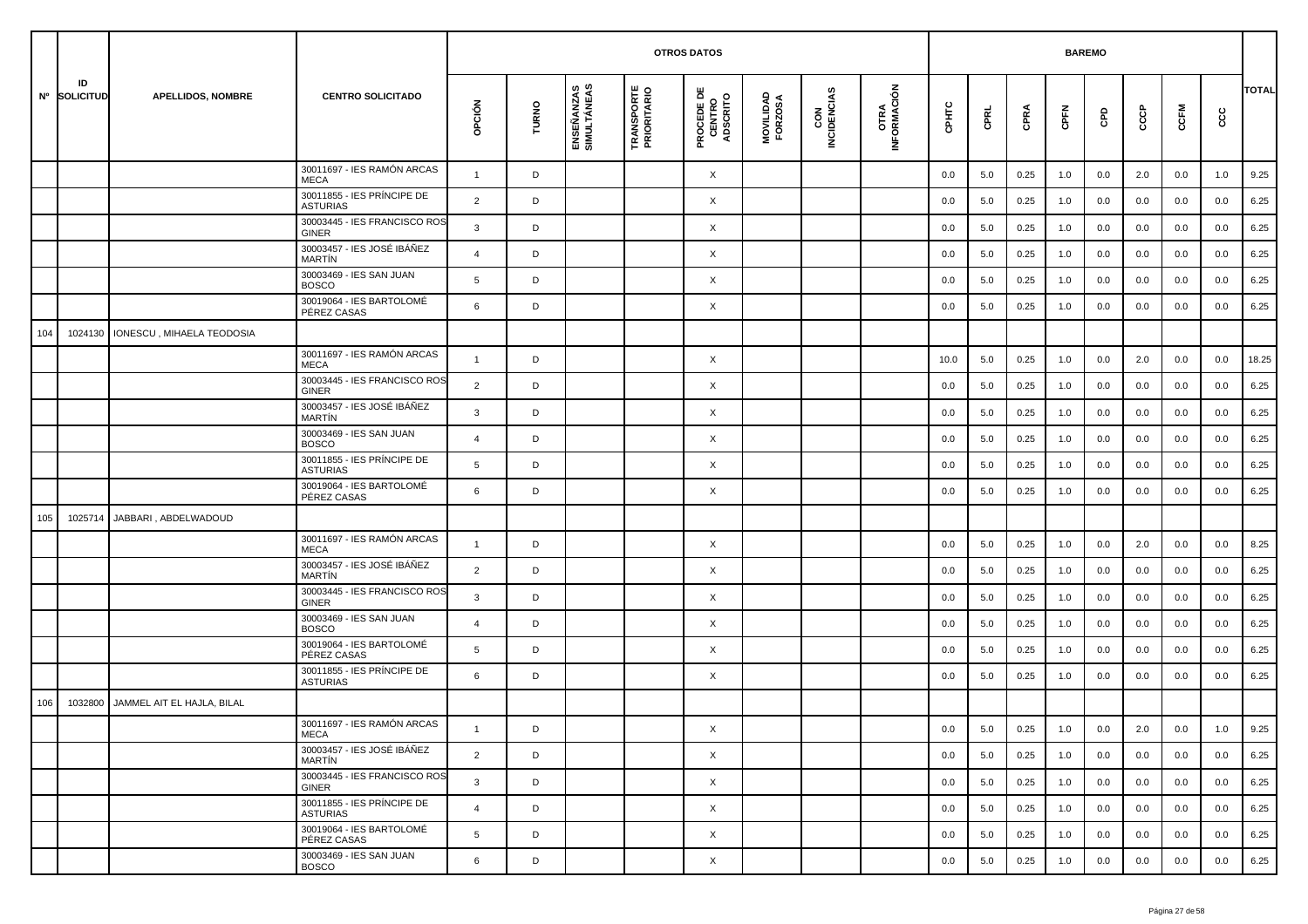|     |                    |                            |                                               |                 |       |                           |                                  | <b>OTROS DATOS</b>                        |                      |                    |                     |       |      |      | <b>BAREMO</b> |     |     |      |         |              |
|-----|--------------------|----------------------------|-----------------------------------------------|-----------------|-------|---------------------------|----------------------------------|-------------------------------------------|----------------------|--------------------|---------------------|-------|------|------|---------------|-----|-----|------|---------|--------------|
|     | ID<br>Nº SOLICITUD | <b>APELLIDOS, NOMBRE</b>   | <b>CENTRO SOLICITADO</b>                      | OPCIÓN          | TURNO | ENSEÑANZAS<br>SIMULTÁNEAS | <b>TRANSPORTE</b><br>PRIORITARIO | <b>PROCEDE DE<br/>CENTRO<br/>ADSCRITO</b> | MOVILIDAD<br>FORZOSA | CON<br>INCIDENCIAS | OTRA<br>INFORMACIÓN | CPHTC | CPRL | CPRA | CPFN          | GPD | ငင  | CCFM | င္ပင    | <b>TOTAL</b> |
|     |                    |                            | 30011697 - IES RAMÓN ARCAS<br><b>MECA</b>     | $\mathbf{1}$    | D     |                           |                                  | X                                         |                      |                    |                     | 0.0   | 5.0  | 0.25 | 1.0           | 0.0 | 2.0 | 0.0  | 1.0     | 9.25         |
|     |                    |                            | 30011855 - IES PRÍNCIPE DE<br><b>ASTURIAS</b> | 2               | D     |                           |                                  | X                                         |                      |                    |                     | 0.0   | 5.0  | 0.25 | 1.0           | 0.0 | 0.0 | 0.0  | 0.0     | 6.25         |
|     |                    |                            | 30003445 - IES FRANCISCO ROS<br><b>GINER</b>  | 3               | D     |                           |                                  | Χ                                         |                      |                    |                     | 0.0   | 5.0  | 0.25 | 1.0           | 0.0 | 0.0 | 0.0  | 0.0     | 6.25         |
|     |                    |                            | 30003457 - IES JOSÉ IBÁÑEZ<br>MARTÍN          | $\overline{4}$  | D     |                           |                                  | X                                         |                      |                    |                     | 0.0   | 5.0  | 0.25 | 1.0           | 0.0 | 0.0 | 0.0  | 0.0     | 6.25         |
|     |                    |                            | 30003469 - IES SAN JUAN<br><b>BOSCO</b>       | 5               | D     |                           |                                  | Χ                                         |                      |                    |                     | 0.0   | 5.0  | 0.25 | 1.0           | 0.0 | 0.0 | 0.0  | 0.0     | 6.25         |
|     |                    |                            | 30019064 - IES BARTOLOMÉ<br>PÉREZ CASAS       | 6               | D     |                           |                                  | Χ                                         |                      |                    |                     | 0.0   | 5.0  | 0.25 | 1.0           | 0.0 | 0.0 | 0.0  | 0.0     | 6.25         |
| 104 | 1024130            | IONESCU, MIHAELA TEODOSIA  |                                               |                 |       |                           |                                  |                                           |                      |                    |                     |       |      |      |               |     |     |      |         |              |
|     |                    |                            | 30011697 - IES RAMÓN ARCAS<br><b>MECA</b>     | $\overline{1}$  | D     |                           |                                  | Χ                                         |                      |                    |                     | 10.0  | 5.0  | 0.25 | 1.0           | 0.0 | 2.0 | 0.0  | 0.0     | 18.25        |
|     |                    |                            | 30003445 - IES FRANCISCO ROS<br><b>GINER</b>  | $\overline{2}$  | D     |                           |                                  | Χ                                         |                      |                    |                     | 0.0   | 5.0  | 0.25 | 1.0           | 0.0 | 0.0 | 0.0  | 0.0     | 6.25         |
|     |                    |                            | 30003457 - IES JOSÉ IBÁÑEZ<br>MARTÍN          | 3               | D     |                           |                                  | X                                         |                      |                    |                     | 0.0   | 5.0  | 0.25 | 1.0           | 0.0 | 0.0 | 0.0  | 0.0     | 6.25         |
|     |                    |                            | 30003469 - IES SAN JUAN<br><b>BOSCO</b>       | $\overline{4}$  | D     |                           |                                  | Χ                                         |                      |                    |                     | 0.0   | 5.0  | 0.25 | 1.0           | 0.0 | 0.0 | 0.0  | 0.0     | 6.25         |
|     |                    |                            | 30011855 - IES PRÍNCIPE DE<br><b>ASTURIAS</b> | $5\overline{5}$ | D     |                           |                                  | Χ                                         |                      |                    |                     | 0.0   | 5.0  | 0.25 | 1.0           | 0.0 | 0.0 | 0.0  | 0.0     | 6.25         |
|     |                    |                            | 30019064 - IES BARTOLOMÉ<br>PÉREZ CASAS       | 6               | D     |                           |                                  | Χ                                         |                      |                    |                     | 0.0   | 5.0  | 0.25 | 1.0           | 0.0 | 0.0 | 0.0  | 0.0     | 6.25         |
| 105 | 1025714            | JABBARI, ABDELWADOUD       |                                               |                 |       |                           |                                  |                                           |                      |                    |                     |       |      |      |               |     |     |      |         |              |
|     |                    |                            | 30011697 - IES RAMÓN ARCAS<br><b>MECA</b>     | $\mathbf{1}$    | D     |                           |                                  | Χ                                         |                      |                    |                     | 0.0   | 5.0  | 0.25 | 1.0           | 0.0 | 2.0 | 0.0  | 0.0     | 8.25         |
|     |                    |                            | 30003457 - IES JOSÉ IBÁÑEZ<br><b>MARTIN</b>   | $\overline{2}$  | D     |                           |                                  | Χ                                         |                      |                    |                     | 0.0   | 5.0  | 0.25 | 1.0           | 0.0 | 0.0 | 0.0  | 0.0     | 6.25         |
|     |                    |                            | 30003445 - IES FRANCISCO ROS<br><b>GINER</b>  | 3               | D     |                           |                                  | Χ                                         |                      |                    |                     | 0.0   | 5.0  | 0.25 | 1.0           | 0.0 | 0.0 | 0.0  | 0.0     | 6.25         |
|     |                    |                            | 30003469 - IES SAN JUAN<br><b>BOSCO</b>       | $\overline{4}$  | D     |                           |                                  | Χ                                         |                      |                    |                     | 0.0   | 5.0  | 0.25 | 1.0           | 0.0 | 0.0 | 0.0  | 0.0     | 6.25         |
|     |                    |                            | 30019064 - IES BARTOLOMÉ<br>PÉREZ CASAS       | 5               | D     |                           |                                  | X                                         |                      |                    |                     | 0.0   | 5.0  | 0.25 | 1.0           | 0.0 | 0.0 | 0.0  | 0.0     | 6.25         |
|     |                    |                            | 30011855 - IES PRÍNCIPE DE<br><b>ASTURIAS</b> | 6               | D     |                           |                                  | Χ                                         |                      |                    |                     | 0.0   | 5.0  | 0.25 | 1.0           | 0.0 | 0.0 | 0.0  | 0.0     | 6.25         |
| 106 | 1032800            | JAMMEL AIT EL HAJLA, BILAL |                                               |                 |       |                           |                                  |                                           |                      |                    |                     |       |      |      |               |     |     |      |         |              |
|     |                    |                            | 30011697 - IES RAMÓN ARCAS<br>MECA            |                 | D     |                           |                                  | X                                         |                      |                    |                     | 0.0   | 5.0  | 0.25 | 1.0           | 0.0 | 2.0 | 0.0  | $1.0\,$ | 9.25         |
|     |                    |                            | 30003457 - IES JOSÉ IBÁÑEZ<br>MARTÍN          | $\overline{2}$  | D     |                           |                                  | X                                         |                      |                    |                     | 0.0   | 5.0  | 0.25 | 1.0           | 0.0 | 0.0 | 0.0  | 0.0     | 6.25         |
|     |                    |                            | 30003445 - IES FRANCISCO ROS<br>GINER         | $\mathbf{3}$    | D     |                           |                                  | X                                         |                      |                    |                     | 0.0   | 5.0  | 0.25 | 1.0           | 0.0 | 0.0 | 0.0  | 0.0     | 6.25         |
|     |                    |                            | 30011855 - IES PRÍNCIPE DE<br><b>ASTURIAS</b> | $\overline{4}$  | D     |                           |                                  | X                                         |                      |                    |                     | 0.0   | 5.0  | 0.25 | 1.0           | 0.0 | 0.0 | 0.0  | 0.0     | 6.25         |
|     |                    |                            | 30019064 - IES BARTOLOMÉ<br>PÉREZ CASAS       | $5\overline{5}$ | D     |                           |                                  | X                                         |                      |                    |                     | 0.0   | 5.0  | 0.25 | 1.0           | 0.0 | 0.0 | 0.0  | 0.0     | 6.25         |
|     |                    |                            | 30003469 - IES SAN JUAN<br><b>BOSCO</b>       | 6               | D     |                           |                                  | X                                         |                      |                    |                     | 0.0   | 5.0  | 0.25 | 1.0           | 0.0 | 0.0 | 0.0  | 0.0     | 6.25         |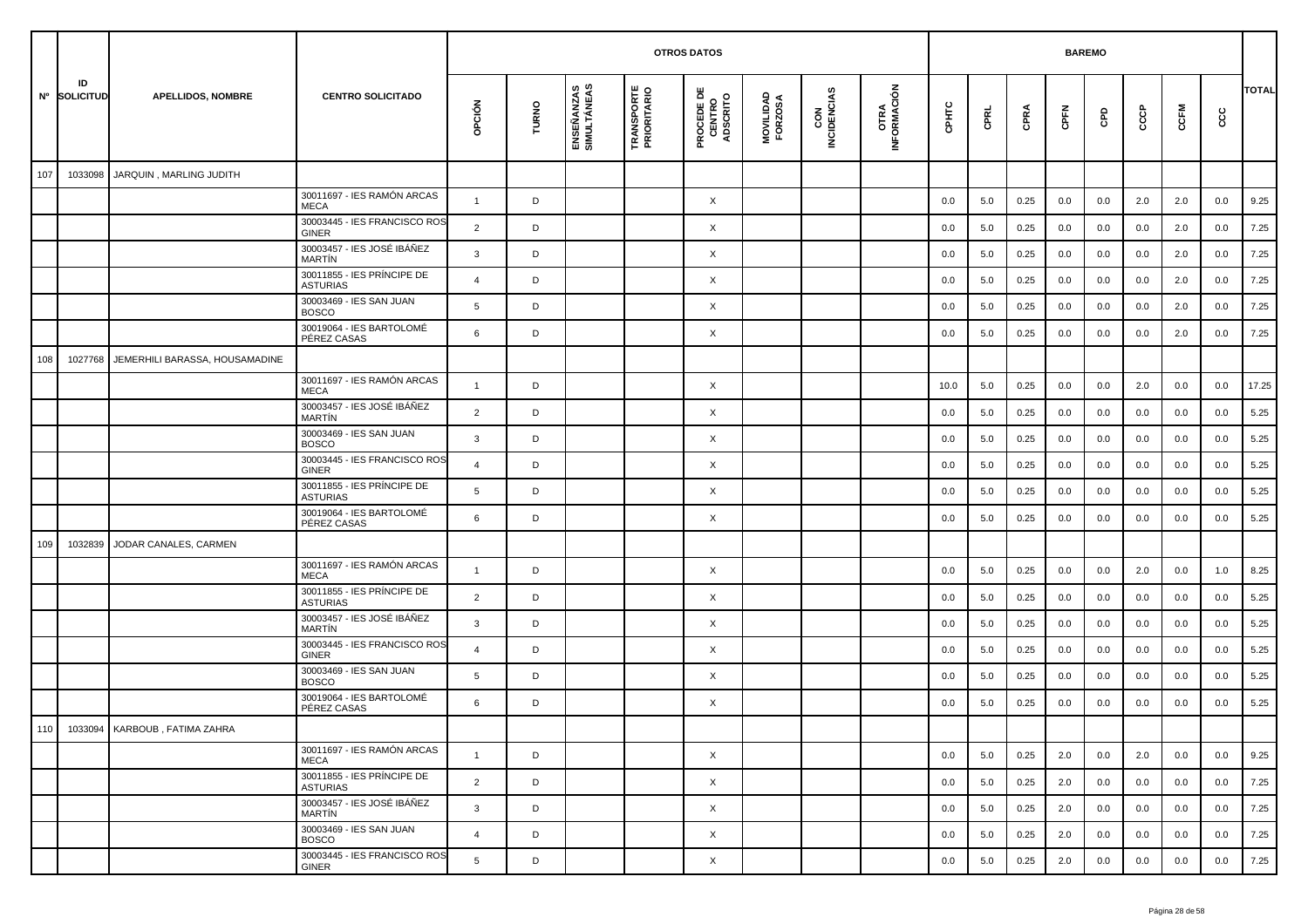|     |                    |                                |                                               |                |       |                           |                                  | <b>OTROS DATOS</b>                        |                      |                    |                             |       |      |      | <b>BAREMO</b> |     |     |      |     |              |
|-----|--------------------|--------------------------------|-----------------------------------------------|----------------|-------|---------------------------|----------------------------------|-------------------------------------------|----------------------|--------------------|-----------------------------|-------|------|------|---------------|-----|-----|------|-----|--------------|
|     | ID<br>Nº SOLICITUD | <b>APELLIDOS, NOMBRE</b>       | <b>CENTRO SOLICITADO</b>                      | opción         | TURNO | ENSEÑANZAS<br>SIMULTÁNEAS | <b>TRANSPORTE</b><br>PRIORITARIO | <b>PROCEDE DE<br/>CENTRO<br/>ADSCRITO</b> | MOVILIDAD<br>FORZOSA | CON<br>INCIDENCIAS | <b>OTRA<br/>INFORMACIÓN</b> | CPHTC | CPRL | CPRA | CPFN          | GPD | ငင  | CCFM | င်င | <b>TOTAL</b> |
| 107 | 1033098            | JARQUIN, MARLING JUDITH        |                                               |                |       |                           |                                  |                                           |                      |                    |                             |       |      |      |               |     |     |      |     |              |
|     |                    |                                | 30011697 - IES RAMÓN ARCAS<br><b>MECA</b>     | $\mathbf{1}$   | D     |                           |                                  | X                                         |                      |                    |                             | 0.0   | 5.0  | 0.25 | 0.0           | 0.0 | 2.0 | 2.0  | 0.0 | 9.25         |
|     |                    |                                | 30003445 - IES FRANCISCO ROS<br><b>GINER</b>  | 2              | D     |                           |                                  | $\times$                                  |                      |                    |                             | 0.0   | 5.0  | 0.25 | 0.0           | 0.0 | 0.0 | 2.0  | 0.0 | 7.25         |
|     |                    |                                | 30003457 - IES JOSÉ IBÁÑEZ<br>MARTÍN          | 3              | D     |                           |                                  | X                                         |                      |                    |                             | 0.0   | 5.0  | 0.25 | 0.0           | 0.0 | 0.0 | 2.0  | 0.0 | 7.25         |
|     |                    |                                | 30011855 - IES PRÍNCIPE DE<br><b>ASTURIAS</b> | $\overline{4}$ | D     |                           |                                  | X                                         |                      |                    |                             | 0.0   | 5.0  | 0.25 | 0.0           | 0.0 | 0.0 | 2.0  | 0.0 | 7.25         |
|     |                    |                                | 30003469 - IES SAN JUAN<br><b>BOSCO</b>       | 5              | D     |                           |                                  | X                                         |                      |                    |                             | 0.0   | 5.0  | 0.25 | 0.0           | 0.0 | 0.0 | 2.0  | 0.0 | 7.25         |
|     |                    |                                | 30019064 - IES BARTOLOMÉ<br>PÉREZ CASAS       | 6              | D     |                           |                                  | X                                         |                      |                    |                             | 0.0   | 5.0  | 0.25 | 0.0           | 0.0 | 0.0 | 2.0  | 0.0 | 7.25         |
| 108 | 1027768            | JEMERHILI BARASSA, HOUSAMADINE |                                               |                |       |                           |                                  |                                           |                      |                    |                             |       |      |      |               |     |     |      |     |              |
|     |                    |                                | 30011697 - IES RAMÓN ARCAS<br><b>MECA</b>     | -1             | D     |                           |                                  | $\times$                                  |                      |                    |                             | 10.0  | 5.0  | 0.25 | 0.0           | 0.0 | 2.0 | 0.0  | 0.0 | 17.25        |
|     |                    |                                | 30003457 - IES JOSÉ IBÁÑEZ<br>MARTÍN          | $\overline{2}$ | D     |                           |                                  | X                                         |                      |                    |                             | 0.0   | 5.0  | 0.25 | 0.0           | 0.0 | 0.0 | 0.0  | 0.0 | 5.25         |
|     |                    |                                | 30003469 - IES SAN JUAN<br><b>BOSCO</b>       | 3              | D     |                           |                                  | X                                         |                      |                    |                             | 0.0   | 5.0  | 0.25 | 0.0           | 0.0 | 0.0 | 0.0  | 0.0 | 5.25         |
|     |                    |                                | 30003445 - IES FRANCISCO ROS<br>GINER         | $\overline{4}$ | D     |                           |                                  | X                                         |                      |                    |                             | 0.0   | 5.0  | 0.25 | 0.0           | 0.0 | 0.0 | 0.0  | 0.0 | 5.25         |
|     |                    |                                | 30011855 - IES PRÍNCIPE DE<br><b>ASTURIAS</b> | 5              | D     |                           |                                  | X                                         |                      |                    |                             | 0.0   | 5.0  | 0.25 | 0.0           | 0.0 | 0.0 | 0.0  | 0.0 | 5.25         |
|     |                    |                                | 30019064 - IES BARTOLOMÉ<br>PÉREZ CASAS       | 6              | D     |                           |                                  | X                                         |                      |                    |                             | 0.0   | 5.0  | 0.25 | 0.0           | 0.0 | 0.0 | 0.0  | 0.0 | 5.25         |
| 109 | 1032839            | JODAR CANALES, CARMEN          |                                               |                |       |                           |                                  |                                           |                      |                    |                             |       |      |      |               |     |     |      |     |              |
|     |                    |                                | 30011697 - IES RAMÓN ARCAS<br><b>MECA</b>     | $\overline{1}$ | D     |                           |                                  | X                                         |                      |                    |                             | 0.0   | 5.0  | 0.25 | 0.0           | 0.0 | 2.0 | 0.0  | 1.0 | 8.25         |
|     |                    |                                | 30011855 - IES PRÍNCIPE DE<br><b>ASTURIAS</b> | $\overline{2}$ | D     |                           |                                  | X                                         |                      |                    |                             | 0.0   | 5.0  | 0.25 | 0.0           | 0.0 | 0.0 | 0.0  | 0.0 | 5.25         |
|     |                    |                                | 30003457 - IES JOSÉ IBÁÑEZ<br>MARTÍN          | 3              | D     |                           |                                  | X                                         |                      |                    |                             | 0.0   | 5.0  | 0.25 | 0.0           | 0.0 | 0.0 | 0.0  | 0.0 | 5.25         |
|     |                    |                                | 30003445 - IES FRANCISCO ROS<br>GINER         | 4              | D     |                           |                                  | X                                         |                      |                    |                             | 0.0   | 5.0  | 0.25 | 0.0           | 0.0 | 0.0 | 0.0  | 0.0 | 5.25         |
|     |                    |                                | 30003469 - IES SAN JUAN<br><b>BOSCO</b>       | 5              | D     |                           |                                  | X                                         |                      |                    |                             | 0.0   | 5.0  | 0.25 | 0.0           | 0.0 | 0.0 | 0.0  | 0.0 | 5.25         |
|     |                    |                                | 30019064 - IES BARTOLOMÉ<br>PÉREZ CASAS       | 6              | D     |                           |                                  | X                                         |                      |                    |                             | 0.0   | 5.0  | 0.25 | 0.0           | 0.0 | 0.0 | 0.0  | 0.0 | 5.25         |
| 110 |                    | 1033094 KARBOUB, FATIMA ZAHRA  |                                               |                |       |                           |                                  |                                           |                      |                    |                             |       |      |      |               |     |     |      |     |              |
|     |                    |                                | 30011697 - IES RAMÓN ARCAS<br>MECA            | $\mathbf{1}$   | D     |                           |                                  | $\times$                                  |                      |                    |                             | 0.0   | 5.0  | 0.25 | 2.0           | 0.0 | 2.0 | 0.0  | 0.0 | 9.25         |
|     |                    |                                | 30011855 - IES PRÍNCIPE DE<br>ASTURIAS        | $\overline{2}$ | D     |                           |                                  | $\times$                                  |                      |                    |                             | 0.0   | 5.0  | 0.25 | 2.0           | 0.0 | 0.0 | 0.0  | 0.0 | 7.25         |
|     |                    |                                | 30003457 - IES JOSÉ IBÁÑEZ<br>MARTÍN          | $\mathbf{3}$   | D     |                           |                                  | $\times$                                  |                      |                    |                             | 0.0   | 5.0  | 0.25 | 2.0           | 0.0 | 0.0 | 0.0  | 0.0 | 7.25         |
|     |                    |                                | 30003469 - IES SAN JUAN<br><b>BOSCO</b>       | $\overline{4}$ | D     |                           |                                  | $\times$                                  |                      |                    |                             | 0.0   | 5.0  | 0.25 | 2.0           | 0.0 | 0.0 | 0.0  | 0.0 | 7.25         |
|     |                    |                                | 30003445 - IES FRANCISCO ROS<br>GINER         | 5              | D     |                           |                                  | X                                         |                      |                    |                             | 0.0   | 5.0  | 0.25 | 2.0           | 0.0 | 0.0 | 0.0  | 0.0 | 7.25         |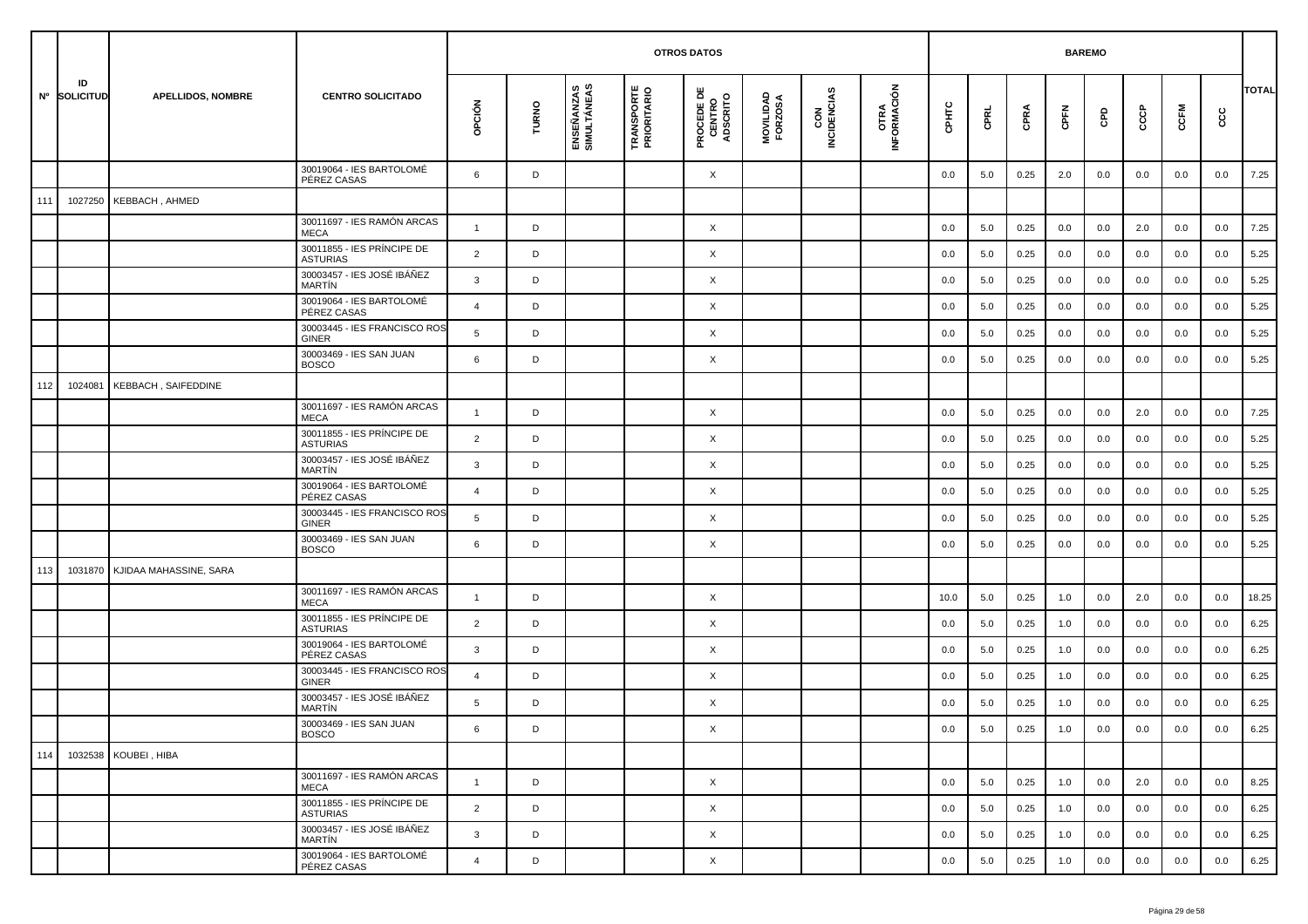|     |                    |                          |                                               |                |       |                           | <b>OTROS DATOS</b>               |                                           |                      |                    |                     |         | <b>BAREMO</b> |      |       |     |     |      |     |              |
|-----|--------------------|--------------------------|-----------------------------------------------|----------------|-------|---------------------------|----------------------------------|-------------------------------------------|----------------------|--------------------|---------------------|---------|---------------|------|-------|-----|-----|------|-----|--------------|
|     | ID<br>Nº SOLICITUD | <b>APELLIDOS, NOMBRE</b> | <b>CENTRO SOLICITADO</b>                      | opción         | TURNO | ENSEÑANZAS<br>SIMULTÁNEAS | <b>TRANSPORTE</b><br>PRIORITARIO | <b>PROCEDE DE<br/>CENTRO<br/>ADSCRITO</b> | MOVILIDAD<br>FORZOSA | CON<br>INCIDENCIAS | OTRA<br>INFORMACIÓN | срнтс   | CPRL          | CPRA | CPFN  | GPD | င်င | CCFM | cc  | <b>TOTAL</b> |
|     |                    |                          | 30019064 - IES BARTOLOMÉ<br>PÉREZ CASAS       | 6              | D     |                           |                                  | X                                         |                      |                    |                     | 0.0     | 5.0           | 0.25 | 2.0   | 0.0 | 0.0 | 0.0  | 0.0 | 7.25         |
| 111 | 1027250            | KEBBACH, AHMED           |                                               |                |       |                           |                                  |                                           |                      |                    |                     |         |               |      |       |     |     |      |     |              |
|     |                    |                          | 30011697 - IES RAMÓN ARCAS<br><b>MECA</b>     | $\overline{1}$ | D     |                           |                                  | X                                         |                      |                    |                     | 0.0     | 5.0           | 0.25 | 0.0   | 0.0 | 2.0 | 0.0  | 0.0 | 7.25         |
|     |                    |                          | 30011855 - IES PRÍNCIPE DE<br><b>ASTURIAS</b> | $\overline{2}$ | D     |                           |                                  | X                                         |                      |                    |                     | 0.0     | 5.0           | 0.25 | 0.0   | 0.0 | 0.0 | 0.0  | 0.0 | 5.25         |
|     |                    |                          | 30003457 - IES JOSÉ IBÁÑEZ<br><b>MARTÍN</b>   | $\mathbf{3}$   | D     |                           |                                  | X                                         |                      |                    |                     | 0.0     | 5.0           | 0.25 | 0.0   | 0.0 | 0.0 | 0.0  | 0.0 | 5.25         |
|     |                    |                          | 30019064 - IES BARTOLOMÉ<br>PÉREZ CASAS       | $\overline{4}$ | D     |                           |                                  | X                                         |                      |                    |                     | 0.0     | 5.0           | 0.25 | 0.0   | 0.0 | 0.0 | 0.0  | 0.0 | 5.25         |
|     |                    |                          | 30003445 - IES FRANCISCO ROS<br><b>GINER</b>  | 5              | D     |                           |                                  | X                                         |                      |                    |                     | 0.0     | 5.0           | 0.25 | 0.0   | 0.0 | 0.0 | 0.0  | 0.0 | 5.25         |
|     |                    |                          | 30003469 - IES SAN JUAN<br><b>BOSCO</b>       | 6              | D     |                           |                                  | X                                         |                      |                    |                     | 0.0     | 5.0           | 0.25 | 0.0   | 0.0 | 0.0 | 0.0  | 0.0 | 5.25         |
| 112 | 1024081            | KEBBACH, SAIFEDDINE      |                                               |                |       |                           |                                  |                                           |                      |                    |                     |         |               |      |       |     |     |      |     |              |
|     |                    |                          | 30011697 - IES RAMÓN ARCAS<br><b>MECA</b>     | $\mathbf{1}$   | D     |                           |                                  | X                                         |                      |                    |                     | 0.0     | 5.0           | 0.25 | 0.0   | 0.0 | 2.0 | 0.0  | 0.0 | 7.25         |
|     |                    |                          | 30011855 - IES PRÍNCIPE DE<br><b>ASTURIAS</b> | $\overline{2}$ | D     |                           |                                  | X                                         |                      |                    |                     | 0.0     | 5.0           | 0.25 | 0.0   | 0.0 | 0.0 | 0.0  | 0.0 | 5.25         |
|     |                    |                          | 30003457 - IES JOSÉ IBÁÑEZ<br><b>MARTIN</b>   | 3              | D     |                           |                                  | X                                         |                      |                    |                     | 0.0     | 5.0           | 0.25 | 0.0   | 0.0 | 0.0 | 0.0  | 0.0 | 5.25         |
|     |                    |                          | 30019064 - IES BARTOLOMÉ<br>PÉREZ CASAS       | $\overline{4}$ | D     |                           |                                  | X                                         |                      |                    |                     | 0.0     | 5.0           | 0.25 | 0.0   | 0.0 | 0.0 | 0.0  | 0.0 | 5.25         |
|     |                    |                          | 30003445 - IES FRANCISCO ROS<br><b>GINER</b>  | 5              | D     |                           |                                  | X                                         |                      |                    |                     | 0.0     | 5.0           | 0.25 | 0.0   | 0.0 | 0.0 | 0.0  | 0.0 | 5.25         |
|     |                    |                          | 30003469 - IES SAN JUAN<br><b>BOSCO</b>       | 6              | D     |                           |                                  | X                                         |                      |                    |                     | 0.0     | 5.0           | 0.25 | 0.0   | 0.0 | 0.0 | 0.0  | 0.0 | 5.25         |
| 113 | 1031870            | KJIDAA MAHASSINE, SARA   |                                               |                |       |                           |                                  |                                           |                      |                    |                     |         |               |      |       |     |     |      |     |              |
|     |                    |                          | 30011697 - IES RAMÓN ARCAS<br><b>MECA</b>     | $\overline{1}$ | D     |                           |                                  | X                                         |                      |                    |                     | 10.0    | 5.0           | 0.25 | 1.0   | 0.0 | 2.0 | 0.0  | 0.0 | 18.25        |
|     |                    |                          | 30011855 - IES PRÍNCIPE DE<br><b>ASTURIAS</b> | $\overline{2}$ | D     |                           |                                  | X                                         |                      |                    |                     | 0.0     | 5.0           | 0.25 | 1.0   | 0.0 | 0.0 | 0.0  | 0.0 | 6.25         |
|     |                    |                          | 30019064 - IES BARTOLOMÉ<br>PÉREZ CASAS       | 3              | D     |                           |                                  | X                                         |                      |                    |                     | 0.0     | 5.0           | 0.25 | 1.0   | 0.0 | 0.0 | 0.0  | 0.0 | 6.25         |
|     |                    |                          | 30003445 - IES FRANCISCO ROS<br><b>GINER</b>  | $\overline{4}$ | D     |                           |                                  | X                                         |                      |                    |                     | 0.0     | 5.0           | 0.25 | 1.0   | 0.0 | 0.0 | 0.0  | 0.0 | 6.25         |
|     |                    |                          | 30003457 - IES JOSÉ IBÁÑEZ<br><b>MARTIN</b>   | 5              | D     |                           |                                  | X                                         |                      |                    |                     | 0.0     | 5.0           | 0.25 | 1.0   | 0.0 | 0.0 | 0.0  | 0.0 | 6.25         |
|     |                    |                          | 30003469 - IES SAN JUAN<br><b>BOSCO</b>       | 6              |       |                           |                                  | Χ                                         |                      |                    |                     | $0.0\,$ | $5.0\,$       | 0.25 | $1.0$ | 0.0 | 0.0 | 0.0  | 0.0 | 6.25         |
| 114 |                    | 1032538 KOUBEI, HIBA     |                                               |                |       |                           |                                  |                                           |                      |                    |                     |         |               |      |       |     |     |      |     |              |
|     |                    |                          | 30011697 - IES RAMÓN ARCAS<br>MECA            | $\overline{1}$ | D     |                           |                                  | $\times$                                  |                      |                    |                     | 0.0     | 5.0           | 0.25 | 1.0   | 0.0 | 2.0 | 0.0  | 0.0 | 8.25         |
|     |                    |                          | 30011855 - IES PRÍNCIPE DE<br><b>ASTURIAS</b> | $\overline{2}$ | D     |                           |                                  | X                                         |                      |                    |                     | 0.0     | 5.0           | 0.25 | 1.0   | 0.0 | 0.0 | 0.0  | 0.0 | 6.25         |
|     |                    |                          | 30003457 - IES JOSÉ IBÁÑEZ<br>MARTÍN          | $\mathbf{3}$   | D     |                           |                                  | $\times$                                  |                      |                    |                     | 0.0     | 5.0           | 0.25 | 1.0   | 0.0 | 0.0 | 0.0  | 0.0 | 6.25         |
|     |                    |                          | 30019064 - IES BARTOLOMÉ<br>PÉREZ CASAS       | $\overline{4}$ | D     |                           |                                  | X                                         |                      |                    |                     | 0.0     | 5.0           | 0.25 | 1.0   | 0.0 | 0.0 | 0.0  | 0.0 | 6.25         |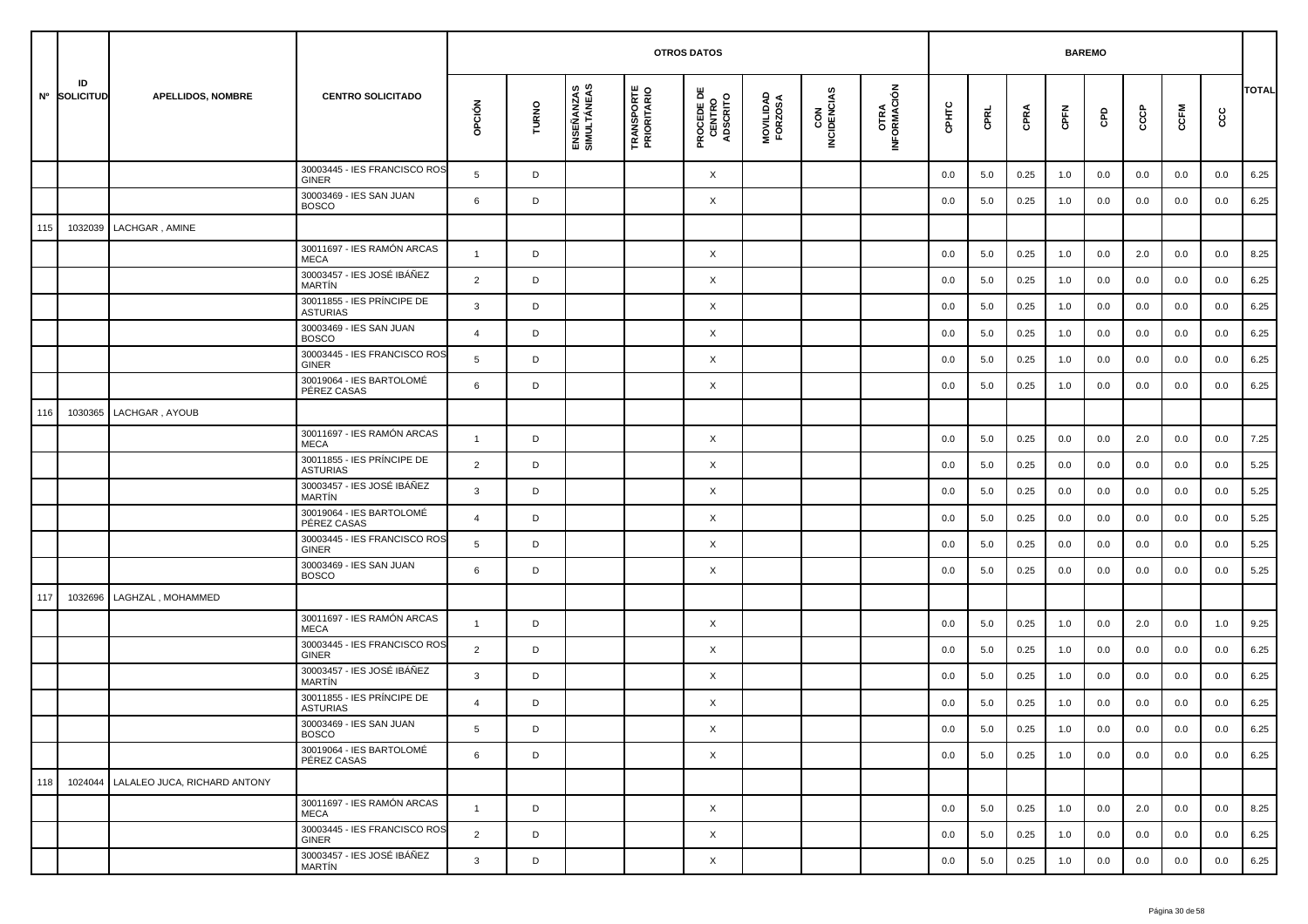|     |                    |                              |                                               |                |       |                           | <b>OTROS DATOS</b>               |                                           |                      |                    |                     |         | <b>BAREMO</b> |      |       |     |     |         |     |       |
|-----|--------------------|------------------------------|-----------------------------------------------|----------------|-------|---------------------------|----------------------------------|-------------------------------------------|----------------------|--------------------|---------------------|---------|---------------|------|-------|-----|-----|---------|-----|-------|
|     | ID<br>Nº SOLICITUD | <b>APELLIDOS, NOMBRE</b>     | <b>CENTRO SOLICITADO</b>                      | opción         | TURNO | ENSEÑANZAS<br>SIMULTÁNEAS | <b>TRANSPORTE</b><br>PRIORITARIO | <b>PROCEDE DE<br/>CENTRO<br/>ADSCRITO</b> | MOVILIDAD<br>FORZOSA | CON<br>INCIDENCIAS | OTRA<br>INFORMACIÓN | CPHTC   | CPRL          | CPRA | CPFN  | GPD | င်င | CCFM    | cc  | TOTAL |
|     |                    |                              | 30003445 - IES FRANCISCO ROS<br><b>GINER</b>  | 5              | D     |                           |                                  | X                                         |                      |                    |                     | 0.0     | 5.0           | 0.25 | 1.0   | 0.0 | 0.0 | 0.0     | 0.0 | 6.25  |
|     |                    |                              | 30003469 - IES SAN JUAN<br><b>BOSCO</b>       | 6              | D     |                           |                                  | X                                         |                      |                    |                     | 0.0     | 5.0           | 0.25 | 1.0   | 0.0 | 0.0 | 0.0     | 0.0 | 6.25  |
| 115 | 1032039            | LACHGAR, AMINE               |                                               |                |       |                           |                                  |                                           |                      |                    |                     |         |               |      |       |     |     |         |     |       |
|     |                    |                              | 30011697 - IES RAMÓN ARCAS<br><b>MECA</b>     | $\mathbf{1}$   | D     |                           |                                  | X                                         |                      |                    |                     | 0.0     | 5.0           | 0.25 | 1.0   | 0.0 | 2.0 | 0.0     | 0.0 | 8.25  |
|     |                    |                              | 30003457 - IES JOSÉ IBÁÑEZ<br><b>MARTIN</b>   | $\overline{2}$ | D     |                           |                                  | X                                         |                      |                    |                     | 0.0     | 5.0           | 0.25 | 1.0   | 0.0 | 0.0 | 0.0     | 0.0 | 6.25  |
|     |                    |                              | 30011855 - IES PRÍNCIPE DE<br><b>ASTURIAS</b> | 3              | D     |                           |                                  | X                                         |                      |                    |                     | 0.0     | 5.0           | 0.25 | 1.0   | 0.0 | 0.0 | 0.0     | 0.0 | 6.25  |
|     |                    |                              | 30003469 - IES SAN JUAN<br><b>BOSCO</b>       | $\overline{4}$ | D     |                           |                                  | X                                         |                      |                    |                     | 0.0     | 5.0           | 0.25 | 1.0   | 0.0 | 0.0 | 0.0     | 0.0 | 6.25  |
|     |                    |                              | 30003445 - IES FRANCISCO ROS<br><b>GINER</b>  | 5              | D     |                           |                                  | X                                         |                      |                    |                     | 0.0     | 5.0           | 0.25 | 1.0   | 0.0 | 0.0 | 0.0     | 0.0 | 6.25  |
|     |                    |                              | 30019064 - IES BARTOLOMÉ<br>PÉREZ CASAS       | 6              | D     |                           |                                  | X                                         |                      |                    |                     | 0.0     | 5.0           | 0.25 | 1.0   | 0.0 | 0.0 | 0.0     | 0.0 | 6.25  |
| 116 | 1030365            | LACHGAR, AYOUB               |                                               |                |       |                           |                                  |                                           |                      |                    |                     |         |               |      |       |     |     |         |     |       |
|     |                    |                              | 30011697 - IES RAMÓN ARCAS<br><b>MECA</b>     | $\overline{1}$ | D     |                           |                                  | X                                         |                      |                    |                     | 0.0     | 5.0           | 0.25 | 0.0   | 0.0 | 2.0 | 0.0     | 0.0 | 7.25  |
|     |                    |                              | 30011855 - IES PRÍNCIPE DE<br><b>ASTURIAS</b> | $\overline{2}$ | D     |                           |                                  | X                                         |                      |                    |                     | 0.0     | 5.0           | 0.25 | 0.0   | 0.0 | 0.0 | 0.0     | 0.0 | 5.25  |
|     |                    |                              | 30003457 - IES JOSÉ IBÁÑEZ<br><b>MARTIN</b>   | 3              | D     |                           |                                  | X                                         |                      |                    |                     | 0.0     | 5.0           | 0.25 | 0.0   | 0.0 | 0.0 | 0.0     | 0.0 | 5.25  |
|     |                    |                              | 30019064 - IES BARTOLOMÉ<br>PÉREZ CASAS       | $\overline{4}$ | D     |                           |                                  | X                                         |                      |                    |                     | 0.0     | 5.0           | 0.25 | 0.0   | 0.0 | 0.0 | 0.0     | 0.0 | 5.25  |
|     |                    |                              | 30003445 - IES FRANCISCO ROS<br><b>GINER</b>  | 5              | D     |                           |                                  | X                                         |                      |                    |                     | 0.0     | 5.0           | 0.25 | 0.0   | 0.0 | 0.0 | 0.0     | 0.0 | 5.25  |
|     |                    |                              | 30003469 - IES SAN JUAN<br><b>BOSCO</b>       | 6              | D     |                           |                                  | X                                         |                      |                    |                     | 0.0     | 5.0           | 0.25 | 0.0   | 0.0 | 0.0 | 0.0     | 0.0 | 5.25  |
| 117 | 1032696            | LAGHZAL, MOHAMMED            |                                               |                |       |                           |                                  |                                           |                      |                    |                     |         |               |      |       |     |     |         |     |       |
|     |                    |                              | 30011697 - IES RAMÓN ARCAS<br><b>MECA</b>     | $\overline{1}$ | D     |                           |                                  | X                                         |                      |                    |                     | 0.0     | 5.0           | 0.25 | 1.0   | 0.0 | 2.0 | 0.0     | 1.0 | 9.25  |
|     |                    |                              | 30003445 - IES FRANCISCO ROS<br><b>GINER</b>  | $\overline{2}$ | D     |                           |                                  | X                                         |                      |                    |                     | 0.0     | 5.0           | 0.25 | 1.0   | 0.0 | 0.0 | 0.0     | 0.0 | 6.25  |
|     |                    |                              | 30003457 - IES JOSÉ IBÁÑEZ<br><b>MARTIN</b>   | 3              | D     |                           |                                  | X                                         |                      |                    |                     | 0.0     | 5.0           | 0.25 | 1.0   | 0.0 | 0.0 | 0.0     | 0.0 | 6.25  |
|     |                    |                              | 30011855 - IES PRÍNCIPE DE<br><b>ASTURIAS</b> | $\overline{4}$ | D     |                           |                                  | X                                         |                      |                    |                     | 0.0     | 5.0           | 0.25 | 1.0   | 0.0 | 0.0 | 0.0     | 0.0 | 6.25  |
|     |                    |                              | 30003469 - IES SAN JUAN<br><b>BOSCO</b>       |                | D     |                           |                                  | Χ                                         |                      |                    |                     | $0.0\,$ | 5.0           | 0.25 | $1.0$ | 0.0 | 0.0 | $0.0\,$ | 0.0 | 6.25  |
|     |                    |                              | 30019064 - IES BARTOLOMÉ<br>PÉREZ CASAS       | 6              | D     |                           |                                  | $\times$                                  |                      |                    |                     | 0.0     | 5.0           | 0.25 | 1.0   | 0.0 | 0.0 | 0.0     | 0.0 | 6.25  |
| 118 | 1024044            | LALALEO JUCA, RICHARD ANTONY |                                               |                |       |                           |                                  |                                           |                      |                    |                     |         |               |      |       |     |     |         |     |       |
|     |                    |                              | 30011697 - IES RAMÓN ARCAS<br>MECA            | $\mathbf{1}$   | D     |                           |                                  | X                                         |                      |                    |                     | 0.0     | 5.0           | 0.25 | 1.0   | 0.0 | 2.0 | 0.0     | 0.0 | 8.25  |
|     |                    |                              | 30003445 - IES FRANCISCO ROS<br>GINER         | $\overline{2}$ | D     |                           |                                  | X                                         |                      |                    |                     | 0.0     | 5.0           | 0.25 | 1.0   | 0.0 | 0.0 | 0.0     | 0.0 | 6.25  |
|     |                    |                              | 30003457 - IES JOSÉ IBÁÑEZ<br>MARTÍN          | $\mathbf{3}$   | D     |                           |                                  | X                                         |                      |                    |                     | 0.0     | 5.0           | 0.25 | 1.0   | 0.0 | 0.0 | 0.0     | 0.0 | 6.25  |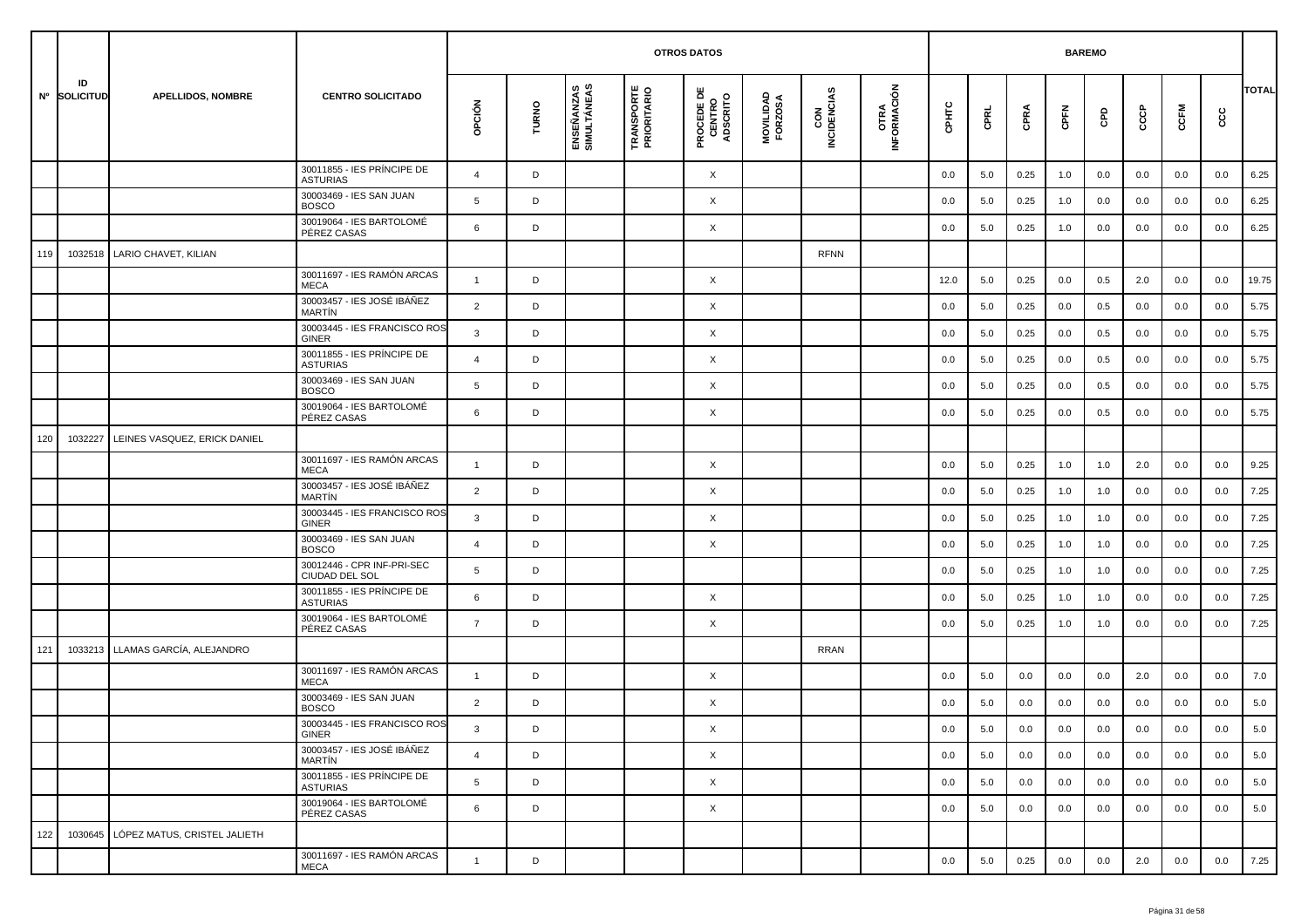|     |                    |                              |                                               |                |       |                           |                                  | <b>OTROS DATOS</b>                        |                      |                    |                     |         |         |      | <b>BAREMO</b> |            |     |         |         |              |
|-----|--------------------|------------------------------|-----------------------------------------------|----------------|-------|---------------------------|----------------------------------|-------------------------------------------|----------------------|--------------------|---------------------|---------|---------|------|---------------|------------|-----|---------|---------|--------------|
|     | ID<br>Nº SOLICITUD | <b>APELLIDOS, NOMBRE</b>     | <b>CENTRO SOLICITADO</b>                      | OPCIÓN         | TURNO | ENSEÑANZAS<br>SIMULTÁNEAS | <b>TRANSPORTE</b><br>PRIORITARIO | <b>PROCEDE DE<br/>CENTRO<br/>ADSCRITO</b> | MOVILIDAD<br>FORZOSA | CON<br>INCIDENCIAS | OTRA<br>INFORMACIÓN | CPHTC   | CPRL    | CPRA | CPFN          | <b>GPD</b> | င်င | CCFM    | ငင      | <b>TOTAL</b> |
|     |                    |                              | 30011855 - IES PRÍNCIPE DE<br><b>ASTURIAS</b> | $\overline{4}$ | D     |                           |                                  | X                                         |                      |                    |                     | 0.0     | 5.0     | 0.25 | 1.0           | 0.0        | 0.0 | 0.0     | 0.0     | 6.25         |
|     |                    |                              | 30003469 - IES SAN JUAN<br><b>BOSCO</b>       | 5              | D     |                           |                                  | X                                         |                      |                    |                     | 0.0     | 5.0     | 0.25 | 1.0           | 0.0        | 0.0 | 0.0     | 0.0     | 6.25         |
|     |                    |                              | 30019064 - IES BARTOLOMÉ<br>PÉREZ CASAS       | 6              | D     |                           |                                  | X                                         |                      |                    |                     | 0.0     | 5.0     | 0.25 | 1.0           | 0.0        | 0.0 | 0.0     | 0.0     | 6.25         |
| 119 | 1032518            | LARIO CHAVET, KILIAN         |                                               |                |       |                           |                                  |                                           |                      | <b>RFNN</b>        |                     |         |         |      |               |            |     |         |         |              |
|     |                    |                              | 30011697 - IES RAMÓN ARCAS<br><b>MECA</b>     | $\mathbf{1}$   | D     |                           |                                  | X                                         |                      |                    |                     | 12.0    | 5.0     | 0.25 | 0.0           | 0.5        | 2.0 | 0.0     | 0.0     | 19.75        |
|     |                    |                              | 30003457 - IES JOSÉ IBÁÑEZ<br><b>MARTIN</b>   | 2              | D     |                           |                                  | X                                         |                      |                    |                     | 0.0     | 5.0     | 0.25 | 0.0           | 0.5        | 0.0 | 0.0     | 0.0     | 5.75         |
|     |                    |                              | 30003445 - IES FRANCISCO ROS<br>GINER         | 3              | D     |                           |                                  | X                                         |                      |                    |                     | 0.0     | 5.0     | 0.25 | 0.0           | 0.5        | 0.0 | 0.0     | 0.0     | 5.75         |
|     |                    |                              | 30011855 - IES PRÍNCIPE DE<br><b>ASTURIAS</b> | $\overline{a}$ | D     |                           |                                  | X                                         |                      |                    |                     | 0.0     | 5.0     | 0.25 | 0.0           | 0.5        | 0.0 | 0.0     | 0.0     | 5.75         |
|     |                    |                              | 30003469 - IES SAN JUAN<br><b>BOSCO</b>       | 5              | D     |                           |                                  | X                                         |                      |                    |                     | 0.0     | 5.0     | 0.25 | 0.0           | 0.5        | 0.0 | 0.0     | 0.0     | 5.75         |
|     |                    |                              | 30019064 - IES BARTOLOMÉ<br>PÉREZ CASAS       | 6              | D     |                           |                                  | X                                         |                      |                    |                     | 0.0     | 5.0     | 0.25 | 0.0           | 0.5        | 0.0 | 0.0     | 0.0     | 5.75         |
| 120 | 1032227            | LEINES VASQUEZ, ERICK DANIEL |                                               |                |       |                           |                                  |                                           |                      |                    |                     |         |         |      |               |            |     |         |         |              |
|     |                    |                              | 30011697 - IES RAMÓN ARCAS<br><b>MECA</b>     | $\mathbf{1}$   | D     |                           |                                  | X                                         |                      |                    |                     | 0.0     | 5.0     | 0.25 | 1.0           | 1.0        | 2.0 | 0.0     | 0.0     | 9.25         |
|     |                    |                              | 30003457 - IES JOSÉ IBÁÑEZ<br><b>MARTIN</b>   | $\overline{2}$ | D     |                           |                                  | X                                         |                      |                    |                     | 0.0     | 5.0     | 0.25 | 1.0           | 1.0        | 0.0 | 0.0     | 0.0     | 7.25         |
|     |                    |                              | 30003445 - IES FRANCISCO ROS<br>GINER         | 3              | D     |                           |                                  | X                                         |                      |                    |                     | 0.0     | 5.0     | 0.25 | 1.0           | 1.0        | 0.0 | 0.0     | 0.0     | 7.25         |
|     |                    |                              | 30003469 - IES SAN JUAN<br><b>BOSCO</b>       | $\overline{4}$ | D     |                           |                                  | X                                         |                      |                    |                     | 0.0     | 5.0     | 0.25 | 1.0           | 1.0        | 0.0 | 0.0     | 0.0     | 7.25         |
|     |                    |                              | 30012446 - CPR INF-PRI-SEC<br>CIUDAD DEL SOL  | 5              | D     |                           |                                  |                                           |                      |                    |                     | 0.0     | 5.0     | 0.25 | 1.0           | 1.0        | 0.0 | 0.0     | 0.0     | 7.25         |
|     |                    |                              | 30011855 - IES PRÍNCIPE DE<br><b>ASTURIAS</b> | 6              | D     |                           |                                  | X                                         |                      |                    |                     | 0.0     | 5.0     | 0.25 | 1.0           | 1.0        | 0.0 | 0.0     | 0.0     | 7.25         |
|     |                    |                              | 30019064 - IES BARTOLOMÉ<br>PÉREZ CASAS       | $\overline{7}$ | D     |                           |                                  | X                                         |                      |                    |                     | 0.0     | 5.0     | 0.25 | 1.0           | 1.0        | 0.0 | 0.0     | 0.0     | 7.25         |
| 121 | 1033213            | LLAMAS GARCÍA, ALEJANDRO     |                                               |                |       |                           |                                  |                                           |                      | RRAN               |                     |         |         |      |               |            |     |         |         |              |
|     |                    |                              | 30011697 - IES RAMÓN ARCAS<br><b>MECA</b>     | $\overline{1}$ | D     |                           |                                  | X                                         |                      |                    |                     | 0.0     | 5.0     | 0.0  | 0.0           | 0.0        | 2.0 | 0.0     | 0.0     | 7.0          |
|     |                    |                              | 30003469 - IES SAN JUAN<br><b>BOSCO</b>       | $\overline{2}$ | D     |                           |                                  | X                                         |                      |                    |                     | 0.0     | 5.0     | 0.0  | 0.0           | 0.0        | 0.0 | 0.0     | 0.0     | 5.0          |
|     |                    |                              | 30003445 - IES FRANCISCO ROS<br>GINER         | 3              | D     |                           |                                  | X                                         |                      |                    |                     | $0.0\,$ | $5.0\,$ | 0.0  | $0.0\,$       | 0.0        | 0.0 | $0.0\,$ | $0.0\,$ | 5.0          |
|     |                    |                              | 30003457 - IES JOSÉ IBÁÑEZ<br>MARTÍN          | $\overline{4}$ | D     |                           |                                  | $\times$                                  |                      |                    |                     | 0.0     | 5.0     | 0.0  | 0.0           | 0.0        | 0.0 | 0.0     | 0.0     | 5.0          |
|     |                    |                              | 30011855 - IES PRÍNCIPE DE<br><b>ASTURIAS</b> | 5              | D     |                           |                                  | $\times$                                  |                      |                    |                     | 0.0     | 5.0     | 0.0  | 0.0           | 0.0        | 0.0 | 0.0     | 0.0     | 5.0          |
|     |                    |                              | 30019064 - IES BARTOLOMÉ<br>PÉREZ CASAS       | 6              | D     |                           |                                  | X                                         |                      |                    |                     | 0.0     | 5.0     | 0.0  | 0.0           | 0.0        | 0.0 | 0.0     | 0.0     | 5.0          |
| 122 | 1030645            | LÓPEZ MATUS, CRISTEL JALIETH |                                               |                |       |                           |                                  |                                           |                      |                    |                     |         |         |      |               |            |     |         |         |              |
|     |                    |                              | 30011697 - IES RAMÓN ARCAS<br>MECA            | $\mathbf{1}$   | D     |                           |                                  |                                           |                      |                    |                     | 0.0     | 5.0     | 0.25 | 0.0           | 0.0        | 2.0 | 0.0     | 0.0     | 7.25         |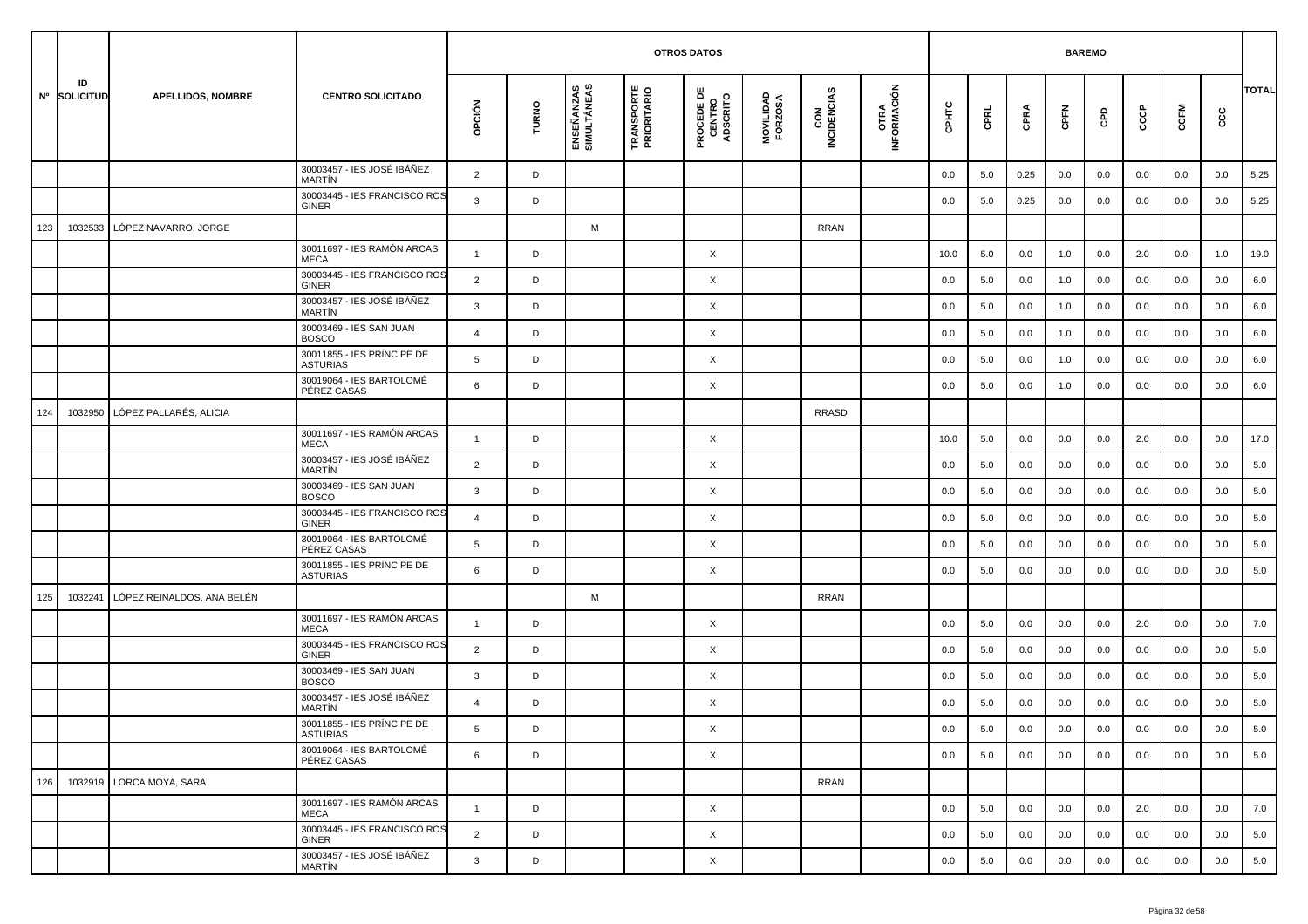|     |                    |                            |                                               |                |       |                           | <b>OTROS DATOS</b>               |                                           |                      |                    |                     |         | <b>BAREMO</b> |      |      |     |     |         |     |              |
|-----|--------------------|----------------------------|-----------------------------------------------|----------------|-------|---------------------------|----------------------------------|-------------------------------------------|----------------------|--------------------|---------------------|---------|---------------|------|------|-----|-----|---------|-----|--------------|
|     | ID<br>Nº SOLICITUD | <b>APELLIDOS, NOMBRE</b>   | <b>CENTRO SOLICITADO</b>                      | opción         | TURNO | ENSEÑANZAS<br>SIMULTÁNEAS | <b>TRANSPORTE</b><br>PRIORITARIO | <b>PROCEDE DE<br/>CENTRO<br/>ADSCRITO</b> | MOVILIDAD<br>FORZOSA | CON<br>INCIDENCIAS | OTRA<br>INFORMACIÓN | CPHTC   | CPRL          | CPRA | CPFN | GPD | င်င | CCFM    | ငင  | <b>TOTAL</b> |
|     |                    |                            | 30003457 - IES JOSÉ IBÁÑEZ<br><b>MARTIN</b>   | $\overline{2}$ | D     |                           |                                  |                                           |                      |                    |                     | 0.0     | 5.0           | 0.25 | 0.0  | 0.0 | 0.0 | 0.0     | 0.0 | 5.25         |
|     |                    |                            | 30003445 - IES FRANCISCO ROS<br><b>GINER</b>  | 3              | D     |                           |                                  |                                           |                      |                    |                     | 0.0     | 5.0           | 0.25 | 0.0  | 0.0 | 0.0 | 0.0     | 0.0 | 5.25         |
| 123 | 1032533            | LÓPEZ NAVARRO, JORGE       |                                               |                |       | M                         |                                  |                                           |                      | <b>RRAN</b>        |                     |         |               |      |      |     |     |         |     |              |
|     |                    |                            | 30011697 - IES RAMÓN ARCAS<br><b>MECA</b>     | $\mathbf{1}$   | D     |                           |                                  | X                                         |                      |                    |                     | 10.0    | 5.0           | 0.0  | 1.0  | 0.0 | 2.0 | 0.0     | 1.0 | 19.0         |
|     |                    |                            | 30003445 - IES FRANCISCO ROS<br><b>GINER</b>  | $\overline{2}$ | D     |                           |                                  | X                                         |                      |                    |                     | 0.0     | 5.0           | 0.0  | 1.0  | 0.0 | 0.0 | 0.0     | 0.0 | 6.0          |
|     |                    |                            | 30003457 - IES JOSÉ IBÁÑEZ<br><b>MARTIN</b>   | 3              | D     |                           |                                  | X                                         |                      |                    |                     | 0.0     | 5.0           | 0.0  | 1.0  | 0.0 | 0.0 | 0.0     | 0.0 | 6.0          |
|     |                    |                            | 30003469 - IES SAN JUAN<br><b>BOSCO</b>       | $\overline{4}$ | D     |                           |                                  | X                                         |                      |                    |                     | 0.0     | 5.0           | 0.0  | 1.0  | 0.0 | 0.0 | 0.0     | 0.0 | 6.0          |
|     |                    |                            | 30011855 - IES PRÍNCIPE DE<br><b>ASTURIAS</b> | 5              | D     |                           |                                  | X                                         |                      |                    |                     | 0.0     | 5.0           | 0.0  | 1.0  | 0.0 | 0.0 | 0.0     | 0.0 | 6.0          |
|     |                    |                            | 30019064 - IES BARTOLOMÉ<br>PÉREZ CASAS       | 6              | D     |                           |                                  | X                                         |                      |                    |                     | 0.0     | 5.0           | 0.0  | 1.0  | 0.0 | 0.0 | 0.0     | 0.0 | 6.0          |
| 124 | 1032950            | LÓPEZ PALLARÉS, ALICIA     |                                               |                |       |                           |                                  |                                           |                      | <b>RRASD</b>       |                     |         |               |      |      |     |     |         |     |              |
|     |                    |                            | 30011697 - IES RAMÓN ARCAS<br><b>MECA</b>     | $\mathbf{1}$   | D     |                           |                                  | X                                         |                      |                    |                     | 10.0    | 5.0           | 0.0  | 0.0  | 0.0 | 2.0 | 0.0     | 0.0 | 17.0         |
|     |                    |                            | 30003457 - IES JOSÉ IBÁÑEZ<br><b>MARTIN</b>   | $\overline{2}$ | D     |                           |                                  | X                                         |                      |                    |                     | 0.0     | 5.0           | 0.0  | 0.0  | 0.0 | 0.0 | 0.0     | 0.0 | 5.0          |
|     |                    |                            | 30003469 - IES SAN JUAN<br><b>BOSCO</b>       | 3              | D     |                           |                                  | X                                         |                      |                    |                     | 0.0     | 5.0           | 0.0  | 0.0  | 0.0 | 0.0 | 0.0     | 0.0 | 5.0          |
|     |                    |                            | 30003445 - IES FRANCISCO ROS<br><b>GINER</b>  | $\overline{4}$ | D     |                           |                                  | X                                         |                      |                    |                     | 0.0     | 5.0           | 0.0  | 0.0  | 0.0 | 0.0 | 0.0     | 0.0 | 5.0          |
|     |                    |                            | 30019064 - IES BARTOLOMÉ<br>PÉREZ CASAS       | 5              | D     |                           |                                  | X                                         |                      |                    |                     | 0.0     | 5.0           | 0.0  | 0.0  | 0.0 | 0.0 | 0.0     | 0.0 | 5.0          |
|     |                    |                            | 30011855 - IES PRÍNCIPE DE<br><b>ASTURIAS</b> | 6              | D     |                           |                                  | X                                         |                      |                    |                     | 0.0     | 5.0           | 0.0  | 0.0  | 0.0 | 0.0 | 0.0     | 0.0 | 5.0          |
| 125 | 1032241            | LÓPEZ REINALDOS, ANA BELÉN |                                               |                |       | M                         |                                  |                                           |                      | <b>RRAN</b>        |                     |         |               |      |      |     |     |         |     |              |
|     |                    |                            | 30011697 - IES RAMÓN ARCAS<br><b>MECA</b>     | $\overline{1}$ | D     |                           |                                  | X                                         |                      |                    |                     | 0.0     | 5.0           | 0.0  | 0.0  | 0.0 | 2.0 | 0.0     | 0.0 | 7.0          |
|     |                    |                            | 30003445 - IES FRANCISCO ROS<br><b>GINER</b>  | $\overline{2}$ | D     |                           |                                  | X                                         |                      |                    |                     | 0.0     | 5.0           | 0.0  | 0.0  | 0.0 | 0.0 | 0.0     | 0.0 | 5.0          |
|     |                    |                            | 30003469 - IES SAN JUAN<br><b>BOSCO</b>       | 3              | D     |                           |                                  | X                                         |                      |                    |                     | 0.0     | 5.0           | 0.0  | 0.0  | 0.0 | 0.0 | 0.0     | 0.0 | 5.0          |
|     |                    |                            | 30003457 - IES JOSÉ IBÁÑEZ<br>MARTÍN          | $\overline{4}$ | D     |                           |                                  | X                                         |                      |                    |                     | 0.0     | 5.0           | 0.0  | 0.0  | 0.0 | 0.0 | 0.0     | 0.0 | 5.0          |
|     |                    |                            | 30011855 - IES PRÍNCIPE DE<br><b>ASTURIAS</b> | 5              | D     |                           |                                  | X                                         |                      |                    |                     | $0.0\,$ | 5.0           | 0.0  | 0.0  | 0.0 | 0.0 | $0.0\,$ | 0.0 | 5.0          |
|     |                    |                            | 30019064 - IES BARTOLOMÉ<br>PÉREZ CASAS       | 6              | D     |                           |                                  | $\times$                                  |                      |                    |                     | 0.0     | 5.0           | 0.0  | 0.0  | 0.0 | 0.0 | 0.0     | 0.0 | 5.0          |
| 126 |                    | 1032919 LORCA MOYA, SARA   |                                               |                |       |                           |                                  |                                           |                      | <b>RRAN</b>        |                     |         |               |      |      |     |     |         |     |              |
|     |                    |                            | 30011697 - IES RAMÓN ARCAS<br><b>MECA</b>     | $\mathbf{1}$   | D     |                           |                                  | X                                         |                      |                    |                     | 0.0     | 5.0           | 0.0  | 0.0  | 0.0 | 2.0 | 0.0     | 0.0 | 7.0          |
|     |                    |                            | 30003445 - IES FRANCISCO ROS<br>GINER         | $\overline{2}$ | D     |                           |                                  | $\times$                                  |                      |                    |                     | 0.0     | 5.0           | 0.0  | 0.0  | 0.0 | 0.0 | 0.0     | 0.0 | 5.0          |
|     |                    |                            | 30003457 - IES JOSÉ IBÁÑEZ<br>MARTÍN          | $\mathbf{3}$   | D     |                           |                                  | X                                         |                      |                    |                     | 0.0     | 5.0           | 0.0  | 0.0  | 0.0 | 0.0 | 0.0     | 0.0 | 5.0          |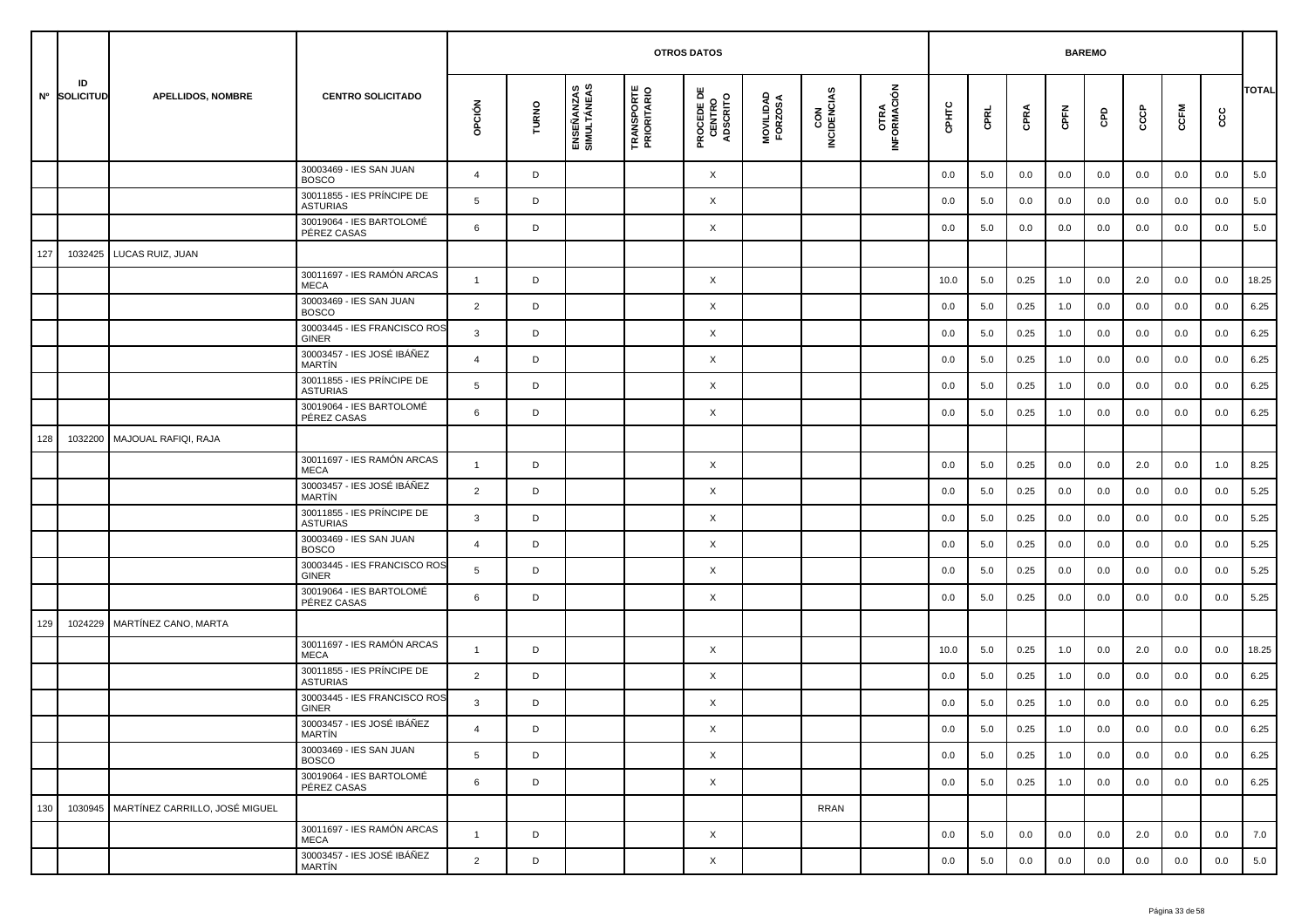|     |                    |                                          |                                               |                |       |                           |                                  | <b>OTROS DATOS</b>                        |                      |                    |                     |         |      | <b>BAREMO</b> |      |     |     |         |     |              |
|-----|--------------------|------------------------------------------|-----------------------------------------------|----------------|-------|---------------------------|----------------------------------|-------------------------------------------|----------------------|--------------------|---------------------|---------|------|---------------|------|-----|-----|---------|-----|--------------|
|     | ID<br>Nº SOLICITUD | <b>APELLIDOS, NOMBRE</b>                 | <b>CENTRO SOLICITADO</b>                      | opción         | TURNO | ENSEÑANZAS<br>SIMULTÁNEAS | <b>TRANSPORTE</b><br>PRIORITARIO | <b>PROCEDE DE<br/>CENTRO<br/>ADSCRITO</b> | MOVILIDAD<br>FORZOSA | CON<br>INCIDENCIAS | OTRA<br>INFORMACIÓN | CPHTC   | CPRL | CPRA          | CPFN | GPD | င်င | CCFM    | ပ္ပ | <b>TOTAL</b> |
|     |                    |                                          | 30003469 - IES SAN JUAN<br><b>BOSCO</b>       | $\overline{4}$ | D     |                           |                                  | X                                         |                      |                    |                     | 0.0     | 5.0  | 0.0           | 0.0  | 0.0 | 0.0 | 0.0     | 0.0 | 5.0          |
|     |                    |                                          | 30011855 - IES PRÍNCIPE DE<br><b>ASTURIAS</b> | 5              | D     |                           |                                  | X                                         |                      |                    |                     | 0.0     | 5.0  | 0.0           | 0.0  | 0.0 | 0.0 | 0.0     | 0.0 | 5.0          |
|     |                    |                                          | 30019064 - IES BARTOLOMÉ<br>PÉREZ CASAS       | 6              | D     |                           |                                  | X                                         |                      |                    |                     | 0.0     | 5.0  | 0.0           | 0.0  | 0.0 | 0.0 | 0.0     | 0.0 | 5.0          |
| 127 | 1032425            | LUCAS RUIZ, JUAN                         |                                               |                |       |                           |                                  |                                           |                      |                    |                     |         |      |               |      |     |     |         |     |              |
|     |                    |                                          | 30011697 - IES RAMÓN ARCAS<br><b>MECA</b>     | $\overline{1}$ | D     |                           |                                  | X                                         |                      |                    |                     | 10.0    | 5.0  | 0.25          | 1.0  | 0.0 | 2.0 | 0.0     | 0.0 | 18.25        |
|     |                    |                                          | 30003469 - IES SAN JUAN<br><b>BOSCO</b>       | $\overline{2}$ | D     |                           |                                  | X                                         |                      |                    |                     | 0.0     | 5.0  | 0.25          | 1.0  | 0.0 | 0.0 | 0.0     | 0.0 | 6.25         |
|     |                    |                                          | 30003445 - IES FRANCISCO ROS<br><b>GINER</b>  | 3              | D     |                           |                                  | X                                         |                      |                    |                     | 0.0     | 5.0  | 0.25          | 1.0  | 0.0 | 0.0 | 0.0     | 0.0 | 6.25         |
|     |                    |                                          | 30003457 - IES JOSÉ IBÁÑEZ<br>MARTÍN          | $\overline{a}$ | D     |                           |                                  | X                                         |                      |                    |                     | 0.0     | 5.0  | 0.25          | 1.0  | 0.0 | 0.0 | 0.0     | 0.0 | 6.25         |
|     |                    |                                          | 30011855 - IES PRÍNCIPE DE<br><b>ASTURIAS</b> | 5              | D     |                           |                                  | X                                         |                      |                    |                     | 0.0     | 5.0  | 0.25          | 1.0  | 0.0 | 0.0 | 0.0     | 0.0 | 6.25         |
|     |                    |                                          | 30019064 - IES BARTOLOMÉ<br>PÉREZ CASAS       | 6              | D     |                           |                                  | X                                         |                      |                    |                     | 0.0     | 5.0  | 0.25          | 1.0  | 0.0 | 0.0 | 0.0     | 0.0 | 6.25         |
| 128 | 1032200            | MAJOUAL RAFIQI, RAJA                     |                                               |                |       |                           |                                  |                                           |                      |                    |                     |         |      |               |      |     |     |         |     |              |
|     |                    |                                          | 30011697 - IES RAMÓN ARCAS<br><b>MECA</b>     | $\overline{1}$ | D     |                           |                                  | X                                         |                      |                    |                     | 0.0     | 5.0  | 0.25          | 0.0  | 0.0 | 2.0 | 0.0     | 1.0 | 8.25         |
|     |                    |                                          | 30003457 - IES JOSÉ IBÁÑEZ<br><b>MARTIN</b>   | $\overline{2}$ | D     |                           |                                  | X                                         |                      |                    |                     | 0.0     | 5.0  | 0.25          | 0.0  | 0.0 | 0.0 | 0.0     | 0.0 | 5.25         |
|     |                    |                                          | 30011855 - IES PRÍNCIPE DE<br><b>ASTURIAS</b> | 3              | D     |                           |                                  | X                                         |                      |                    |                     | 0.0     | 5.0  | 0.25          | 0.0  | 0.0 | 0.0 | 0.0     | 0.0 | 5.25         |
|     |                    |                                          | 30003469 - IES SAN JUAN<br><b>BOSCO</b>       | $\overline{4}$ | D     |                           |                                  | X                                         |                      |                    |                     | 0.0     | 5.0  | 0.25          | 0.0  | 0.0 | 0.0 | 0.0     | 0.0 | 5.25         |
|     |                    |                                          | 30003445 - IES FRANCISCO ROS<br><b>GINER</b>  | 5              | D     |                           |                                  | X                                         |                      |                    |                     | 0.0     | 5.0  | 0.25          | 0.0  | 0.0 | 0.0 | 0.0     | 0.0 | 5.25         |
|     |                    |                                          | 30019064 - IES BARTOLOMÉ<br>PÉREZ CASAS       | 6              | D     |                           |                                  | X                                         |                      |                    |                     | 0.0     | 5.0  | 0.25          | 0.0  | 0.0 | 0.0 | 0.0     | 0.0 | 5.25         |
| 129 | 1024229            | MARTÍNEZ CANO, MARTA                     |                                               |                |       |                           |                                  |                                           |                      |                    |                     |         |      |               |      |     |     |         |     |              |
|     |                    |                                          | 30011697 - IES RAMÓN ARCAS<br><b>MECA</b>     | $\mathbf{1}$   | D     |                           |                                  | X                                         |                      |                    |                     | 10.0    | 5.0  | 0.25          | 1.0  | 0.0 | 2.0 | 0.0     | 0.0 | 18.25        |
|     |                    |                                          | 30011855 - IES PRÍNCIPE DE<br><b>ASTURIAS</b> | 2              | D     |                           |                                  | X                                         |                      |                    |                     | 0.0     | 5.0  | 0.25          | 1.0  | 0.0 | 0.0 | 0.0     | 0.0 | 6.25         |
|     |                    |                                          | 30003445 - IES FRANCISCO ROS<br><b>GINER</b>  | 3              | D     |                           |                                  | X                                         |                      |                    |                     | 0.0     | 5.0  | 0.25          | 1.0  | 0.0 | 0.0 | 0.0     | 0.0 | 6.25         |
|     |                    |                                          | 30003457 - IES JOSÉ IBÁÑEZ<br>MARTÍN          |                | D     |                           |                                  | X                                         |                      |                    |                     | $0.0\,$ | 5.0  | 0.25          | 1.0  | 0.0 | 0.0 | $0.0\,$ | 0.0 | 6.25         |
|     |                    |                                          | 30003469 - IES SAN JUAN<br><b>BOSCO</b>       | 5 <sup>5</sup> | D     |                           |                                  | $\times$                                  |                      |                    |                     | 0.0     | 5.0  | 0.25          | 1.0  | 0.0 | 0.0 | 0.0     | 0.0 | 6.25         |
|     |                    |                                          | 30019064 - IES BARTOLOMÉ<br>PÉREZ CASAS       | 6              | D     |                           |                                  | $\times$                                  |                      |                    |                     | 0.0     | 5.0  | 0.25          | 1.0  | 0.0 | 0.0 | 0.0     | 0.0 | 6.25         |
| 130 |                    | 1030945   MARTÍNEZ CARRILLO, JOSÉ MIGUEL |                                               |                |       |                           |                                  |                                           |                      | <b>RRAN</b>        |                     |         |      |               |      |     |     |         |     |              |
|     |                    |                                          | 30011697 - IES RAMÓN ARCAS<br>MECA            | $\overline{1}$ | D     |                           |                                  | X                                         |                      |                    |                     | 0.0     | 5.0  | 0.0           | 0.0  | 0.0 | 2.0 | 0.0     | 0.0 | 7.0          |
|     |                    |                                          | 30003457 - IES JOSÉ IBÁÑEZ<br>MARTÍN          | $\overline{2}$ | D     |                           |                                  | X                                         |                      |                    |                     | 0.0     | 5.0  | 0.0           | 0.0  | 0.0 | 0.0 | 0.0     | 0.0 | 5.0          |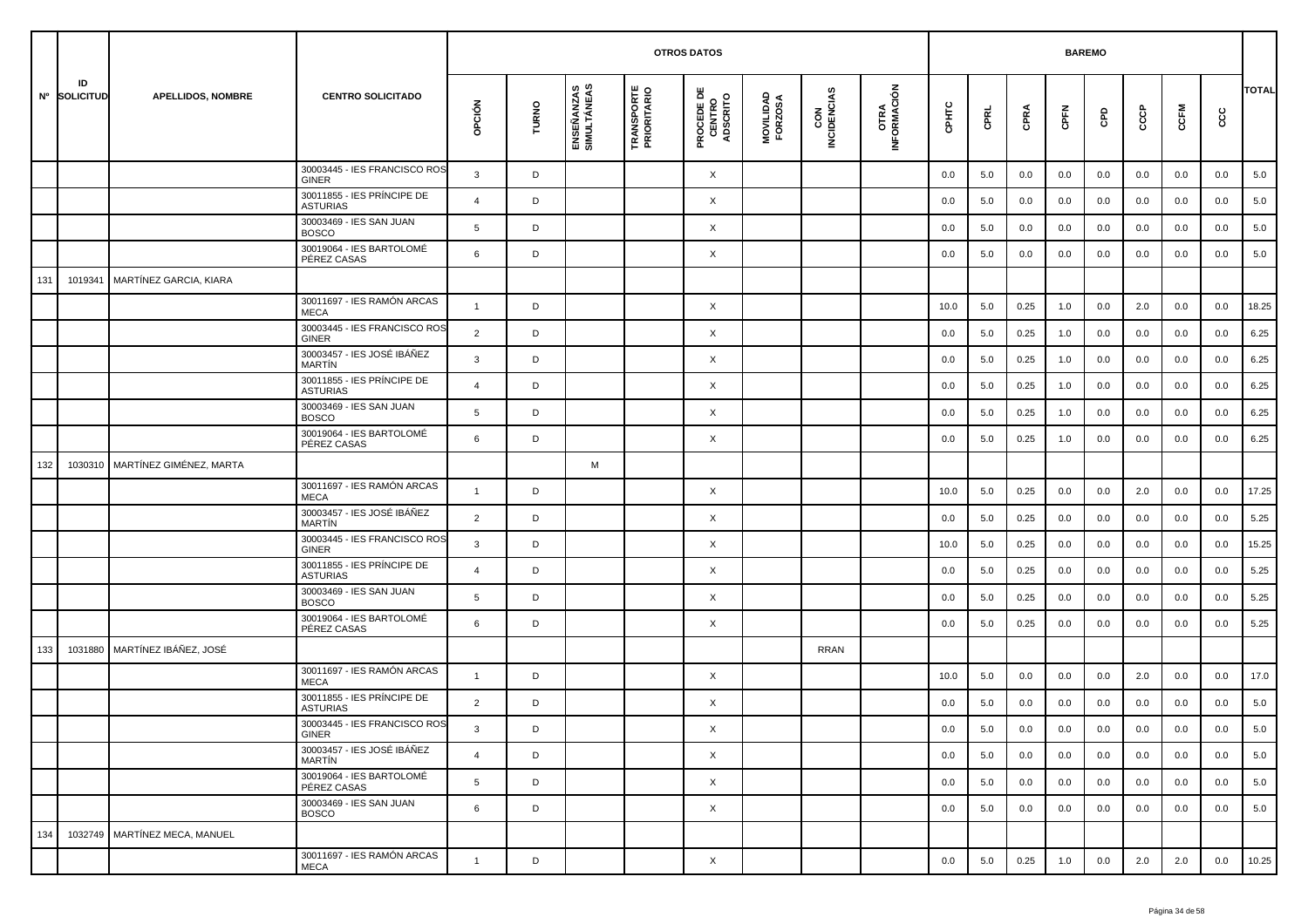|     |                    |                               |                                               |                 |       |                           |                                  |                                           |                      |                    |                     | <b>BAREMO</b> |      |      |      |     |     |      |     |              |
|-----|--------------------|-------------------------------|-----------------------------------------------|-----------------|-------|---------------------------|----------------------------------|-------------------------------------------|----------------------|--------------------|---------------------|---------------|------|------|------|-----|-----|------|-----|--------------|
|     | ID<br>Nº SOLICITUD | <b>APELLIDOS, NOMBRE</b>      | <b>CENTRO SOLICITADO</b>                      | opción          | TURNO | ENSEÑANZAS<br>SIMULTÁNEAS | <b>TRANSPORTE</b><br>PRIORITARIO | <b>PROCEDE DE<br/>CENTRO<br/>ADSCRITO</b> | MOVILIDAD<br>FORZOSA | CON<br>INCIDENCIAS | OTRA<br>INFORMACIÓN | срнтс         | CPRL | CPRA | CPFN | GPD | င်င | CCFM | ငင  | <b>TOTAL</b> |
|     |                    |                               | 30003445 - IES FRANCISCO ROS<br>GINER         | $\mathbf{3}$    | D     |                           |                                  | X                                         |                      |                    |                     | 0.0           | 5.0  | 0.0  | 0.0  | 0.0 | 0.0 | 0.0  | 0.0 | 5.0          |
|     |                    |                               | 30011855 - IES PRÍNCIPE DE<br><b>ASTURIAS</b> | $\overline{a}$  | D     |                           |                                  | X                                         |                      |                    |                     | 0.0           | 5.0  | 0.0  | 0.0  | 0.0 | 0.0 | 0.0  | 0.0 | 5.0          |
|     |                    |                               | 30003469 - IES SAN JUAN<br><b>BOSCO</b>       | 5               | D     |                           |                                  | X                                         |                      |                    |                     | 0.0           | 5.0  | 0.0  | 0.0  | 0.0 | 0.0 | 0.0  | 0.0 | 5.0          |
|     |                    |                               | 30019064 - IES BARTOLOMÉ<br>PÉREZ CASAS       | 6               | D     |                           |                                  | X                                         |                      |                    |                     | 0.0           | 5.0  | 0.0  | 0.0  | 0.0 | 0.0 | 0.0  | 0.0 | 5.0          |
| 131 | 1019341            | MARTÍNEZ GARCIA, KIARA        |                                               |                 |       |                           |                                  |                                           |                      |                    |                     |               |      |      |      |     |     |      |     |              |
|     |                    |                               | 30011697 - IES RAMÓN ARCAS<br><b>MECA</b>     | $\overline{1}$  | D     |                           |                                  | X                                         |                      |                    |                     | 10.0          | 5.0  | 0.25 | 1.0  | 0.0 | 2.0 | 0.0  | 0.0 | 18.25        |
|     |                    |                               | 30003445 - IES FRANCISCO ROS<br><b>GINER</b>  | $\overline{2}$  | D     |                           |                                  | X                                         |                      |                    |                     | 0.0           | 5.0  | 0.25 | 1.0  | 0.0 | 0.0 | 0.0  | 0.0 | 6.25         |
|     |                    |                               | 30003457 - IES JOSÉ IBÁÑEZ<br><b>MARTÍN</b>   | 3               | D     |                           |                                  | X                                         |                      |                    |                     | 0.0           | 5.0  | 0.25 | 1.0  | 0.0 | 0.0 | 0.0  | 0.0 | 6.25         |
|     |                    |                               | 30011855 - IES PRÍNCIPE DE<br><b>ASTURIAS</b> | $\overline{4}$  | D     |                           |                                  | X                                         |                      |                    |                     | 0.0           | 5.0  | 0.25 | 1.0  | 0.0 | 0.0 | 0.0  | 0.0 | 6.25         |
|     |                    |                               | 30003469 - IES SAN JUAN<br><b>BOSCO</b>       | 5               | D     |                           |                                  | X                                         |                      |                    |                     | 0.0           | 5.0  | 0.25 | 1.0  | 0.0 | 0.0 | 0.0  | 0.0 | 6.25         |
|     |                    |                               | 30019064 - IES BARTOLOMÉ<br>PÉREZ CASAS       | 6               | D     |                           |                                  | X                                         |                      |                    |                     | 0.0           | 5.0  | 0.25 | 1.0  | 0.0 | 0.0 | 0.0  | 0.0 | 6.25         |
| 132 | 1030310            | MARTÍNEZ GIMÉNEZ, MARTA       |                                               |                 |       | M                         |                                  |                                           |                      |                    |                     |               |      |      |      |     |     |      |     |              |
|     |                    |                               | 30011697 - IES RAMÓN ARCAS<br><b>MECA</b>     | $\mathbf{1}$    | D     |                           |                                  | X                                         |                      |                    |                     | 10.0          | 5.0  | 0.25 | 0.0  | 0.0 | 2.0 | 0.0  | 0.0 | 17.25        |
|     |                    |                               | 30003457 - IES JOSÉ IBÁÑEZ<br><b>MARTÍN</b>   | $\overline{2}$  | D     |                           |                                  | X                                         |                      |                    |                     | 0.0           | 5.0  | 0.25 | 0.0  | 0.0 | 0.0 | 0.0  | 0.0 | 5.25         |
|     |                    |                               | 30003445 - IES FRANCISCO ROS<br><b>GINER</b>  | 3               | D     |                           |                                  | X                                         |                      |                    |                     | 10.0          | 5.0  | 0.25 | 0.0  | 0.0 | 0.0 | 0.0  | 0.0 | 15.25        |
|     |                    |                               | 30011855 - IES PRÍNCIPE DE<br><b>ASTURIAS</b> | $\overline{4}$  | D     |                           |                                  | X                                         |                      |                    |                     | 0.0           | 5.0  | 0.25 | 0.0  | 0.0 | 0.0 | 0.0  | 0.0 | 5.25         |
|     |                    |                               | 30003469 - IES SAN JUAN<br><b>BOSCO</b>       | 5               | D     |                           |                                  | X                                         |                      |                    |                     | 0.0           | 5.0  | 0.25 | 0.0  | 0.0 | 0.0 | 0.0  | 0.0 | 5.25         |
|     |                    |                               | 30019064 - IES BARTOLOMÉ<br>PÉREZ CASAS       | 6               | D     |                           |                                  | X                                         |                      |                    |                     | 0.0           | 5.0  | 0.25 | 0.0  | 0.0 | 0.0 | 0.0  | 0.0 | 5.25         |
| 133 | 1031880            | MARTÍNEZ IBÁÑEZ, JOSÉ         |                                               |                 |       |                           |                                  |                                           |                      | <b>RRAN</b>        |                     |               |      |      |      |     |     |      |     |              |
|     |                    |                               | 30011697 - IES RAMÓN ARCAS<br><b>MECA</b>     | $\mathbf{1}$    | D     |                           |                                  | X                                         |                      |                    |                     | 10.0          | 5.0  | 0.0  | 0.0  | 0.0 | 2.0 | 0.0  | 0.0 | 17.0         |
|     |                    |                               | 30011855 - IES PRÍNCIPE DE<br><b>ASTURIAS</b> | 2               | D     |                           |                                  | X                                         |                      |                    |                     | 0.0           | 5.0  | 0.0  | 0.0  | 0.0 | 0.0 | 0.0  | 0.0 | 5.0          |
|     |                    |                               | 30003445 - IES FRANCISCO ROS<br>GINER         | 3               |       |                           |                                  | Χ                                         |                      |                    |                     | $0.0\,$       | 5.0  | 0.0  | 0.0  | 0.0 | 0.0 | 0.0  | 0.0 | $5.0\,$      |
|     |                    |                               | 30003457 - IES JOSÉ IBÁÑEZ<br>MARTÍN          | $\overline{4}$  | D     |                           |                                  | $\times$                                  |                      |                    |                     | 0.0           | 5.0  | 0.0  | 0.0  | 0.0 | 0.0 | 0.0  | 0.0 | 5.0          |
|     |                    |                               | 30019064 - IES BARTOLOMÉ<br>PÉREZ CASAS       | $5\overline{)}$ | D     |                           |                                  | $\times$                                  |                      |                    |                     | 0.0           | 5.0  | 0.0  | 0.0  | 0.0 | 0.0 | 0.0  | 0.0 | 5.0          |
|     |                    |                               | 30003469 - IES SAN JUAN<br><b>BOSCO</b>       | 6               | D     |                           |                                  | X                                         |                      |                    |                     | 0.0           | 5.0  | 0.0  | 0.0  | 0.0 | 0.0 | 0.0  | 0.0 | 5.0          |
| 134 |                    | 1032749 MARTÍNEZ MECA, MANUEL |                                               |                 |       |                           |                                  |                                           |                      |                    |                     |               |      |      |      |     |     |      |     |              |
|     |                    |                               | 30011697 - IES RAMÓN ARCAS<br>MECA            | $\overline{1}$  | D     |                           |                                  | X                                         |                      |                    |                     | 0.0           | 5.0  | 0.25 | 1.0  | 0.0 | 2.0 | 2.0  | 0.0 | 10.25        |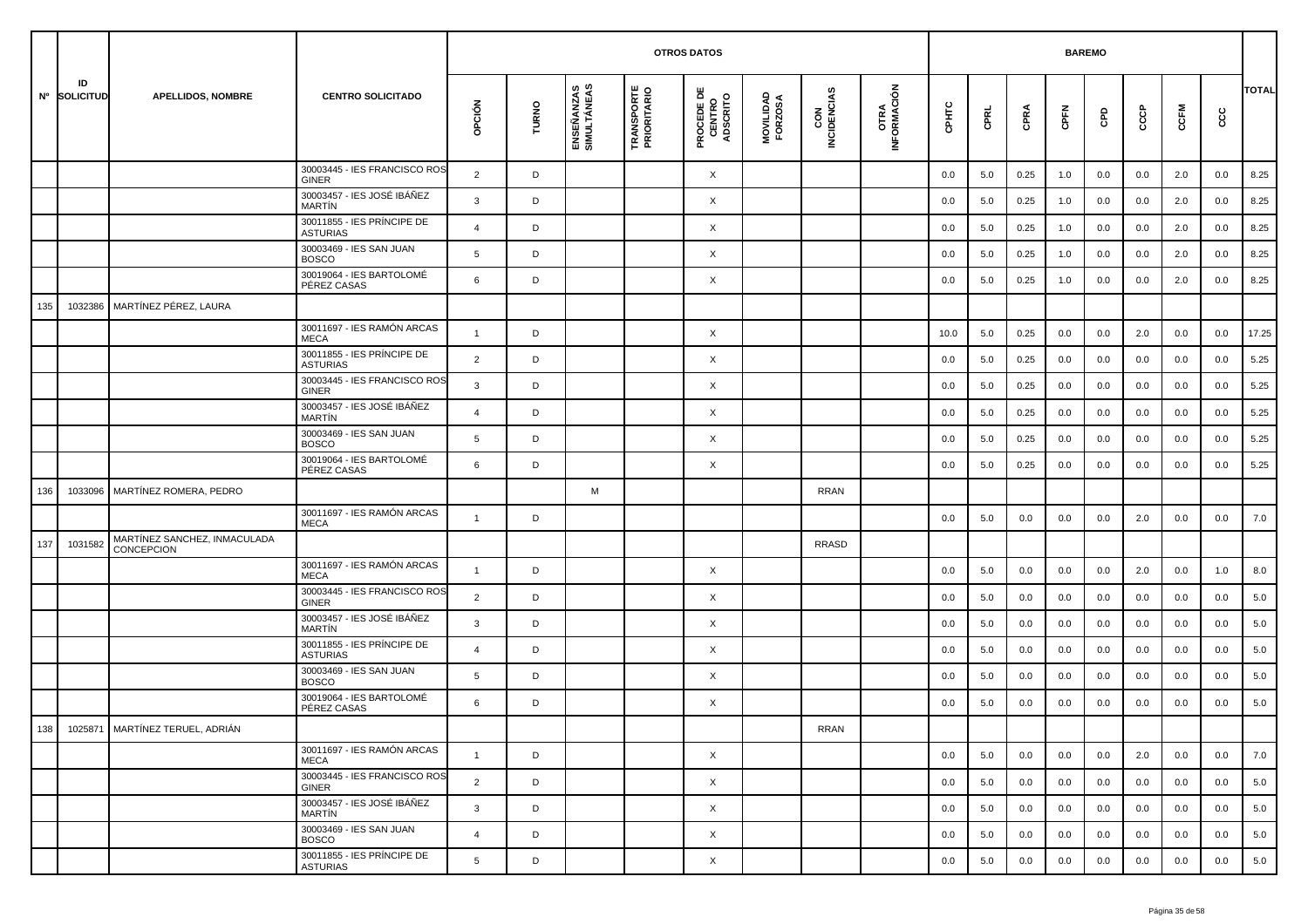|     |                    |                                            |                                               |                |       |                           |                                  | <b>OTROS DATOS</b>                        |                      |                    |                     |       |      |      | <b>BAREMO</b> |     |     |      |     |              |
|-----|--------------------|--------------------------------------------|-----------------------------------------------|----------------|-------|---------------------------|----------------------------------|-------------------------------------------|----------------------|--------------------|---------------------|-------|------|------|---------------|-----|-----|------|-----|--------------|
|     | ID<br>Nº SOLICITUD | <b>APELLIDOS, NOMBRE</b>                   | <b>CENTRO SOLICITADO</b>                      | opción         | TURNO | ENSEÑANZAS<br>SIMULTÁNEAS | <b>TRANSPORTE</b><br>PRIORITARIO | <b>PROCEDE DE<br/>CENTRO<br/>ADSCRITO</b> | MOVILIDAD<br>FORZOSA | CON<br>INCIDENCIAS | OTRA<br>INFORMACIÓN | CPHTC | CPRL | CPRA | CPFN          | GPD | င်င | CCFM | င်င | <b>TOTAL</b> |
|     |                    |                                            | 30003445 - IES FRANCISCO ROS<br><b>GINER</b>  | $\overline{2}$ | D     |                           |                                  | X                                         |                      |                    |                     | 0.0   | 5.0  | 0.25 | 1.0           | 0.0 | 0.0 | 2.0  | 0.0 | 8.25         |
|     |                    |                                            | 30003457 - IES JOSÉ IBÁÑEZ<br><b>MARTÍN</b>   | 3              | D     |                           |                                  | X                                         |                      |                    |                     | 0.0   | 5.0  | 0.25 | 1.0           | 0.0 | 0.0 | 2.0  | 0.0 | 8.25         |
|     |                    |                                            | 30011855 - IES PRÍNCIPE DE<br><b>ASTURIAS</b> | $\overline{4}$ | D     |                           |                                  | X                                         |                      |                    |                     | 0.0   | 5.0  | 0.25 | 1.0           | 0.0 | 0.0 | 2.0  | 0.0 | 8.25         |
|     |                    |                                            | 30003469 - IES SAN JUAN<br><b>BOSCO</b>       | 5              | D     |                           |                                  | X                                         |                      |                    |                     | 0.0   | 5.0  | 0.25 | 1.0           | 0.0 | 0.0 | 2.0  | 0.0 | 8.25         |
|     |                    |                                            | 30019064 - IES BARTOLOMÉ<br>PÉREZ CASAS       | 6              | D     |                           |                                  | X                                         |                      |                    |                     | 0.0   | 5.0  | 0.25 | 1.0           | 0.0 | 0.0 | 2.0  | 0.0 | 8.25         |
| 135 | 1032386            | MARTÍNEZ PÉREZ, LAURA                      |                                               |                |       |                           |                                  |                                           |                      |                    |                     |       |      |      |               |     |     |      |     |              |
|     |                    |                                            | 30011697 - IES RAMÓN ARCAS<br><b>MECA</b>     | $\mathbf{1}$   | D     |                           |                                  | X                                         |                      |                    |                     | 10.0  | 5.0  | 0.25 | 0.0           | 0.0 | 2.0 | 0.0  | 0.0 | 17.25        |
|     |                    |                                            | 30011855 - IES PRÍNCIPE DE<br><b>ASTURIAS</b> | 2              | D     |                           |                                  | X                                         |                      |                    |                     | 0.0   | 5.0  | 0.25 | 0.0           | 0.0 | 0.0 | 0.0  | 0.0 | 5.25         |
|     |                    |                                            | 30003445 - IES FRANCISCO ROS<br><b>GINER</b>  | 3              | D     |                           |                                  | X                                         |                      |                    |                     | 0.0   | 5.0  | 0.25 | 0.0           | 0.0 | 0.0 | 0.0  | 0.0 | 5.25         |
|     |                    |                                            | 30003457 - IES JOSÉ IBÁÑEZ<br><b>MARTIN</b>   | $\overline{4}$ | D     |                           |                                  | X                                         |                      |                    |                     | 0.0   | 5.0  | 0.25 | 0.0           | 0.0 | 0.0 | 0.0  | 0.0 | 5.25         |
|     |                    |                                            | 30003469 - IES SAN JUAN<br><b>BOSCO</b>       | 5              | D     |                           |                                  | X                                         |                      |                    |                     | 0.0   | 5.0  | 0.25 | 0.0           | 0.0 | 0.0 | 0.0  | 0.0 | 5.25         |
|     |                    |                                            | 30019064 - IES BARTOLOMÉ<br>PÉREZ CASAS       | 6              | D     |                           |                                  | X                                         |                      |                    |                     | 0.0   | 5.0  | 0.25 | 0.0           | 0.0 | 0.0 | 0.0  | 0.0 | 5.25         |
| 136 | 1033096            | MARTÍNEZ ROMERA, PEDRO                     |                                               |                |       | M                         |                                  |                                           |                      | <b>RRAN</b>        |                     |       |      |      |               |     |     |      |     |              |
|     |                    |                                            | 30011697 - IES RAMÓN ARCAS<br><b>MECA</b>     | $\mathbf{1}$   | D     |                           |                                  |                                           |                      |                    |                     | 0.0   | 5.0  | 0.0  | 0.0           | 0.0 | 2.0 | 0.0  | 0.0 | 7.0          |
| 137 | 1031582            | MARTÍNEZ SANCHEZ, INMACULADA<br>CONCEPCION |                                               |                |       |                           |                                  |                                           |                      | <b>RRASD</b>       |                     |       |      |      |               |     |     |      |     |              |
|     |                    |                                            | 30011697 - IES RAMÓN ARCAS<br><b>MECA</b>     | $\overline{1}$ | D     |                           |                                  | X                                         |                      |                    |                     | 0.0   | 5.0  | 0.0  | 0.0           | 0.0 | 2.0 | 0.0  | 1.0 | 8.0          |
|     |                    |                                            | 30003445 - IES FRANCISCO ROS<br><b>GINER</b>  | $\overline{2}$ | D     |                           |                                  | X                                         |                      |                    |                     | 0.0   | 5.0  | 0.0  | 0.0           | 0.0 | 0.0 | 0.0  | 0.0 | 5.0          |
|     |                    |                                            | 30003457 - IES JOSÉ IBÁÑEZ<br><b>MARTIN</b>   | 3              | D     |                           |                                  | X                                         |                      |                    |                     | 0.0   | 5.0  | 0.0  | 0.0           | 0.0 | 0.0 | 0.0  | 0.0 | 5.0          |
|     |                    |                                            | 30011855 - IES PRÍNCIPE DE<br><b>ASTURIAS</b> | $\overline{4}$ | D     |                           |                                  | X                                         |                      |                    |                     | 0.0   | 5.0  | 0.0  | 0.0           | 0.0 | 0.0 | 0.0  | 0.0 | 5.0          |
|     |                    |                                            | 30003469 - IES SAN JUAN<br><b>BOSCO</b>       | 5              | D     |                           |                                  | X                                         |                      |                    |                     | 0.0   | 5.0  | 0.0  | 0.0           | 0.0 | 0.0 | 0.0  | 0.0 | 5.0          |
|     |                    |                                            | 30019064 - IES BARTOLOMÉ<br>PÉREZ CASAS       | 6              | D     |                           |                                  | X                                         |                      |                    |                     | 0.0   | 5.0  | 0.0  | 0.0           | 0.0 | 0.0 | 0.0  | 0.0 | 5.0          |
| 138 |                    | 1025871 MARTÍNEZ TERUEL, ADRIÁN            |                                               |                |       |                           |                                  |                                           |                      | <b>RRAN</b>        |                     |       |      |      |               |     |     |      |     |              |
|     |                    |                                            | 30011697 - IES RAMÓN ARCAS<br>MECA            | $\mathbf{1}$   | D     |                           |                                  | X                                         |                      |                    |                     | 0.0   | 5.0  | 0.0  | 0.0           | 0.0 | 2.0 | 0.0  | 0.0 | 7.0          |
|     |                    |                                            | 30003445 - IES FRANCISCO ROS<br>GINER         | $\overline{2}$ | D     |                           |                                  | X                                         |                      |                    |                     | 0.0   | 5.0  | 0.0  | 0.0           | 0.0 | 0.0 | 0.0  | 0.0 | 5.0          |
|     |                    |                                            | 30003457 - IES JOSÉ IBÁÑEZ<br>MARTÍN          | 3              | D     |                           |                                  | X                                         |                      |                    |                     | 0.0   | 5.0  | 0.0  | 0.0           | 0.0 | 0.0 | 0.0  | 0.0 | 5.0          |
|     |                    |                                            | 30003469 - IES SAN JUAN<br><b>BOSCO</b>       | $\overline{4}$ | D     |                           |                                  | X                                         |                      |                    |                     | 0.0   | 5.0  | 0.0  | 0.0           | 0.0 | 0.0 | 0.0  | 0.0 | 5.0          |
|     |                    |                                            | 30011855 - IES PRÍNCIPE DE<br><b>ASTURIAS</b> | 5              | D     |                           |                                  | $\times$                                  |                      |                    |                     | 0.0   | 5.0  | 0.0  | 0.0           | 0.0 | 0.0 | 0.0  | 0.0 | 5.0          |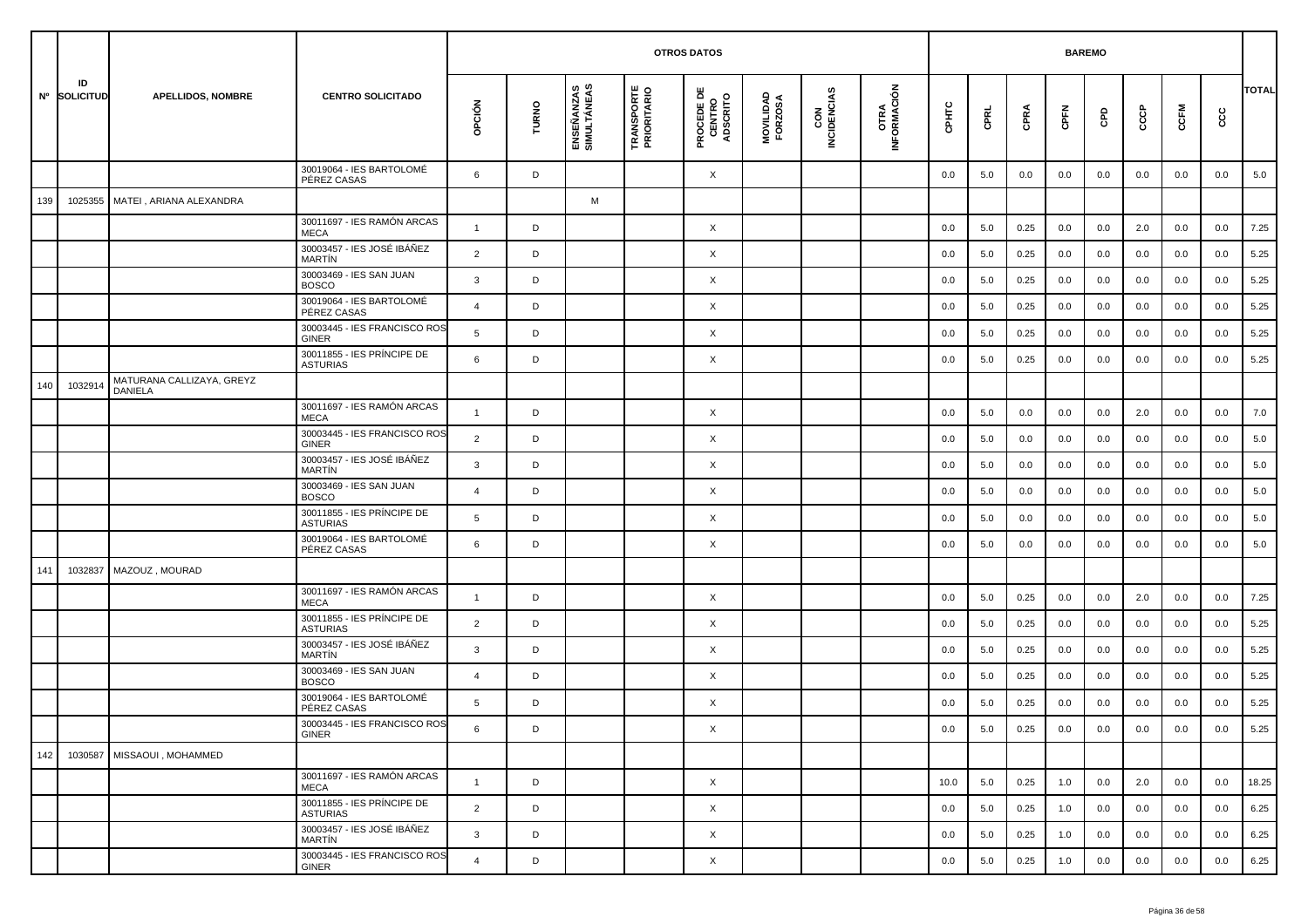|     |                    |                                      |                                               |                |       |                           | <b>OTROS DATOS</b>               |                                           |                      |                    |                     |         | <b>BAREMO</b> |      |         |     |     |         |     |              |
|-----|--------------------|--------------------------------------|-----------------------------------------------|----------------|-------|---------------------------|----------------------------------|-------------------------------------------|----------------------|--------------------|---------------------|---------|---------------|------|---------|-----|-----|---------|-----|--------------|
|     | ID<br>Nº SOLICITUD | <b>APELLIDOS, NOMBRE</b>             | <b>CENTRO SOLICITADO</b>                      | opción         | TURNO | ENSEÑANZAS<br>SIMULTÁNEAS | <b>TRANSPORTE</b><br>PRIORITARIO | <b>PROCEDE DE<br/>CENTRO<br/>ADSCRITO</b> | MOVILIDAD<br>FORZOSA | CON<br>INCIDENCIAS | OTRA<br>INFORMACIÓN | срнтс   | CPRL          | CPRA | CPFN    | GPD | င်င | CCFM    | cc  | <b>TOTAL</b> |
|     |                    |                                      | 30019064 - IES BARTOLOMÉ<br>PÉREZ CASAS       | 6              | D     |                           |                                  | X                                         |                      |                    |                     | 0.0     | 5.0           | 0.0  | 0.0     | 0.0 | 0.0 | 0.0     | 0.0 | 5.0          |
| 139 | 1025355            | MATEI, ARIANA ALEXANDRA              |                                               |                |       | M                         |                                  |                                           |                      |                    |                     |         |               |      |         |     |     |         |     |              |
|     |                    |                                      | 30011697 - IES RAMÓN ARCAS<br><b>MECA</b>     | $\overline{1}$ | D     |                           |                                  | X                                         |                      |                    |                     | 0.0     | 5.0           | 0.25 | 0.0     | 0.0 | 2.0 | 0.0     | 0.0 | 7.25         |
|     |                    |                                      | 30003457 - IES JOSÉ IBÁÑEZ<br><b>MARTIN</b>   | $\overline{2}$ | D     |                           |                                  | X                                         |                      |                    |                     | 0.0     | 5.0           | 0.25 | 0.0     | 0.0 | 0.0 | 0.0     | 0.0 | 5.25         |
|     |                    |                                      | 30003469 - IES SAN JUAN<br><b>BOSCO</b>       | $\mathbf{3}$   | D     |                           |                                  | X                                         |                      |                    |                     | 0.0     | 5.0           | 0.25 | 0.0     | 0.0 | 0.0 | 0.0     | 0.0 | 5.25         |
|     |                    |                                      | 30019064 - IES BARTOLOMÉ<br>PÉREZ CASAS       | $\overline{4}$ | D     |                           |                                  | X                                         |                      |                    |                     | 0.0     | 5.0           | 0.25 | 0.0     | 0.0 | 0.0 | 0.0     | 0.0 | 5.25         |
|     |                    |                                      | 30003445 - IES FRANCISCO ROS<br><b>GINER</b>  | 5              | D     |                           |                                  | X                                         |                      |                    |                     | 0.0     | 5.0           | 0.25 | 0.0     | 0.0 | 0.0 | 0.0     | 0.0 | 5.25         |
|     |                    |                                      | 30011855 - IES PRÍNCIPE DE<br><b>ASTURIAS</b> | 6              | D     |                           |                                  | X                                         |                      |                    |                     | 0.0     | 5.0           | 0.25 | 0.0     | 0.0 | 0.0 | 0.0     | 0.0 | 5.25         |
| 140 | 103291             | MATURANA CALLIZAYA, GREYZ<br>DANIELA |                                               |                |       |                           |                                  |                                           |                      |                    |                     |         |               |      |         |     |     |         |     |              |
|     |                    |                                      | 30011697 - IES RAMÓN ARCAS<br><b>MECA</b>     | $\mathbf{1}$   | D     |                           |                                  | X                                         |                      |                    |                     | 0.0     | 5.0           | 0.0  | 0.0     | 0.0 | 2.0 | 0.0     | 0.0 | 7.0          |
|     |                    |                                      | 30003445 - IES FRANCISCO ROS<br><b>GINER</b>  | $\overline{2}$ | D     |                           |                                  | X                                         |                      |                    |                     | 0.0     | 5.0           | 0.0  | 0.0     | 0.0 | 0.0 | 0.0     | 0.0 | 5.0          |
|     |                    |                                      | 30003457 - IES JOSÉ IBÁÑEZ<br><b>MARTIN</b>   | 3              | D     |                           |                                  | X                                         |                      |                    |                     | 0.0     | 5.0           | 0.0  | 0.0     | 0.0 | 0.0 | 0.0     | 0.0 | 5.0          |
|     |                    |                                      | 30003469 - IES SAN JUAN<br><b>BOSCO</b>       | $\overline{4}$ | D     |                           |                                  | X                                         |                      |                    |                     | 0.0     | 5.0           | 0.0  | 0.0     | 0.0 | 0.0 | 0.0     | 0.0 | 5.0          |
|     |                    |                                      | 30011855 - IES PRÍNCIPE DE<br><b>ASTURIAS</b> | 5              | D     |                           |                                  | X                                         |                      |                    |                     | 0.0     | 5.0           | 0.0  | 0.0     | 0.0 | 0.0 | 0.0     | 0.0 | 5.0          |
|     |                    |                                      | 30019064 - IES BARTOLOMÉ<br>PÉREZ CASAS       | 6              | D     |                           |                                  | X                                         |                      |                    |                     | 0.0     | 5.0           | 0.0  | 0.0     | 0.0 | 0.0 | 0.0     | 0.0 | 5.0          |
| 141 | 1032837            | MAZOUZ, MOURAD                       |                                               |                |       |                           |                                  |                                           |                      |                    |                     |         |               |      |         |     |     |         |     |              |
|     |                    |                                      | 30011697 - IES RAMÓN ARCAS<br><b>MECA</b>     | $\overline{1}$ | D     |                           |                                  | X                                         |                      |                    |                     | 0.0     | 5.0           | 0.25 | 0.0     | 0.0 | 2.0 | 0.0     | 0.0 | 7.25         |
|     |                    |                                      | 30011855 - IES PRÍNCIPE DE<br><b>ASTURIAS</b> | $\overline{2}$ | D     |                           |                                  | X                                         |                      |                    |                     | 0.0     | 5.0           | 0.25 | 0.0     | 0.0 | 0.0 | 0.0     | 0.0 | 5.25         |
|     |                    |                                      | 30003457 - IES JOSÉ IBÁÑEZ<br><b>MARTÍN</b>   | 3              | D     |                           |                                  | X                                         |                      |                    |                     | 0.0     | 5.0           | 0.25 | 0.0     | 0.0 | 0.0 | 0.0     | 0.0 | 5.25         |
|     |                    |                                      | 30003469 - IES SAN JUAN<br><b>BOSCO</b>       | $\overline{4}$ | D     |                           |                                  | X                                         |                      |                    |                     | 0.0     | 5.0           | 0.25 | 0.0     | 0.0 | 0.0 | 0.0     | 0.0 | 5.25         |
|     |                    |                                      | 30019064 - IES BARTOLOMÉ<br>PÉREZ CASAS       | 5              | D     |                           |                                  | X                                         |                      |                    |                     | 0.0     | 5.0           | 0.25 | 0.0     | 0.0 | 0.0 | 0.0     | 0.0 | 5.25         |
|     |                    |                                      | 30003445 - IES FRANCISCO ROS<br>GINER         | 6              |       |                           |                                  | Χ                                         |                      |                    |                     | $0.0\,$ | $5.0\,$       | 0.25 | $0.0\,$ | 0.0 | 0.0 | $0.0\,$ | 0.0 | 5.25         |
| 142 | 1030587            | MISSAOUI, MOHAMMED                   |                                               |                |       |                           |                                  |                                           |                      |                    |                     |         |               |      |         |     |     |         |     |              |
|     |                    |                                      | 30011697 - IES RAMÓN ARCAS<br>MECA            | $\overline{1}$ | D     |                           |                                  | $\times$                                  |                      |                    |                     | 10.0    | 5.0           | 0.25 | 1.0     | 0.0 | 2.0 | 0.0     | 0.0 | 18.25        |
|     |                    |                                      | 30011855 - IES PRÍNCIPE DE<br><b>ASTURIAS</b> | $\overline{2}$ | D     |                           |                                  | X                                         |                      |                    |                     | 0.0     | 5.0           | 0.25 | 1.0     | 0.0 | 0.0 | 0.0     | 0.0 | 6.25         |
|     |                    |                                      | 30003457 - IES JOSÉ IBÁÑEZ<br>MARTÍN          | 3              | D     |                           |                                  | $\times$                                  |                      |                    |                     | 0.0     | 5.0           | 0.25 | 1.0     | 0.0 | 0.0 | 0.0     | 0.0 | 6.25         |
|     |                    |                                      | 30003445 - IES FRANCISCO ROS<br>GINER         | $\overline{4}$ | D     |                           |                                  | X                                         |                      |                    |                     | 0.0     | 5.0           | 0.25 | 1.0     | 0.0 | 0.0 | 0.0     | 0.0 | 6.25         |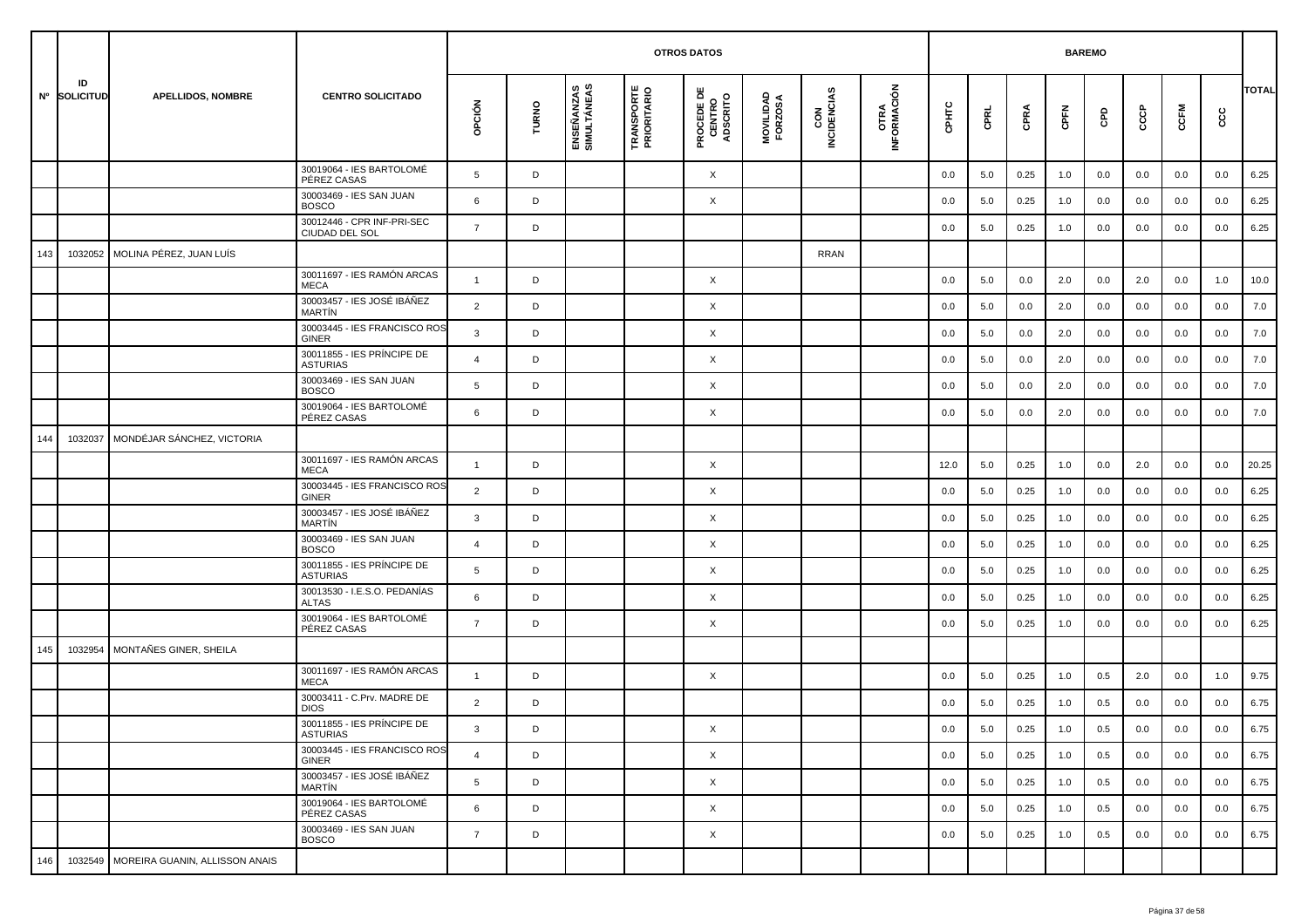|     |                    |                                        |                                                     |                |       |                           |                                  | <b>OTROS DATOS</b>                        |                      |                    |                     |         |         |      | <b>BAREMO</b> |         |     |         |         |              |
|-----|--------------------|----------------------------------------|-----------------------------------------------------|----------------|-------|---------------------------|----------------------------------|-------------------------------------------|----------------------|--------------------|---------------------|---------|---------|------|---------------|---------|-----|---------|---------|--------------|
|     | ID<br>Nº SOLICITUD | <b>APELLIDOS, NOMBRE</b>               | <b>CENTRO SOLICITADO</b>                            | opción         | TURNO | ENSEÑANZAS<br>SIMULTÁNEAS | <b>TRANSPORTE</b><br>PRIORITARIO | <b>PROCEDE DE<br/>CENTRO<br/>ADSCRITO</b> | MOVILIDAD<br>FORZOSA | CON<br>INCIDENCIAS | OTRA<br>INFORMACIÓN | CPHTC   | CPRL    | CPRA | CPFN          | GPD     | င်င | CCFM    | င္ပင    | <b>TOTAL</b> |
|     |                    |                                        | 30019064 - IES BARTOLOMÉ<br>PÉREZ CASAS             | 5              | D     |                           |                                  | X                                         |                      |                    |                     | 0.0     | 5.0     | 0.25 | 1.0           | 0.0     | 0.0 | 0.0     | 0.0     | 6.25         |
|     |                    |                                        | 30003469 - IES SAN JUAN<br><b>BOSCO</b>             | 6              | D     |                           |                                  | X                                         |                      |                    |                     | 0.0     | 5.0     | 0.25 | 1.0           | 0.0     | 0.0 | 0.0     | 0.0     | 6.25         |
|     |                    |                                        | 30012446 - CPR INF-PRI-SEC<br><b>CIUDAD DEL SOL</b> | $\overline{7}$ | D     |                           |                                  |                                           |                      |                    |                     | 0.0     | 5.0     | 0.25 | 1.0           | 0.0     | 0.0 | 0.0     | 0.0     | 6.25         |
| 143 | 1032052            | MOLINA PÉREZ, JUAN LUÍS                |                                                     |                |       |                           |                                  |                                           |                      | RRAN               |                     |         |         |      |               |         |     |         |         |              |
|     |                    |                                        | 30011697 - IES RAMÓN ARCAS<br><b>MECA</b>           | $\overline{1}$ | D     |                           |                                  | X                                         |                      |                    |                     | 0.0     | 5.0     | 0.0  | 2.0           | 0.0     | 2.0 | 0.0     | 1.0     | 10.0         |
|     |                    |                                        | 30003457 - IES JOSÉ IBÁÑEZ<br><b>MARTIN</b>         | $\overline{2}$ | D     |                           |                                  | X                                         |                      |                    |                     | 0.0     | 5.0     | 0.0  | 2.0           | 0.0     | 0.0 | 0.0     | 0.0     | 7.0          |
|     |                    |                                        | 30003445 - IES FRANCISCO ROS<br>GINER               | 3              | D     |                           |                                  | X                                         |                      |                    |                     | 0.0     | 5.0     | 0.0  | 2.0           | 0.0     | 0.0 | 0.0     | 0.0     | 7.0          |
|     |                    |                                        | 30011855 - IES PRÍNCIPE DE<br><b>ASTURIAS</b>       | 4              | D     |                           |                                  | X                                         |                      |                    |                     | 0.0     | 5.0     | 0.0  | 2.0           | 0.0     | 0.0 | 0.0     | 0.0     | 7.0          |
|     |                    |                                        | 30003469 - IES SAN JUAN<br><b>BOSCO</b>             | 5              | D     |                           |                                  | X                                         |                      |                    |                     | 0.0     | 5.0     | 0.0  | 2.0           | 0.0     | 0.0 | 0.0     | 0.0     | 7.0          |
|     |                    |                                        | 30019064 - IES BARTOLOMÉ<br>PÉREZ CASAS             | 6              | D     |                           |                                  | X                                         |                      |                    |                     | 0.0     | 5.0     | 0.0  | 2.0           | 0.0     | 0.0 | 0.0     | 0.0     | 7.0          |
| 144 | 1032037            | MONDÉJAR SÁNCHEZ, VICTORIA             |                                                     |                |       |                           |                                  |                                           |                      |                    |                     |         |         |      |               |         |     |         |         |              |
|     |                    |                                        | 30011697 - IES RAMÓN ARCAS<br><b>MECA</b>           | $\overline{1}$ | D     |                           |                                  | X                                         |                      |                    |                     | 12.0    | 5.0     | 0.25 | 1.0           | 0.0     | 2.0 | 0.0     | 0.0     | 20.25        |
|     |                    |                                        | 30003445 - IES FRANCISCO ROS<br>GINER               | 2              | D     |                           |                                  | X                                         |                      |                    |                     | 0.0     | 5.0     | 0.25 | 1.0           | 0.0     | 0.0 | 0.0     | 0.0     | 6.25         |
|     |                    |                                        | 30003457 - IES JOSÉ IBÁÑEZ<br>MARTÍN                | 3              | D     |                           |                                  | X                                         |                      |                    |                     | 0.0     | 5.0     | 0.25 | 1.0           | 0.0     | 0.0 | 0.0     | 0.0     | 6.25         |
|     |                    |                                        | 30003469 - IES SAN JUAN<br><b>BOSCO</b>             | $\overline{a}$ | D     |                           |                                  | X                                         |                      |                    |                     | 0.0     | 5.0     | 0.25 | 1.0           | 0.0     | 0.0 | 0.0     | 0.0     | 6.25         |
|     |                    |                                        | 30011855 - IES PRÍNCIPE DE<br><b>ASTURIAS</b>       | 5              | D     |                           |                                  | X                                         |                      |                    |                     | 0.0     | 5.0     | 0.25 | 1.0           | 0.0     | 0.0 | 0.0     | 0.0     | 6.25         |
|     |                    |                                        | 30013530 - I.E.S.O. PEDANÍAS<br><b>ALTAS</b>        | 6              | D     |                           |                                  | X                                         |                      |                    |                     | 0.0     | 5.0     | 0.25 | 1.0           | 0.0     | 0.0 | 0.0     | 0.0     | 6.25         |
|     |                    |                                        | 30019064 - IES BARTOLOMÉ<br>PÉREZ CASAS             | $\overline{7}$ | D     |                           |                                  | X                                         |                      |                    |                     | 0.0     | 5.0     | 0.25 | 1.0           | 0.0     | 0.0 | 0.0     | 0.0     | 6.25         |
| 145 | 1032954            | MONTAÑES GINER, SHEILA                 |                                                     |                |       |                           |                                  |                                           |                      |                    |                     |         |         |      |               |         |     |         |         |              |
|     |                    |                                        | 30011697 - IES RAMÓN ARCAS<br><b>MECA</b>           | $\mathbf{1}$   | D     |                           |                                  | X                                         |                      |                    |                     | 0.0     | 5.0     | 0.25 | 1.0           | 0.5     | 2.0 | 0.0     | 1.0     | 9.75         |
|     |                    |                                        | 30003411 - C.Prv. MADRE DE<br><b>DIOS</b>           | $\overline{2}$ | D     |                           |                                  |                                           |                      |                    |                     | 0.0     | 5.0     | 0.25 | 1.0           | 0.5     | 0.0 | 0.0     | 0.0     | 6.75         |
|     |                    |                                        | 30011855 - IES PRÍNCIPE DE<br><b>ASTURIAS</b>       | 3              | D     |                           |                                  | X                                         |                      |                    |                     | $0.0\,$ | $5.0\,$ | 0.25 | $1.0\,$       | $0.5\,$ | 0.0 | $0.0\,$ | $0.0\,$ | 6.75         |
|     |                    |                                        | 30003445 - IES FRANCISCO ROS<br>GINER               | $\overline{4}$ | D     |                           |                                  | $\times$                                  |                      |                    |                     | 0.0     | 5.0     | 0.25 | 1.0           | 0.5     | 0.0 | 0.0     | 0.0     | 6.75         |
|     |                    |                                        | 30003457 - IES JOSÉ IBÁÑEZ<br>MARTÍN                | 5              | D     |                           |                                  | X                                         |                      |                    |                     | 0.0     | 5.0     | 0.25 | 1.0           | 0.5     | 0.0 | 0.0     | 0.0     | 6.75         |
|     |                    |                                        | 30019064 - IES BARTOLOMÉ<br>PÉREZ CASAS             | 6              | D     |                           |                                  | X                                         |                      |                    |                     | 0.0     | 5.0     | 0.25 | 1.0           | 0.5     | 0.0 | 0.0     | 0.0     | 6.75         |
|     |                    |                                        | 30003469 - IES SAN JUAN<br><b>BOSCO</b>             | $\overline{7}$ | D     |                           |                                  | X                                         |                      |                    |                     | 0.0     | 5.0     | 0.25 | 1.0           | 0.5     | 0.0 | 0.0     | 0.0     | 6.75         |
| 146 |                    | 1032549 MOREIRA GUANIN, ALLISSON ANAIS |                                                     |                |       |                           |                                  |                                           |                      |                    |                     |         |         |      |               |         |     |         |         |              |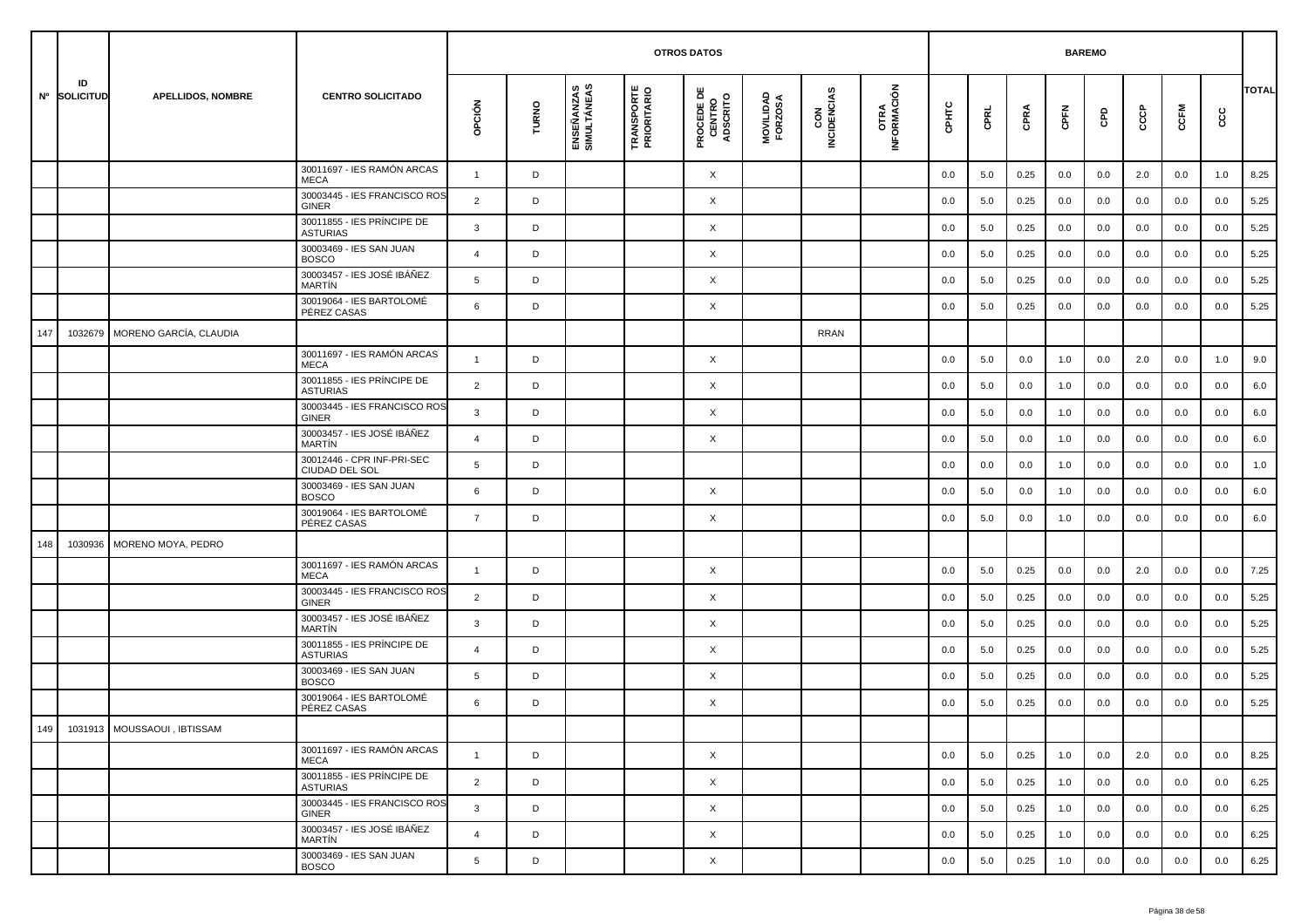|     |                    |                             |                                               |                |       |                           | <b>OTROS DATOS</b>               |                                           |                      |                    |                     |       | <b>BAREMO</b> |      |      |     |     |      |     |              |
|-----|--------------------|-----------------------------|-----------------------------------------------|----------------|-------|---------------------------|----------------------------------|-------------------------------------------|----------------------|--------------------|---------------------|-------|---------------|------|------|-----|-----|------|-----|--------------|
|     | ID<br>Nº SOLICITUD | <b>APELLIDOS, NOMBRE</b>    | <b>CENTRO SOLICITADO</b>                      | opción         | TURNO | ENSEÑANZAS<br>SIMULTÁNEAS | <b>TRANSPORTE</b><br>PRIORITARIO | <b>PROCEDE DE<br/>CENTRO<br/>ADSCRITO</b> | MOVILIDAD<br>FORZOSA | CON<br>INCIDENCIAS | OTRA<br>INFORMACIÓN | CPHTC | CPRL          | CPRA | CPFN | GPD | င်င | CCFM | cc  | <b>TOTAL</b> |
|     |                    |                             | 30011697 - IES RAMÓN ARCAS<br><b>MECA</b>     | $\mathbf{1}$   | D     |                           |                                  | X                                         |                      |                    |                     | 0.0   | 5.0           | 0.25 | 0.0  | 0.0 | 2.0 | 0.0  | 1.0 | 8.25         |
|     |                    |                             | 30003445 - IES FRANCISCO ROS<br><b>GINER</b>  | 2              | D     |                           |                                  | X                                         |                      |                    |                     | 0.0   | 5.0           | 0.25 | 0.0  | 0.0 | 0.0 | 0.0  | 0.0 | 5.25         |
|     |                    |                             | 30011855 - IES PRÍNCIPE DE<br><b>ASTURIAS</b> | 3              | D     |                           |                                  | X                                         |                      |                    |                     | 0.0   | 5.0           | 0.25 | 0.0  | 0.0 | 0.0 | 0.0  | 0.0 | 5.25         |
|     |                    |                             | 30003469 - IES SAN JUAN<br><b>BOSCO</b>       | $\overline{4}$ | D     |                           |                                  | X                                         |                      |                    |                     | 0.0   | 5.0           | 0.25 | 0.0  | 0.0 | 0.0 | 0.0  | 0.0 | 5.25         |
|     |                    |                             | 30003457 - IES JOSÉ IBÁÑEZ<br><b>MARTÍN</b>   | 5              | D     |                           |                                  | X                                         |                      |                    |                     | 0.0   | 5.0           | 0.25 | 0.0  | 0.0 | 0.0 | 0.0  | 0.0 | 5.25         |
|     |                    |                             | 30019064 - IES BARTOLOMÉ<br>PÉREZ CASAS       | 6              | D     |                           |                                  | X                                         |                      |                    |                     | 0.0   | 5.0           | 0.25 | 0.0  | 0.0 | 0.0 | 0.0  | 0.0 | 5.25         |
| 147 | 1032679            | MORENO GARCÍA, CLAUDIA      |                                               |                |       |                           |                                  |                                           |                      | RRAN               |                     |       |               |      |      |     |     |      |     |              |
|     |                    |                             | 30011697 - IES RAMÓN ARCAS<br><b>MECA</b>     | $\mathbf{1}$   | D     |                           |                                  | X                                         |                      |                    |                     | 0.0   | 5.0           | 0.0  | 1.0  | 0.0 | 2.0 | 0.0  | 1.0 | 9.0          |
|     |                    |                             | 30011855 - IES PRÍNCIPE DE<br><b>ASTURIAS</b> | $\overline{2}$ | D     |                           |                                  | X                                         |                      |                    |                     | 0.0   | 5.0           | 0.0  | 1.0  | 0.0 | 0.0 | 0.0  | 0.0 | 6.0          |
|     |                    |                             | 30003445 - IES FRANCISCO ROS<br><b>GINER</b>  | $\mathbf{3}$   | D     |                           |                                  | X                                         |                      |                    |                     | 0.0   | 5.0           | 0.0  | 1.0  | 0.0 | 0.0 | 0.0  | 0.0 | 6.0          |
|     |                    |                             | 30003457 - IES JOSÉ IBÁÑEZ<br>MARTÍN          | $\overline{4}$ | D     |                           |                                  | X                                         |                      |                    |                     | 0.0   | 5.0           | 0.0  | 1.0  | 0.0 | 0.0 | 0.0  | 0.0 | 6.0          |
|     |                    |                             | 30012446 - CPR INF-PRI-SEC<br>CIUDAD DEL SOL  | 5              | D     |                           |                                  |                                           |                      |                    |                     | 0.0   | 0.0           | 0.0  | 1.0  | 0.0 | 0.0 | 0.0  | 0.0 | 1.0          |
|     |                    |                             | 30003469 - IES SAN JUAN<br><b>BOSCO</b>       | 6              | D     |                           |                                  | X                                         |                      |                    |                     | 0.0   | 5.0           | 0.0  | 1.0  | 0.0 | 0.0 | 0.0  | 0.0 | 6.0          |
|     |                    |                             | 30019064 - IES BARTOLOMÉ<br>PÉREZ CASAS       | $\overline{7}$ | D     |                           |                                  | X                                         |                      |                    |                     | 0.0   | 5.0           | 0.0  | 1.0  | 0.0 | 0.0 | 0.0  | 0.0 | 6.0          |
| 148 | 1030936            | MORENO MOYA, PEDRO          |                                               |                |       |                           |                                  |                                           |                      |                    |                     |       |               |      |      |     |     |      |     |              |
|     |                    |                             | 30011697 - IES RAMÓN ARCAS<br><b>MECA</b>     | $\mathbf{1}$   | D     |                           |                                  | X                                         |                      |                    |                     | 0.0   | 5.0           | 0.25 | 0.0  | 0.0 | 2.0 | 0.0  | 0.0 | 7.25         |
|     |                    |                             | 30003445 - IES FRANCISCO ROS<br><b>GINER</b>  | $\overline{2}$ | D     |                           |                                  | X                                         |                      |                    |                     | 0.0   | 5.0           | 0.25 | 0.0  | 0.0 | 0.0 | 0.0  | 0.0 | 5.25         |
|     |                    |                             | 30003457 - IES JOSÉ IBÁÑEZ<br>MARTÍN          | 3              | D     |                           |                                  | X                                         |                      |                    |                     | 0.0   | 5.0           | 0.25 | 0.0  | 0.0 | 0.0 | 0.0  | 0.0 | 5.25         |
|     |                    |                             | 30011855 - IES PRÍNCIPE DE<br><b>ASTURIAS</b> | $\overline{4}$ | D     |                           |                                  | X                                         |                      |                    |                     | 0.0   | 5.0           | 0.25 | 0.0  | 0.0 | 0.0 | 0.0  | 0.0 | 5.25         |
|     |                    |                             | 30003469 - IES SAN JUAN<br><b>BOSCO</b>       | 5              | D     |                           |                                  | X                                         |                      |                    |                     | 0.0   | 5.0           | 0.25 | 0.0  | 0.0 | 0.0 | 0.0  | 0.0 | 5.25         |
|     |                    |                             | 30019064 - IES BARTOLOMÉ<br>PÉREZ CASAS       | 6              | D     |                           |                                  | X                                         |                      |                    |                     | 0.0   | 5.0           | 0.25 | 0.0  | 0.0 | 0.0 | 0.0  | 0.0 | 5.25         |
|     |                    | 1031913 MOUSSAOUI, IBTISSAM |                                               |                |       |                           |                                  |                                           |                      |                    |                     |       |               |      |      |     |     |      |     |              |
|     |                    |                             | 30011697 - IES RAMÓN ARCAS<br>MECA            | $\overline{1}$ | D     |                           |                                  | $\times$                                  |                      |                    |                     | 0.0   | 5.0           | 0.25 | 1.0  | 0.0 | 2.0 | 0.0  | 0.0 | 8.25         |
|     |                    |                             | 30011855 - IES PRÍNCIPE DE<br><b>ASTURIAS</b> | $\overline{2}$ | D     |                           |                                  | X                                         |                      |                    |                     | 0.0   | 5.0           | 0.25 | 1.0  | 0.0 | 0.0 | 0.0  | 0.0 | 6.25         |
|     |                    |                             | 30003445 - IES FRANCISCO ROS<br>GINER         | $\mathbf{3}$   | D     |                           |                                  | X                                         |                      |                    |                     | 0.0   | 5.0           | 0.25 | 1.0  | 0.0 | 0.0 | 0.0  | 0.0 | 6.25         |
|     |                    |                             | 30003457 - IES JOSÉ IBÁÑEZ<br>MARTÍN          | $\overline{4}$ | D     |                           |                                  | X                                         |                      |                    |                     | 0.0   | 5.0           | 0.25 | 1.0  | 0.0 | 0.0 | 0.0  | 0.0 | 6.25         |
|     |                    |                             | 30003469 - IES SAN JUAN<br><b>BOSCO</b>       | 5              | D     |                           |                                  | X                                         |                      |                    |                     | 0.0   | 5.0           | 0.25 | 1.0  | 0.0 | 0.0 | 0.0  | 0.0 | 6.25         |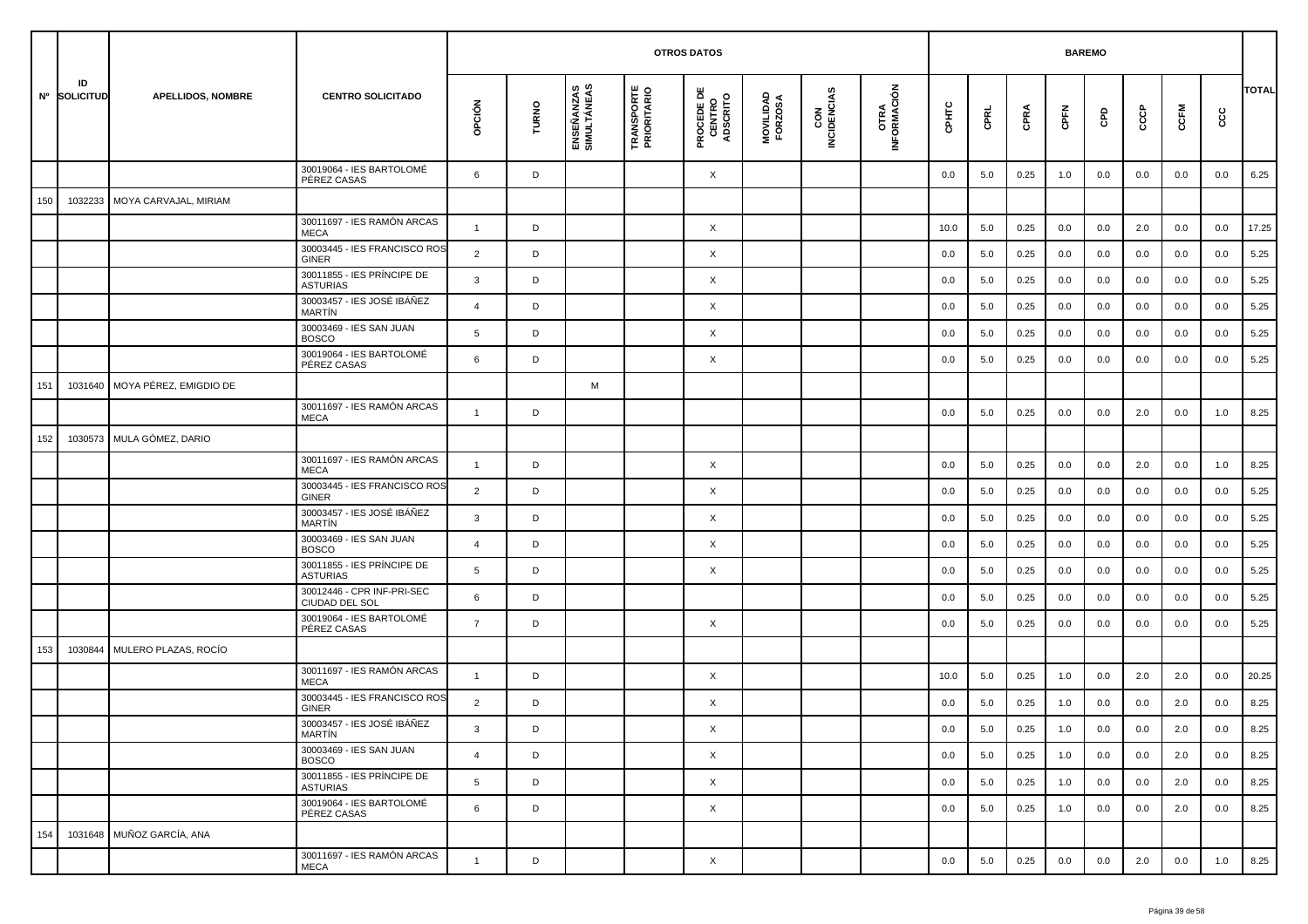|     |                    |                           |                                               |                |       |                           | <b>OTROS DATOS</b>               |                                           |                      |                    |                     |         | <b>BAREMO</b> |      |         |     |     |         |      |              |
|-----|--------------------|---------------------------|-----------------------------------------------|----------------|-------|---------------------------|----------------------------------|-------------------------------------------|----------------------|--------------------|---------------------|---------|---------------|------|---------|-----|-----|---------|------|--------------|
|     | ID<br>Nº SOLICITUD | <b>APELLIDOS, NOMBRE</b>  | <b>CENTRO SOLICITADO</b>                      | OPCIÓN         | TURNO | ENSEÑANZAS<br>SIMULTÁNEAS | <b>TRANSPORTE</b><br>PRIORITARIO | <b>PROCEDE DE<br/>CENTRO<br/>ADSCRITO</b> | MOVILIDAD<br>FORZOSA | CON<br>INCIDENCIAS | OTRA<br>INFORMACIÓN | CPHTC   | CPRL          | CPRA | CPFN    | GPD | င်င | CCFM    | င္ပင | <b>TOTAL</b> |
|     |                    |                           | 30019064 - IES BARTOLOMÉ<br>PÉREZ CASAS       | 6              | D     |                           |                                  | X                                         |                      |                    |                     | 0.0     | 5.0           | 0.25 | 1.0     | 0.0 | 0.0 | 0.0     | 0.0  | 6.25         |
| 150 | 1032233            | MOYA CARVAJAL, MIRIAM     |                                               |                |       |                           |                                  |                                           |                      |                    |                     |         |               |      |         |     |     |         |      |              |
|     |                    |                           | 30011697 - IES RAMÓN ARCAS<br><b>MECA</b>     | $\overline{1}$ | D     |                           |                                  | X                                         |                      |                    |                     | 10.0    | 5.0           | 0.25 | 0.0     | 0.0 | 2.0 | 0.0     | 0.0  | 17.25        |
|     |                    |                           | 30003445 - IES FRANCISCO ROS<br><b>GINER</b>  | 2              | D     |                           |                                  | X                                         |                      |                    |                     | 0.0     | 5.0           | 0.25 | 0.0     | 0.0 | 0.0 | 0.0     | 0.0  | 5.25         |
|     |                    |                           | 30011855 - IES PRÍNCIPE DE<br><b>ASTURIAS</b> | 3              | D     |                           |                                  | X                                         |                      |                    |                     | 0.0     | 5.0           | 0.25 | 0.0     | 0.0 | 0.0 | 0.0     | 0.0  | 5.25         |
|     |                    |                           | 30003457 - IES JOSÉ IBÁÑEZ<br><b>MARTIN</b>   | $\overline{4}$ | D     |                           |                                  | X                                         |                      |                    |                     | 0.0     | 5.0           | 0.25 | 0.0     | 0.0 | 0.0 | 0.0     | 0.0  | 5.25         |
|     |                    |                           | 30003469 - IES SAN JUAN<br><b>BOSCO</b>       | 5              | D     |                           |                                  | X                                         |                      |                    |                     | 0.0     | 5.0           | 0.25 | 0.0     | 0.0 | 0.0 | 0.0     | 0.0  | 5.25         |
|     |                    |                           | 30019064 - IES BARTOLOMÉ<br>PÉREZ CASAS       | 6              | D     |                           |                                  | X                                         |                      |                    |                     | 0.0     | 5.0           | 0.25 | 0.0     | 0.0 | 0.0 | 0.0     | 0.0  | 5.25         |
| 151 | 1031640            | MOYA PÉREZ. EMIGDIO DE    |                                               |                |       | М                         |                                  |                                           |                      |                    |                     |         |               |      |         |     |     |         |      |              |
|     |                    |                           | 30011697 - IES RAMÓN ARCAS<br><b>MECA</b>     | $\overline{1}$ | D     |                           |                                  |                                           |                      |                    |                     | 0.0     | 5.0           | 0.25 | 0.0     | 0.0 | 2.0 | 0.0     | 1.0  | 8.25         |
| 152 | 1030573            | MULA GÓMEZ, DARIO         |                                               |                |       |                           |                                  |                                           |                      |                    |                     |         |               |      |         |     |     |         |      |              |
|     |                    |                           | 30011697 - IES RAMÓN ARCAS<br><b>MECA</b>     | $\overline{1}$ | D     |                           |                                  | X                                         |                      |                    |                     | 0.0     | 5.0           | 0.25 | 0.0     | 0.0 | 2.0 | 0.0     | 1.0  | 8.25         |
|     |                    |                           | 30003445 - IES FRANCISCO ROS<br>GINER         | $\overline{2}$ | D     |                           |                                  | X                                         |                      |                    |                     | 0.0     | 5.0           | 0.25 | 0.0     | 0.0 | 0.0 | 0.0     | 0.0  | 5.25         |
|     |                    |                           | 30003457 - IES JOSÉ IBÁÑEZ<br>MARTÍN          | 3              | D     |                           |                                  | X                                         |                      |                    |                     | 0.0     | 5.0           | 0.25 | 0.0     | 0.0 | 0.0 | 0.0     | 0.0  | 5.25         |
|     |                    |                           | 30003469 - IES SAN JUAN<br><b>BOSCO</b>       | $\overline{4}$ | D     |                           |                                  | X                                         |                      |                    |                     | 0.0     | 5.0           | 0.25 | 0.0     | 0.0 | 0.0 | 0.0     | 0.0  | 5.25         |
|     |                    |                           | 30011855 - IES PRÍNCIPE DE<br><b>ASTURIAS</b> | 5              | D     |                           |                                  | X                                         |                      |                    |                     | 0.0     | 5.0           | 0.25 | 0.0     | 0.0 | 0.0 | 0.0     | 0.0  | 5.25         |
|     |                    |                           | 30012446 - CPR INF-PRI-SEC<br>CIUDAD DEL SOL  | 6              | D     |                           |                                  |                                           |                      |                    |                     | 0.0     | 5.0           | 0.25 | 0.0     | 0.0 | 0.0 | 0.0     | 0.0  | 5.25         |
|     |                    |                           | 30019064 - IES BARTOLOMÉ<br>PÉREZ CASAS       | $\overline{7}$ | D     |                           |                                  | X                                         |                      |                    |                     | 0.0     | 5.0           | 0.25 | 0.0     | 0.0 | 0.0 | 0.0     | 0.0  | 5.25         |
| 153 | 1030844            | MULERO PLAZAS, ROCÍO      |                                               |                |       |                           |                                  |                                           |                      |                    |                     |         |               |      |         |     |     |         |      |              |
|     |                    |                           | 30011697 - IES RAMÓN ARCAS<br><b>MECA</b>     | $\overline{1}$ | D     |                           |                                  | X                                         |                      |                    |                     | 10.0    | 5.0           | 0.25 | 1.0     | 0.0 | 2.0 | 2.0     | 0.0  | 20.25        |
|     |                    |                           | 30003445 - IES FRANCISCO ROS<br>GINER         | $\overline{2}$ | D     |                           |                                  | X                                         |                      |                    |                     | 0.0     | 5.0           | 0.25 | 1.0     | 0.0 | 0.0 | 2.0     | 0.0  | 8.25         |
|     |                    |                           | 30003457 - IES JOSÉ IBÁÑEZ<br>MARTÍN          | -3             |       |                           |                                  | X                                         |                      |                    |                     | $0.0\,$ | $5.0\,$       | 0.25 | $1.0\,$ | 0.0 | 0.0 | $2.0\,$ | 0.0  | 8.25         |
|     |                    |                           | 30003469 - IES SAN JUAN<br><b>BOSCO</b>       | $\overline{4}$ | D     |                           |                                  | $\times$                                  |                      |                    |                     | 0.0     | 5.0           | 0.25 | 1.0     | 0.0 | 0.0 | 2.0     | 0.0  | 8.25         |
|     |                    |                           | 30011855 - IES PRÍNCIPE DE<br><b>ASTURIAS</b> | 5              | D     |                           |                                  | $\times$                                  |                      |                    |                     | 0.0     | 5.0           | 0.25 | 1.0     | 0.0 | 0.0 | 2.0     | 0.0  | 8.25         |
|     |                    |                           | 30019064 - IES BARTOLOMÉ<br>PÉREZ CASAS       | 6              | D     |                           |                                  | X                                         |                      |                    |                     | 0.0     | 5.0           | 0.25 | 1.0     | 0.0 | 0.0 | 2.0     | 0.0  | 8.25         |
| 154 |                    | 1031648 MUÑOZ GARCÍA, ANA |                                               |                |       |                           |                                  |                                           |                      |                    |                     |         |               |      |         |     |     |         |      |              |
|     |                    |                           | 30011697 - IES RAMÓN ARCAS<br>MECA            | $\mathbf{1}$   | D     |                           |                                  | X                                         |                      |                    |                     | 0.0     | 5.0           | 0.25 | 0.0     | 0.0 | 2.0 | 0.0     | 1.0  | 8.25         |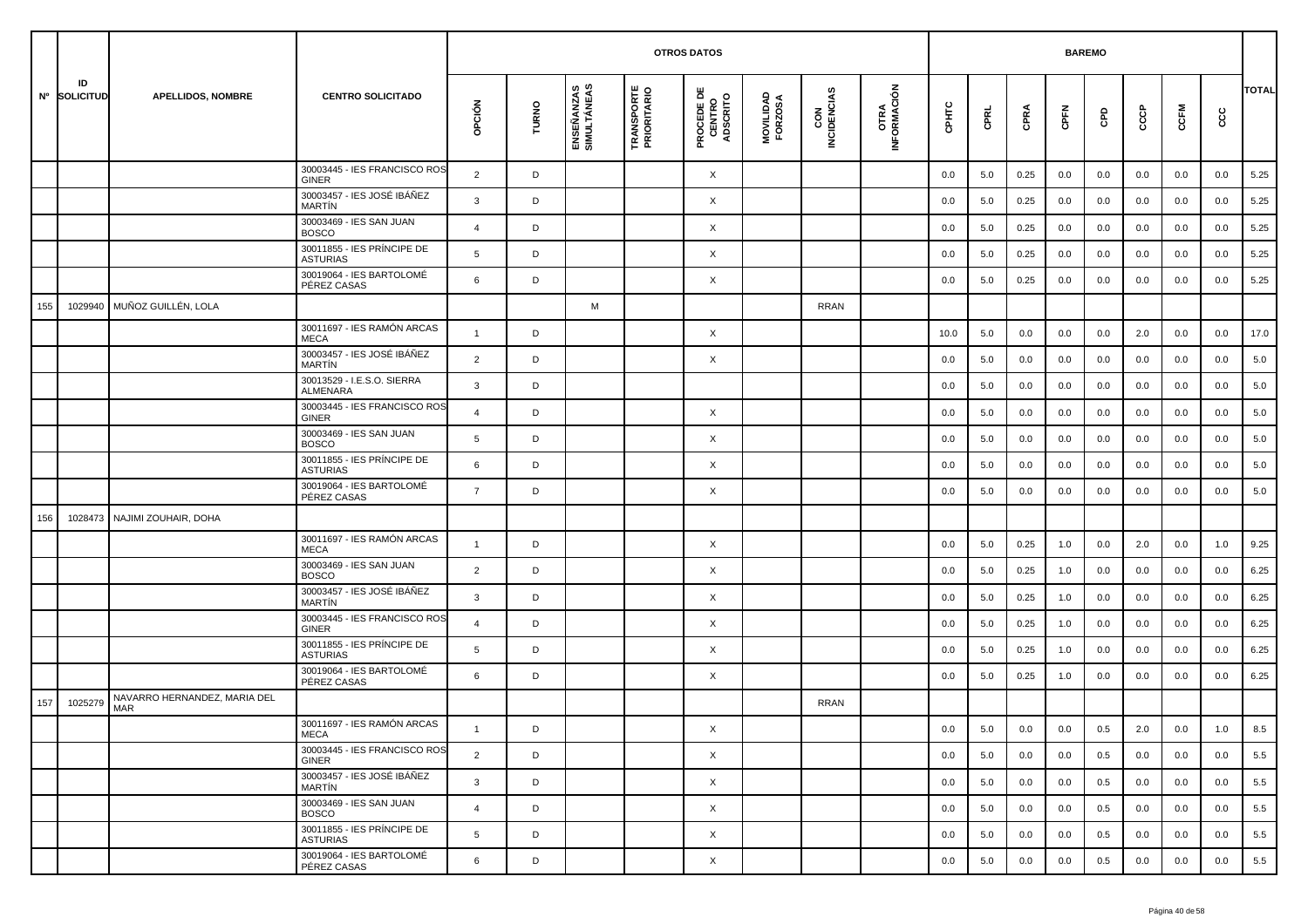|     |                    |                                     |                                               |                |       |                           | <b>OTROS DATOS</b>               |                                           |                      |                    |                     |         | <b>BAREMO</b> |      |      |     |         |      |         |              |
|-----|--------------------|-------------------------------------|-----------------------------------------------|----------------|-------|---------------------------|----------------------------------|-------------------------------------------|----------------------|--------------------|---------------------|---------|---------------|------|------|-----|---------|------|---------|--------------|
|     | ID<br>Nº SOLICITUD | <b>APELLIDOS, NOMBRE</b>            | <b>CENTRO SOLICITADO</b>                      | opción         | TURNO | ENSEÑANZAS<br>SIMULTÁNEAS | <b>TRANSPORTE</b><br>PRIORITARIO | <b>PROCEDE DE<br/>CENTRO<br/>ADSCRITO</b> | MOVILIDAD<br>FORZOSA | CON<br>INCIDENCIAS | OTRA<br>INFORMACIÓN | CPHTC   | CPRL          | CPRA | CPFN | GPD | င်င     | CCFM | cc      | <b>TOTAL</b> |
|     |                    |                                     | 30003445 - IES FRANCISCO ROS<br>GINER         | $\overline{2}$ | D     |                           |                                  | X                                         |                      |                    |                     | 0.0     | 5.0           | 0.25 | 0.0  | 0.0 | 0.0     | 0.0  | 0.0     | 5.25         |
|     |                    |                                     | 30003457 - IES JOSÉ IBÁÑEZ<br><b>MARTIN</b>   | 3              | D     |                           |                                  | X                                         |                      |                    |                     | 0.0     | 5.0           | 0.25 | 0.0  | 0.0 | 0.0     | 0.0  | 0.0     | 5.25         |
|     |                    |                                     | 30003469 - IES SAN JUAN<br><b>BOSCO</b>       | 4              | D     |                           |                                  | X                                         |                      |                    |                     | 0.0     | 5.0           | 0.25 | 0.0  | 0.0 | 0.0     | 0.0  | 0.0     | 5.25         |
|     |                    |                                     | 30011855 - IES PRÍNCIPE DE<br><b>ASTURIAS</b> | 5              | D     |                           |                                  | X                                         |                      |                    |                     | 0.0     | 5.0           | 0.25 | 0.0  | 0.0 | 0.0     | 0.0  | 0.0     | 5.25         |
|     |                    |                                     | 30019064 - IES BARTOLOMÉ<br>PÉREZ CASAS       | 6              | D     |                           |                                  | X                                         |                      |                    |                     | 0.0     | 5.0           | 0.25 | 0.0  | 0.0 | 0.0     | 0.0  | 0.0     | 5.25         |
| 155 | 1029940            | MUÑOZ GUILLÉN, LOLA                 |                                               |                |       | M                         |                                  |                                           |                      | <b>RRAN</b>        |                     |         |               |      |      |     |         |      |         |              |
|     |                    |                                     | 30011697 - IES RAMÓN ARCAS<br><b>MECA</b>     | $\mathbf{1}$   | D     |                           |                                  | X                                         |                      |                    |                     | 10.0    | 5.0           | 0.0  | 0.0  | 0.0 | 2.0     | 0.0  | 0.0     | 17.0         |
|     |                    |                                     | 30003457 - IES JOSÉ IBÁÑEZ<br><b>MARTIN</b>   | $\overline{2}$ | D     |                           |                                  | X                                         |                      |                    |                     | 0.0     | 5.0           | 0.0  | 0.0  | 0.0 | 0.0     | 0.0  | 0.0     | 5.0          |
|     |                    |                                     | 30013529 - I.E.S.O. SIERRA<br>ALMENARA        | 3              | D     |                           |                                  |                                           |                      |                    |                     | 0.0     | 5.0           | 0.0  | 0.0  | 0.0 | 0.0     | 0.0  | 0.0     | 5.0          |
|     |                    |                                     | 30003445 - IES FRANCISCO ROS<br><b>GINER</b>  | $\overline{4}$ | D     |                           |                                  | X                                         |                      |                    |                     | 0.0     | 5.0           | 0.0  | 0.0  | 0.0 | 0.0     | 0.0  | 0.0     | 5.0          |
|     |                    |                                     | 30003469 - IES SAN JUAN<br><b>BOSCO</b>       | 5              | D     |                           |                                  | X                                         |                      |                    |                     | 0.0     | 5.0           | 0.0  | 0.0  | 0.0 | 0.0     | 0.0  | 0.0     | 5.0          |
|     |                    |                                     | 30011855 - IES PRÍNCIPE DE<br><b>ASTURIAS</b> | 6              | D     |                           |                                  | X                                         |                      |                    |                     | 0.0     | 5.0           | 0.0  | 0.0  | 0.0 | 0.0     | 0.0  | 0.0     | 5.0          |
|     |                    |                                     | 30019064 - IES BARTOLOMÉ<br>PÉREZ CASAS       | $\overline{7}$ | D     |                           |                                  | X                                         |                      |                    |                     | 0.0     | 5.0           | 0.0  | 0.0  | 0.0 | 0.0     | 0.0  | 0.0     | 5.0          |
| 156 | 1028473            | NAJIMI ZOUHAIR, DOHA                |                                               |                |       |                           |                                  |                                           |                      |                    |                     |         |               |      |      |     |         |      |         |              |
|     |                    |                                     | 30011697 - IES RAMÓN ARCAS<br><b>MECA</b>     | $\overline{1}$ | D     |                           |                                  | X                                         |                      |                    |                     | 0.0     | 5.0           | 0.25 | 1.0  | 0.0 | 2.0     | 0.0  | 1.0     | 9.25         |
|     |                    |                                     | 30003469 - IES SAN JUAN<br><b>BOSCO</b>       | 2              | D     |                           |                                  | X                                         |                      |                    |                     | 0.0     | 5.0           | 0.25 | 1.0  | 0.0 | 0.0     | 0.0  | 0.0     | 6.25         |
|     |                    |                                     | 30003457 - IES JOSÉ IBÁÑEZ<br>MARTÍN          | 3              | D     |                           |                                  | X                                         |                      |                    |                     | 0.0     | 5.0           | 0.25 | 1.0  | 0.0 | 0.0     | 0.0  | 0.0     | 6.25         |
|     |                    |                                     | 30003445 - IES FRANCISCO ROS<br>GINER         | $\overline{4}$ | D     |                           |                                  | X                                         |                      |                    |                     | 0.0     | 5.0           | 0.25 | 1.0  | 0.0 | 0.0     | 0.0  | 0.0     | 6.25         |
|     |                    |                                     | 30011855 - IES PRÍNCIPE DE<br><b>ASTURIAS</b> | 5              | D     |                           |                                  | X                                         |                      |                    |                     | 0.0     | 5.0           | 0.25 | 1.0  | 0.0 | 0.0     | 0.0  | 0.0     | 6.25         |
|     |                    |                                     | 30019064 - IES BARTOLOMÉ<br>PÉREZ CASAS       | 6              | D     |                           |                                  | X                                         |                      |                    |                     | 0.0     | 5.0           | 0.25 | 1.0  | 0.0 | 0.0     | 0.0  | 0.0     | 6.25         |
| 157 | 1025279            | NAVARRO HERNANDEZ, MARIA DEL<br>MAR |                                               |                |       |                           |                                  |                                           |                      | <b>RRAN</b>        |                     |         |               |      |      |     |         |      |         |              |
|     |                    |                                     | 30011697 - IES RAMÓN ARCAS<br>MECA            |                | D     |                           |                                  | X                                         |                      |                    |                     | $0.0\,$ | $5.0\,$       | 0.0  | 0.0  | 0.5 | $2.0\,$ | 0.0  | $1.0\,$ | $8.5\,$      |
|     |                    |                                     | 30003445 - IES FRANCISCO ROS<br>GINER         | $\overline{2}$ | D     |                           |                                  | $\times$                                  |                      |                    |                     | 0.0     | 5.0           | 0.0  | 0.0  | 0.5 | 0.0     | 0.0  | 0.0     | 5.5          |
|     |                    |                                     | 30003457 - IES JOSÉ IBÁÑEZ<br>MARTÍN          | $\mathbf{3}$   | D     |                           |                                  | $\times$                                  |                      |                    |                     | 0.0     | 5.0           | 0.0  | 0.0  | 0.5 | 0.0     | 0.0  | 0.0     | 5.5          |
|     |                    |                                     | 30003469 - IES SAN JUAN<br><b>BOSCO</b>       | $\overline{4}$ | D     |                           |                                  | X                                         |                      |                    |                     | 0.0     | 5.0           | 0.0  | 0.0  | 0.5 | 0.0     | 0.0  | 0.0     | 5.5          |
|     |                    |                                     | 30011855 - IES PRÍNCIPE DE<br><b>ASTURIAS</b> | 5              | D     |                           |                                  | X                                         |                      |                    |                     | 0.0     | 5.0           | 0.0  | 0.0  | 0.5 | 0.0     | 0.0  | 0.0     | 5.5          |
|     |                    |                                     | 30019064 - IES BARTOLOMÉ<br>PÉREZ CASAS       | 6              | D     |                           |                                  | X                                         |                      |                    |                     | 0.0     | 5.0           | 0.0  | 0.0  | 0.5 | 0.0     | 0.0  | 0.0     | 5.5          |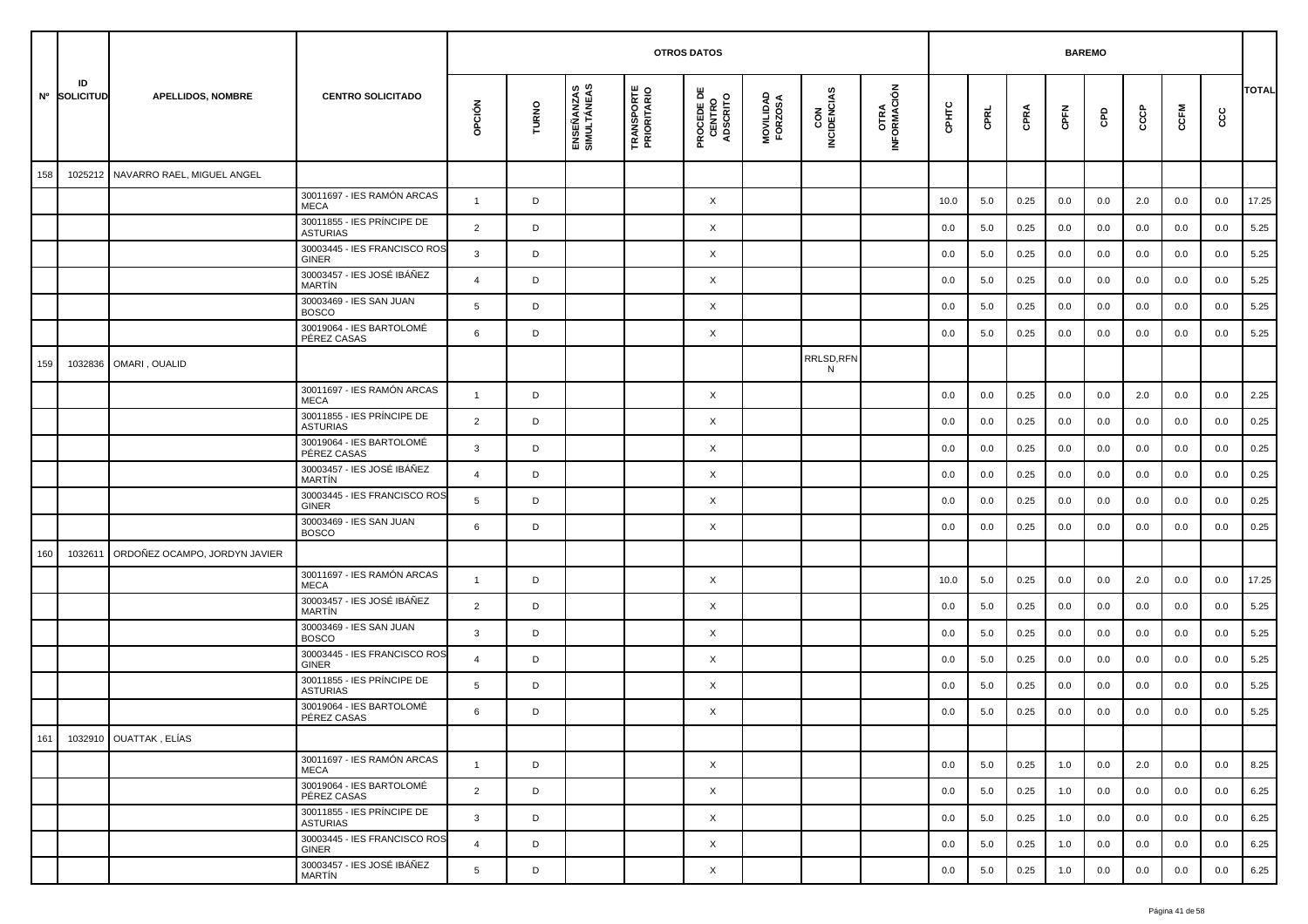|     |                    |                               |                                               |                |       |                           |                                  | <b>OTROS DATOS</b>                        |                      |                    |                     |       |      |      | <b>BAREMO</b> |     |     |      |     |              |
|-----|--------------------|-------------------------------|-----------------------------------------------|----------------|-------|---------------------------|----------------------------------|-------------------------------------------|----------------------|--------------------|---------------------|-------|------|------|---------------|-----|-----|------|-----|--------------|
|     | ID<br>Nº SOLICITUD | <b>APELLIDOS, NOMBRE</b>      | <b>CENTRO SOLICITADO</b>                      | opción         | TURNO | ENSEÑANZAS<br>SIMULTÁNEAS | <b>TRANSPORTE</b><br>PRIORITARIO | <b>PROCEDE DE<br/>CENTRO<br/>ADSCRITO</b> | MOVILIDAD<br>FORZOSA | CON<br>INCIDENCIAS | OTRA<br>INFORMACIÓN | CPHTC | CPRL | CPRA | CPFN          | GPD | င်င | CCFM | င်င | <b>TOTAL</b> |
| 158 | 1025212            | NAVARRO RAEL, MIGUEL ANGEL    |                                               |                |       |                           |                                  |                                           |                      |                    |                     |       |      |      |               |     |     |      |     |              |
|     |                    |                               | 30011697 - IES RAMÓN ARCAS<br><b>MECA</b>     | $\overline{1}$ | D     |                           |                                  | X                                         |                      |                    |                     | 10.0  | 5.0  | 0.25 | 0.0           | 0.0 | 2.0 | 0.0  | 0.0 | 17.25        |
|     |                    |                               | 30011855 - IES PRÍNCIPE DE<br><b>ASTURIAS</b> | 2              | D     |                           |                                  | X                                         |                      |                    |                     | 0.0   | 5.0  | 0.25 | 0.0           | 0.0 | 0.0 | 0.0  | 0.0 | 5.25         |
|     |                    |                               | 30003445 - IES FRANCISCO ROS<br><b>GINER</b>  | 3              | D     |                           |                                  | X                                         |                      |                    |                     | 0.0   | 5.0  | 0.25 | 0.0           | 0.0 | 0.0 | 0.0  | 0.0 | 5.25         |
|     |                    |                               | 30003457 - IES JOSÉ IBÁÑEZ<br><b>MARTIN</b>   | $\overline{4}$ | D     |                           |                                  | X                                         |                      |                    |                     | 0.0   | 5.0  | 0.25 | 0.0           | 0.0 | 0.0 | 0.0  | 0.0 | 5.25         |
|     |                    |                               | 30003469 - IES SAN JUAN<br><b>BOSCO</b>       | 5              | D     |                           |                                  | $\times$                                  |                      |                    |                     | 0.0   | 5.0  | 0.25 | 0.0           | 0.0 | 0.0 | 0.0  | 0.0 | 5.25         |
|     |                    |                               | 30019064 - IES BARTOLOMÉ<br>PÉREZ CASAS       | 6              | D     |                           |                                  | X                                         |                      |                    |                     | 0.0   | 5.0  | 0.25 | 0.0           | 0.0 | 0.0 | 0.0  | 0.0 | 5.25         |
| 159 | 1032836            | OMARI, OUALID                 |                                               |                |       |                           |                                  |                                           |                      | RRLSD,RFN<br>N     |                     |       |      |      |               |     |     |      |     |              |
|     |                    |                               | 30011697 - IES RAMÓN ARCAS<br>MECA            | $\overline{1}$ | D     |                           |                                  | X                                         |                      |                    |                     | 0.0   | 0.0  | 0.25 | 0.0           | 0.0 | 2.0 | 0.0  | 0.0 | 2.25         |
|     |                    |                               | 30011855 - IES PRÍNCIPE DE<br><b>ASTURIAS</b> | $\overline{2}$ | D     |                           |                                  | X                                         |                      |                    |                     | 0.0   | 0.0  | 0.25 | 0.0           | 0.0 | 0.0 | 0.0  | 0.0 | 0.25         |
|     |                    |                               | 30019064 - IES BARTOLOMÉ<br>PÉREZ CASAS       | 3              | D     |                           |                                  | X                                         |                      |                    |                     | 0.0   | 0.0  | 0.25 | 0.0           | 0.0 | 0.0 | 0.0  | 0.0 | 0.25         |
|     |                    |                               | 30003457 - IES JOSÉ IBÁÑEZ<br>MARTÍN          | 4              | D     |                           |                                  | X                                         |                      |                    |                     | 0.0   | 0.0  | 0.25 | 0.0           | 0.0 | 0.0 | 0.0  | 0.0 | 0.25         |
|     |                    |                               | 30003445 - IES FRANCISCO ROS<br>GINER         | 5              | D     |                           |                                  | X                                         |                      |                    |                     | 0.0   | 0.0  | 0.25 | 0.0           | 0.0 | 0.0 | 0.0  | 0.0 | 0.25         |
|     |                    |                               | 30003469 - IES SAN JUAN<br><b>BOSCO</b>       | 6              | D     |                           |                                  | X                                         |                      |                    |                     | 0.0   | 0.0  | 0.25 | 0.0           | 0.0 | 0.0 | 0.0  | 0.0 | 0.25         |
| 160 | 103261             | ORDOÑEZ OCAMPO, JORDYN JAVIER |                                               |                |       |                           |                                  |                                           |                      |                    |                     |       |      |      |               |     |     |      |     |              |
|     |                    |                               | 30011697 - IES RAMÓN ARCAS<br>MECA            | $\overline{1}$ | D     |                           |                                  | X                                         |                      |                    |                     | 10.0  | 5.0  | 0.25 | 0.0           | 0.0 | 2.0 | 0.0  | 0.0 | 17.25        |
|     |                    |                               | 30003457 - IES JOSÉ IBÁÑEZ<br><b>MARTIN</b>   | $\overline{2}$ | D     |                           |                                  | X                                         |                      |                    |                     | 0.0   | 5.0  | 0.25 | 0.0           | 0.0 | 0.0 | 0.0  | 0.0 | 5.25         |
|     |                    |                               | 30003469 - IES SAN JUAN<br><b>BOSCO</b>       | $\mathbf{3}$   | D     |                           |                                  | X                                         |                      |                    |                     | 0.0   | 5.0  | 0.25 | 0.0           | 0.0 | 0.0 | 0.0  | 0.0 | 5.25         |
|     |                    |                               | 30003445 - IES FRANCISCO ROS<br>GINER         | $\overline{4}$ | D     |                           |                                  | X                                         |                      |                    |                     | 0.0   | 5.0  | 0.25 | 0.0           | 0.0 | 0.0 | 0.0  | 0.0 | 5.25         |
|     |                    |                               | 30011855 - IES PRÍNCIPE DE<br><b>ASTURIAS</b> | 5              | D     |                           |                                  | X                                         |                      |                    |                     | 0.0   | 5.0  | 0.25 | 0.0           | 0.0 | 0.0 | 0.0  | 0.0 | 5.25         |
|     |                    |                               | 30019064 - IES BARTOLOMÉ<br>PÉREZ CASAS       | 6              | D     |                           |                                  | X                                         |                      |                    |                     | 0.0   | 5.0  | 0.25 | 0.0           | 0.0 | 0.0 | 0.0  | 0.0 | 5.25         |
|     |                    | 161  1032910  OUATTAK, ELÍAS  |                                               |                |       |                           |                                  |                                           |                      |                    |                     |       |      |      |               |     |     |      |     |              |
|     |                    |                               | 30011697 - IES RAMÓN ARCAS<br>MECA            | $\mathbf{1}$   | D     |                           |                                  | $\times$                                  |                      |                    |                     | 0.0   | 5.0  | 0.25 | 1.0           | 0.0 | 2.0 | 0.0  | 0.0 | 8.25         |
|     |                    |                               | 30019064 - IES BARTOLOMÉ<br>PÉREZ CASAS       | $\overline{2}$ | D     |                           |                                  | $\times$                                  |                      |                    |                     | 0.0   | 5.0  | 0.25 | 1.0           | 0.0 | 0.0 | 0.0  | 0.0 | 6.25         |
|     |                    |                               | 30011855 - IES PRÍNCIPE DE<br><b>ASTURIAS</b> | 3              | D     |                           |                                  | X                                         |                      |                    |                     | 0.0   | 5.0  | 0.25 | 1.0           | 0.0 | 0.0 | 0.0  | 0.0 | 6.25         |
|     |                    |                               | 30003445 - IES FRANCISCO ROS<br>GINER         | $\overline{4}$ | D     |                           |                                  | X                                         |                      |                    |                     | 0.0   | 5.0  | 0.25 | 1.0           | 0.0 | 0.0 | 0.0  | 0.0 | 6.25         |
|     |                    |                               | 30003457 - IES JOSÉ IBÁÑEZ<br>MARTÍN          | 5              | D     |                           |                                  | $\times$                                  |                      |                    |                     | 0.0   | 5.0  | 0.25 | 1.0           | 0.0 | 0.0 | 0.0  | 0.0 | 6.25         |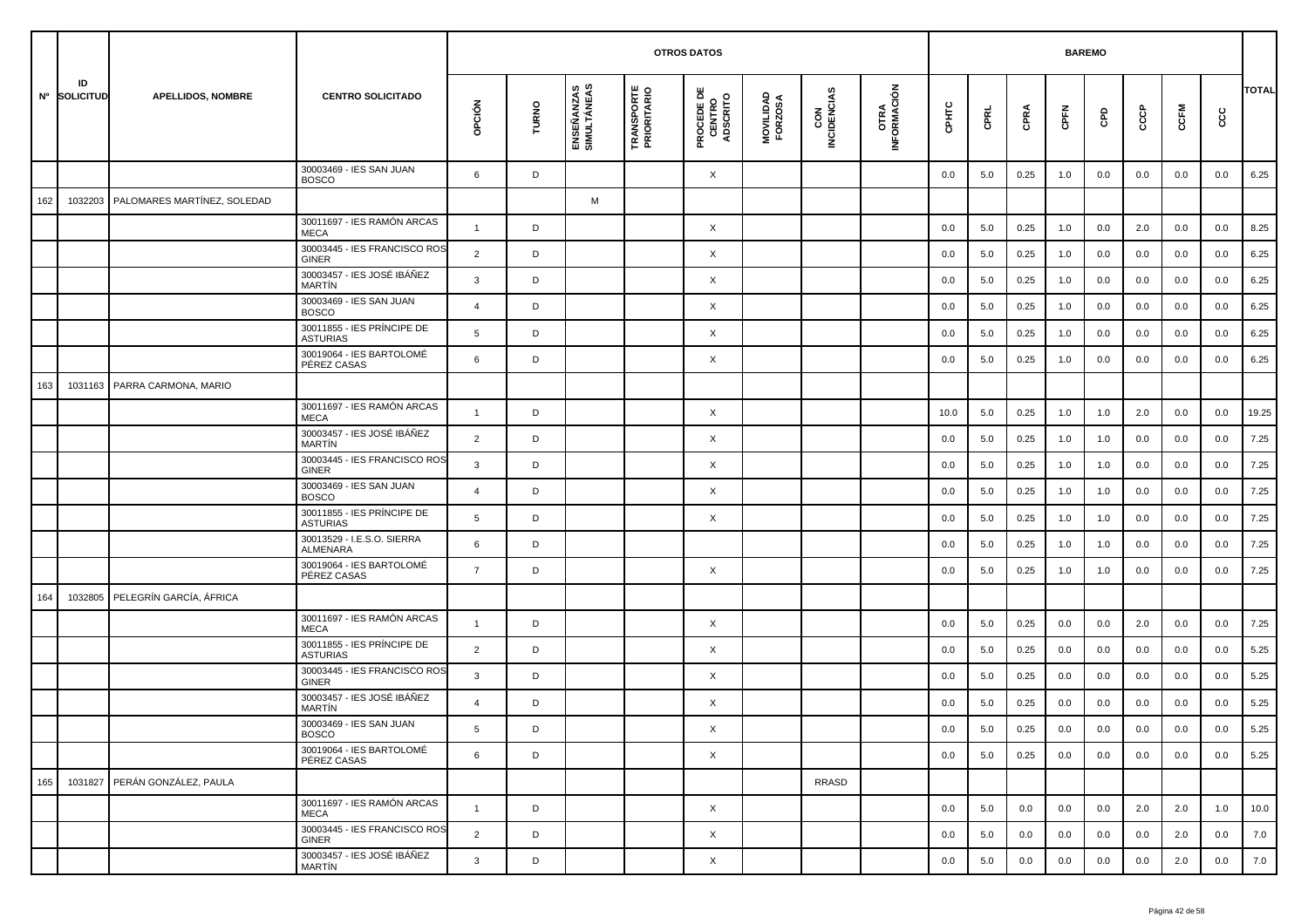|     |                    |                                 |                                               |                |       |                           | <b>OTROS DATOS</b>               |                                           |                      |                    |                     |         | <b>BAREMO</b> |      |         |     |     |         |         |              |
|-----|--------------------|---------------------------------|-----------------------------------------------|----------------|-------|---------------------------|----------------------------------|-------------------------------------------|----------------------|--------------------|---------------------|---------|---------------|------|---------|-----|-----|---------|---------|--------------|
|     | ID<br>Nº SOLICITUD | <b>APELLIDOS, NOMBRE</b>        | <b>CENTRO SOLICITADO</b>                      | OPCIÓN         | TURNO | ENSEÑANZAS<br>SIMULTÁNEAS | <b>TRANSPORTE</b><br>PRIORITARIO | <b>PROCEDE DE<br/>CENTRO<br/>ADSCRITO</b> | MOVILIDAD<br>FORZOSA | CON<br>INCIDENCIAS | OTRA<br>INFORMACIÓN | CPHTC   | CPRL          | CPRA | CPFN    | GPD | င်င | CCFM    | င္ပင    | <b>TOTAL</b> |
|     |                    |                                 | 30003469 - IES SAN JUAN<br><b>BOSCO</b>       | 6              | D     |                           |                                  | X                                         |                      |                    |                     | 0.0     | 5.0           | 0.25 | 1.0     | 0.0 | 0.0 | 0.0     | 0.0     | 6.25         |
| 162 | 1032203            | PALOMARES MARTÍNEZ, SOLEDAD     |                                               |                |       | М                         |                                  |                                           |                      |                    |                     |         |               |      |         |     |     |         |         |              |
|     |                    |                                 | 30011697 - IES RAMÓN ARCAS<br><b>MECA</b>     | $\mathbf{1}$   | D     |                           |                                  | X                                         |                      |                    |                     | 0.0     | 5.0           | 0.25 | 1.0     | 0.0 | 2.0 | 0.0     | 0.0     | 8.25         |
|     |                    |                                 | 30003445 - IES FRANCISCO ROS<br><b>GINER</b>  | 2              | D     |                           |                                  | X                                         |                      |                    |                     | 0.0     | 5.0           | 0.25 | 1.0     | 0.0 | 0.0 | 0.0     | 0.0     | 6.25         |
|     |                    |                                 | 30003457 - IES JOSÉ IBÁÑEZ<br><b>MARTIN</b>   | 3              | D     |                           |                                  | X                                         |                      |                    |                     | 0.0     | 5.0           | 0.25 | 1.0     | 0.0 | 0.0 | 0.0     | 0.0     | 6.25         |
|     |                    |                                 | 30003469 - IES SAN JUAN<br><b>BOSCO</b>       | $\overline{4}$ | D     |                           |                                  | X                                         |                      |                    |                     | 0.0     | 5.0           | 0.25 | 1.0     | 0.0 | 0.0 | 0.0     | 0.0     | 6.25         |
|     |                    |                                 | 30011855 - IES PRÍNCIPE DE<br><b>ASTURIAS</b> | 5              | D     |                           |                                  | X                                         |                      |                    |                     | 0.0     | 5.0           | 0.25 | 1.0     | 0.0 | 0.0 | 0.0     | 0.0     | 6.25         |
|     |                    |                                 | 30019064 - IES BARTOLOMÉ<br>PÉREZ CASAS       | 6              | D     |                           |                                  | X                                         |                      |                    |                     | 0.0     | 5.0           | 0.25 | 1.0     | 0.0 | 0.0 | 0.0     | 0.0     | 6.25         |
| 163 | 1031163            | PARRA CARMONA, MARIO            |                                               |                |       |                           |                                  |                                           |                      |                    |                     |         |               |      |         |     |     |         |         |              |
|     |                    |                                 | 30011697 - IES RAMÓN ARCAS<br><b>MECA</b>     | $\overline{1}$ | D     |                           |                                  | X                                         |                      |                    |                     | 10.0    | 5.0           | 0.25 | 1.0     | 1.0 | 2.0 | 0.0     | 0.0     | 19.25        |
|     |                    |                                 | 30003457 - IES JOSÉ IBÁÑEZ<br><b>MARTIN</b>   | $\overline{2}$ | D     |                           |                                  | X                                         |                      |                    |                     | 0.0     | 5.0           | 0.25 | 1.0     | 1.0 | 0.0 | 0.0     | 0.0     | 7.25         |
|     |                    |                                 | 30003445 - IES FRANCISCO ROS<br><b>GINER</b>  | 3              | D     |                           |                                  | X                                         |                      |                    |                     | 0.0     | 5.0           | 0.25 | 1.0     | 1.0 | 0.0 | 0.0     | 0.0     | 7.25         |
|     |                    |                                 | 30003469 - IES SAN JUAN<br><b>BOSCO</b>       | $\overline{4}$ | D     |                           |                                  | X                                         |                      |                    |                     | 0.0     | 5.0           | 0.25 | 1.0     | 1.0 | 0.0 | 0.0     | 0.0     | 7.25         |
|     |                    |                                 | 30011855 - IES PRÍNCIPE DE<br><b>ASTURIAS</b> | 5              | D     |                           |                                  | X                                         |                      |                    |                     | 0.0     | 5.0           | 0.25 | 1.0     | 1.0 | 0.0 | 0.0     | 0.0     | 7.25         |
|     |                    |                                 | 30013529 - I.E.S.O. SIERRA<br><b>ALMENARA</b> | 6              | D     |                           |                                  |                                           |                      |                    |                     | 0.0     | 5.0           | 0.25 | 1.0     | 1.0 | 0.0 | 0.0     | 0.0     | 7.25         |
|     |                    |                                 | 30019064 - IES BARTOLOMÉ<br>PÉREZ CASAS       | $\overline{7}$ | D     |                           |                                  | X                                         |                      |                    |                     | 0.0     | 5.0           | 0.25 | 1.0     | 1.0 | 0.0 | 0.0     | 0.0     | 7.25         |
| 164 |                    | 1032805 PELEGRÍN GARCÍA, ÁFRICA |                                               |                |       |                           |                                  |                                           |                      |                    |                     |         |               |      |         |     |     |         |         |              |
|     |                    |                                 | 30011697 - IES RAMÓN ARCAS<br><b>MECA</b>     | $\overline{1}$ | D     |                           |                                  | X                                         |                      |                    |                     | 0.0     | 5.0           | 0.25 | 0.0     | 0.0 | 2.0 | 0.0     | 0.0     | 7.25         |
|     |                    |                                 | 30011855 - IES PRÍNCIPE DE<br><b>ASTURIAS</b> | 2              | D     |                           |                                  | X                                         |                      |                    |                     | 0.0     | 5.0           | 0.25 | 0.0     | 0.0 | 0.0 | 0.0     | 0.0     | 5.25         |
|     |                    |                                 | 30003445 - IES FRANCISCO ROS<br>GINER         | 3              | D     |                           |                                  | X                                         |                      |                    |                     | 0.0     | 5.0           | 0.25 | 0.0     | 0.0 | 0.0 | 0.0     | 0.0     | 5.25         |
|     |                    |                                 | 30003457 - IES JOSÉ IBÁÑEZ<br>MARTÍN          | $\overline{4}$ | D     |                           |                                  | X                                         |                      |                    |                     | 0.0     | 5.0           | 0.25 | 0.0     | 0.0 | 0.0 | 0.0     | 0.0     | 5.25         |
|     |                    |                                 | 30003469 - IES SAN JUAN<br><b>BOSCO</b>       |                | D     |                           |                                  | X                                         |                      |                    |                     | $0.0\,$ | $5.0\,$       | 0.25 | $0.0\,$ | 0.0 | 0.0 | $0.0\,$ | $0.0\,$ | 5.25         |
|     |                    |                                 | 30019064 - IES BARTOLOMÉ<br>PÉREZ CASAS       | 6              | D     |                           |                                  | $\times$                                  |                      |                    |                     | 0.0     | 5.0           | 0.25 | 0.0     | 0.0 | 0.0 | 0.0     | 0.0     | 5.25         |
| 165 |                    | 1031827 PERÁN GONZÁLEZ, PAULA   |                                               |                |       |                           |                                  |                                           |                      | <b>RRASD</b>       |                     |         |               |      |         |     |     |         |         |              |
|     |                    |                                 | 30011697 - IES RAMÓN ARCAS<br><b>MECA</b>     | $\mathbf{1}$   | D     |                           |                                  | X                                         |                      |                    |                     | 0.0     | 5.0           | 0.0  | 0.0     | 0.0 | 2.0 | 2.0     | 1.0     | 10.0         |
|     |                    |                                 | 30003445 - IES FRANCISCO ROS<br>GINER         | 2              | D     |                           |                                  | $\times$                                  |                      |                    |                     | 0.0     | 5.0           | 0.0  | 0.0     | 0.0 | 0.0 | 2.0     | 0.0     | 7.0          |
|     |                    |                                 | 30003457 - IES JOSÉ IBÁÑEZ<br>MARTÍN          | $\mathbf{3}$   | D     |                           |                                  | X                                         |                      |                    |                     | 0.0     | 5.0           | 0.0  | 0.0     | 0.0 | 0.0 | 2.0     | 0.0     | 7.0          |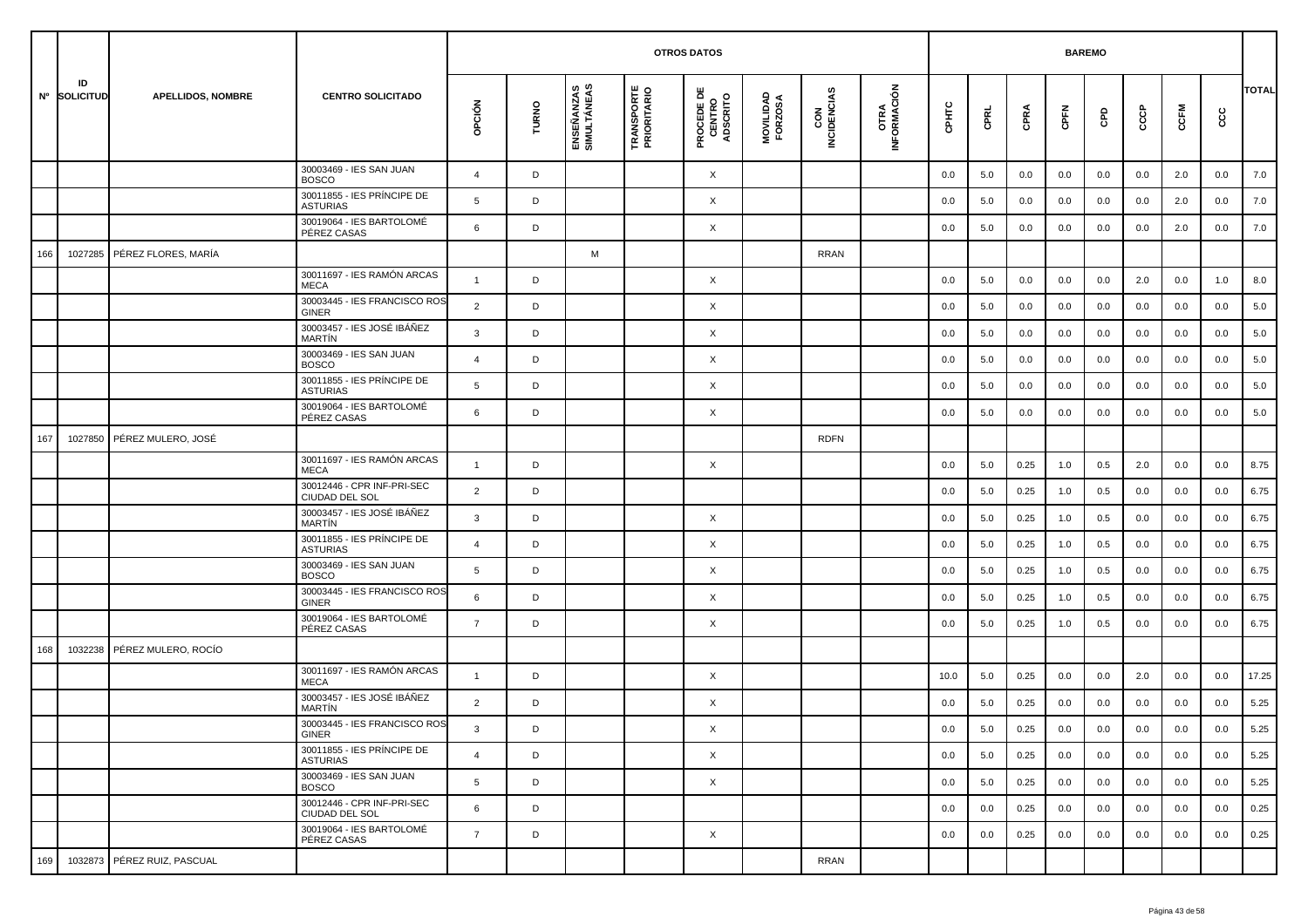|     |                    |                             |                                               |                |       |                           |                                  | <b>OTROS DATOS</b>                        |                      |                    |                     |       |      |      | <b>BAREMO</b> |     |     |      |      |              |
|-----|--------------------|-----------------------------|-----------------------------------------------|----------------|-------|---------------------------|----------------------------------|-------------------------------------------|----------------------|--------------------|---------------------|-------|------|------|---------------|-----|-----|------|------|--------------|
|     | ID<br>Nº SOLICITUD | <b>APELLIDOS, NOMBRE</b>    | <b>CENTRO SOLICITADO</b>                      | opción         | TURNO | ENSEÑANZAS<br>SIMULTÁNEAS | <b>TRANSPORTE</b><br>PRIORITARIO | <b>PROCEDE DE<br/>CENTRO<br/>ADSCRITO</b> | MOVILIDAD<br>FORZOSA | CON<br>INCIDENCIAS | OTRA<br>INFORMACIÓN | CPHTC | CPRL | CPRA | CPFN          | GPD | င်င | CCFM | င္ပင | <b>TOTAL</b> |
|     |                    |                             | 30003469 - IES SAN JUAN<br><b>BOSCO</b>       | $\overline{4}$ | D     |                           |                                  | X                                         |                      |                    |                     | 0.0   | 5.0  | 0.0  | 0.0           | 0.0 | 0.0 | 2.0  | 0.0  | 7.0          |
|     |                    |                             | 30011855 - IES PRÍNCIPE DE<br><b>ASTURIAS</b> | 5              | D     |                           |                                  | X                                         |                      |                    |                     | 0.0   | 5.0  | 0.0  | 0.0           | 0.0 | 0.0 | 2.0  | 0.0  | 7.0          |
|     |                    |                             | 30019064 - IES BARTOLOMÉ<br>PÉREZ CASAS       | 6              | D     |                           |                                  | X                                         |                      |                    |                     | 0.0   | 5.0  | 0.0  | 0.0           | 0.0 | 0.0 | 2.0  | 0.0  | 7.0          |
| 166 | 1027285            | PÉREZ FLORES, MARÍA         |                                               |                |       | M                         |                                  |                                           |                      | <b>RRAN</b>        |                     |       |      |      |               |     |     |      |      |              |
|     |                    |                             | 30011697 - IES RAMÓN ARCAS<br><b>MECA</b>     | $\overline{1}$ | D     |                           |                                  | X                                         |                      |                    |                     | 0.0   | 5.0  | 0.0  | 0.0           | 0.0 | 2.0 | 0.0  | 1.0  | 8.0          |
|     |                    |                             | 30003445 - IES FRANCISCO ROS<br><b>GINER</b>  | $\overline{2}$ | D     |                           |                                  | X                                         |                      |                    |                     | 0.0   | 5.0  | 0.0  | 0.0           | 0.0 | 0.0 | 0.0  | 0.0  | 5.0          |
|     |                    |                             | 30003457 - IES JOSÉ IBÁÑEZ<br><b>MARTIN</b>   | 3              | D     |                           |                                  | X                                         |                      |                    |                     | 0.0   | 5.0  | 0.0  | 0.0           | 0.0 | 0.0 | 0.0  | 0.0  | 5.0          |
|     |                    |                             | 30003469 - IES SAN JUAN<br><b>BOSCO</b>       | $\overline{4}$ | D     |                           |                                  | X                                         |                      |                    |                     | 0.0   | 5.0  | 0.0  | 0.0           | 0.0 | 0.0 | 0.0  | 0.0  | 5.0          |
|     |                    |                             | 30011855 - IES PRÍNCIPE DE<br><b>ASTURIAS</b> | 5              | D     |                           |                                  | X                                         |                      |                    |                     | 0.0   | 5.0  | 0.0  | 0.0           | 0.0 | 0.0 | 0.0  | 0.0  | 5.0          |
|     |                    |                             | 30019064 - IES BARTOLOMÉ<br>PÉREZ CASAS       | 6              | D     |                           |                                  | X                                         |                      |                    |                     | 0.0   | 5.0  | 0.0  | 0.0           | 0.0 | 0.0 | 0.0  | 0.0  | 5.0          |
| 167 | 1027850            | PÉREZ MULERO, JOSÉ          |                                               |                |       |                           |                                  |                                           |                      | <b>RDFN</b>        |                     |       |      |      |               |     |     |      |      |              |
|     |                    |                             | 30011697 - IES RAMÓN ARCAS<br><b>MECA</b>     | $\overline{1}$ | D     |                           |                                  | X                                         |                      |                    |                     | 0.0   | 5.0  | 0.25 | 1.0           | 0.5 | 2.0 | 0.0  | 0.0  | 8.75         |
|     |                    |                             | 30012446 - CPR INF-PRI-SEC<br>CIUDAD DEL SOL  | $\overline{2}$ | D     |                           |                                  |                                           |                      |                    |                     | 0.0   | 5.0  | 0.25 | 1.0           | 0.5 | 0.0 | 0.0  | 0.0  | 6.75         |
|     |                    |                             | 30003457 - IES JOSÉ IBÁÑEZ<br>MARTÍN          | 3              | D     |                           |                                  | X                                         |                      |                    |                     | 0.0   | 5.0  | 0.25 | 1.0           | 0.5 | 0.0 | 0.0  | 0.0  | 6.75         |
|     |                    |                             | 30011855 - IES PRÍNCIPE DE<br><b>ASTURIAS</b> | $\overline{4}$ | D     |                           |                                  | X                                         |                      |                    |                     | 0.0   | 5.0  | 0.25 | 1.0           | 0.5 | 0.0 | 0.0  | 0.0  | 6.75         |
|     |                    |                             | 30003469 - IES SAN JUAN<br><b>BOSCO</b>       | 5              | D     |                           |                                  | X                                         |                      |                    |                     | 0.0   | 5.0  | 0.25 | 1.0           | 0.5 | 0.0 | 0.0  | 0.0  | 6.75         |
|     |                    |                             | 30003445 - IES FRANCISCO ROS<br><b>GINER</b>  | 6              | D     |                           |                                  | X                                         |                      |                    |                     | 0.0   | 5.0  | 0.25 | 1.0           | 0.5 | 0.0 | 0.0  | 0.0  | 6.75         |
|     |                    |                             | 30019064 - IES BARTOLOMÉ<br>PÉREZ CASAS       | $\overline{7}$ | D     |                           |                                  | X                                         |                      |                    |                     | 0.0   | 5.0  | 0.25 | 1.0           | 0.5 | 0.0 | 0.0  | 0.0  | 6.75         |
| 168 | 1032238            | PÉREZ MULERO, ROCÍO         |                                               |                |       |                           |                                  |                                           |                      |                    |                     |       |      |      |               |     |     |      |      |              |
|     |                    |                             | 30011697 - IES RAMÓN ARCAS<br><b>MECA</b>     | $\mathbf{1}$   | D     |                           |                                  | X                                         |                      |                    |                     | 10.0  | 5.0  | 0.25 | 0.0           | 0.0 | 2.0 | 0.0  | 0.0  | 17.25        |
|     |                    |                             | 30003457 - IES JOSÉ IBÁÑEZ<br><b>MARTIN</b>   | $\overline{2}$ | D     |                           |                                  | X                                         |                      |                    |                     | 0.0   | 5.0  | 0.25 | 0.0           | 0.0 | 0.0 | 0.0  | 0.0  | 5.25         |
|     |                    |                             | 30003445 - IES FRANCISCO ROS<br>GINER         | 3              | D     |                           |                                  | X                                         |                      |                    |                     | 0.0   | 5.0  | 0.25 | 0.0           | 0.0 | 0.0 | 0.0  | 0.0  | 5.25         |
|     |                    |                             | 30011855 - IES PRÍNCIPE DE<br><b>ASTURIAS</b> | $\overline{4}$ | D     |                           |                                  | $\times$                                  |                      |                    |                     | 0.0   | 5.0  | 0.25 | 0.0           | 0.0 | 0.0 | 0.0  | 0.0  | 5.25         |
|     |                    |                             | 30003469 - IES SAN JUAN<br><b>BOSCO</b>       | 5              | D     |                           |                                  | $\times$                                  |                      |                    |                     | 0.0   | 5.0  | 0.25 | 0.0           | 0.0 | 0.0 | 0.0  | 0.0  | 5.25         |
|     |                    |                             | 30012446 - CPR INF-PRI-SEC<br>CIUDAD DEL SOL  | 6              | D     |                           |                                  |                                           |                      |                    |                     | 0.0   | 0.0  | 0.25 | 0.0           | 0.0 | 0.0 | 0.0  | 0.0  | 0.25         |
|     |                    |                             | 30019064 - IES BARTOLOMÉ<br>PÉREZ CASAS       | $\overline{7}$ | D     |                           |                                  | X                                         |                      |                    |                     | 0.0   | 0.0  | 0.25 | 0.0           | 0.0 | 0.0 | 0.0  | 0.0  | 0.25         |
| 169 |                    | 1032873 PÉREZ RUIZ, PASCUAL |                                               |                |       |                           |                                  |                                           |                      | <b>RRAN</b>        |                     |       |      |      |               |     |     |      |      |              |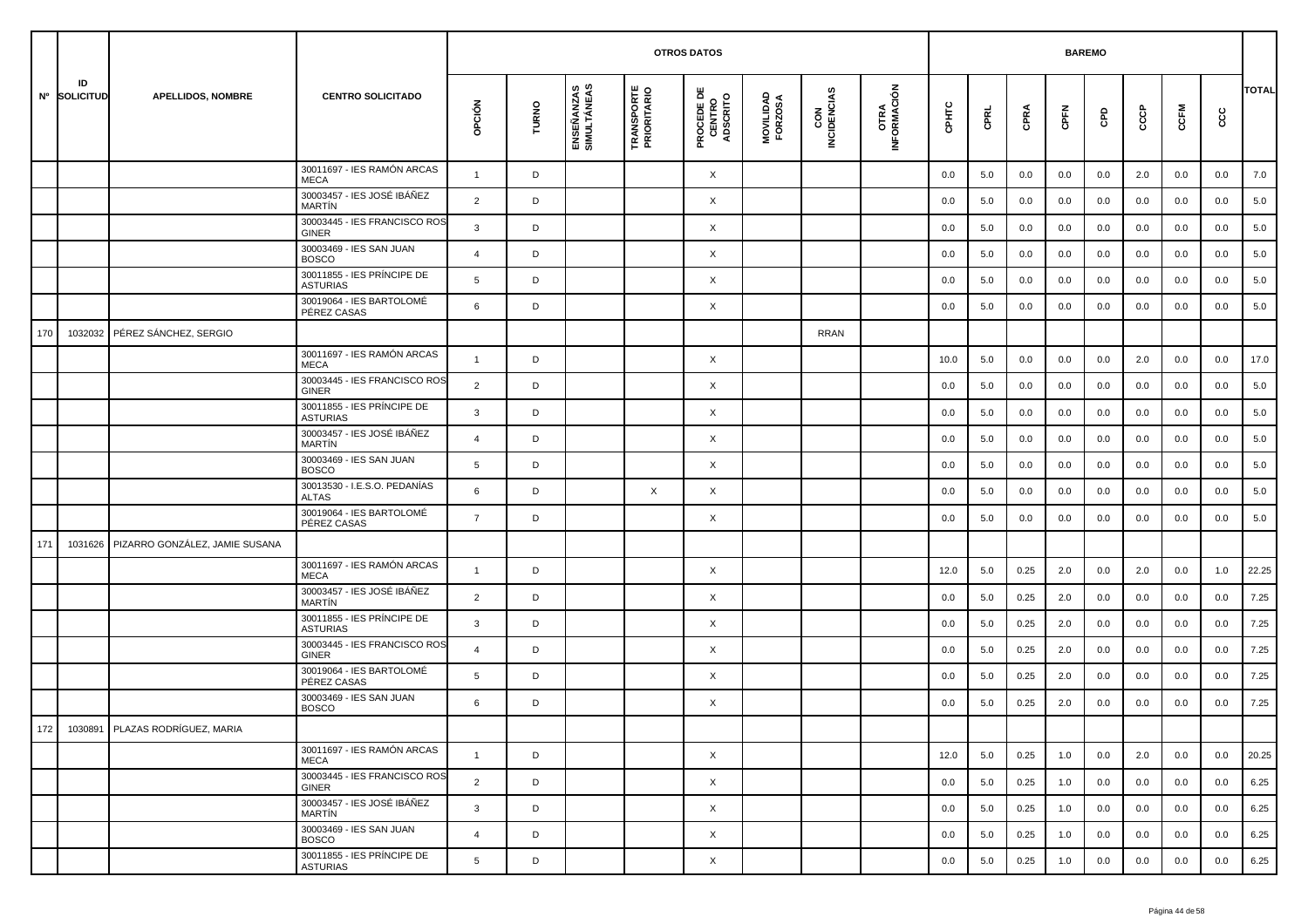|     |                    |                                 |                                               |                 |       |                           | <b>OTROS DATOS</b>               |                                           |                      |                    |                     |       | <b>BAREMO</b> |      |      |     |     |      |     |              |
|-----|--------------------|---------------------------------|-----------------------------------------------|-----------------|-------|---------------------------|----------------------------------|-------------------------------------------|----------------------|--------------------|---------------------|-------|---------------|------|------|-----|-----|------|-----|--------------|
|     | ID<br>Nº SOLICITUD | <b>APELLIDOS, NOMBRE</b>        | <b>CENTRO SOLICITADO</b>                      | OPCIÓN          | TURNO | ENSEÑANZAS<br>SIMULTÁNEAS | <b>TRANSPORTE</b><br>PRIORITARIO | <b>PROCEDE DE<br/>CENTRO<br/>ADSCRITO</b> | MOVILIDAD<br>FORZOSA | CON<br>INCIDENCIAS | OTRA<br>INFORMACIÓN | CPHTC | CPRL          | CPRA | CPFN | GPD | င်င | CCFM | cc  | <b>TOTAL</b> |
|     |                    |                                 | 30011697 - IES RAMÓN ARCAS<br><b>MECA</b>     | $\overline{1}$  | D     |                           |                                  | X                                         |                      |                    |                     | 0.0   | 5.0           | 0.0  | 0.0  | 0.0 | 2.0 | 0.0  | 0.0 | 7.0          |
|     |                    |                                 | 30003457 - IES JOSÉ IBÁÑEZ<br>MARTÍN          | $\overline{2}$  | D     |                           |                                  | Χ                                         |                      |                    |                     | 0.0   | 5.0           | 0.0  | 0.0  | 0.0 | 0.0 | 0.0  | 0.0 | 5.0          |
|     |                    |                                 | 30003445 - IES FRANCISCO ROS<br><b>GINER</b>  | 3               | D     |                           |                                  | X                                         |                      |                    |                     | 0.0   | 5.0           | 0.0  | 0.0  | 0.0 | 0.0 | 0.0  | 0.0 | 5.0          |
|     |                    |                                 | 30003469 - IES SAN JUAN<br><b>BOSCO</b>       | $\overline{4}$  | D     |                           |                                  | Χ                                         |                      |                    |                     | 0.0   | 5.0           | 0.0  | 0.0  | 0.0 | 0.0 | 0.0  | 0.0 | 5.0          |
|     |                    |                                 | 30011855 - IES PRINCIPE DE<br><b>ASTURIAS</b> | 5               | D     |                           |                                  | Χ                                         |                      |                    |                     | 0.0   | 5.0           | 0.0  | 0.0  | 0.0 | 0.0 | 0.0  | 0.0 | 5.0          |
|     |                    |                                 | 30019064 - IES BARTOLOMÉ<br>PÉREZ CASAS       | 6               | D     |                           |                                  | X                                         |                      |                    |                     | 0.0   | 5.0           | 0.0  | 0.0  | 0.0 | 0.0 | 0.0  | 0.0 | 5.0          |
| 170 | 1032032            | PÉREZ SÁNCHEZ, SERGIO           |                                               |                 |       |                           |                                  |                                           |                      | RRAN               |                     |       |               |      |      |     |     |      |     |              |
|     |                    |                                 | 30011697 - IES RAMÓN ARCAS<br><b>MECA</b>     | $\overline{1}$  | D     |                           |                                  | Χ                                         |                      |                    |                     | 10.0  | 5.0           | 0.0  | 0.0  | 0.0 | 2.0 | 0.0  | 0.0 | 17.0         |
|     |                    |                                 | 30003445 - IES FRANCISCO ROS<br><b>GINER</b>  | $\overline{2}$  | D     |                           |                                  | X                                         |                      |                    |                     | 0.0   | 5.0           | 0.0  | 0.0  | 0.0 | 0.0 | 0.0  | 0.0 | 5.0          |
|     |                    |                                 | 30011855 - IES PRÍNCIPE DE<br><b>ASTURIAS</b> | 3               | D     |                           |                                  | Χ                                         |                      |                    |                     | 0.0   | 5.0           | 0.0  | 0.0  | 0.0 | 0.0 | 0.0  | 0.0 | 5.0          |
|     |                    |                                 | 30003457 - IES JOSÉ IBÁÑEZ<br>MARTÍN          | $\overline{4}$  | D     |                           |                                  | Χ                                         |                      |                    |                     | 0.0   | 5.0           | 0.0  | 0.0  | 0.0 | 0.0 | 0.0  | 0.0 | 5.0          |
|     |                    |                                 | 30003469 - IES SAN JUAN<br><b>BOSCO</b>       | $5\overline{5}$ | D     |                           |                                  | X                                         |                      |                    |                     | 0.0   | 5.0           | 0.0  | 0.0  | 0.0 | 0.0 | 0.0  | 0.0 | 5.0          |
|     |                    |                                 | 30013530 - I.E.S.O. PEDANÍAS<br><b>ALTAS</b>  | 6               | D     |                           | X                                | X                                         |                      |                    |                     | 0.0   | 5.0           | 0.0  | 0.0  | 0.0 | 0.0 | 0.0  | 0.0 | 5.0          |
|     |                    |                                 | 30019064 - IES BARTOLOMÉ<br>PÉREZ CASAS       | $\overline{7}$  | D     |                           |                                  | Χ                                         |                      |                    |                     | 0.0   | 5.0           | 0.0  | 0.0  | 0.0 | 0.0 | 0.0  | 0.0 | 5.0          |
| 171 | 1031626            | PIZARRO GONZÁLEZ, JAMIE SUSANA  |                                               |                 |       |                           |                                  |                                           |                      |                    |                     |       |               |      |      |     |     |      |     |              |
|     |                    |                                 | 30011697 - IES RAMÓN ARCAS<br><b>MECA</b>     | $\overline{1}$  | D     |                           |                                  | X                                         |                      |                    |                     | 12.0  | 5.0           | 0.25 | 2.0  | 0.0 | 2.0 | 0.0  | 1.0 | 22.25        |
|     |                    |                                 | 30003457 - IES JOSÉ IBÁÑEZ<br>MARTÍN          | $\overline{2}$  | D     |                           |                                  | Χ                                         |                      |                    |                     | 0.0   | 5.0           | 0.25 | 2.0  | 0.0 | 0.0 | 0.0  | 0.0 | 7.25         |
|     |                    |                                 | 30011855 - IES PRÍNCIPE DE<br><b>ASTURIAS</b> | 3               | D     |                           |                                  | X                                         |                      |                    |                     | 0.0   | 5.0           | 0.25 | 2.0  | 0.0 | 0.0 | 0.0  | 0.0 | 7.25         |
|     |                    |                                 | 30003445 - IES FRANCISCO ROS<br><b>GINER</b>  | $\overline{4}$  | D     |                           |                                  | X                                         |                      |                    |                     | 0.0   | 5.0           | 0.25 | 2.0  | 0.0 | 0.0 | 0.0  | 0.0 | 7.25         |
|     |                    |                                 | 30019064 - IES BARTOLOMÉ<br>PÉREZ CASAS       | 5               | D     |                           |                                  | Χ                                         |                      |                    |                     | 0.0   | 5.0           | 0.25 | 2.0  | 0.0 | 0.0 | 0.0  | 0.0 | 7.25         |
|     |                    |                                 | 30003469 - IES SAN JUAN<br><b>BOSCO</b>       | 6               | D     |                           |                                  | X                                         |                      |                    |                     | 0.0   | 5.0           | 0.25 | 2.0  | 0.0 | 0.0 | 0.0  | 0.0 | 7.25         |
| 172 |                    | 1030891 PLAZAS RODRÍGUEZ, MARIA |                                               |                 |       |                           |                                  |                                           |                      |                    |                     |       |               |      |      |     |     |      |     |              |
|     |                    |                                 | 30011697 - IES RAMÓN ARCAS<br>MECA            | $\mathbf{1}$    | D     |                           |                                  | X                                         |                      |                    |                     | 12.0  | 5.0           | 0.25 | 1.0  | 0.0 | 2.0 | 0.0  | 0.0 | 20.25        |
|     |                    |                                 | 30003445 - IES FRANCISCO ROS<br>GINER         | $\overline{2}$  | D     |                           |                                  | X                                         |                      |                    |                     | 0.0   | 5.0           | 0.25 | 1.0  | 0.0 | 0.0 | 0.0  | 0.0 | 6.25         |
|     |                    |                                 | 30003457 - IES JOSÉ IBÁÑEZ<br>MARTÍN          | $\mathbf{3}$    | D     |                           |                                  | X                                         |                      |                    |                     | 0.0   | 5.0           | 0.25 | 1.0  | 0.0 | 0.0 | 0.0  | 0.0 | 6.25         |
|     |                    |                                 | 30003469 - IES SAN JUAN<br><b>BOSCO</b>       | $\overline{4}$  | D     |                           |                                  | X                                         |                      |                    |                     | 0.0   | 5.0           | 0.25 | 1.0  | 0.0 | 0.0 | 0.0  | 0.0 | 6.25         |
|     |                    |                                 | 30011855 - IES PRÍNCIPE DE<br><b>ASTURIAS</b> | $5\overline{5}$ | D     |                           |                                  | X                                         |                      |                    |                     | 0.0   | 5.0           | 0.25 | 1.0  | 0.0 | 0.0 | 0.0  | 0.0 | 6.25         |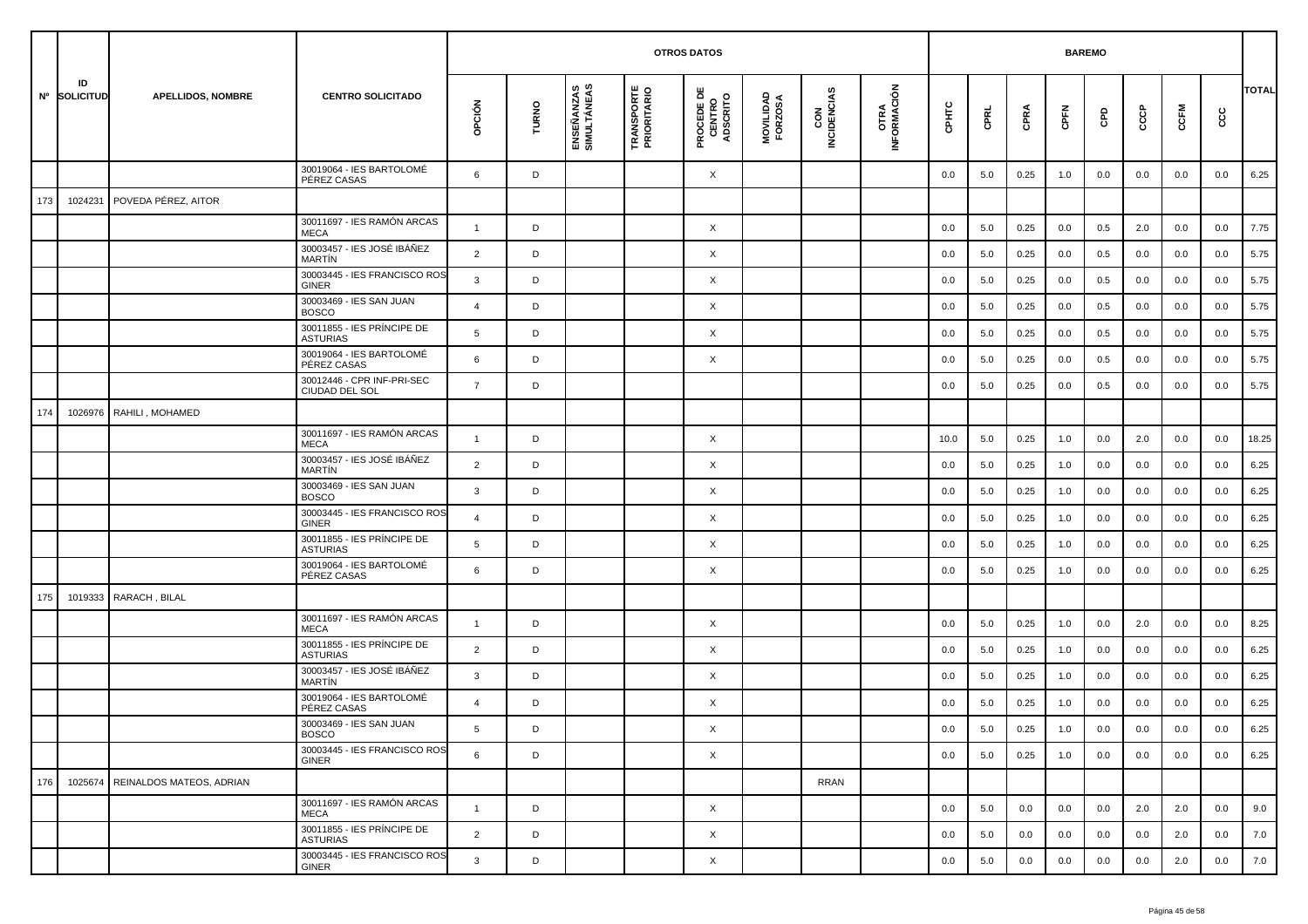|     |                    |                          |                                               |                |       |                           |                                  | <b>OTROS DATOS</b>                        |                      |                    |                     |         |      |      | <b>BAREMO</b> |     |     |         |     |              |
|-----|--------------------|--------------------------|-----------------------------------------------|----------------|-------|---------------------------|----------------------------------|-------------------------------------------|----------------------|--------------------|---------------------|---------|------|------|---------------|-----|-----|---------|-----|--------------|
|     | ID<br>Nº SOLICITUD | <b>APELLIDOS, NOMBRE</b> | <b>CENTRO SOLICITADO</b>                      | opción         | TURNO | ENSEÑANZAS<br>SIMULTÁNEAS | <b>TRANSPORTE</b><br>PRIORITARIO | <b>PROCEDE DE<br/>CENTRO<br/>ADSCRITO</b> | MOVILIDAD<br>FORZOSA | CON<br>INCIDENCIAS | OTRA<br>INFORMACIÓN | срнтс   | CPRL | CPRA | CPFN          | GPD | င်င | CCFM    | cc  | <b>TOTAL</b> |
|     |                    |                          | 30019064 - IES BARTOLOMÉ<br>PÉREZ CASAS       | 6              | D     |                           |                                  | X                                         |                      |                    |                     | 0.0     | 5.0  | 0.25 | 1.0           | 0.0 | 0.0 | 0.0     | 0.0 | 6.25         |
| 173 | 1024231            | POVEDA PÉREZ, AITOR      |                                               |                |       |                           |                                  |                                           |                      |                    |                     |         |      |      |               |     |     |         |     |              |
|     |                    |                          | 30011697 - IES RAMÓN ARCAS<br><b>MECA</b>     | $\overline{1}$ | D     |                           |                                  | X                                         |                      |                    |                     | 0.0     | 5.0  | 0.25 | 0.0           | 0.5 | 2.0 | 0.0     | 0.0 | 7.75         |
|     |                    |                          | 30003457 - IES JOSÉ IBÁÑEZ<br><b>MARTIN</b>   | $\overline{2}$ | D     |                           |                                  | X                                         |                      |                    |                     | 0.0     | 5.0  | 0.25 | 0.0           | 0.5 | 0.0 | 0.0     | 0.0 | 5.75         |
|     |                    |                          | 30003445 - IES FRANCISCO ROS<br><b>GINER</b>  | $\mathbf{3}$   | D     |                           |                                  | X                                         |                      |                    |                     | 0.0     | 5.0  | 0.25 | 0.0           | 0.5 | 0.0 | 0.0     | 0.0 | 5.75         |
|     |                    |                          | 30003469 - IES SAN JUAN<br><b>BOSCO</b>       | $\overline{4}$ | D     |                           |                                  | X                                         |                      |                    |                     | 0.0     | 5.0  | 0.25 | 0.0           | 0.5 | 0.0 | 0.0     | 0.0 | 5.75         |
|     |                    |                          | 30011855 - IES PRÍNCIPE DE<br><b>ASTURIAS</b> | 5              | D     |                           |                                  | X                                         |                      |                    |                     | 0.0     | 5.0  | 0.25 | 0.0           | 0.5 | 0.0 | 0.0     | 0.0 | 5.75         |
|     |                    |                          | 30019064 - IES BARTOLOMÉ<br>PÉREZ CASAS       | 6              | D     |                           |                                  | X                                         |                      |                    |                     | 0.0     | 5.0  | 0.25 | 0.0           | 0.5 | 0.0 | 0.0     | 0.0 | 5.75         |
|     |                    |                          | 30012446 - CPR INF-PRI-SEC<br>CIUDAD DEL SOL  | $\overline{7}$ | D     |                           |                                  |                                           |                      |                    |                     | 0.0     | 5.0  | 0.25 | 0.0           | 0.5 | 0.0 | 0.0     | 0.0 | 5.75         |
| 174 | 1026976            | RAHILI, MOHAMED          |                                               |                |       |                           |                                  |                                           |                      |                    |                     |         |      |      |               |     |     |         |     |              |
|     |                    |                          | 30011697 - IES RAMÓN ARCAS<br><b>MECA</b>     | $\mathbf{1}$   | D     |                           |                                  | X                                         |                      |                    |                     | 10.0    | 5.0  | 0.25 | 1.0           | 0.0 | 2.0 | 0.0     | 0.0 | 18.25        |
|     |                    |                          | 30003457 - IES JOSÉ IBÁÑEZ<br><b>MARTIN</b>   | $\overline{2}$ | D     |                           |                                  | X                                         |                      |                    |                     | 0.0     | 5.0  | 0.25 | 1.0           | 0.0 | 0.0 | 0.0     | 0.0 | 6.25         |
|     |                    |                          | 30003469 - IES SAN JUAN<br><b>BOSCO</b>       | 3              | D     |                           |                                  | X                                         |                      |                    |                     | 0.0     | 5.0  | 0.25 | 1.0           | 0.0 | 0.0 | 0.0     | 0.0 | 6.25         |
|     |                    |                          | 30003445 - IES FRANCISCO ROS<br><b>GINER</b>  | $\overline{4}$ | D     |                           |                                  | X                                         |                      |                    |                     | 0.0     | 5.0  | 0.25 | 1.0           | 0.0 | 0.0 | 0.0     | 0.0 | 6.25         |
|     |                    |                          | 30011855 - IES PRÍNCIPE DE<br><b>ASTURIAS</b> | 5              | D     |                           |                                  | X                                         |                      |                    |                     | 0.0     | 5.0  | 0.25 | 1.0           | 0.0 | 0.0 | 0.0     | 0.0 | 6.25         |
|     |                    |                          | 30019064 - IES BARTOLOMÉ<br>PÉREZ CASAS       | 6              | D     |                           |                                  | X                                         |                      |                    |                     | 0.0     | 5.0  | 0.25 | 1.0           | 0.0 | 0.0 | 0.0     | 0.0 | 6.25         |
| 175 | 1019333            | RARACH, BILAL            |                                               |                |       |                           |                                  |                                           |                      |                    |                     |         |      |      |               |     |     |         |     |              |
|     |                    |                          | 30011697 - IES RAMÓN ARCAS<br><b>MECA</b>     | $\overline{1}$ | D     |                           |                                  | X                                         |                      |                    |                     | 0.0     | 5.0  | 0.25 | 1.0           | 0.0 | 2.0 | 0.0     | 0.0 | 8.25         |
|     |                    |                          | 30011855 - IES PRÍNCIPE DE<br><b>ASTURIAS</b> | $\overline{2}$ | D     |                           |                                  | X                                         |                      |                    |                     | 0.0     | 5.0  | 0.25 | 1.0           | 0.0 | 0.0 | 0.0     | 0.0 | 6.25         |
|     |                    |                          | 30003457 - IES JOSÉ IBÁÑEZ<br><b>MARTÍN</b>   | 3              | D     |                           |                                  | X                                         |                      |                    |                     | 0.0     | 5.0  | 0.25 | 1.0           | 0.0 | 0.0 | 0.0     | 0.0 | 6.25         |
|     |                    |                          | 30019064 - IES BARTOLOMÉ<br>PÉREZ CASAS       | $\overline{4}$ | D     |                           |                                  | X                                         |                      |                    |                     | 0.0     | 5.0  | 0.25 | 1.0           | 0.0 | 0.0 | 0.0     | 0.0 | 6.25         |
|     |                    |                          | 30003469 - IES SAN JUAN<br><b>BOSCO</b>       | 5              | D     |                           |                                  | Χ                                         |                      |                    |                     | $0.0\,$ | 5.0  | 0.25 | $1.0\,$       | 0.0 | 0.0 | $0.0\,$ | 0.0 | 6.25         |
|     |                    |                          | 30003445 - IES FRANCISCO ROS<br>GINER         | 6              | D     |                           |                                  | $\times$                                  |                      |                    |                     | 0.0     | 5.0  | 0.25 | 1.0           | 0.0 | 0.0 | 0.0     | 0.0 | 6.25         |
| 176 | 1025674            | REINALDOS MATEOS, ADRIAN |                                               |                |       |                           |                                  |                                           |                      | <b>RRAN</b>        |                     |         |      |      |               |     |     |         |     |              |
|     |                    |                          | 30011697 - IES RAMÓN ARCAS<br>MECA            | $\mathbf{1}$   | D     |                           |                                  | X                                         |                      |                    |                     | 0.0     | 5.0  | 0.0  | 0.0           | 0.0 | 2.0 | 2.0     | 0.0 | 9.0          |
|     |                    |                          | 30011855 - IES PRÍNCIPE DE<br><b>ASTURIAS</b> | $\overline{2}$ | D     |                           |                                  | $\times$                                  |                      |                    |                     | 0.0     | 5.0  | 0.0  | 0.0           | 0.0 | 0.0 | 2.0     | 0.0 | 7.0          |
|     |                    |                          | 30003445 - IES FRANCISCO ROS<br>GINER         | $\mathbf{3}$   | D     |                           |                                  | X                                         |                      |                    |                     | 0.0     | 5.0  | 0.0  | 0.0           | 0.0 | 0.0 | 2.0     | 0.0 | 7.0          |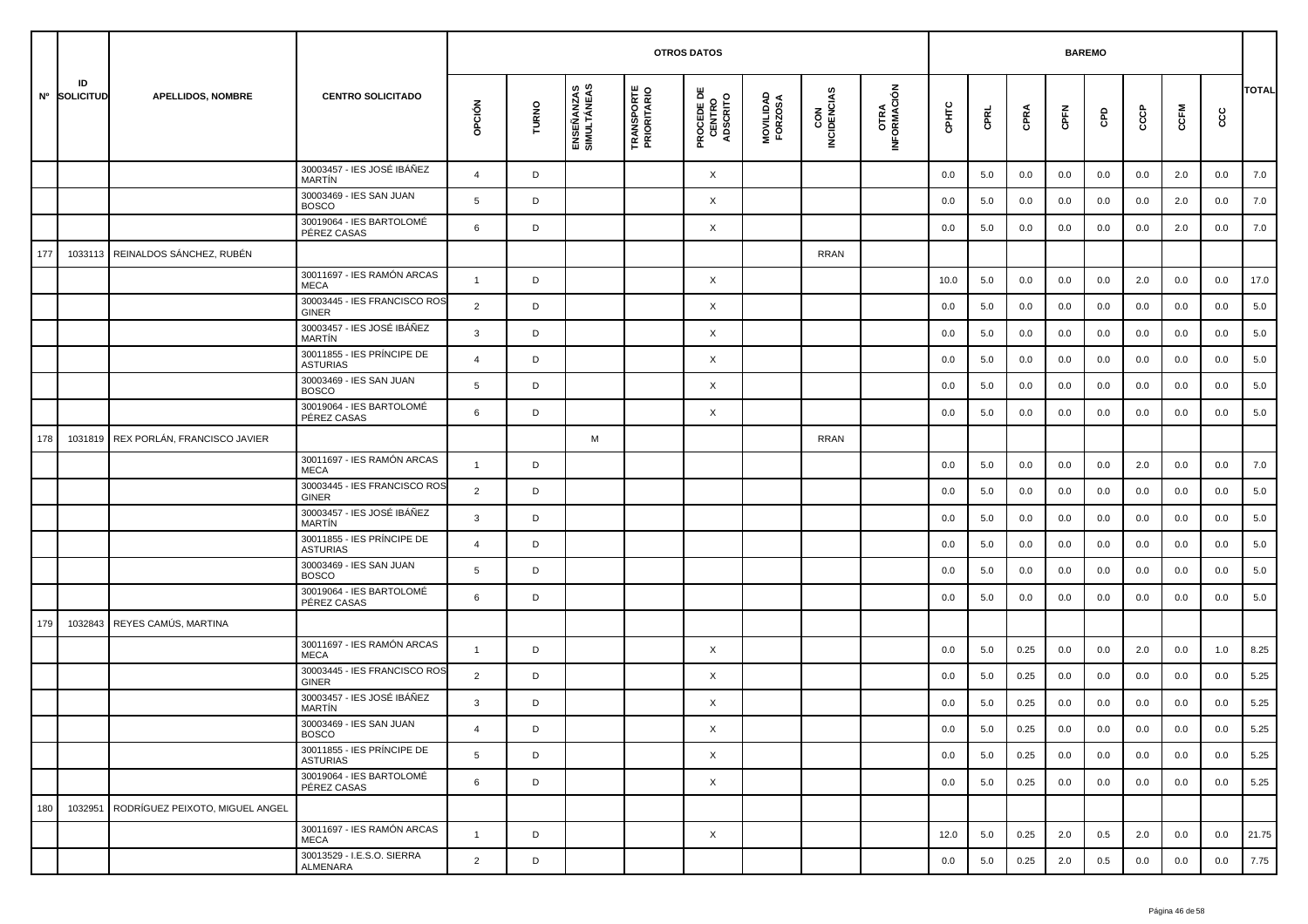|     |                    |                                 |                                               |                |       |                           |                                  | <b>OTROS DATOS</b>                        |                      |                    |                     |         |      | <b>BAREMO</b> |      |     |     |         |      |              |
|-----|--------------------|---------------------------------|-----------------------------------------------|----------------|-------|---------------------------|----------------------------------|-------------------------------------------|----------------------|--------------------|---------------------|---------|------|---------------|------|-----|-----|---------|------|--------------|
|     | ID<br>Nº SOLICITUD | <b>APELLIDOS, NOMBRE</b>        | <b>CENTRO SOLICITADO</b>                      | opción         | TURNO | ENSEÑANZAS<br>SIMULTÁNEAS | <b>TRANSPORTE</b><br>PRIORITARIO | <b>PROCEDE DE<br/>CENTRO<br/>ADSCRITO</b> | MOVILIDAD<br>FORZOSA | CON<br>INCIDENCIAS | OTRA<br>INFORMACIÓN | CPHTC   | CPRL | CPRA          | CPFN | GPD | င်င | CCFM    | င္ပင | <b>TOTAL</b> |
|     |                    |                                 | 30003457 - IES JOSÉ IBÁÑEZ<br><b>MARTIN</b>   | $\overline{4}$ | D     |                           |                                  | X                                         |                      |                    |                     | 0.0     | 5.0  | 0.0           | 0.0  | 0.0 | 0.0 | 2.0     | 0.0  | 7.0          |
|     |                    |                                 | 30003469 - IES SAN JUAN<br><b>BOSCO</b>       | 5              | D     |                           |                                  | X                                         |                      |                    |                     | 0.0     | 5.0  | 0.0           | 0.0  | 0.0 | 0.0 | 2.0     | 0.0  | 7.0          |
|     |                    |                                 | 30019064 - IES BARTOLOMÉ<br>PÉREZ CASAS       | 6              | D     |                           |                                  | X                                         |                      |                    |                     | 0.0     | 5.0  | 0.0           | 0.0  | 0.0 | 0.0 | 2.0     | 0.0  | 7.0          |
| 177 | 1033113            | REINALDOS SÁNCHEZ, RUBÉN        |                                               |                |       |                           |                                  |                                           |                      | <b>RRAN</b>        |                     |         |      |               |      |     |     |         |      |              |
|     |                    |                                 | 30011697 - IES RAMÓN ARCAS<br><b>MECA</b>     | $\overline{1}$ | D     |                           |                                  | X                                         |                      |                    |                     | 10.0    | 5.0  | 0.0           | 0.0  | 0.0 | 2.0 | 0.0     | 0.0  | 17.0         |
|     |                    |                                 | 30003445 - IES FRANCISCO ROS<br><b>GINER</b>  | $\overline{2}$ | D     |                           |                                  | X                                         |                      |                    |                     | 0.0     | 5.0  | 0.0           | 0.0  | 0.0 | 0.0 | 0.0     | 0.0  | 5.0          |
|     |                    |                                 | 30003457 - IES JOSÉ IBÁÑEZ<br><b>MARTIN</b>   | 3              | D     |                           |                                  | X                                         |                      |                    |                     | 0.0     | 5.0  | 0.0           | 0.0  | 0.0 | 0.0 | 0.0     | 0.0  | 5.0          |
|     |                    |                                 | 30011855 - IES PRÍNCIPE DE<br><b>ASTURIAS</b> | $\overline{a}$ | D     |                           |                                  | X                                         |                      |                    |                     | 0.0     | 5.0  | 0.0           | 0.0  | 0.0 | 0.0 | 0.0     | 0.0  | 5.0          |
|     |                    |                                 | 30003469 - IES SAN JUAN<br><b>BOSCO</b>       | 5              | D     |                           |                                  | X                                         |                      |                    |                     | 0.0     | 5.0  | 0.0           | 0.0  | 0.0 | 0.0 | 0.0     | 0.0  | 5.0          |
|     |                    |                                 | 30019064 - IES BARTOLOMÉ<br>PÉREZ CASAS       | 6              | D     |                           |                                  | X                                         |                      |                    |                     | 0.0     | 5.0  | 0.0           | 0.0  | 0.0 | 0.0 | 0.0     | 0.0  | 5.0          |
| 178 | 1031819            | REX PORLÁN, FRANCISCO JAVIER    |                                               |                |       | M                         |                                  |                                           |                      | <b>RRAN</b>        |                     |         |      |               |      |     |     |         |      |              |
|     |                    |                                 | 30011697 - IES RAMÓN ARCAS<br><b>MECA</b>     | $\overline{1}$ | D     |                           |                                  |                                           |                      |                    |                     | 0.0     | 5.0  | 0.0           | 0.0  | 0.0 | 2.0 | 0.0     | 0.0  | 7.0          |
|     |                    |                                 | 30003445 - IES FRANCISCO ROS<br><b>GINER</b>  | $\overline{2}$ | D     |                           |                                  |                                           |                      |                    |                     | 0.0     | 5.0  | 0.0           | 0.0  | 0.0 | 0.0 | 0.0     | 0.0  | 5.0          |
|     |                    |                                 | 30003457 - IES JOSÉ IBÁÑEZ<br><b>MARTÍN</b>   | 3              | D     |                           |                                  |                                           |                      |                    |                     | 0.0     | 5.0  | 0.0           | 0.0  | 0.0 | 0.0 | 0.0     | 0.0  | 5.0          |
|     |                    |                                 | 30011855 - IES PRÍNCIPE DE<br><b>ASTURIAS</b> | $\overline{4}$ | D     |                           |                                  |                                           |                      |                    |                     | 0.0     | 5.0  | 0.0           | 0.0  | 0.0 | 0.0 | 0.0     | 0.0  | 5.0          |
|     |                    |                                 | 30003469 - IES SAN JUAN<br><b>BOSCO</b>       | 5              | D     |                           |                                  |                                           |                      |                    |                     | 0.0     | 5.0  | 0.0           | 0.0  | 0.0 | 0.0 | 0.0     | 0.0  | 5.0          |
|     |                    |                                 | 30019064 - IES BARTOLOMÉ<br>PÉREZ CASAS       | 6              | D     |                           |                                  |                                           |                      |                    |                     | 0.0     | 5.0  | 0.0           | 0.0  | 0.0 | 0.0 | 0.0     | 0.0  | 5.0          |
| 179 | 1032843            | REYES CAMÚS, MARTINA            |                                               |                |       |                           |                                  |                                           |                      |                    |                     |         |      |               |      |     |     |         |      |              |
|     |                    |                                 | 30011697 - IES RAMÓN ARCAS<br><b>MECA</b>     | $\mathbf{1}$   | D     |                           |                                  | X                                         |                      |                    |                     | 0.0     | 5.0  | 0.25          | 0.0  | 0.0 | 2.0 | 0.0     | 1.0  | 8.25         |
|     |                    |                                 | 30003445 - IES FRANCISCO ROS<br><b>GINER</b>  | 2              | D     |                           |                                  | X                                         |                      |                    |                     | 0.0     | 5.0  | 0.25          | 0.0  | 0.0 | 0.0 | 0.0     | 0.0  | 5.25         |
|     |                    |                                 | 30003457 - IES JOSÉ IBÁÑEZ<br><b>MARTIN</b>   | 3              | D     |                           |                                  | X                                         |                      |                    |                     | 0.0     | 5.0  | 0.25          | 0.0  | 0.0 | 0.0 | 0.0     | 0.0  | 5.25         |
|     |                    |                                 | 30003469 - IES SAN JUAN<br><b>BOSCO</b>       |                | D     |                           |                                  | X                                         |                      |                    |                     | $0.0\,$ | 5.0  | 0.25          | 0.0  | 0.0 | 0.0 | $0.0\,$ | 0.0  | 5.25         |
|     |                    |                                 | 30011855 - IES PRÍNCIPE DE<br><b>ASTURIAS</b> | 5              | D     |                           |                                  | $\times$                                  |                      |                    |                     | 0.0     | 5.0  | 0.25          | 0.0  | 0.0 | 0.0 | 0.0     | 0.0  | 5.25         |
|     |                    |                                 | 30019064 - IES BARTOLOMÉ<br>PÉREZ CASAS       | 6              | D     |                           |                                  | $\times$                                  |                      |                    |                     | 0.0     | 5.0  | 0.25          | 0.0  | 0.0 | 0.0 | 0.0     | 0.0  | 5.25         |
| 180 | 1032951            | RODRÍGUEZ PEIXOTO. MIGUEL ANGEL |                                               |                |       |                           |                                  |                                           |                      |                    |                     |         |      |               |      |     |     |         |      |              |
|     |                    |                                 | 30011697 - IES RAMÓN ARCAS<br>MECA            | $\overline{1}$ | D     |                           |                                  | X                                         |                      |                    |                     | 12.0    | 5.0  | 0.25          | 2.0  | 0.5 | 2.0 | 0.0     | 0.0  | 21.75        |
|     |                    |                                 | 30013529 - I.E.S.O. SIERRA<br>ALMENARA        | 2              | D     |                           |                                  |                                           |                      |                    |                     | 0.0     | 5.0  | 0.25          | 2.0  | 0.5 | 0.0 | 0.0     | 0.0  | 7.75         |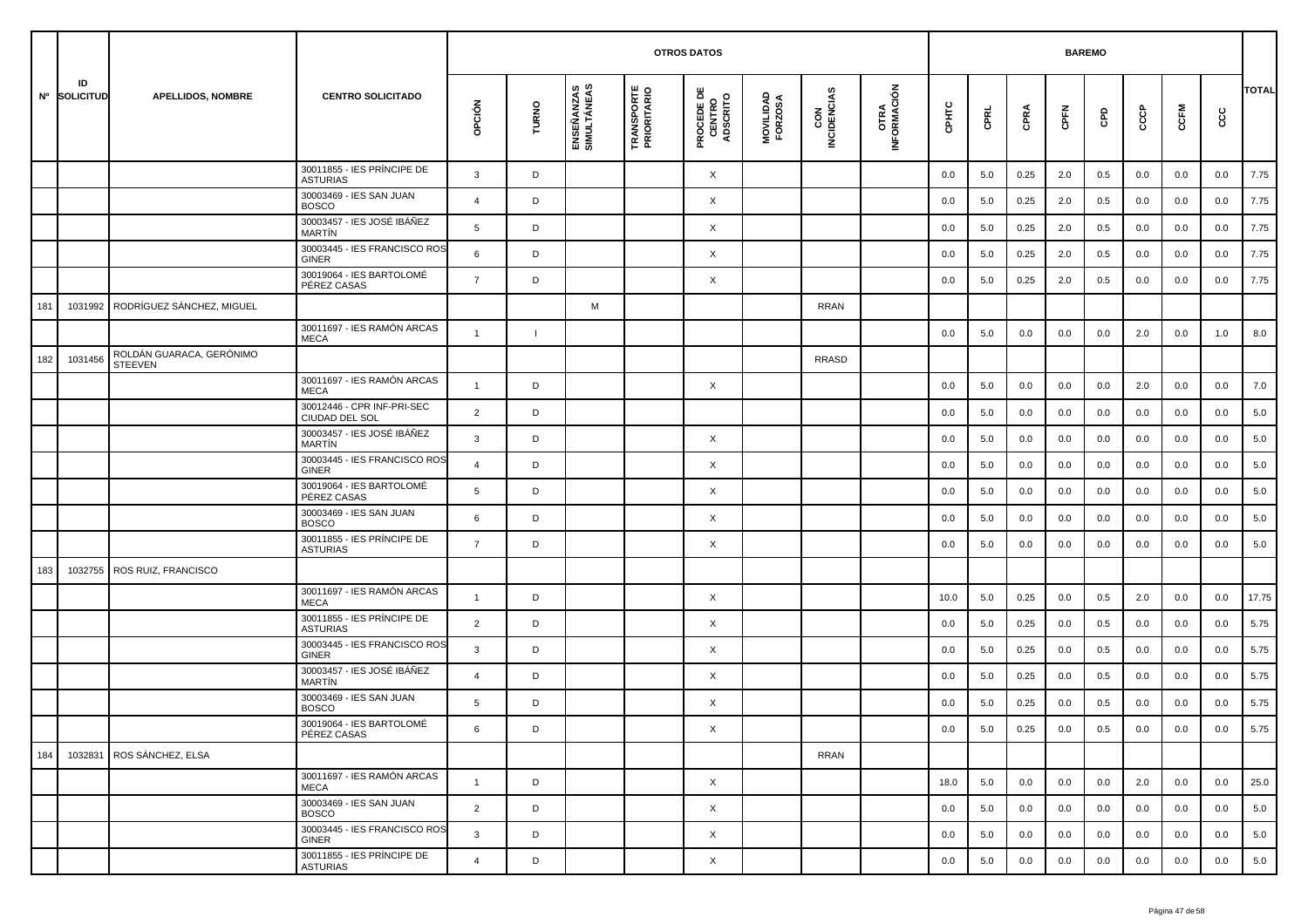|     |                    |                                            |                                               |                |              |                           | <b>OTROS DATOS</b>               |                                           |                      |                    |                     |         | <b>BAREMO</b> |      |         |     |     |         |     |              |
|-----|--------------------|--------------------------------------------|-----------------------------------------------|----------------|--------------|---------------------------|----------------------------------|-------------------------------------------|----------------------|--------------------|---------------------|---------|---------------|------|---------|-----|-----|---------|-----|--------------|
|     | ID<br>Nº SOLICITUD | <b>APELLIDOS, NOMBRE</b>                   | <b>CENTRO SOLICITADO</b>                      | opción         | TURNO        | ENSEÑANZAS<br>SIMULTÁNEAS | <b>TRANSPORTE</b><br>PRIORITARIO | <b>PROCEDE DE<br/>CENTRO<br/>ADSCRITO</b> | MOVILIDAD<br>FORZOSA | CON<br>INCIDENCIAS | OTRA<br>INFORMACIÓN | CPHTC   | CPRL          | CPRA | CPFN    | GPD | င်င | CCFM    | cc  | <b>TOTAL</b> |
|     |                    |                                            | 30011855 - IES PRÍNCIPE DE<br><b>ASTURIAS</b> | $\mathbf{3}$   | D            |                           |                                  | X                                         |                      |                    |                     | 0.0     | 5.0           | 0.25 | 2.0     | 0.5 | 0.0 | 0.0     | 0.0 | 7.75         |
|     |                    |                                            | 30003469 - IES SAN JUAN<br><b>BOSCO</b>       | $\overline{4}$ | D            |                           |                                  | X                                         |                      |                    |                     | 0.0     | 5.0           | 0.25 | 2.0     | 0.5 | 0.0 | 0.0     | 0.0 | 7.75         |
|     |                    |                                            | 30003457 - IES JOSÉ IBÁÑEZ<br><b>MARTIN</b>   | 5              | D            |                           |                                  | X                                         |                      |                    |                     | 0.0     | 5.0           | 0.25 | 2.0     | 0.5 | 0.0 | 0.0     | 0.0 | 7.75         |
|     |                    |                                            | 30003445 - IES FRANCISCO ROS<br><b>GINER</b>  | 6              | D            |                           |                                  | X                                         |                      |                    |                     | 0.0     | 5.0           | 0.25 | 2.0     | 0.5 | 0.0 | 0.0     | 0.0 | 7.75         |
|     |                    |                                            | 30019064 - IES BARTOLOMÉ<br>PÉREZ CASAS       | $\overline{7}$ | D            |                           |                                  | X                                         |                      |                    |                     | 0.0     | 5.0           | 0.25 | 2.0     | 0.5 | 0.0 | 0.0     | 0.0 | 7.75         |
| 181 | 1031992            | RODRÍGUEZ SÁNCHEZ, MIGUEL                  |                                               |                |              | M                         |                                  |                                           |                      | <b>RRAN</b>        |                     |         |               |      |         |     |     |         |     |              |
|     |                    |                                            | 30011697 - IES RAMÓN ARCAS<br><b>MECA</b>     | $\mathbf{1}$   | $\mathbf{I}$ |                           |                                  |                                           |                      |                    |                     | 0.0     | 5.0           | 0.0  | 0.0     | 0.0 | 2.0 | 0.0     | 1.0 | 8.0          |
| 182 | 1031456            | ROLDÁN GUARACA, GERÓNIMO<br><b>STEEVEN</b> |                                               |                |              |                           |                                  |                                           |                      | <b>RRASD</b>       |                     |         |               |      |         |     |     |         |     |              |
|     |                    |                                            | 30011697 - IES RAMÓN ARCAS<br><b>MECA</b>     | $\overline{1}$ | D            |                           |                                  | X                                         |                      |                    |                     | 0.0     | 5.0           | 0.0  | 0.0     | 0.0 | 2.0 | 0.0     | 0.0 | 7.0          |
|     |                    |                                            | 30012446 - CPR INF-PRI-SEC<br>CIUDAD DEL SOL  | $\overline{2}$ | D            |                           |                                  |                                           |                      |                    |                     | 0.0     | 5.0           | 0.0  | 0.0     | 0.0 | 0.0 | 0.0     | 0.0 | 5.0          |
|     |                    |                                            | 30003457 - IES JOSÉ IBÁÑEZ<br><b>MARTIN</b>   | 3              | D            |                           |                                  | X                                         |                      |                    |                     | 0.0     | 5.0           | 0.0  | 0.0     | 0.0 | 0.0 | 0.0     | 0.0 | 5.0          |
|     |                    |                                            | 30003445 - IES FRANCISCO ROS<br><b>GINER</b>  | $\overline{4}$ | D            |                           |                                  | X                                         |                      |                    |                     | 0.0     | 5.0           | 0.0  | 0.0     | 0.0 | 0.0 | 0.0     | 0.0 | 5.0          |
|     |                    |                                            | 30019064 - IES BARTOLOMÉ<br>PÉREZ CASAS       | 5              | D            |                           |                                  | X                                         |                      |                    |                     | 0.0     | 5.0           | 0.0  | 0.0     | 0.0 | 0.0 | 0.0     | 0.0 | 5.0          |
|     |                    |                                            | 30003469 - IES SAN JUAN<br><b>BOSCO</b>       | 6              | D            |                           |                                  | X                                         |                      |                    |                     | 0.0     | 5.0           | 0.0  | 0.0     | 0.0 | 0.0 | 0.0     | 0.0 | 5.0          |
|     |                    |                                            | 30011855 - IES PRÍNCIPE DE<br><b>ASTURIAS</b> | $\overline{7}$ | D            |                           |                                  | X                                         |                      |                    |                     | 0.0     | 5.0           | 0.0  | 0.0     | 0.0 | 0.0 | 0.0     | 0.0 | 5.0          |
| 183 | 1032755            | ROS RUIZ, FRANCISCO                        |                                               |                |              |                           |                                  |                                           |                      |                    |                     |         |               |      |         |     |     |         |     |              |
|     |                    |                                            | 30011697 - IES RAMÓN ARCAS<br><b>MECA</b>     | $\overline{1}$ | D            |                           |                                  | X                                         |                      |                    |                     | 10.0    | 5.0           | 0.25 | 0.0     | 0.5 | 2.0 | 0.0     | 0.0 | 17.75        |
|     |                    |                                            | 30011855 - IES PRÍNCIPE DE<br><b>ASTURIAS</b> | $\overline{2}$ | D            |                           |                                  | X                                         |                      |                    |                     | 0.0     | 5.0           | 0.25 | 0.0     | 0.5 | 0.0 | 0.0     | 0.0 | 5.75         |
|     |                    |                                            | 30003445 - IES FRANCISCO ROS<br><b>GINER</b>  | $\mathbf{3}$   | D            |                           |                                  | X                                         |                      |                    |                     | 0.0     | 5.0           | 0.25 | 0.0     | 0.5 | 0.0 | 0.0     | 0.0 | 5.75         |
|     |                    |                                            | 30003457 - IES JOSÉ IBÁÑEZ<br><b>MARTIN</b>   | 4              | D            |                           |                                  | X                                         |                      |                    |                     | 0.0     | 5.0           | 0.25 | 0.0     | 0.5 | 0.0 | 0.0     | 0.0 | 5.75         |
|     |                    |                                            | 30003469 - IES SAN JUAN<br><b>BOSCO</b>       | 5              | D            |                           |                                  | X                                         |                      |                    |                     | 0.0     | 5.0           | 0.25 | 0.0     | 0.5 | 0.0 | 0.0     | 0.0 | 5.75         |
|     |                    |                                            | 30019064 - IES BARTOLOMÉ<br>PÉREZ CASAS       | 6              |              |                           |                                  | Χ                                         |                      |                    |                     | $0.0\,$ | $5.0\,$       | 0.25 | $0.0\,$ | 0.5 | 0.0 | $0.0\,$ | 0.0 | 5.75         |
| 184 | 1032831            | ROS SÁNCHEZ, ELSA                          |                                               |                |              |                           |                                  |                                           |                      | <b>RRAN</b>        |                     |         |               |      |         |     |     |         |     |              |
|     |                    |                                            | 30011697 - IES RAMÓN ARCAS<br>MECA            | $\overline{1}$ | D            |                           |                                  | $\times$                                  |                      |                    |                     | 18.0    | 5.0           | 0.0  | 0.0     | 0.0 | 2.0 | 0.0     | 0.0 | 25.0         |
|     |                    |                                            | 30003469 - IES SAN JUAN<br><b>BOSCO</b>       | $\overline{2}$ | D            |                           |                                  | $\times$                                  |                      |                    |                     | 0.0     | 5.0           | 0.0  | 0.0     | 0.0 | 0.0 | 0.0     | 0.0 | 5.0          |
|     |                    |                                            | 30003445 - IES FRANCISCO ROS<br>GINER         | $\mathbf{3}$   | D            |                           |                                  | $\times$                                  |                      |                    |                     | 0.0     | 5.0           | 0.0  | 0.0     | 0.0 | 0.0 | 0.0     | 0.0 | 5.0          |
|     |                    |                                            | 30011855 - IES PRÍNCIPE DE<br><b>ASTURIAS</b> | $\overline{4}$ | D            |                           |                                  | X                                         |                      |                    |                     | 0.0     | 5.0           | 0.0  | 0.0     | 0.0 | 0.0 | 0.0     | 0.0 | 5.0          |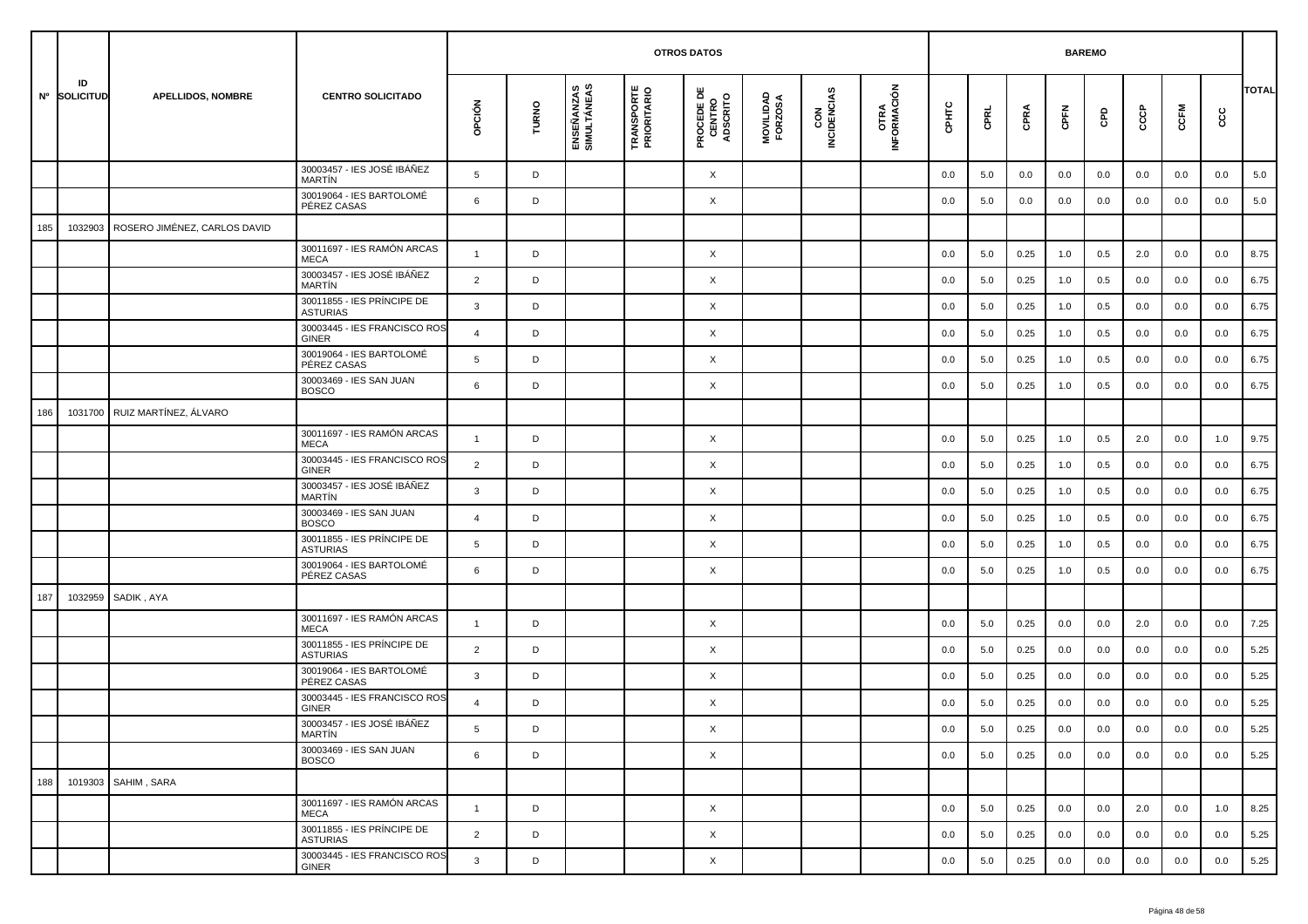|     |                    |                              |                                               |                |       |                           |                                  | <b>OTROS DATOS</b>                        |                      |                    |                     |         |      |      | <b>BAREMO</b> |     |     |         |     |              |
|-----|--------------------|------------------------------|-----------------------------------------------|----------------|-------|---------------------------|----------------------------------|-------------------------------------------|----------------------|--------------------|---------------------|---------|------|------|---------------|-----|-----|---------|-----|--------------|
|     | ID<br>Nº SOLICITUD | <b>APELLIDOS, NOMBRE</b>     | <b>CENTRO SOLICITADO</b>                      | opción         | TURNO | ENSEÑANZAS<br>SIMULTÁNEAS | <b>TRANSPORTE</b><br>PRIORITARIO | <b>PROCEDE DE<br/>CENTRO<br/>ADSCRITO</b> | MOVILIDAD<br>FORZOSA | CON<br>INCIDENCIAS | OTRA<br>INFORMACIÓN | срнтс   | CPRL | CPRA | CPFN          | GPD | င်င | CCFM    | ငင  | <b>TOTAL</b> |
|     |                    |                              | 30003457 - IES JOSÉ IBÁÑEZ<br><b>MARTIN</b>   | 5              | D     |                           |                                  | X                                         |                      |                    |                     | 0.0     | 5.0  | 0.0  | 0.0           | 0.0 | 0.0 | 0.0     | 0.0 | 5.0          |
|     |                    |                              | 30019064 - IES BARTOLOMÉ<br>PÉREZ CASAS       | 6              | D     |                           |                                  | X                                         |                      |                    |                     | 0.0     | 5.0  | 0.0  | 0.0           | 0.0 | 0.0 | 0.0     | 0.0 | 5.0          |
| 185 | 1032903            | ROSERO JIMÉNEZ, CARLOS DAVID |                                               |                |       |                           |                                  |                                           |                      |                    |                     |         |      |      |               |     |     |         |     |              |
|     |                    |                              | 30011697 - IES RAMÓN ARCAS<br><b>MECA</b>     | $\mathbf{1}$   | D     |                           |                                  | X                                         |                      |                    |                     | 0.0     | 5.0  | 0.25 | 1.0           | 0.5 | 2.0 | 0.0     | 0.0 | 8.75         |
|     |                    |                              | 30003457 - IES JOSÉ IBÁÑEZ<br><b>MARTÍN</b>   | $\overline{2}$ | D     |                           |                                  | X                                         |                      |                    |                     | 0.0     | 5.0  | 0.25 | 1.0           | 0.5 | 0.0 | 0.0     | 0.0 | 6.75         |
|     |                    |                              | 30011855 - IES PRÍNCIPE DE<br><b>ASTURIAS</b> | 3              | D     |                           |                                  | X                                         |                      |                    |                     | 0.0     | 5.0  | 0.25 | 1.0           | 0.5 | 0.0 | 0.0     | 0.0 | 6.75         |
|     |                    |                              | 30003445 - IES FRANCISCO ROS<br><b>GINER</b>  | $\overline{4}$ | D     |                           |                                  | X                                         |                      |                    |                     | 0.0     | 5.0  | 0.25 | 1.0           | 0.5 | 0.0 | 0.0     | 0.0 | 6.75         |
|     |                    |                              | 30019064 - IES BARTOLOMÉ<br>PÉREZ CASAS       | 5              | D     |                           |                                  | X                                         |                      |                    |                     | 0.0     | 5.0  | 0.25 | 1.0           | 0.5 | 0.0 | 0.0     | 0.0 | 6.75         |
|     |                    |                              | 30003469 - IES SAN JUAN<br><b>BOSCO</b>       | 6              | D     |                           |                                  | X                                         |                      |                    |                     | 0.0     | 5.0  | 0.25 | 1.0           | 0.5 | 0.0 | 0.0     | 0.0 | 6.75         |
| 186 | 1031700            | RUIZ MARTÍNEZ, ÁLVARO        |                                               |                |       |                           |                                  |                                           |                      |                    |                     |         |      |      |               |     |     |         |     |              |
|     |                    |                              | 30011697 - IES RAMÓN ARCAS<br><b>MECA</b>     | $\mathbf{1}$   | D     |                           |                                  | X                                         |                      |                    |                     | 0.0     | 5.0  | 0.25 | 1.0           | 0.5 | 2.0 | 0.0     | 1.0 | 9.75         |
|     |                    |                              | 30003445 - IES FRANCISCO ROS<br><b>GINER</b>  | $\overline{2}$ | D     |                           |                                  | X                                         |                      |                    |                     | 0.0     | 5.0  | 0.25 | 1.0           | 0.5 | 0.0 | 0.0     | 0.0 | 6.75         |
|     |                    |                              | 30003457 - IES JOSÉ IBÁÑEZ<br><b>MARTIN</b>   | 3              | D     |                           |                                  | X                                         |                      |                    |                     | 0.0     | 5.0  | 0.25 | 1.0           | 0.5 | 0.0 | 0.0     | 0.0 | 6.75         |
|     |                    |                              | 30003469 - IES SAN JUAN<br><b>BOSCO</b>       | $\overline{4}$ | D     |                           |                                  | X                                         |                      |                    |                     | 0.0     | 5.0  | 0.25 | 1.0           | 0.5 | 0.0 | 0.0     | 0.0 | 6.75         |
|     |                    |                              | 30011855 - IES PRÍNCIPE DE<br><b>ASTURIAS</b> | 5              | D     |                           |                                  | X                                         |                      |                    |                     | 0.0     | 5.0  | 0.25 | 1.0           | 0.5 | 0.0 | 0.0     | 0.0 | 6.75         |
|     |                    |                              | 30019064 - IES BARTOLOMÉ<br>PÉREZ CASAS       | 6              | D     |                           |                                  | X                                         |                      |                    |                     | 0.0     | 5.0  | 0.25 | 1.0           | 0.5 | 0.0 | 0.0     | 0.0 | 6.75         |
| 187 | 1032959            | SADIK, AYA                   |                                               |                |       |                           |                                  |                                           |                      |                    |                     |         |      |      |               |     |     |         |     |              |
|     |                    |                              | 30011697 - IES RAMÓN ARCAS<br><b>MECA</b>     | $\overline{1}$ | D     |                           |                                  | X                                         |                      |                    |                     | 0.0     | 5.0  | 0.25 | 0.0           | 0.0 | 2.0 | 0.0     | 0.0 | 7.25         |
|     |                    |                              | 30011855 - IES PRÍNCIPE DE<br><b>ASTURIAS</b> | $\overline{2}$ | D     |                           |                                  | X                                         |                      |                    |                     | 0.0     | 5.0  | 0.25 | 0.0           | 0.0 | 0.0 | 0.0     | 0.0 | 5.25         |
|     |                    |                              | 30019064 - IES BARTOLOMÉ<br>PÉREZ CASAS       | 3              | D     |                           |                                  | X                                         |                      |                    |                     | 0.0     | 5.0  | 0.25 | 0.0           | 0.0 | 0.0 | 0.0     | 0.0 | 5.25         |
|     |                    |                              | 30003445 - IES FRANCISCO ROS<br><b>GINER</b>  | $\overline{4}$ | D     |                           |                                  | X                                         |                      |                    |                     | 0.0     | 5.0  | 0.25 | 0.0           | 0.0 | 0.0 | 0.0     | 0.0 | 5.25         |
|     |                    |                              | 30003457 - IES JOSÉ IBÁÑEZ<br>MARTÍN          | 5              |       |                           |                                  | Χ                                         |                      |                    |                     | $0.0\,$ | 5.0  | 0.25 | 0.0           | 0.0 | 0.0 | $0.0\,$ | 0.0 | 5.25         |
|     |                    |                              | 30003469 - IES SAN JUAN<br><b>BOSCO</b>       | 6              | D     |                           |                                  | $\times$                                  |                      |                    |                     | 0.0     | 5.0  | 0.25 | 0.0           | 0.0 | 0.0 | 0.0     | 0.0 | 5.25         |
| 188 |                    | 1019303 SAHIM, SARA          |                                               |                |       |                           |                                  |                                           |                      |                    |                     |         |      |      |               |     |     |         |     |              |
|     |                    |                              | 30011697 - IES RAMÓN ARCAS<br><b>MECA</b>     | $\mathbf{1}$   | D     |                           |                                  | X                                         |                      |                    |                     | 0.0     | 5.0  | 0.25 | 0.0           | 0.0 | 2.0 | 0.0     | 1.0 | 8.25         |
|     |                    |                              | 30011855 - IES PRÍNCIPE DE<br><b>ASTURIAS</b> | $\overline{2}$ | D     |                           |                                  | $\times$                                  |                      |                    |                     | 0.0     | 5.0  | 0.25 | 0.0           | 0.0 | 0.0 | 0.0     | 0.0 | 5.25         |
|     |                    |                              | 30003445 - IES FRANCISCO ROS<br>GINER         | $\mathbf{3}$   | D     |                           |                                  | X                                         |                      |                    |                     | 0.0     | 5.0  | 0.25 | 0.0           | 0.0 | 0.0 | 0.0     | 0.0 | 5.25         |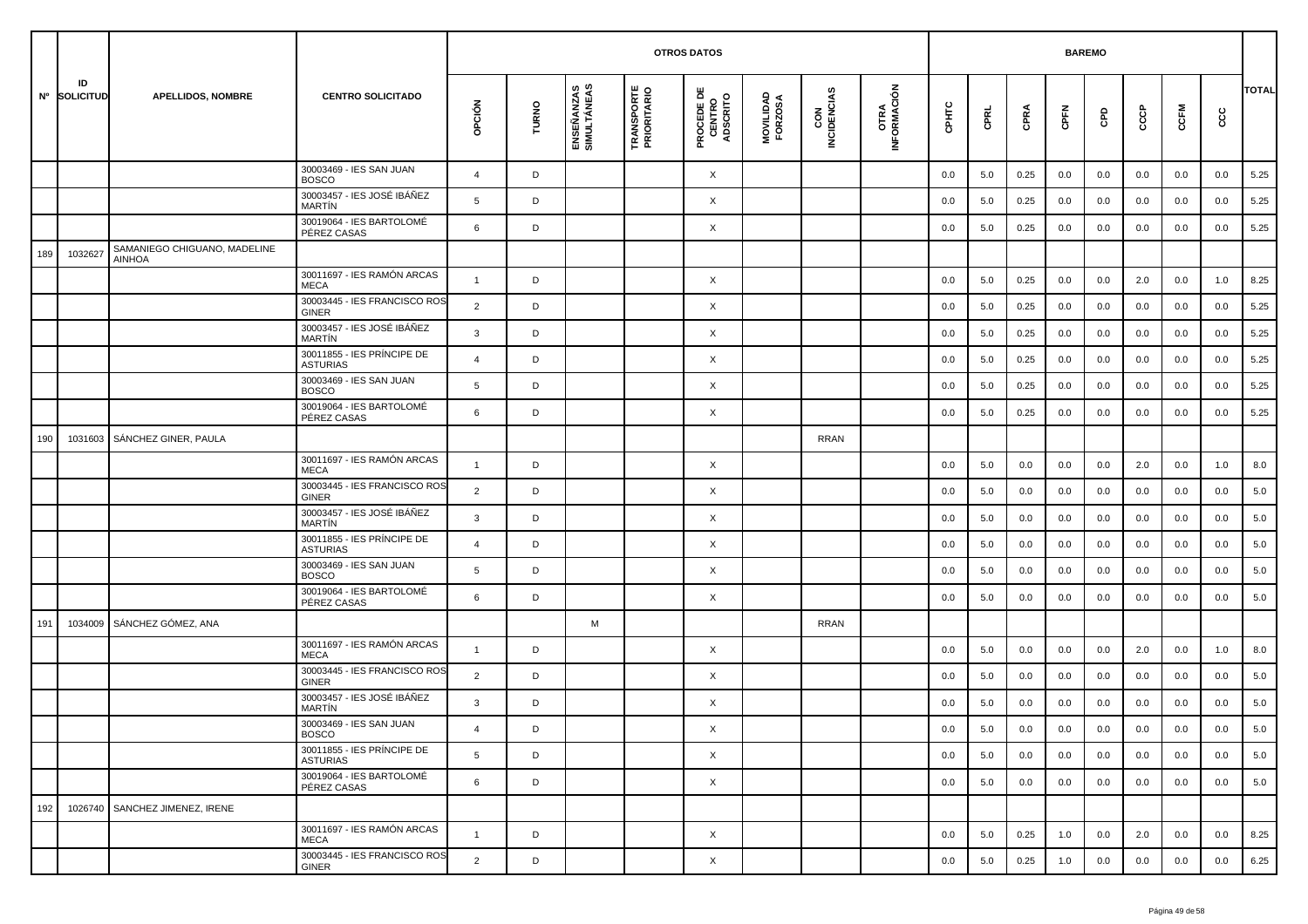|     |                    |                                               |                                               | <b>OTROS DATOS</b><br><b>BAREMO</b> |       |                           |                                   |                                           |                      |                    |                     |         |         |      |         |     |     |         |         |              |
|-----|--------------------|-----------------------------------------------|-----------------------------------------------|-------------------------------------|-------|---------------------------|-----------------------------------|-------------------------------------------|----------------------|--------------------|---------------------|---------|---------|------|---------|-----|-----|---------|---------|--------------|
|     | ID<br>Nº SOLICITUD | <b>APELLIDOS, NOMBRE</b>                      | <b>CENTRO SOLICITADO</b>                      | opción                              | TURNO | ENSEÑANZAS<br>SIMULTÁNEAS | <b>TRANSPORTE<br/>PRIORITARIO</b> | <b>PROCEDE DE<br/>CENTRO<br/>ADSCRITO</b> | MOVILIDAD<br>FORZOSA | CON<br>INCIDENCIAS | OTRA<br>INFORMACIÓN | CPHTC   | CPRL    | CPRA | CPFN    | GPD | င်င | CCFM    | ငင      | <b>TOTAL</b> |
|     |                    |                                               | 30003469 - IES SAN JUAN<br><b>BOSCO</b>       | $\overline{4}$                      | D     |                           |                                   | X                                         |                      |                    |                     | 0.0     | 5.0     | 0.25 | 0.0     | 0.0 | 0.0 | 0.0     | 0.0     | 5.25         |
|     |                    |                                               | 30003457 - IES JOSÉ IBÁÑEZ<br><b>MARTÍN</b>   | 5                                   | D     |                           |                                   | X                                         |                      |                    |                     | 0.0     | 5.0     | 0.25 | 0.0     | 0.0 | 0.0 | 0.0     | 0.0     | 5.25         |
|     |                    |                                               | 30019064 - IES BARTOLOMÉ<br>PÉREZ CASAS       | 6                                   | D     |                           |                                   | X                                         |                      |                    |                     | 0.0     | 5.0     | 0.25 | 0.0     | 0.0 | 0.0 | 0.0     | 0.0     | 5.25         |
| 189 | 1032627            | SAMANIEGO CHIGUANO, MADELINE<br><b>AINHOA</b> |                                               |                                     |       |                           |                                   |                                           |                      |                    |                     |         |         |      |         |     |     |         |         |              |
|     |                    |                                               | 30011697 - IES RAMÓN ARCAS<br><b>MECA</b>     | $\mathbf{1}$                        | D     |                           |                                   | X                                         |                      |                    |                     | 0.0     | 5.0     | 0.25 | 0.0     | 0.0 | 2.0 | 0.0     | 1.0     | 8.25         |
|     |                    |                                               | 30003445 - IES FRANCISCO ROS<br><b>GINER</b>  | 2                                   | D     |                           |                                   | X                                         |                      |                    |                     | 0.0     | 5.0     | 0.25 | 0.0     | 0.0 | 0.0 | 0.0     | 0.0     | 5.25         |
|     |                    |                                               | 30003457 - IES JOSÉ IBÁÑEZ<br><b>MARTIN</b>   | 3                                   | D     |                           |                                   | X                                         |                      |                    |                     | 0.0     | 5.0     | 0.25 | 0.0     | 0.0 | 0.0 | 0.0     | 0.0     | 5.25         |
|     |                    |                                               | 30011855 - IES PRÍNCIPE DE<br><b>ASTURIAS</b> | $\overline{a}$                      | D     |                           |                                   | X                                         |                      |                    |                     | 0.0     | 5.0     | 0.25 | 0.0     | 0.0 | 0.0 | 0.0     | 0.0     | 5.25         |
|     |                    |                                               | 30003469 - IES SAN JUAN<br><b>BOSCO</b>       | 5                                   | D     |                           |                                   | X                                         |                      |                    |                     | 0.0     | 5.0     | 0.25 | 0.0     | 0.0 | 0.0 | 0.0     | 0.0     | 5.25         |
|     |                    |                                               | 30019064 - IES BARTOLOMÉ<br>PÉREZ CASAS       | 6                                   | D     |                           |                                   | X                                         |                      |                    |                     | 0.0     | 5.0     | 0.25 | 0.0     | 0.0 | 0.0 | 0.0     | 0.0     | 5.25         |
| 190 | 1031603            | SÁNCHEZ GINER, PAULA                          |                                               |                                     |       |                           |                                   |                                           |                      | <b>RRAN</b>        |                     |         |         |      |         |     |     |         |         |              |
|     |                    |                                               | 30011697 - IES RAMÓN ARCAS<br><b>MECA</b>     | $\mathbf{1}$                        | D     |                           |                                   | X                                         |                      |                    |                     | 0.0     | 5.0     | 0.0  | 0.0     | 0.0 | 2.0 | 0.0     | 1.0     | 8.0          |
|     |                    |                                               | 30003445 - IES FRANCISCO ROS<br>GINER         | $\overline{2}$                      | D     |                           |                                   | X                                         |                      |                    |                     | 0.0     | 5.0     | 0.0  | 0.0     | 0.0 | 0.0 | 0.0     | 0.0     | 5.0          |
|     |                    |                                               | 30003457 - IES JOSÉ IBÁÑEZ<br><b>MARTÍN</b>   | 3                                   | D     |                           |                                   | X                                         |                      |                    |                     | 0.0     | 5.0     | 0.0  | 0.0     | 0.0 | 0.0 | 0.0     | 0.0     | 5.0          |
|     |                    |                                               | 30011855 - IES PRÍNCIPE DE<br><b>ASTURIAS</b> | $\overline{4}$                      | D     |                           |                                   | X                                         |                      |                    |                     | 0.0     | 5.0     | 0.0  | 0.0     | 0.0 | 0.0 | 0.0     | 0.0     | 5.0          |
|     |                    |                                               | 30003469 - IES SAN JUAN<br><b>BOSCO</b>       | 5                                   | D     |                           |                                   | X                                         |                      |                    |                     | 0.0     | 5.0     | 0.0  | 0.0     | 0.0 | 0.0 | 0.0     | 0.0     | 5.0          |
|     |                    |                                               | 30019064 - IES BARTOLOMÉ<br>PÉREZ CASAS       | 6                                   | D     |                           |                                   | X                                         |                      |                    |                     | 0.0     | 5.0     | 0.0  | 0.0     | 0.0 | 0.0 | 0.0     | 0.0     | 5.0          |
| 191 | 1034009            | SÁNCHEZ GÓMEZ, ANA                            |                                               |                                     |       | M                         |                                   |                                           |                      | <b>RRAN</b>        |                     |         |         |      |         |     |     |         |         |              |
|     |                    |                                               | 30011697 - IES RAMÓN ARCAS<br><b>MECA</b>     | $\mathbf{1}$                        | D     |                           |                                   | X                                         |                      |                    |                     | 0.0     | 5.0     | 0.0  | 0.0     | 0.0 | 2.0 | 0.0     | 1.0     | 8.0          |
|     |                    |                                               | 30003445 - IES FRANCISCO ROS<br>GINER         | $\overline{2}$                      | D     |                           |                                   | X                                         |                      |                    |                     | 0.0     | 5.0     | 0.0  | 0.0     | 0.0 | 0.0 | 0.0     | 0.0     | 5.0          |
|     |                    |                                               | 30003457 - IES JOSÉ IBÁÑEZ<br>MARTÍN          | 3                                   | D     |                           |                                   | X                                         |                      |                    |                     | 0.0     | 5.0     | 0.0  | 0.0     | 0.0 | 0.0 | 0.0     | 0.0     | 5.0          |
|     |                    |                                               | 30003469 - IES SAN JUAN<br><b>BOSCO</b>       |                                     | D     |                           |                                   | X                                         |                      |                    |                     | $0.0\,$ | $5.0\,$ | 0.0  | $0.0\,$ | 0.0 | 0.0 | $0.0\,$ | $0.0\,$ | 5.0          |
|     |                    |                                               | 30011855 - IES PRÍNCIPE DE<br><b>ASTURIAS</b> | 5                                   | D     |                           |                                   | X                                         |                      |                    |                     | 0.0     | 5.0     | 0.0  | 0.0     | 0.0 | 0.0 | 0.0     | 0.0     | 5.0          |
|     |                    |                                               | 30019064 - IES BARTOLOMÉ<br>PÉREZ CASAS       | 6                                   | D     |                           |                                   | X                                         |                      |                    |                     | 0.0     | 5.0     | 0.0  | 0.0     | 0.0 | 0.0 | 0.0     | 0.0     | 5.0          |
| 192 |                    | 1026740 SANCHEZ JIMENEZ, IRENE                |                                               |                                     |       |                           |                                   |                                           |                      |                    |                     |         |         |      |         |     |     |         |         |              |
|     |                    |                                               | 30011697 - IES RAMÓN ARCAS<br>MECA            | $\overline{1}$                      | D     |                           |                                   | X                                         |                      |                    |                     | 0.0     | 5.0     | 0.25 | 1.0     | 0.0 | 2.0 | 0.0     | 0.0     | 8.25         |
|     |                    |                                               | 30003445 - IES FRANCISCO ROS<br>GINER         | $\overline{2}$                      | D     |                           |                                   | $\times$                                  |                      |                    |                     | 0.0     | 5.0     | 0.25 | 1.0     | 0.0 | 0.0 | 0.0     | 0.0     | 6.25         |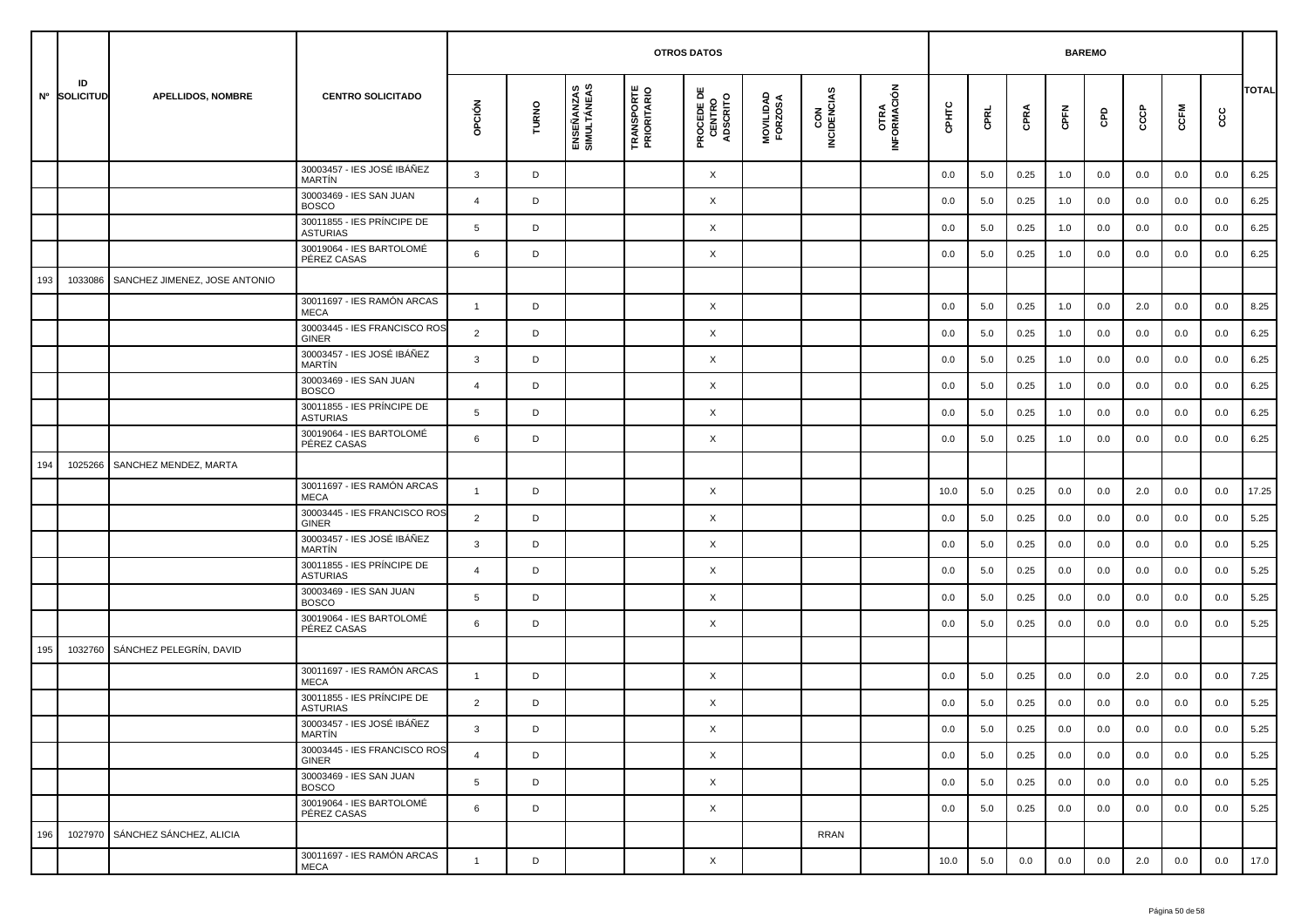|     |                    |                               |                                               | <b>BAREMO</b><br><b>OTROS DATOS</b> |       |                           |                                  |                                           |                      |                    |                     |         |         |      |         |         |     |         |      |              |
|-----|--------------------|-------------------------------|-----------------------------------------------|-------------------------------------|-------|---------------------------|----------------------------------|-------------------------------------------|----------------------|--------------------|---------------------|---------|---------|------|---------|---------|-----|---------|------|--------------|
|     | ID<br>Nº SOLICITUD | <b>APELLIDOS, NOMBRE</b>      | <b>CENTRO SOLICITADO</b>                      | OPCIÓN                              | TURNO | ENSEÑANZAS<br>SIMULTÁNEAS | <b>TRANSPORTE</b><br>PRIORITARIO | <b>PROCEDE DE<br/>CENTRO<br/>ADSCRITO</b> | MOVILIDAD<br>FORZOSA | CON<br>INCIDENCIAS | OTRA<br>INFORMACIÓN | CPHTC   | CPRL    | CPRA | CPFN    | GPD     | င်င | CCFM    | င္ပင | <b>TOTAL</b> |
|     |                    |                               | 30003457 - IES JOSÉ IBÁÑEZ<br><b>MARTIN</b>   | 3                                   | D     |                           |                                  | X                                         |                      |                    |                     | 0.0     | 5.0     | 0.25 | 1.0     | 0.0     | 0.0 | 0.0     | 0.0  | 6.25         |
|     |                    |                               | 30003469 - IES SAN JUAN<br><b>BOSCO</b>       | $\overline{a}$                      | D     |                           |                                  | X                                         |                      |                    |                     | 0.0     | 5.0     | 0.25 | 1.0     | 0.0     | 0.0 | 0.0     | 0.0  | 6.25         |
|     |                    |                               | 30011855 - IES PRÍNCIPE DE<br><b>ASTURIAS</b> | 5                                   | D     |                           |                                  | X                                         |                      |                    |                     | 0.0     | 5.0     | 0.25 | 1.0     | 0.0     | 0.0 | 0.0     | 0.0  | 6.25         |
|     |                    |                               | 30019064 - IES BARTOLOMÉ<br>PÉREZ CASAS       | 6                                   | D     |                           |                                  | X                                         |                      |                    |                     | 0.0     | 5.0     | 0.25 | 1.0     | 0.0     | 0.0 | 0.0     | 0.0  | 6.25         |
| 193 | 1033086            | SANCHEZ JIMENEZ, JOSE ANTONIO |                                               |                                     |       |                           |                                  |                                           |                      |                    |                     |         |         |      |         |         |     |         |      |              |
|     |                    |                               | 30011697 - IES RAMÓN ARCAS<br><b>MECA</b>     | $\overline{1}$                      | D     |                           |                                  | X                                         |                      |                    |                     | 0.0     | 5.0     | 0.25 | 1.0     | 0.0     | 2.0 | 0.0     | 0.0  | 8.25         |
|     |                    |                               | 30003445 - IES FRANCISCO ROS<br><b>GINER</b>  | 2                                   | D     |                           |                                  | X                                         |                      |                    |                     | 0.0     | 5.0     | 0.25 | 1.0     | 0.0     | 0.0 | 0.0     | 0.0  | 6.25         |
|     |                    |                               | 30003457 - IES JOSÉ IBÁÑEZ<br><b>MARTIN</b>   | 3                                   | D     |                           |                                  | X                                         |                      |                    |                     | 0.0     | 5.0     | 0.25 | 1.0     | 0.0     | 0.0 | 0.0     | 0.0  | 6.25         |
|     |                    |                               | 30003469 - IES SAN JUAN<br><b>BOSCO</b>       | $\overline{4}$                      | D     |                           |                                  | X                                         |                      |                    |                     | 0.0     | 5.0     | 0.25 | 1.0     | 0.0     | 0.0 | 0.0     | 0.0  | 6.25         |
|     |                    |                               | 30011855 - IES PRÍNCIPE DE<br><b>ASTURIAS</b> | 5                                   | D     |                           |                                  | X                                         |                      |                    |                     | 0.0     | 5.0     | 0.25 | 1.0     | 0.0     | 0.0 | 0.0     | 0.0  | 6.25         |
|     |                    |                               | 30019064 - IES BARTOLOMÉ<br>PÉREZ CASAS       | 6                                   | D     |                           |                                  | X                                         |                      |                    |                     | 0.0     | 5.0     | 0.25 | 1.0     | 0.0     | 0.0 | 0.0     | 0.0  | 6.25         |
| 194 | 1025266            | SANCHEZ MENDEZ, MARTA         |                                               |                                     |       |                           |                                  |                                           |                      |                    |                     |         |         |      |         |         |     |         |      |              |
|     |                    |                               | 30011697 - IES RAMÓN ARCAS<br><b>MECA</b>     | $\overline{1}$                      | D     |                           |                                  | X                                         |                      |                    |                     | 10.0    | 5.0     | 0.25 | 0.0     | 0.0     | 2.0 | 0.0     | 0.0  | 17.25        |
|     |                    |                               | 30003445 - IES FRANCISCO ROS<br>GINER         | $\overline{2}$                      | D     |                           |                                  | X                                         |                      |                    |                     | 0.0     | 5.0     | 0.25 | 0.0     | 0.0     | 0.0 | 0.0     | 0.0  | 5.25         |
|     |                    |                               | 30003457 - IES JOSÉ IBÁÑEZ<br><b>MARTIN</b>   | 3                                   | D     |                           |                                  | X                                         |                      |                    |                     | 0.0     | 5.0     | 0.25 | 0.0     | 0.0     | 0.0 | 0.0     | 0.0  | 5.25         |
|     |                    |                               | 30011855 - IES PRÍNCIPE DE<br><b>ASTURIAS</b> | $\overline{4}$                      | D     |                           |                                  | X                                         |                      |                    |                     | 0.0     | 5.0     | 0.25 | 0.0     | 0.0     | 0.0 | 0.0     | 0.0  | 5.25         |
|     |                    |                               | 30003469 - IES SAN JUAN<br><b>BOSCO</b>       | 5                                   | D     |                           |                                  | X                                         |                      |                    |                     | 0.0     | 5.0     | 0.25 | 0.0     | 0.0     | 0.0 | 0.0     | 0.0  | 5.25         |
|     |                    |                               | 30019064 - IES BARTOLOMÉ<br>PÉREZ CASAS       | 6                                   | D     |                           |                                  | X                                         |                      |                    |                     | 0.0     | 5.0     | 0.25 | 0.0     | 0.0     | 0.0 | 0.0     | 0.0  | 5.25         |
| 195 | 1032760            | SÁNCHEZ PELEGRÍN, DAVID       |                                               |                                     |       |                           |                                  |                                           |                      |                    |                     |         |         |      |         |         |     |         |      |              |
|     |                    |                               | 30011697 - IES RAMÓN ARCAS<br><b>MECA</b>     | $\overline{1}$                      | D     |                           |                                  | X                                         |                      |                    |                     | 0.0     | 5.0     | 0.25 | 0.0     | 0.0     | 2.0 | 0.0     | 0.0  | 7.25         |
|     |                    |                               | 30011855 - IES PRÍNCIPE DE<br><b>ASTURIAS</b> | $\overline{2}$                      | D     |                           |                                  | X                                         |                      |                    |                     | 0.0     | 5.0     | 0.25 | 0.0     | 0.0     | 0.0 | 0.0     | 0.0  | 5.25         |
|     |                    |                               | 30003457 - IES JOSÉ IBÁÑEZ<br>MARTÍN          | 3                                   | D     |                           |                                  | X                                         |                      |                    |                     | $0.0\,$ | $5.0\,$ | 0.25 | $0.0\,$ | $0.0\,$ | 0.0 | $0.0\,$ | 0.0  | 5.25         |
|     |                    |                               | 30003445 - IES FRANCISCO ROS<br>GINER         | $\overline{4}$                      | D     |                           |                                  | $\times$                                  |                      |                    |                     | 0.0     | 5.0     | 0.25 | 0.0     | 0.0     | 0.0 | 0.0     | 0.0  | 5.25         |
|     |                    |                               | 30003469 - IES SAN JUAN<br><b>BOSCO</b>       | 5                                   | D     |                           |                                  | $\times$                                  |                      |                    |                     | 0.0     | 5.0     | 0.25 | 0.0     | 0.0     | 0.0 | 0.0     | 0.0  | 5.25         |
|     |                    |                               | 30019064 - IES BARTOLOMÉ<br>PÉREZ CASAS       | 6                                   | D     |                           |                                  | X                                         |                      |                    |                     | 0.0     | 5.0     | 0.25 | 0.0     | 0.0     | 0.0 | 0.0     | 0.0  | 5.25         |
| 196 | 1027970            | SÁNCHEZ SÁNCHEZ, ALICIA       |                                               |                                     |       |                           |                                  |                                           |                      | RRAN               |                     |         |         |      |         |         |     |         |      |              |
|     |                    |                               | 30011697 - IES RAMÓN ARCAS<br>MECA            | $\mathbf{1}$                        | D     |                           |                                  | X                                         |                      |                    |                     | 10.0    | 5.0     | 0.0  | 0.0     | 0.0     | 2.0 | 0.0     | 0.0  | 17.0         |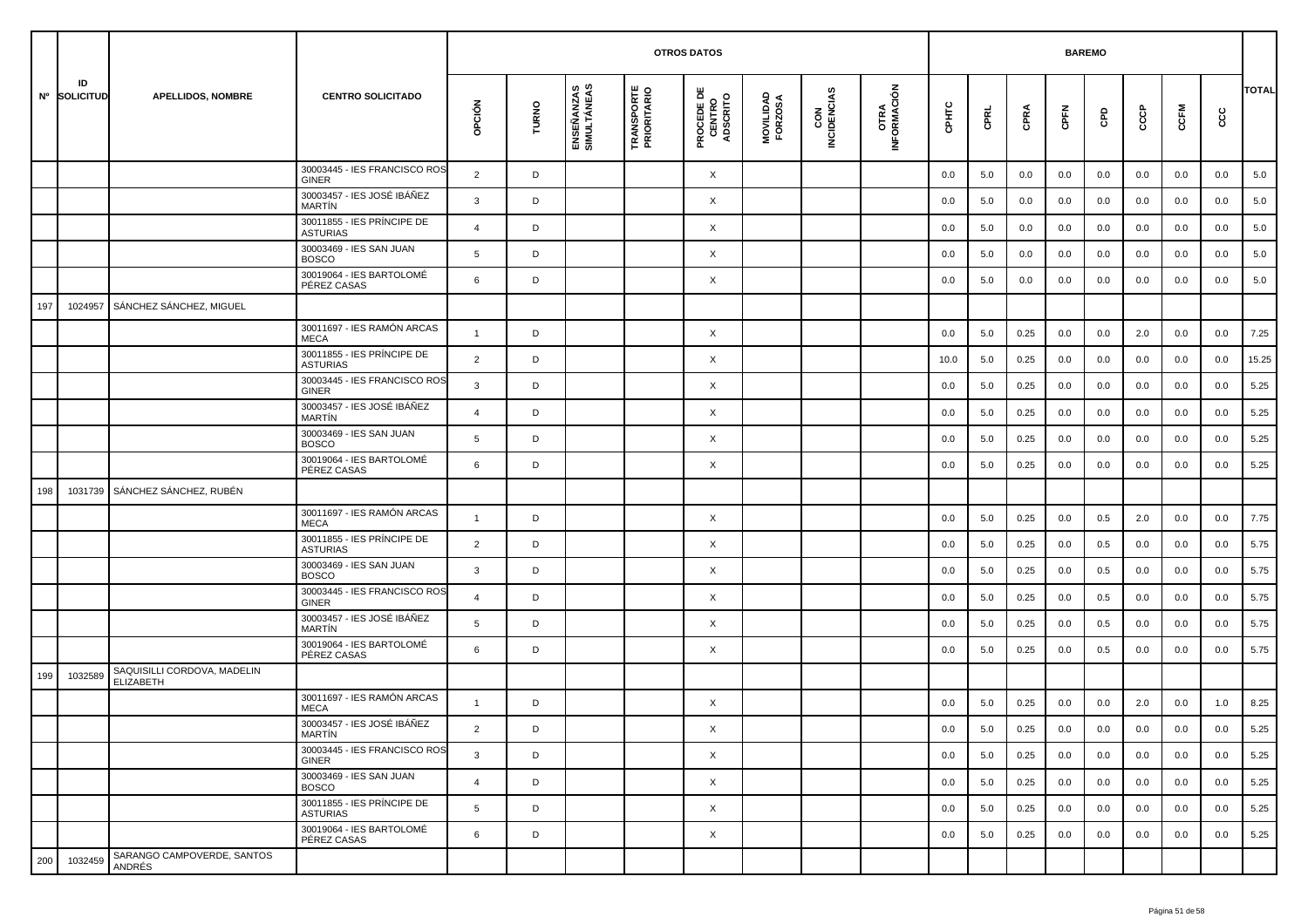|     |                    |                                                 |                                               | <b>OTROS DATOS</b><br><b>BAREMO</b> |       |                           |                                  |                                           |                      |                    |                     |         |             |      |      |     |     |      |      |              |
|-----|--------------------|-------------------------------------------------|-----------------------------------------------|-------------------------------------|-------|---------------------------|----------------------------------|-------------------------------------------|----------------------|--------------------|---------------------|---------|-------------|------|------|-----|-----|------|------|--------------|
|     | ID<br>Nº SOLICITUD | APELLIDOS, NOMBRE                               | <b>CENTRO SOLICITADO</b>                      | OPCIÓN                              | TURNO | ENSEÑANZAS<br>SIMULTÁNEAS | <b>TRANSPORTE</b><br>PRIORITARIO | <b>PROCEDE DE<br/>CENTRO<br/>ADSCRITO</b> | MOVILIDAD<br>FORZOSA | CON<br>INCIDENCIAS | OTRA<br>INFORMACIÓN | CPHTC   | <b>CPRL</b> | CPRA | CPFN | GPD | င်င | CCFM | င္ပင | <b>TOTAL</b> |
|     |                    |                                                 | 30003445 - IES FRANCISCO ROS<br>GINER         | $\overline{2}$                      | D     |                           |                                  | X                                         |                      |                    |                     | 0.0     | 5.0         | 0.0  | 0.0  | 0.0 | 0.0 | 0.0  | 0.0  | 5.0          |
|     |                    |                                                 | 30003457 - IES JOSÉ IBÁÑEZ<br>MARTÍN          | 3                                   | D     |                           |                                  | X                                         |                      |                    |                     | 0.0     | 5.0         | 0.0  | 0.0  | 0.0 | 0.0 | 0.0  | 0.0  | 5.0          |
|     |                    |                                                 | 30011855 - IES PRÍNCIPE DE<br><b>ASTURIAS</b> | $\overline{4}$                      | D     |                           |                                  | X                                         |                      |                    |                     | 0.0     | 5.0         | 0.0  | 0.0  | 0.0 | 0.0 | 0.0  | 0.0  | 5.0          |
|     |                    |                                                 | 30003469 - IES SAN JUAN<br><b>BOSCO</b>       | 5                                   | D     |                           |                                  | X                                         |                      |                    |                     | 0.0     | 5.0         | 0.0  | 0.0  | 0.0 | 0.0 | 0.0  | 0.0  | 5.0          |
|     |                    |                                                 | 30019064 - IES BARTOLOMÉ<br>PÉREZ CASAS       | 6                                   | D     |                           |                                  | X                                         |                      |                    |                     | 0.0     | 5.0         | 0.0  | 0.0  | 0.0 | 0.0 | 0.0  | 0.0  | 5.0          |
| 197 | 1024957            | SÁNCHEZ SÁNCHEZ, MIGUEL                         |                                               |                                     |       |                           |                                  |                                           |                      |                    |                     |         |             |      |      |     |     |      |      |              |
|     |                    |                                                 | 30011697 - IES RAMÓN ARCAS<br><b>MECA</b>     | $\mathbf{1}$                        | D     |                           |                                  | X                                         |                      |                    |                     | 0.0     | 5.0         | 0.25 | 0.0  | 0.0 | 2.0 | 0.0  | 0.0  | 7.25         |
|     |                    |                                                 | 30011855 - IES PRÍNCIPE DE<br><b>ASTURIAS</b> | 2                                   | D     |                           |                                  | X                                         |                      |                    |                     | 10.0    | 5.0         | 0.25 | 0.0  | 0.0 | 0.0 | 0.0  | 0.0  | 15.25        |
|     |                    |                                                 | 30003445 - IES FRANCISCO ROS<br><b>GINER</b>  | 3                                   | D     |                           |                                  | X                                         |                      |                    |                     | 0.0     | 5.0         | 0.25 | 0.0  | 0.0 | 0.0 | 0.0  | 0.0  | 5.25         |
|     |                    |                                                 | 30003457 - IES JOSÉ IBÁÑEZ<br>MARTÍN          | $\overline{4}$                      | D     |                           |                                  | X                                         |                      |                    |                     | 0.0     | 5.0         | 0.25 | 0.0  | 0.0 | 0.0 | 0.0  | 0.0  | 5.25         |
|     |                    |                                                 | 30003469 - IES SAN JUAN<br><b>BOSCO</b>       | 5                                   | D     |                           |                                  | X                                         |                      |                    |                     | 0.0     | 5.0         | 0.25 | 0.0  | 0.0 | 0.0 | 0.0  | 0.0  | 5.25         |
|     |                    |                                                 | 30019064 - IES BARTOLOMÉ<br>PÉREZ CASAS       | 6                                   | D     |                           |                                  | X                                         |                      |                    |                     | 0.0     | 5.0         | 0.25 | 0.0  | 0.0 | 0.0 | 0.0  | 0.0  | 5.25         |
| 198 | 1031739            | SÁNCHEZ SÁNCHEZ, RUBÉN                          |                                               |                                     |       |                           |                                  |                                           |                      |                    |                     |         |             |      |      |     |     |      |      |              |
|     |                    |                                                 | 30011697 - IES RAMÓN ARCAS<br><b>MECA</b>     | $\mathbf{1}$                        | D     |                           |                                  | X                                         |                      |                    |                     | 0.0     | 5.0         | 0.25 | 0.0  | 0.5 | 2.0 | 0.0  | 0.0  | 7.75         |
|     |                    |                                                 | 30011855 - IES PRÍNCIPE DE<br><b>ASTURIAS</b> | 2                                   | D     |                           |                                  | X                                         |                      |                    |                     | 0.0     | 5.0         | 0.25 | 0.0  | 0.5 | 0.0 | 0.0  | 0.0  | 5.75         |
|     |                    |                                                 | 30003469 - IES SAN JUAN<br><b>BOSCO</b>       | 3                                   | D     |                           |                                  | X                                         |                      |                    |                     | 0.0     | 5.0         | 0.25 | 0.0  | 0.5 | 0.0 | 0.0  | 0.0  | 5.75         |
|     |                    |                                                 | 30003445 - IES FRANCISCO ROS<br><b>GINER</b>  | 4                                   | D     |                           |                                  | X                                         |                      |                    |                     | 0.0     | 5.0         | 0.25 | 0.0  | 0.5 | 0.0 | 0.0  | 0.0  | 5.75         |
|     |                    |                                                 | 30003457 - IES JOSÉ IBÁÑEZ<br>MARTÍN          | 5                                   | D     |                           |                                  | X                                         |                      |                    |                     | 0.0     | 5.0         | 0.25 | 0.0  | 0.5 | 0.0 | 0.0  | 0.0  | 5.75         |
|     |                    |                                                 | 30019064 - IES BARTOLOMÉ<br>PÉREZ CASAS       | 6                                   | D     |                           |                                  | X                                         |                      |                    |                     | 0.0     | 5.0         | 0.25 | 0.0  | 0.5 | 0.0 | 0.0  | 0.0  | 5.75         |
| 199 | 1032589            | SAQUISILLI CORDOVA, MADELIN<br><b>ELIZABETH</b> |                                               |                                     |       |                           |                                  |                                           |                      |                    |                     |         |             |      |      |     |     |      |      |              |
|     |                    |                                                 | 30011697 - IES RAMÓN ARCAS<br><b>MECA</b>     | $\mathbf{1}$                        | D     |                           |                                  | X                                         |                      |                    |                     | 0.0     | 5.0         | 0.25 | 0.0  | 0.0 | 2.0 | 0.0  | 1.0  | 8.25         |
|     |                    |                                                 | 30003457 - IES JOSÉ IBÁÑEZ<br>MARTÍN          | $\overline{2}$                      | D     |                           |                                  | X                                         |                      |                    |                     | $0.0\,$ | 5.0         | 0.25 | 0.0  | 0.0 | 0.0 | 0.0  | 0.0  | 5.25         |
|     |                    |                                                 | 30003445 - IES FRANCISCO ROS<br>GINER         | 3                                   | D     |                           |                                  | $\times$                                  |                      |                    |                     | 0.0     | 5.0         | 0.25 | 0.0  | 0.0 | 0.0 | 0.0  | 0.0  | 5.25         |
|     |                    |                                                 | 30003469 - IES SAN JUAN<br><b>BOSCO</b>       | $\overline{4}$                      | D     |                           |                                  | X                                         |                      |                    |                     | 0.0     | 5.0         | 0.25 | 0.0  | 0.0 | 0.0 | 0.0  | 0.0  | 5.25         |
|     |                    |                                                 | 30011855 - IES PRÍNCIPE DE<br><b>ASTURIAS</b> | 5                                   | D     |                           |                                  | X                                         |                      |                    |                     | 0.0     | 5.0         | 0.25 | 0.0  | 0.0 | 0.0 | 0.0  | 0.0  | 5.25         |
|     |                    |                                                 | 30019064 - IES BARTOLOMÉ<br>PÉREZ CASAS       | 6                                   | D     |                           |                                  | X                                         |                      |                    |                     | 0.0     | 5.0         | 0.25 | 0.0  | 0.0 | 0.0 | 0.0  | 0.0  | 5.25         |
| 200 | 1032459            | SARANGO CAMPOVERDE, SANTOS<br>ANDRÉS            |                                               |                                     |       |                           |                                  |                                           |                      |                    |                     |         |             |      |      |     |     |      |      |              |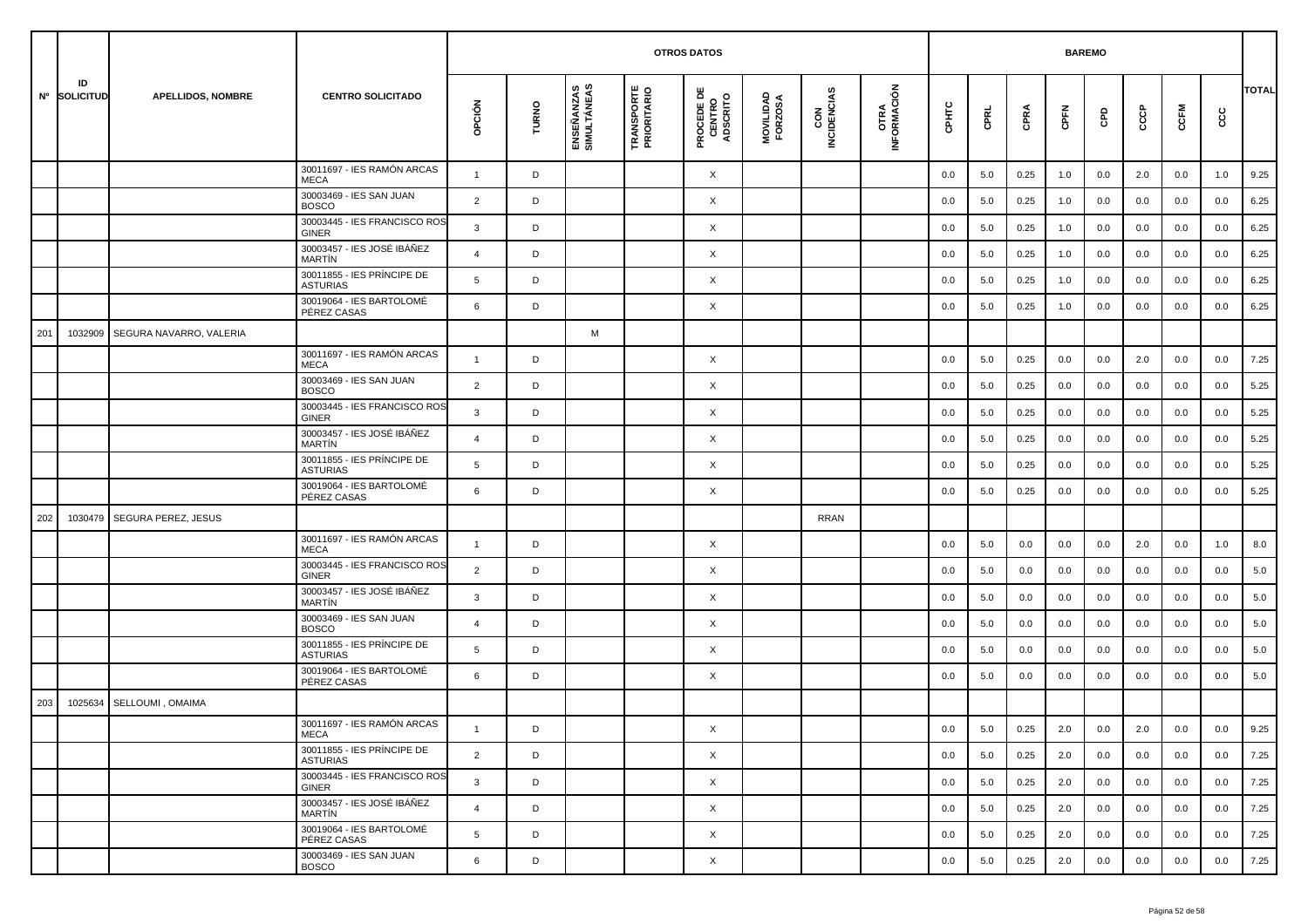|     |                    |                          |                                               | <b>OTROS DATOS</b><br><b>BAREMO</b> |       |                           |                                  |                                           |                      |                    |                            |         |         |      |         |     |         |      |         |              |
|-----|--------------------|--------------------------|-----------------------------------------------|-------------------------------------|-------|---------------------------|----------------------------------|-------------------------------------------|----------------------|--------------------|----------------------------|---------|---------|------|---------|-----|---------|------|---------|--------------|
|     | ID<br>Nº SOLICITUD | <b>APELLIDOS, NOMBRE</b> | <b>CENTRO SOLICITADO</b>                      | OPCIÓN                              | TURNO | ENSEÑANZAS<br>SIMULTÁNEAS | <b>TRANSPORTE</b><br>PRIORITARIO | <b>PROCEDE DE<br/>CENTRO<br/>ADSCRITO</b> | MOVILIDAD<br>FORZOSA | CON<br>INCIDENCIAS | <b>OTRA</b><br>INFORMACIÓN | CPHTC   | CPRL    | CPRA | CPFN    | GPD | င်င     | CCFM | cc      | <b>TOTAL</b> |
|     |                    |                          | 30011697 - IES RAMÓN ARCAS<br>MECA            | $\overline{1}$                      | D     |                           |                                  | X                                         |                      |                    |                            | 0.0     | 5.0     | 0.25 | 1.0     | 0.0 | 2.0     | 0.0  | 1.0     | 9.25         |
|     |                    |                          | 30003469 - IES SAN JUAN<br><b>BOSCO</b>       | $\overline{2}$                      | D     |                           |                                  | Χ                                         |                      |                    |                            | 0.0     | 5.0     | 0.25 | 1.0     | 0.0 | 0.0     | 0.0  | 0.0     | 6.25         |
|     |                    |                          | 30003445 - IES FRANCISCO ROS<br><b>GINER</b>  | 3                                   | D     |                           |                                  | X                                         |                      |                    |                            | 0.0     | 5.0     | 0.25 | 1.0     | 0.0 | 0.0     | 0.0  | 0.0     | 6.25         |
|     |                    |                          | 30003457 - IES JOSÉ IBÁÑEZ<br><b>MARTIN</b>   | $\overline{4}$                      | D     |                           |                                  | Χ                                         |                      |                    |                            | 0.0     | 5.0     | 0.25 | 1.0     | 0.0 | 0.0     | 0.0  | 0.0     | 6.25         |
|     |                    |                          | 30011855 - IES PRINCIPE DE<br><b>ASTURIAS</b> | 5                                   | D     |                           |                                  | Χ                                         |                      |                    |                            | 0.0     | 5.0     | 0.25 | 1.0     | 0.0 | 0.0     | 0.0  | 0.0     | 6.25         |
|     |                    |                          | 30019064 - IES BARTOLOMÉ<br>PÉREZ CASAS       | 6                                   | D     |                           |                                  | X                                         |                      |                    |                            | 0.0     | 5.0     | 0.25 | 1.0     | 0.0 | 0.0     | 0.0  | 0.0     | 6.25         |
| 201 | 1032909            | SEGURA NAVARRO, VALERIA  |                                               |                                     |       | M                         |                                  |                                           |                      |                    |                            |         |         |      |         |     |         |      |         |              |
|     |                    |                          | 30011697 - IES RAMÓN ARCAS<br><b>MECA</b>     | $\overline{1}$                      | D     |                           |                                  | Χ                                         |                      |                    |                            | 0.0     | 5.0     | 0.25 | 0.0     | 0.0 | 2.0     | 0.0  | 0.0     | 7.25         |
|     |                    |                          | 30003469 - IES SAN JUAN<br><b>BOSCO</b>       | $\overline{2}$                      | D     |                           |                                  | X                                         |                      |                    |                            | 0.0     | 5.0     | 0.25 | 0.0     | 0.0 | 0.0     | 0.0  | 0.0     | 5.25         |
|     |                    |                          | 30003445 - IES FRANCISCO ROS<br><b>GINER</b>  | 3                                   | D     |                           |                                  | Χ                                         |                      |                    |                            | 0.0     | 5.0     | 0.25 | 0.0     | 0.0 | 0.0     | 0.0  | 0.0     | 5.25         |
|     |                    |                          | 30003457 - IES JOSÉ IBÁÑEZ<br>MARTÍN          | $\overline{4}$                      | D     |                           |                                  | Χ                                         |                      |                    |                            | 0.0     | 5.0     | 0.25 | 0.0     | 0.0 | 0.0     | 0.0  | 0.0     | 5.25         |
|     |                    |                          | 30011855 - IES PRINCIPE DE<br><b>ASTURIAS</b> | 5                                   | D     |                           |                                  | X                                         |                      |                    |                            | 0.0     | 5.0     | 0.25 | 0.0     | 0.0 | 0.0     | 0.0  | 0.0     | 5.25         |
|     |                    |                          | 30019064 - IES BARTOLOMÉ<br>PÉREZ CASAS       | 6                                   | D     |                           |                                  | X                                         |                      |                    |                            | 0.0     | 5.0     | 0.25 | 0.0     | 0.0 | 0.0     | 0.0  | 0.0     | 5.25         |
| 202 | 1030479            | SEGURA PEREZ, JESUS      |                                               |                                     |       |                           |                                  |                                           |                      | RRAN               |                            |         |         |      |         |     |         |      |         |              |
|     |                    |                          | 30011697 - IES RAMÓN ARCAS<br><b>MECA</b>     | $\mathbf{1}$                        | D     |                           |                                  | X                                         |                      |                    |                            | 0.0     | 5.0     | 0.0  | 0.0     | 0.0 | 2.0     | 0.0  | 1.0     | 8.0          |
|     |                    |                          | 30003445 - IES FRANCISCO ROS<br><b>GINER</b>  | 2                                   | D     |                           |                                  | X                                         |                      |                    |                            | 0.0     | 5.0     | 0.0  | 0.0     | 0.0 | 0.0     | 0.0  | 0.0     | 5.0          |
|     |                    |                          | 30003457 - IES JOSÉ IBÁÑEZ<br>MARTÍN          | 3                                   | D     |                           |                                  | Χ                                         |                      |                    |                            | 0.0     | 5.0     | 0.0  | 0.0     | 0.0 | 0.0     | 0.0  | 0.0     | 5.0          |
|     |                    |                          | 30003469 - IES SAN JUAN<br><b>BOSCO</b>       | $\overline{4}$                      | D     |                           |                                  | X                                         |                      |                    |                            | 0.0     | 5.0     | 0.0  | 0.0     | 0.0 | 0.0     | 0.0  | 0.0     | 5.0          |
|     |                    |                          | 30011855 - IES PRÍNCIPE DE<br><b>ASTURIAS</b> | 5                                   | D     |                           |                                  | X                                         |                      |                    |                            | 0.0     | 5.0     | 0.0  | 0.0     | 0.0 | 0.0     | 0.0  | 0.0     | 5.0          |
|     |                    |                          | 30019064 - IES BARTOLOMÉ<br>PÉREZ CASAS       | 6                                   | D     |                           |                                  | Χ                                         |                      |                    |                            | 0.0     | 5.0     | 0.0  | 0.0     | 0.0 | 0.0     | 0.0  | 0.0     | 5.0          |
| 203 | 1025634            | SELLOUMI, OMAIMA         |                                               |                                     |       |                           |                                  |                                           |                      |                    |                            |         |         |      |         |     |         |      |         |              |
|     |                    |                          | 30011697 - IES RAMÓN ARCAS<br>MECA            |                                     | D     |                           |                                  | Χ                                         |                      |                    |                            | $0.0\,$ | $5.0\,$ | 0.25 | $2.0\,$ | 0.0 | $2.0\,$ | 0.0  | $0.0\,$ | 9.25         |
|     |                    |                          | 30011855 - IES PRÍNCIPE DE<br><b>ASTURIAS</b> | $\overline{2}$                      | D     |                           |                                  | $\times$                                  |                      |                    |                            | 0.0     | 5.0     | 0.25 | 2.0     | 0.0 | 0.0     | 0.0  | 0.0     | 7.25         |
|     |                    |                          | 30003445 - IES FRANCISCO ROS<br>GINER         | $\mathbf{3}$                        | D     |                           |                                  | $\times$                                  |                      |                    |                            | 0.0     | 5.0     | 0.25 | 2.0     | 0.0 | 0.0     | 0.0  | 0.0     | 7.25         |
|     |                    |                          | 30003457 - IES JOSÉ IBÁÑEZ<br>MARTÍN          | $\overline{4}$                      | D     |                           |                                  | $\times$                                  |                      |                    |                            | 0.0     | 5.0     | 0.25 | 2.0     | 0.0 | 0.0     | 0.0  | 0.0     | 7.25         |
|     |                    |                          | 30019064 - IES BARTOLOMÉ<br>PÉREZ CASAS       | 5                                   | D     |                           |                                  | X                                         |                      |                    |                            | 0.0     | 5.0     | 0.25 | 2.0     | 0.0 | 0.0     | 0.0  | 0.0     | 7.25         |
|     |                    |                          | 30003469 - IES SAN JUAN<br><b>BOSCO</b>       | 6                                   | D     |                           |                                  | X                                         |                      |                    |                            | 0.0     | 5.0     | 0.25 | 2.0     | 0.0 | 0.0     | 0.0  | 0.0     | 7.25         |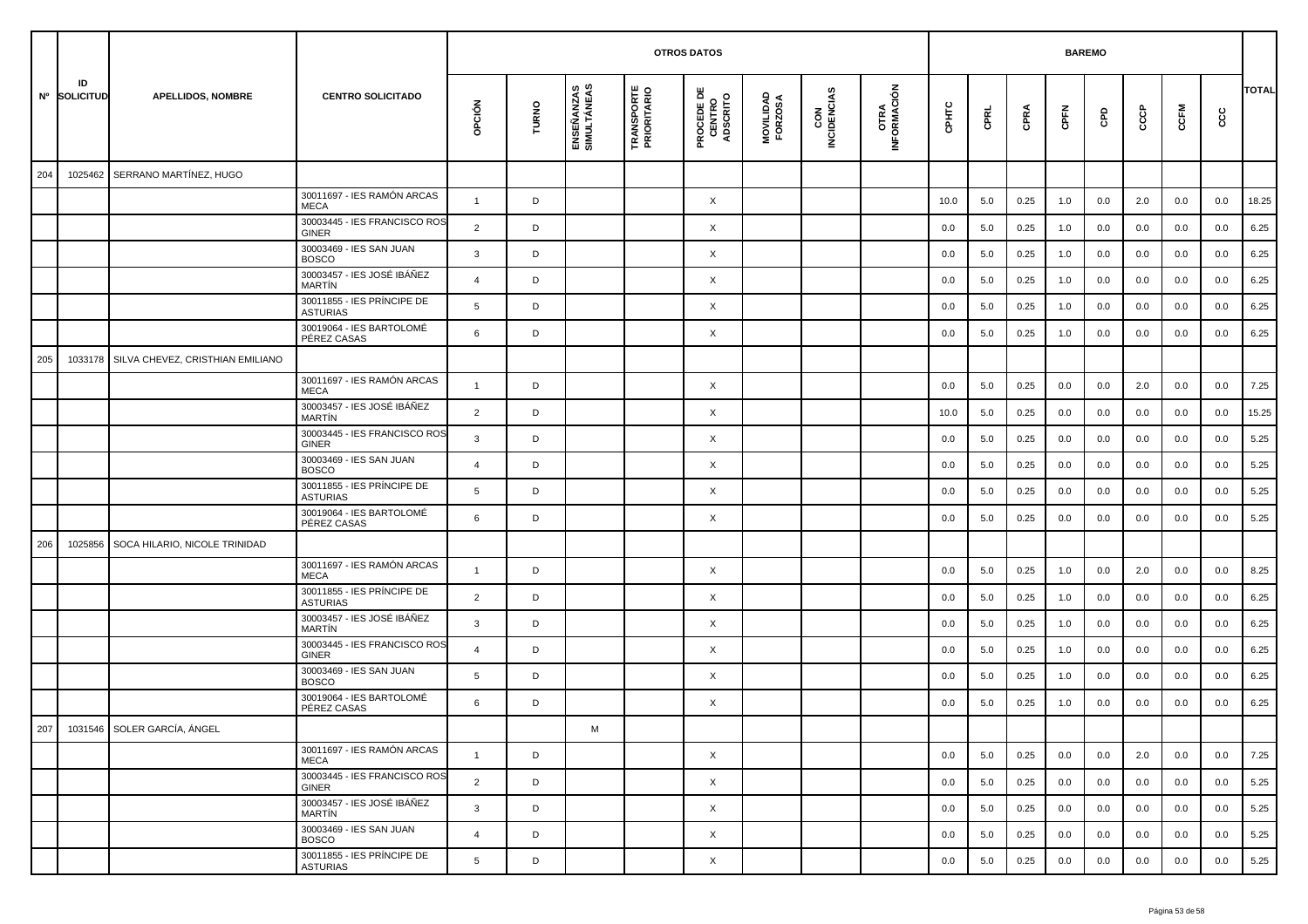|     |                    |                                  |                                               |                |       |                           |                                  | <b>OTROS DATOS</b>                        |                      |                    |                             |       |      |      |      | <b>BAREMO</b> |     |      |     |              |
|-----|--------------------|----------------------------------|-----------------------------------------------|----------------|-------|---------------------------|----------------------------------|-------------------------------------------|----------------------|--------------------|-----------------------------|-------|------|------|------|---------------|-----|------|-----|--------------|
|     | ID<br>Nº SOLICITUD | <b>APELLIDOS, NOMBRE</b>         | <b>CENTRO SOLICITADO</b>                      | opción         | TURNO | ENSEÑANZAS<br>SIMULTÁNEAS | <b>TRANSPORTE</b><br>PRIORITARIO | <b>PROCEDE DE<br/>CENTRO<br/>ADSCRITO</b> | MOVILIDAD<br>FORZOSA | CON<br>INCIDENCIAS | <b>OTRA<br/>INFORMACIÓN</b> | CPHTC | CPRL | CPRA | CPFN | GPD           | ငင  | CCFM | င်င | <b>TOTAL</b> |
| 204 | 1025462            | SERRANO MARTÍNEZ, HUGO           |                                               |                |       |                           |                                  |                                           |                      |                    |                             |       |      |      |      |               |     |      |     |              |
|     |                    |                                  | 30011697 - IES RAMÓN ARCAS<br><b>MECA</b>     | $\mathbf{1}$   | D     |                           |                                  | X                                         |                      |                    |                             | 10.0  | 5.0  | 0.25 | 1.0  | 0.0           | 2.0 | 0.0  | 0.0 | 18.25        |
|     |                    |                                  | 30003445 - IES FRANCISCO ROS<br><b>GINER</b>  | $\overline{2}$ | D     |                           |                                  | $\times$                                  |                      |                    |                             | 0.0   | 5.0  | 0.25 | 1.0  | 0.0           | 0.0 | 0.0  | 0.0 | 6.25         |
|     |                    |                                  | 30003469 - IES SAN JUAN<br><b>BOSCO</b>       | 3              | D     |                           |                                  | X                                         |                      |                    |                             | 0.0   | 5.0  | 0.25 | 1.0  | 0.0           | 0.0 | 0.0  | 0.0 | 6.25         |
|     |                    |                                  | 30003457 - IES JOSÉ IBÁÑEZ<br>MARTÍN          | $\overline{4}$ | D     |                           |                                  | X                                         |                      |                    |                             | 0.0   | 5.0  | 0.25 | 1.0  | 0.0           | 0.0 | 0.0  | 0.0 | 6.25         |
|     |                    |                                  | 30011855 - IES PRÍNCIPE DE<br>ASTURIAS        | 5              | D     |                           |                                  | X                                         |                      |                    |                             | 0.0   | 5.0  | 0.25 | 1.0  | 0.0           | 0.0 | 0.0  | 0.0 | 6.25         |
|     |                    |                                  | 30019064 - IES BARTOLOMÉ<br>PÉREZ CASAS       | 6              | D     |                           |                                  | X                                         |                      |                    |                             | 0.0   | 5.0  | 0.25 | 1.0  | 0.0           | 0.0 | 0.0  | 0.0 | 6.25         |
| 205 | 1033178            | SILVA CHEVEZ, CRISTHIAN EMILIANO |                                               |                |       |                           |                                  |                                           |                      |                    |                             |       |      |      |      |               |     |      |     |              |
|     |                    |                                  | 30011697 - IES RAMÓN ARCAS<br><b>MECA</b>     | -1             | D     |                           |                                  | $\times$                                  |                      |                    |                             | 0.0   | 5.0  | 0.25 | 0.0  | 0.0           | 2.0 | 0.0  | 0.0 | 7.25         |
|     |                    |                                  | 30003457 - IES JOSÉ IBÁÑEZ<br>MARTÍN          | $\overline{2}$ | D     |                           |                                  | X                                         |                      |                    |                             | 10.0  | 5.0  | 0.25 | 0.0  | 0.0           | 0.0 | 0.0  | 0.0 | 15.25        |
|     |                    |                                  | 30003445 - IES FRANCISCO ROS<br>GINER         | 3              | D     |                           |                                  | X                                         |                      |                    |                             | 0.0   | 5.0  | 0.25 | 0.0  | 0.0           | 0.0 | 0.0  | 0.0 | 5.25         |
|     |                    |                                  | 30003469 - IES SAN JUAN<br><b>BOSCO</b>       | $\overline{4}$ | D     |                           |                                  | X                                         |                      |                    |                             | 0.0   | 5.0  | 0.25 | 0.0  | 0.0           | 0.0 | 0.0  | 0.0 | 5.25         |
|     |                    |                                  | 30011855 - IES PRÍNCIPE DE<br>ASTURIAS        | 5              | D     |                           |                                  | X                                         |                      |                    |                             | 0.0   | 5.0  | 0.25 | 0.0  | 0.0           | 0.0 | 0.0  | 0.0 | 5.25         |
|     |                    |                                  | 30019064 - IES BARTOLOMÉ<br>PÉREZ CASAS       | 6              | D     |                           |                                  | X                                         |                      |                    |                             | 0.0   | 5.0  | 0.25 | 0.0  | 0.0           | 0.0 | 0.0  | 0.0 | 5.25         |
| 206 | 1025856            | SOCA HILARIO, NICOLE TRINIDAD    |                                               |                |       |                           |                                  |                                           |                      |                    |                             |       |      |      |      |               |     |      |     |              |
|     |                    |                                  | 30011697 - IES RAMÓN ARCAS<br><b>MECA</b>     | $\overline{1}$ | D     |                           |                                  | X                                         |                      |                    |                             | 0.0   | 5.0  | 0.25 | 1.0  | 0.0           | 2.0 | 0.0  | 0.0 | 8.25         |
|     |                    |                                  | 30011855 - IES PRÍNCIPE DE<br><b>ASTURIAS</b> | $\overline{2}$ | D     |                           |                                  | X                                         |                      |                    |                             | 0.0   | 5.0  | 0.25 | 1.0  | 0.0           | 0.0 | 0.0  | 0.0 | 6.25         |
|     |                    |                                  | 30003457 - IES JOSÉ IBÁÑEZ<br>MARTÍN          | 3              | D     |                           |                                  | X                                         |                      |                    |                             | 0.0   | 5.0  | 0.25 | 1.0  | 0.0           | 0.0 | 0.0  | 0.0 | 6.25         |
|     |                    |                                  | 30003445 - IES FRANCISCO ROS<br>GINER         | 4              | D     |                           |                                  | X                                         |                      |                    |                             | 0.0   | 5.0  | 0.25 | 1.0  | 0.0           | 0.0 | 0.0  | 0.0 | 6.25         |
|     |                    |                                  | 30003469 - IES SAN JUAN<br><b>BOSCO</b>       | 5              | D     |                           |                                  | X                                         |                      |                    |                             | 0.0   | 5.0  | 0.25 | 1.0  | 0.0           | 0.0 | 0.0  | 0.0 | 6.25         |
|     |                    |                                  | 30019064 - IES BARTOLOMÉ<br>PÉREZ CASAS       | 6              | D     |                           |                                  | X                                         |                      |                    |                             | 0.0   | 5.0  | 0.25 | 1.0  | 0.0           | 0.0 | 0.0  | 0.0 | 6.25         |
|     |                    | 207 1031546 SOLER GARCÍA, ÁNGEL  |                                               |                |       |                           |                                  |                                           |                      |                    |                             |       |      |      |      |               |     |      |     |              |
|     |                    |                                  | 30011697 - IES RAMÓN ARCAS<br>MECA            | $\overline{1}$ | D     |                           |                                  | $\times$                                  |                      |                    |                             | 0.0   | 5.0  | 0.25 | 0.0  | 0.0           | 2.0 | 0.0  | 0.0 | 7.25         |
|     |                    |                                  | 30003445 - IES FRANCISCO ROS<br>GINER         | $\overline{2}$ | D     |                           |                                  | $\times$                                  |                      |                    |                             | 0.0   | 5.0  | 0.25 | 0.0  | 0.0           | 0.0 | 0.0  | 0.0 | 5.25         |
|     |                    |                                  | 30003457 - IES JOSÉ IBÁÑEZ<br>MARTÍN          | $\mathbf{3}$   | D     |                           |                                  | $\times$                                  |                      |                    |                             | 0.0   | 5.0  | 0.25 | 0.0  | 0.0           | 0.0 | 0.0  | 0.0 | 5.25         |
|     |                    |                                  | 30003469 - IES SAN JUAN<br><b>BOSCO</b>       | $\overline{4}$ | D     |                           |                                  | $\times$                                  |                      |                    |                             | 0.0   | 5.0  | 0.25 | 0.0  | 0.0           | 0.0 | 0.0  | 0.0 | 5.25         |
|     |                    |                                  | 30011855 - IES PRÍNCIPE DE<br><b>ASTURIAS</b> | 5              | D     |                           |                                  | $\times$                                  |                      |                    |                             | 0.0   | 5.0  | 0.25 | 0.0  | 0.0           | 0.0 | 0.0  | 0.0 | 5.25         |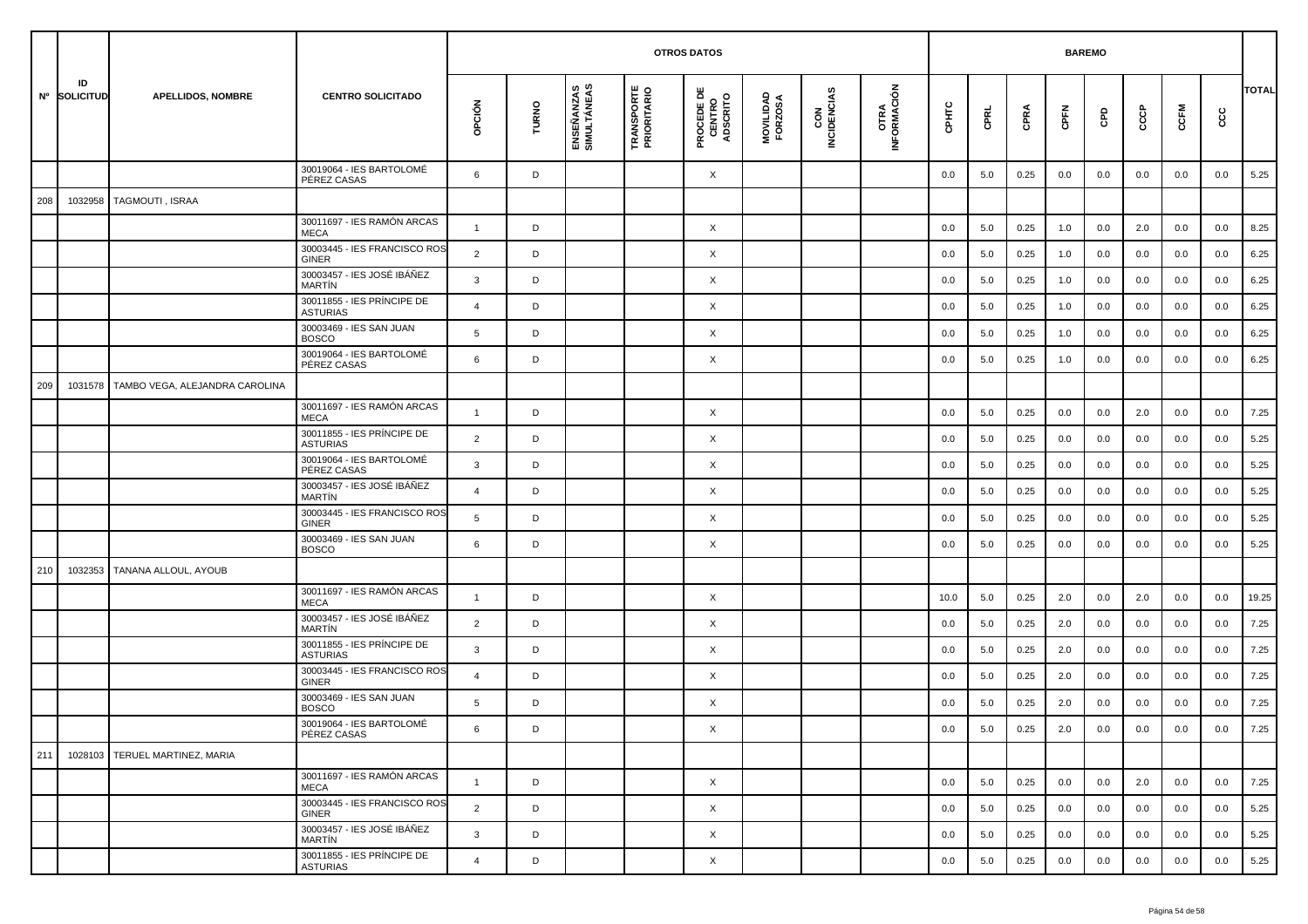|     |                    |                                |                                               |                |       |                           |                                   | <b>OTROS DATOS</b>                        |                      |                    |                     |         |         |      |         | <b>BAREMO</b> |     |         |         |              |
|-----|--------------------|--------------------------------|-----------------------------------------------|----------------|-------|---------------------------|-----------------------------------|-------------------------------------------|----------------------|--------------------|---------------------|---------|---------|------|---------|---------------|-----|---------|---------|--------------|
|     | ID<br>Nº SOLICITUD | <b>APELLIDOS, NOMBRE</b>       | <b>CENTRO SOLICITADO</b>                      | opción         | TURNO | ENSEÑANZAS<br>SIMULTÁNEAS | <b>TRANSPORTE<br/>PRIORITARIO</b> | <b>PROCEDE DE<br/>CENTRO<br/>ADSCRITO</b> | MOVILIDAD<br>FORZOSA | CON<br>INCIDENCIAS | OTRA<br>INFORMACIÓN | CPHTC   | CPRL    | CPRA | CPFN    | GPD           | င်င | CCFM    | ငင      | <b>TOTAL</b> |
|     |                    |                                | 30019064 - IES BARTOLOMÉ<br>PÉREZ CASAS       | 6              | D     |                           |                                   | X                                         |                      |                    |                     | 0.0     | 5.0     | 0.25 | 0.0     | 0.0           | 0.0 | 0.0     | 0.0     | 5.25         |
| 208 | 1032958            | TAGMOUTI, ISRAA                |                                               |                |       |                           |                                   |                                           |                      |                    |                     |         |         |      |         |               |     |         |         |              |
|     |                    |                                | 30011697 - IES RAMÓN ARCAS<br><b>MECA</b>     | $\mathbf{1}$   | D     |                           |                                   | X                                         |                      |                    |                     | 0.0     | 5.0     | 0.25 | 1.0     | 0.0           | 2.0 | 0.0     | 0.0     | 8.25         |
|     |                    |                                | 30003445 - IES FRANCISCO ROS<br><b>GINER</b>  | 2              | D     |                           |                                   | X                                         |                      |                    |                     | 0.0     | 5.0     | 0.25 | 1.0     | 0.0           | 0.0 | 0.0     | 0.0     | 6.25         |
|     |                    |                                | 30003457 - IES JOSÉ IBÁÑEZ<br>MARTÍN          | 3              | D     |                           |                                   | X                                         |                      |                    |                     | 0.0     | 5.0     | 0.25 | 1.0     | 0.0           | 0.0 | 0.0     | 0.0     | 6.25         |
|     |                    |                                | 30011855 - IES PRÍNCIPE DE<br><b>ASTURIAS</b> | $\overline{4}$ | D     |                           |                                   | X                                         |                      |                    |                     | 0.0     | 5.0     | 0.25 | 1.0     | 0.0           | 0.0 | 0.0     | 0.0     | 6.25         |
|     |                    |                                | 30003469 - IES SAN JUAN<br><b>BOSCO</b>       | 5              | D     |                           |                                   | X                                         |                      |                    |                     | 0.0     | 5.0     | 0.25 | 1.0     | 0.0           | 0.0 | 0.0     | 0.0     | 6.25         |
|     |                    |                                | 30019064 - IES BARTOLOMÉ<br>PÉREZ CASAS       | 6              | D     |                           |                                   | X                                         |                      |                    |                     | 0.0     | 5.0     | 0.25 | 1.0     | 0.0           | 0.0 | 0.0     | 0.0     | 6.25         |
| 209 | 1031578            | TAMBO VEGA, ALEJANDRA CAROLINA |                                               |                |       |                           |                                   |                                           |                      |                    |                     |         |         |      |         |               |     |         |         |              |
|     |                    |                                | 30011697 - IES RAMÓN ARCAS<br><b>MECA</b>     | $\mathbf{1}$   | D     |                           |                                   | X                                         |                      |                    |                     | 0.0     | 5.0     | 0.25 | 0.0     | 0.0           | 2.0 | 0.0     | 0.0     | 7.25         |
|     |                    |                                | 30011855 - IES PRÍNCIPE DE<br><b>ASTURIAS</b> | $\overline{2}$ | D     |                           |                                   | X                                         |                      |                    |                     | 0.0     | 5.0     | 0.25 | 0.0     | 0.0           | 0.0 | 0.0     | 0.0     | 5.25         |
|     |                    |                                | 30019064 - IES BARTOLOMÉ<br>PÉREZ CASAS       | 3              | D     |                           |                                   | X                                         |                      |                    |                     | 0.0     | 5.0     | 0.25 | 0.0     | 0.0           | 0.0 | 0.0     | 0.0     | 5.25         |
|     |                    |                                | 30003457 - IES JOSÉ IBÁÑEZ<br><b>MARTIN</b>   | $\overline{4}$ | D     |                           |                                   | X                                         |                      |                    |                     | 0.0     | 5.0     | 0.25 | 0.0     | 0.0           | 0.0 | 0.0     | 0.0     | 5.25         |
|     |                    |                                | 30003445 - IES FRANCISCO ROS<br>GINER         | 5              | D     |                           |                                   | X                                         |                      |                    |                     | 0.0     | 5.0     | 0.25 | 0.0     | 0.0           | 0.0 | 0.0     | 0.0     | 5.25         |
|     |                    |                                | 30003469 - IES SAN JUAN<br><b>BOSCO</b>       | 6              | D     |                           |                                   | X                                         |                      |                    |                     | 0.0     | 5.0     | 0.25 | 0.0     | 0.0           | 0.0 | 0.0     | 0.0     | 5.25         |
| 210 | 1032353            | TANANA ALLOUL, AYOUB           |                                               |                |       |                           |                                   |                                           |                      |                    |                     |         |         |      |         |               |     |         |         |              |
|     |                    |                                | 30011697 - IES RAMÓN ARCAS<br><b>MECA</b>     | $\mathbf{1}$   | D     |                           |                                   | X                                         |                      |                    |                     | 10.0    | 5.0     | 0.25 | 2.0     | 0.0           | 2.0 | 0.0     | 0.0     | 19.25        |
|     |                    |                                | 30003457 - IES JOSÉ IBÁÑEZ<br><b>MARTIN</b>   | $\overline{2}$ | D     |                           |                                   | X                                         |                      |                    |                     | 0.0     | 5.0     | 0.25 | 2.0     | 0.0           | 0.0 | 0.0     | 0.0     | 7.25         |
|     |                    |                                | 30011855 - IES PRÍNCIPE DE<br><b>ASTURIAS</b> | 3              | D     |                           |                                   | X                                         |                      |                    |                     | 0.0     | 5.0     | 0.25 | 2.0     | 0.0           | 0.0 | 0.0     | 0.0     | 7.25         |
|     |                    |                                | 30003445 - IES FRANCISCO ROS<br>GINER         | 4              | D     |                           |                                   | X                                         |                      |                    |                     | 0.0     | 5.0     | 0.25 | 2.0     | 0.0           | 0.0 | 0.0     | 0.0     | 7.25         |
|     |                    |                                | 30003469 - IES SAN JUAN<br><b>BOSCO</b>       | 5              | D     |                           |                                   | X                                         |                      |                    |                     | 0.0     | 5.0     | 0.25 | 2.0     | 0.0           | 0.0 | 0.0     | 0.0     | 7.25         |
|     |                    |                                | 30019064 - IES BARTOLOMÉ<br>PÉREZ CASAS       | 6              | D     |                           |                                   | X                                         |                      |                    |                     | $0.0\,$ | $5.0\,$ | 0.25 | $2.0\,$ | $0.0\,$       | 0.0 | $0.0\,$ | $0.0\,$ | $7.25$       |
| 211 | 1028103            | TERUEL MARTINEZ, MARIA         |                                               |                |       |                           |                                   |                                           |                      |                    |                     |         |         |      |         |               |     |         |         |              |
|     |                    |                                | 30011697 - IES RAMÓN ARCAS<br><b>MECA</b>     | $\mathbf{1}$   | D     |                           |                                   | $\times$                                  |                      |                    |                     | 0.0     | 5.0     | 0.25 | 0.0     | 0.0           | 2.0 | 0.0     | 0.0     | 7.25         |
|     |                    |                                | 30003445 - IES FRANCISCO ROS<br>GINER         | $\overline{2}$ | D     |                           |                                   | $\times$                                  |                      |                    |                     | 0.0     | 5.0     | 0.25 | 0.0     | 0.0           | 0.0 | 0.0     | 0.0     | 5.25         |
|     |                    |                                | 30003457 - IES JOSÉ IBÁÑEZ<br>MARTÍN          | 3              | D     |                           |                                   | X                                         |                      |                    |                     | 0.0     | 5.0     | 0.25 | 0.0     | 0.0           | 0.0 | 0.0     | 0.0     | 5.25         |
|     |                    |                                | 30011855 - IES PRÍNCIPE DE<br><b>ASTURIAS</b> | $\overline{4}$ | D     |                           |                                   | $\times$                                  |                      |                    |                     | 0.0     | 5.0     | 0.25 | 0.0     | 0.0           | 0.0 | 0.0     | 0.0     | 5.25         |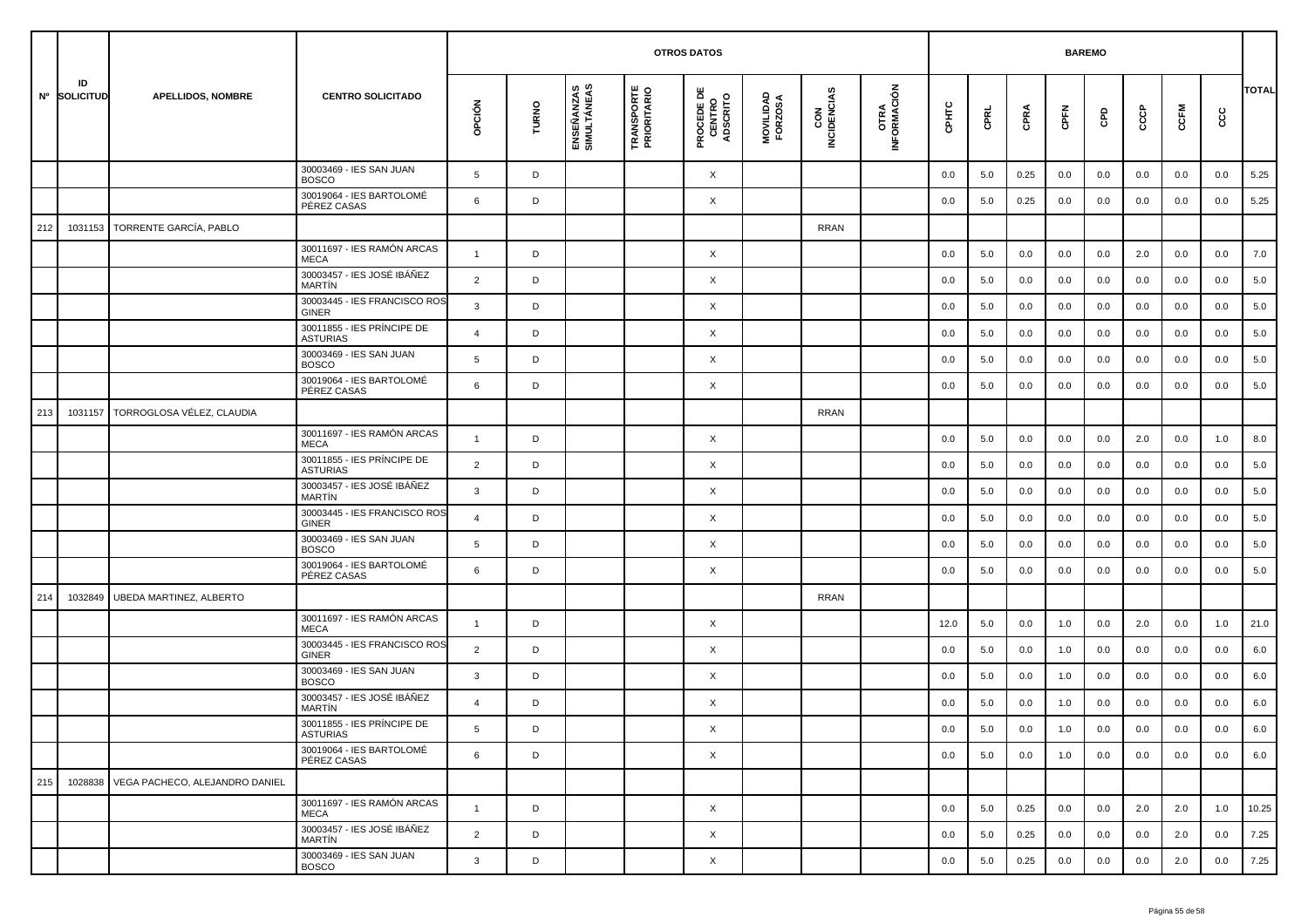|     |                    |                                |                                               |                |       |                           |                                  | <b>OTROS DATOS</b>                        |                      |                    |                            |         |      |      |      | <b>BAREMO</b> |     |      |     |              |
|-----|--------------------|--------------------------------|-----------------------------------------------|----------------|-------|---------------------------|----------------------------------|-------------------------------------------|----------------------|--------------------|----------------------------|---------|------|------|------|---------------|-----|------|-----|--------------|
|     | ID<br>Nº SOLICITUD | <b>APELLIDOS, NOMBRE</b>       | <b>CENTRO SOLICITADO</b>                      | opción         | TURNO | ENSEÑANZAS<br>SIMULTÁNEAS | <b>TRANSPORTE</b><br>PRIORITARIO | <b>PROCEDE DE<br/>CENTRO<br/>ADSCRITO</b> | MOVILIDAD<br>FORZOSA | CON<br>INCIDENCIAS | <b>OTRA</b><br>INFORMACIÓN | CPHTC   | CPRL | CPRA | CPFN | GPD           | င်င | CCFM | ccc | <b>TOTAL</b> |
|     |                    |                                | 30003469 - IES SAN JUAN<br><b>BOSCO</b>       | 5              | D     |                           |                                  | X                                         |                      |                    |                            | 0.0     | 5.0  | 0.25 | 0.0  | 0.0           | 0.0 | 0.0  | 0.0 | 5.25         |
|     |                    |                                | 30019064 - IES BARTOLOMÉ<br>PÉREZ CASAS       | 6              | D     |                           |                                  | X                                         |                      |                    |                            | 0.0     | 5.0  | 0.25 | 0.0  | 0.0           | 0.0 | 0.0  | 0.0 | 5.25         |
| 212 | 1031153            | TORRENTE GARCÍA, PABLO         |                                               |                |       |                           |                                  |                                           |                      | <b>RRAN</b>        |                            |         |      |      |      |               |     |      |     |              |
|     |                    |                                | 30011697 - IES RAMÓN ARCAS<br><b>MECA</b>     | $\mathbf{1}$   | D     |                           |                                  | X                                         |                      |                    |                            | 0.0     | 5.0  | 0.0  | 0.0  | 0.0           | 2.0 | 0.0  | 0.0 | 7.0          |
|     |                    |                                | 30003457 - IES JOSÉ IBÁÑEZ<br><b>MARTIN</b>   | $\overline{2}$ | D     |                           |                                  | X                                         |                      |                    |                            | 0.0     | 5.0  | 0.0  | 0.0  | 0.0           | 0.0 | 0.0  | 0.0 | 5.0          |
|     |                    |                                | 30003445 - IES FRANCISCO ROS<br><b>GINER</b>  | $\mathbf{3}$   | D     |                           |                                  | X                                         |                      |                    |                            | 0.0     | 5.0  | 0.0  | 0.0  | 0.0           | 0.0 | 0.0  | 0.0 | 5.0          |
|     |                    |                                | 30011855 - IES PRÍNCIPE DE<br><b>ASTURIAS</b> | $\overline{4}$ | D     |                           |                                  | X                                         |                      |                    |                            | 0.0     | 5.0  | 0.0  | 0.0  | 0.0           | 0.0 | 0.0  | 0.0 | 5.0          |
|     |                    |                                | 30003469 - IES SAN JUAN<br><b>BOSCO</b>       | 5              | D     |                           |                                  | X                                         |                      |                    |                            | 0.0     | 5.0  | 0.0  | 0.0  | 0.0           | 0.0 | 0.0  | 0.0 | 5.0          |
|     |                    |                                | 30019064 - IES BARTOLOMÉ<br>PÉREZ CASAS       | 6              | D     |                           |                                  | X                                         |                      |                    |                            | 0.0     | 5.0  | 0.0  | 0.0  | 0.0           | 0.0 | 0.0  | 0.0 | 5.0          |
| 213 | 1031157            | TORROGLOSA VÉLEZ, CLAUDIA      |                                               |                |       |                           |                                  |                                           |                      | <b>RRAN</b>        |                            |         |      |      |      |               |     |      |     |              |
|     |                    |                                | 30011697 - IES RAMÓN ARCAS<br><b>MECA</b>     | $\overline{1}$ | D     |                           |                                  | X                                         |                      |                    |                            | 0.0     | 5.0  | 0.0  | 0.0  | 0.0           | 2.0 | 0.0  | 1.0 | 8.0          |
|     |                    |                                | 30011855 - IES PRÍNCIPE DE<br><b>ASTURIAS</b> | 2              | D     |                           |                                  | X                                         |                      |                    |                            | 0.0     | 5.0  | 0.0  | 0.0  | 0.0           | 0.0 | 0.0  | 0.0 | 5.0          |
|     |                    |                                | 30003457 - IES JOSÉ IBÁÑEZ<br><b>MARTIN</b>   | 3              | D     |                           |                                  | X                                         |                      |                    |                            | 0.0     | 5.0  | 0.0  | 0.0  | 0.0           | 0.0 | 0.0  | 0.0 | 5.0          |
|     |                    |                                | 30003445 - IES FRANCISCO ROS<br><b>GINER</b>  | $\overline{a}$ | D     |                           |                                  | X                                         |                      |                    |                            | 0.0     | 5.0  | 0.0  | 0.0  | 0.0           | 0.0 | 0.0  | 0.0 | 5.0          |
|     |                    |                                | 30003469 - IES SAN JUAN<br><b>BOSCO</b>       | 5              | D     |                           |                                  | X                                         |                      |                    |                            | 0.0     | 5.0  | 0.0  | 0.0  | 0.0           | 0.0 | 0.0  | 0.0 | 5.0          |
|     |                    |                                | 30019064 - IES BARTOLOMÉ<br>PÉREZ CASAS       | 6              | D     |                           |                                  | X                                         |                      |                    |                            | 0.0     | 5.0  | 0.0  | 0.0  | 0.0           | 0.0 | 0.0  | 0.0 | 5.0          |
| 214 | 1032849            | <b>UBEDA MARTINEZ, ALBERTO</b> |                                               |                |       |                           |                                  |                                           |                      | <b>RRAN</b>        |                            |         |      |      |      |               |     |      |     |              |
|     |                    |                                | 30011697 - IES RAMÓN ARCAS<br><b>MECA</b>     | $\overline{1}$ | D     |                           |                                  | X                                         |                      |                    |                            | 12.0    | 5.0  | 0.0  | 1.0  | 0.0           | 2.0 | 0.0  | 1.0 | 21.0         |
|     |                    |                                | 30003445 - IES FRANCISCO ROS<br><b>GINER</b>  | $\overline{2}$ | D     |                           |                                  | X                                         |                      |                    |                            | 0.0     | 5.0  | 0.0  | 1.0  | 0.0           | 0.0 | 0.0  | 0.0 | 6.0          |
|     |                    |                                | 30003469 - IES SAN JUAN<br><b>BOSCO</b>       | 3              | D     |                           |                                  | X                                         |                      |                    |                            | 0.0     | 5.0  | 0.0  | 1.0  | 0.0           | 0.0 | 0.0  | 0.0 | 6.0          |
|     |                    |                                | 30003457 - IES JOSÉ IBÁÑEZ<br><b>MARTIN</b>   | $\overline{4}$ | D     |                           |                                  | X                                         |                      |                    |                            | 0.0     | 5.0  | 0.0  | 1.0  | 0.0           | 0.0 | 0.0  | 0.0 | 6.0          |
|     |                    |                                | 30011855 - IES PRÍNCIPE DE<br>ASTURIAS        | 5              | D     |                           |                                  | X                                         |                      |                    |                            | $0.0\,$ | 5.0  | 0.0  | 1.0  | 0.0           | 0.0 | 0.0  | 0.0 | 6.0          |
|     |                    |                                | 30019064 - IES BARTOLOMÉ<br>PÉREZ CASAS       | 6              | D     |                           |                                  | $\times$                                  |                      |                    |                            | 0.0     | 5.0  | 0.0  | 1.0  | 0.0           | 0.0 | 0.0  | 0.0 | 6.0          |
| 215 | 1028838            | VEGA PACHECO, ALEJANDRO DANIEL |                                               |                |       |                           |                                  |                                           |                      |                    |                            |         |      |      |      |               |     |      |     |              |
|     |                    |                                | 30011697 - IES RAMÓN ARCAS<br>MECA            | $\mathbf{1}$   | D     |                           |                                  | X                                         |                      |                    |                            | 0.0     | 5.0  | 0.25 | 0.0  | 0.0           | 2.0 | 2.0  | 1.0 | 10.25        |
|     |                    |                                | 30003457 - IES JOSÉ IBÁÑEZ<br>MARTÍN          | $\overline{2}$ | D     |                           |                                  | X                                         |                      |                    |                            | 0.0     | 5.0  | 0.25 | 0.0  | 0.0           | 0.0 | 2.0  | 0.0 | 7.25         |
|     |                    |                                | 30003469 - IES SAN JUAN<br><b>BOSCO</b>       | $\mathbf{3}$   | D     |                           |                                  | $\times$                                  |                      |                    |                            | 0.0     | 5.0  | 0.25 | 0.0  | 0.0           | 0.0 | 2.0  | 0.0 | 7.25         |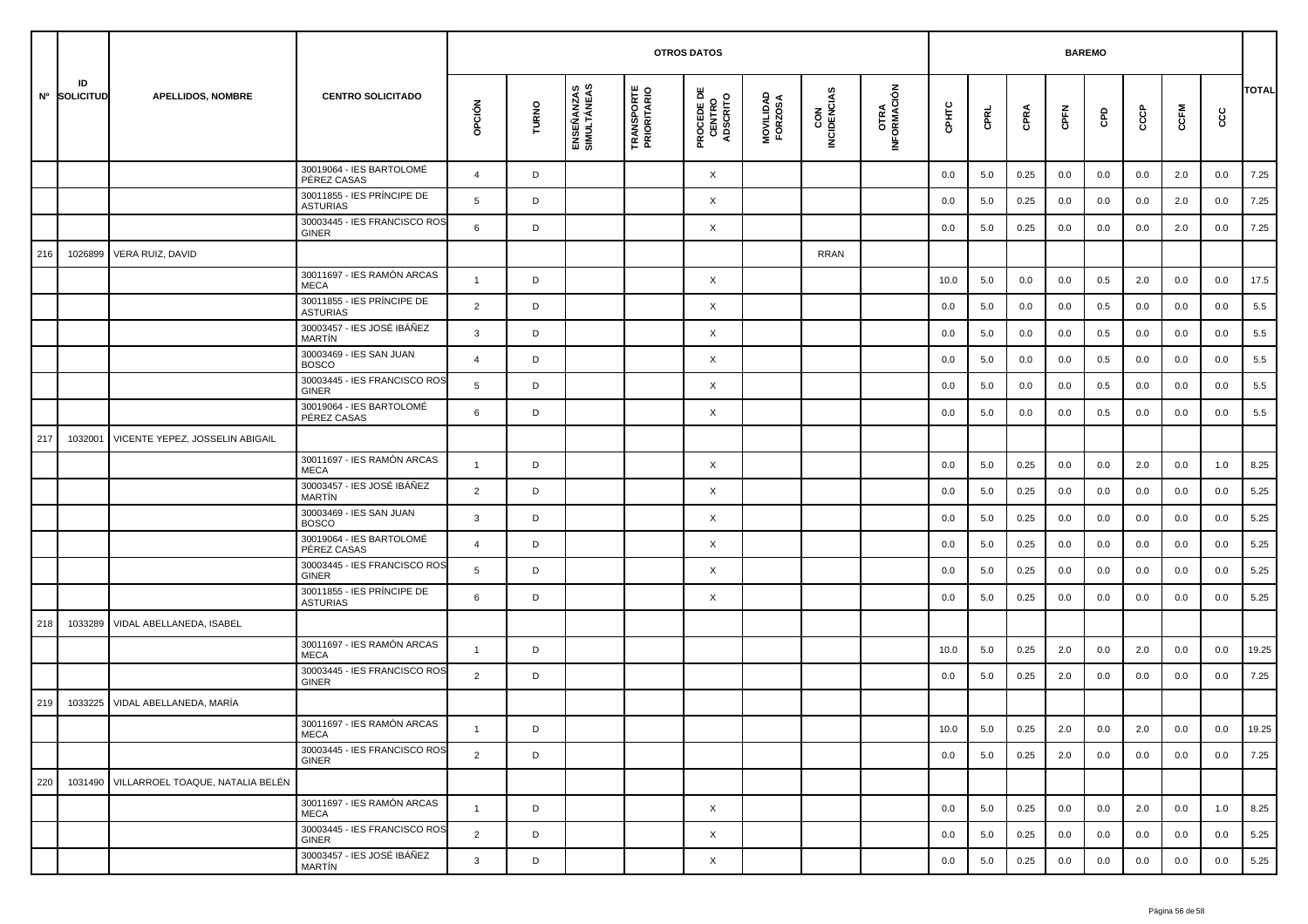|     |                    |                                          |                                               | <b>OTROS DATOS</b><br><b>BAREMO</b> |       |                           |                                  |                                           |                      |                    |                     |       |      |      |         |     |     |      |         |              |
|-----|--------------------|------------------------------------------|-----------------------------------------------|-------------------------------------|-------|---------------------------|----------------------------------|-------------------------------------------|----------------------|--------------------|---------------------|-------|------|------|---------|-----|-----|------|---------|--------------|
|     | ID<br>Nº SOLICITUD | <b>APELLIDOS, NOMBRE</b>                 | <b>CENTRO SOLICITADO</b>                      | opción                              | TURNO | ENSEÑANZAS<br>SIMULTÁNEAS | <b>TRANSPORTE</b><br>PRIORITARIO | <b>PROCEDE DE<br/>CENTRO<br/>ADSCRITO</b> | MOVILIDAD<br>FORZOSA | CON<br>INCIDENCIAS | OTRA<br>INFORMACIÓN | CPHTC | CPRL | CPRA | CPFN    | GPD | င်င | CCFM | င္ပင    | <b>TOTAL</b> |
|     |                    |                                          | 30019064 - IES BARTOLOMÉ<br>PÉREZ CASAS       | $\overline{4}$                      | D     |                           |                                  | X                                         |                      |                    |                     | 0.0   | 5.0  | 0.25 | 0.0     | 0.0 | 0.0 | 2.0  | 0.0     | 7.25         |
|     |                    |                                          | 30011855 - IES PRÍNCIPE DE<br><b>ASTURIAS</b> | 5                                   | D     |                           |                                  | X                                         |                      |                    |                     | 0.0   | 5.0  | 0.25 | 0.0     | 0.0 | 0.0 | 2.0  | 0.0     | 7.25         |
|     |                    |                                          | 30003445 - IES FRANCISCO ROS<br><b>GINER</b>  | 6                                   | D     |                           |                                  | X                                         |                      |                    |                     | 0.0   | 5.0  | 0.25 | 0.0     | 0.0 | 0.0 | 2.0  | 0.0     | 7.25         |
| 216 | 1026899            | VERA RUIZ, DAVID                         |                                               |                                     |       |                           |                                  |                                           |                      | <b>RRAN</b>        |                     |       |      |      |         |     |     |      |         |              |
|     |                    |                                          | 30011697 - IES RAMÓN ARCAS<br><b>MECA</b>     | $\overline{1}$                      | D     |                           |                                  | X                                         |                      |                    |                     | 10.0  | 5.0  | 0.0  | 0.0     | 0.5 | 2.0 | 0.0  | 0.0     | 17.5         |
|     |                    |                                          | 30011855 - IES PRÍNCIPE DE<br><b>ASTURIAS</b> | $\overline{2}$                      | D     |                           |                                  | X                                         |                      |                    |                     | 0.0   | 5.0  | 0.0  | 0.0     | 0.5 | 0.0 | 0.0  | 0.0     | 5.5          |
|     |                    |                                          | 30003457 - IES JOSÉ IBÁÑEZ<br><b>MARTIN</b>   | 3                                   | D     |                           |                                  | X                                         |                      |                    |                     | 0.0   | 5.0  | 0.0  | 0.0     | 0.5 | 0.0 | 0.0  | 0.0     | 5.5          |
|     |                    |                                          | 30003469 - IES SAN JUAN<br><b>BOSCO</b>       | $\overline{a}$                      | D     |                           |                                  | X                                         |                      |                    |                     | 0.0   | 5.0  | 0.0  | 0.0     | 0.5 | 0.0 | 0.0  | 0.0     | 5.5          |
|     |                    |                                          | 30003445 - IES FRANCISCO ROS<br><b>GINER</b>  | 5                                   | D     |                           |                                  | X                                         |                      |                    |                     | 0.0   | 5.0  | 0.0  | 0.0     | 0.5 | 0.0 | 0.0  | 0.0     | 5.5          |
|     |                    |                                          | 30019064 - IES BARTOLOMÉ<br>PÉREZ CASAS       | 6                                   | D     |                           |                                  | X                                         |                      |                    |                     | 0.0   | 5.0  | 0.0  | 0.0     | 0.5 | 0.0 | 0.0  | 0.0     | 5.5          |
| 217 | 1032001            | VICENTE YEPEZ, JOSSELIN ABIGAIL          |                                               |                                     |       |                           |                                  |                                           |                      |                    |                     |       |      |      |         |     |     |      |         |              |
|     |                    |                                          | 30011697 - IES RAMÓN ARCAS<br><b>MECA</b>     | $\overline{1}$                      | D     |                           |                                  | X                                         |                      |                    |                     | 0.0   | 5.0  | 0.25 | 0.0     | 0.0 | 2.0 | 0.0  | 1.0     | 8.25         |
|     |                    |                                          | 30003457 - IES JOSÉ IBÁÑEZ<br><b>MARTIN</b>   | 2                                   | D     |                           |                                  | X                                         |                      |                    |                     | 0.0   | 5.0  | 0.25 | 0.0     | 0.0 | 0.0 | 0.0  | 0.0     | 5.25         |
|     |                    |                                          | 30003469 - IES SAN JUAN<br><b>BOSCO</b>       | 3                                   | D     |                           |                                  | X                                         |                      |                    |                     | 0.0   | 5.0  | 0.25 | 0.0     | 0.0 | 0.0 | 0.0  | 0.0     | 5.25         |
|     |                    |                                          | 30019064 - IES BARTOLOMÉ<br>PÉREZ CASAS       | $\overline{4}$                      | D     |                           |                                  | X                                         |                      |                    |                     | 0.0   | 5.0  | 0.25 | 0.0     | 0.0 | 0.0 | 0.0  | 0.0     | 5.25         |
|     |                    |                                          | 30003445 - IES FRANCISCO ROS<br><b>GINER</b>  | 5                                   | D     |                           |                                  | X                                         |                      |                    |                     | 0.0   | 5.0  | 0.25 | 0.0     | 0.0 | 0.0 | 0.0  | 0.0     | 5.25         |
|     |                    |                                          | 30011855 - IES PRÍNCIPE DE<br><b>ASTURIAS</b> | 6                                   | D     |                           |                                  | X                                         |                      |                    |                     | 0.0   | 5.0  | 0.25 | 0.0     | 0.0 | 0.0 | 0.0  | 0.0     | 5.25         |
| 218 | 1033289            | VIDAL ABELLANEDA, ISABEL                 |                                               |                                     |       |                           |                                  |                                           |                      |                    |                     |       |      |      |         |     |     |      |         |              |
|     |                    |                                          | 30011697 - IES RAMÓN ARCAS<br><b>MECA</b>     | $\mathbf{1}$                        | D     |                           |                                  |                                           |                      |                    |                     | 10.0  | 5.0  | 0.25 | 2.0     | 0.0 | 2.0 | 0.0  | 0.0     | 19.25        |
|     |                    |                                          | 30003445 - IES FRANCISCO ROS<br><b>GINER</b>  | 2                                   | D     |                           |                                  |                                           |                      |                    |                     | 0.0   | 5.0  | 0.25 | 2.0     | 0.0 | 0.0 | 0.0  | 0.0     | 7.25         |
| 219 | 1033225            | VIDAL ABELLANEDA, MARÍA                  |                                               |                                     |       |                           |                                  |                                           |                      |                    |                     |       |      |      |         |     |     |      |         |              |
|     |                    |                                          | 30011697 - IES RAMÓN ARCAS<br>MECA            |                                     | D     |                           |                                  |                                           |                      |                    |                     | 10.0  | 5.0  | 0.25 | $2.0\,$ | 0.0 | 2.0 | 0.0  | $0.0\,$ | 19.25        |
|     |                    |                                          | 30003445 - IES FRANCISCO ROS<br><b>GINER</b>  | $\overline{2}$                      | D     |                           |                                  |                                           |                      |                    |                     | 0.0   | 5.0  | 0.25 | 2.0     | 0.0 | 0.0 | 0.0  | 0.0     | 7.25         |
| 220 |                    | 1031490 VILLARROEL TOAQUE, NATALIA BELÉN |                                               |                                     |       |                           |                                  |                                           |                      |                    |                     |       |      |      |         |     |     |      |         |              |
|     |                    |                                          | 30011697 - IES RAMÓN ARCAS<br>MECA            | $\mathbf{1}$                        | D     |                           |                                  | X                                         |                      |                    |                     | 0.0   | 5.0  | 0.25 | 0.0     | 0.0 | 2.0 | 0.0  | 1.0     | 8.25         |
|     |                    |                                          | 30003445 - IES FRANCISCO ROS<br>GINER         | $\overline{2}$                      | D     |                           |                                  | X                                         |                      |                    |                     | 0.0   | 5.0  | 0.25 | 0.0     | 0.0 | 0.0 | 0.0  | 0.0     | 5.25         |
|     |                    |                                          | 30003457 - IES JOSÉ IBÁÑEZ<br>MARTÍN          | $\mathbf{3}$                        | D     |                           |                                  | X                                         |                      |                    |                     | 0.0   | 5.0  | 0.25 | 0.0     | 0.0 | 0.0 | 0.0  | 0.0     | 5.25         |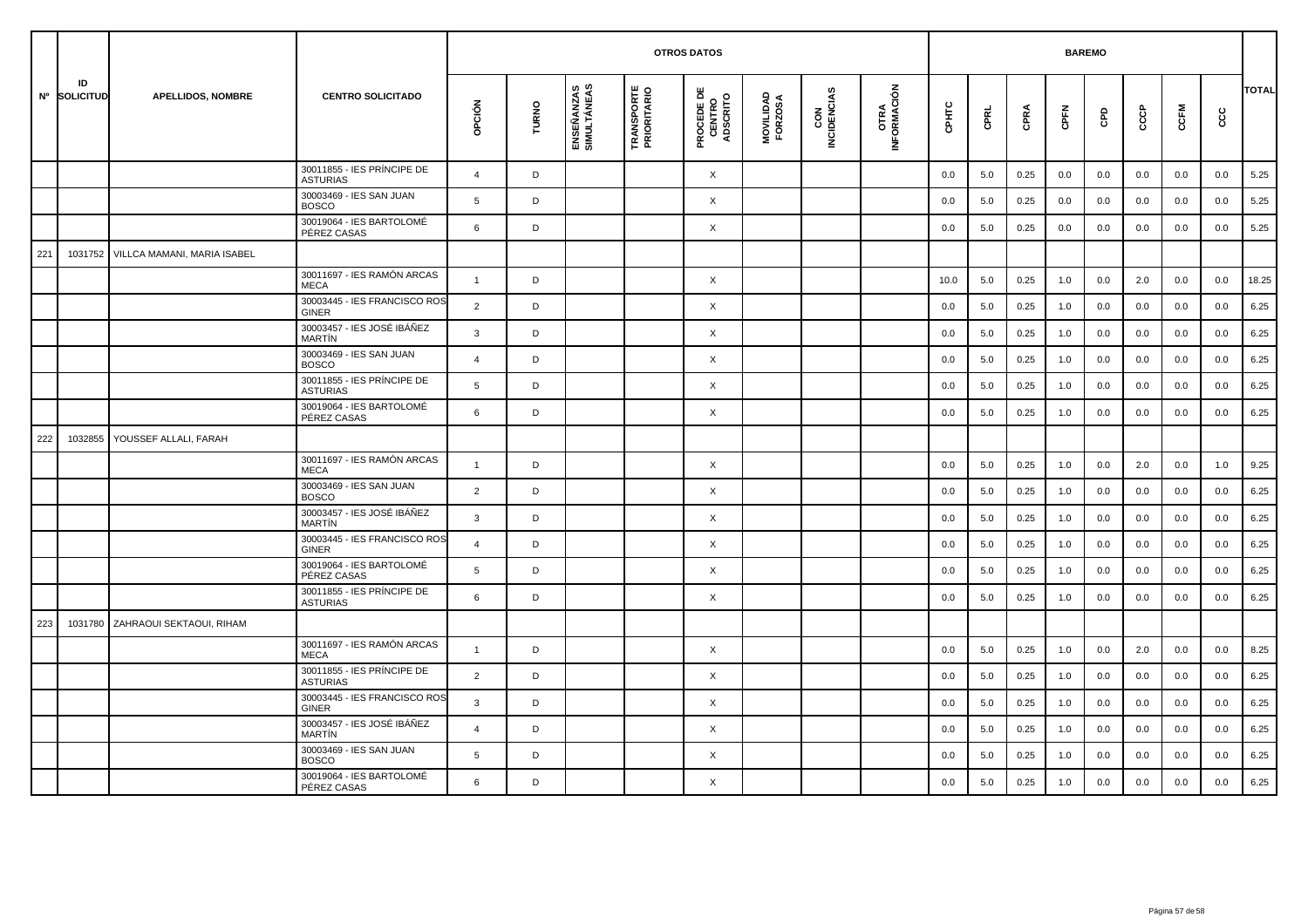|     |                    |                                     |                                               | <b>OTROS DATOS</b><br><b>BAREMO</b> |             |                           |                                   |                                           |                      |                    |                     |       |         |      |      |         |     |      |     |       |
|-----|--------------------|-------------------------------------|-----------------------------------------------|-------------------------------------|-------------|---------------------------|-----------------------------------|-------------------------------------------|----------------------|--------------------|---------------------|-------|---------|------|------|---------|-----|------|-----|-------|
|     | ID<br>Nº SOLICITUD | <b>APELLIDOS, NOMBRE</b>            | <b>CENTRO SOLICITADO</b>                      | opción                              | TURNO       | ENSEÑANZAS<br>SIMULTÁNEAS | <b>TRANSPORTE<br/>PRIORITARIO</b> | <b>PROCEDE DE<br/>CENTRO<br/>ADSCRITO</b> | MOVILIDAD<br>FORZOSA | CON<br>INCIDENCIAS | OTRA<br>INFORMACIÓN | CPHTC | CPRL    | CPRA | CPFN | GPD     | င်င | CCFM | ငင  | TOTAL |
|     |                    |                                     | 30011855 - IES PRÍNCIPE DE<br><b>ASTURIAS</b> | $\overline{4}$                      | D           |                           |                                   | X                                         |                      |                    |                     | 0.0   | 5.0     | 0.25 | 0.0  | 0.0     | 0.0 | 0.0  | 0.0 | 5.25  |
|     |                    |                                     | 30003469 - IES SAN JUAN<br><b>BOSCO</b>       | 5                                   | D           |                           |                                   | X                                         |                      |                    |                     | 0.0   | 5.0     | 0.25 | 0.0  | 0.0     | 0.0 | 0.0  | 0.0 | 5.25  |
|     |                    |                                     | 30019064 - IES BARTOLOMÉ<br>PÉREZ CASAS       | 6                                   | D           |                           |                                   | X                                         |                      |                    |                     | 0.0   | $5.0\,$ | 0.25 | 0.0  | $0.0\,$ | 0.0 | 0.0  | 0.0 | 5.25  |
| 221 |                    | 1031752 VILLCA MAMANI, MARIA ISABEL |                                               |                                     |             |                           |                                   |                                           |                      |                    |                     |       |         |      |      |         |     |      |     |       |
|     |                    |                                     | 30011697 - IES RAMÓN ARCAS<br><b>MECA</b>     | $\overline{1}$                      | D           |                           |                                   | X                                         |                      |                    |                     | 10.0  | 5.0     | 0.25 | 1.0  | 0.0     | 2.0 | 0.0  | 0.0 | 18.25 |
|     |                    |                                     | 30003445 - IES FRANCISCO ROS<br><b>GINER</b>  | $\overline{2}$                      | D           |                           |                                   | X                                         |                      |                    |                     | 0.0   | 5.0     | 0.25 | 1.0  | 0.0     | 0.0 | 0.0  | 0.0 | 6.25  |
|     |                    |                                     | 30003457 - IES JOSÉ IBÁÑEZ<br>MARTÍN          | $\mathbf{3}$                        | $\mathsf D$ |                           |                                   | X                                         |                      |                    |                     | 0.0   | 5.0     | 0.25 | 1.0  | 0.0     | 0.0 | 0.0  | 0.0 | 6.25  |
|     |                    |                                     | 30003469 - IES SAN JUAN<br><b>BOSCO</b>       | $\pmb{\mathcal{L}}$                 | D           |                           |                                   | X                                         |                      |                    |                     | 0.0   | 5.0     | 0.25 | 1.0  | 0.0     | 0.0 | 0.0  | 0.0 | 6.25  |
|     |                    |                                     | 30011855 - IES PRÍNCIPE DE<br><b>ASTURIAS</b> | 5                                   | D           |                           |                                   | X                                         |                      |                    |                     | 0.0   | 5.0     | 0.25 | 1.0  | 0.0     | 0.0 | 0.0  | 0.0 | 6.25  |
|     |                    |                                     | 30019064 - IES BARTOLOMÉ<br>PÉREZ CASAS       | 6                                   | D           |                           |                                   | X                                         |                      |                    |                     | 0.0   | 5.0     | 0.25 | 1.0  | 0.0     | 0.0 | 0.0  | 0.0 | 6.25  |
| 222 | 1032855            | YOUSSEF ALLALI, FARAH               |                                               |                                     |             |                           |                                   |                                           |                      |                    |                     |       |         |      |      |         |     |      |     |       |
|     |                    |                                     | 30011697 - IES RAMÓN ARCAS<br><b>MECA</b>     | $\mathbf{1}$                        | D           |                           |                                   | X                                         |                      |                    |                     | 0.0   | 5.0     | 0.25 | 1.0  | 0.0     | 2.0 | 0.0  | 1.0 | 9.25  |
|     |                    |                                     | 30003469 - IES SAN JUAN<br><b>BOSCO</b>       | $\overline{2}$                      | D           |                           |                                   | X                                         |                      |                    |                     | 0.0   | 5.0     | 0.25 | 1.0  | 0.0     | 0.0 | 0.0  | 0.0 | 6.25  |
|     |                    |                                     | 30003457 - IES JOSÉ IBÁÑEZ<br><b>MARTIN</b>   | $\mathbf{3}$                        | D           |                           |                                   | X                                         |                      |                    |                     | 0.0   | 5.0     | 0.25 | 1.0  | 0.0     | 0.0 | 0.0  | 0.0 | 6.25  |
|     |                    |                                     | 30003445 - IES FRANCISCO ROS<br><b>GINER</b>  | $\overline{4}$                      | D           |                           |                                   | X                                         |                      |                    |                     | 0.0   | 5.0     | 0.25 | 1.0  | 0.0     | 0.0 | 0.0  | 0.0 | 6.25  |
|     |                    |                                     | 30019064 - IES BARTOLOMÉ<br>PÉREZ CASAS       | 5                                   | D           |                           |                                   | X                                         |                      |                    |                     | 0.0   | 5.0     | 0.25 | 1.0  | 0.0     | 0.0 | 0.0  | 0.0 | 6.25  |
|     |                    |                                     | 30011855 - IES PRÍNCIPE DE<br><b>ASTURIAS</b> | 6                                   | D           |                           |                                   | X                                         |                      |                    |                     | 0.0   | 5.0     | 0.25 | 1.0  | 0.0     | 0.0 | 0.0  | 0.0 | 6.25  |
| 223 | 1031780            | ZAHRAOUI SEKTAOUI, RIHAM            |                                               |                                     |             |                           |                                   |                                           |                      |                    |                     |       |         |      |      |         |     |      |     |       |
|     |                    |                                     | 30011697 - IES RAMÓN ARCAS<br><b>MECA</b>     | $\mathbf{1}$                        | D           |                           |                                   | X                                         |                      |                    |                     | 0.0   | 5.0     | 0.25 | 1.0  | 0.0     | 2.0 | 0.0  | 0.0 | 8.25  |
|     |                    |                                     | 30011855 - IES PRÍNCIPE DE<br><b>ASTURIAS</b> | 2                                   | D           |                           |                                   | X                                         |                      |                    |                     | 0.0   | 5.0     | 0.25 | 1.0  | 0.0     | 0.0 | 0.0  | 0.0 | 6.25  |
|     |                    |                                     | 30003445 - IES FRANCISCO ROS<br>GINER         | 3                                   | D           |                           |                                   | X                                         |                      |                    |                     | 0.0   | 5.0     | 0.25 | 1.0  | 0.0     | 0.0 | 0.0  | 0.0 | 6.25  |
|     |                    |                                     | 30003457 - IES JOSÉ IBÁÑEZ<br><b>MARTIN</b>   | $\overline{4}$                      | D           |                           |                                   | X                                         |                      |                    |                     | 0.0   | 5.0     | 0.25 | 1.0  | 0.0     | 0.0 | 0.0  | 0.0 | 6.25  |
|     |                    |                                     | 30003469 - IES SAN JUAN<br><b>BOSCO</b>       | 5                                   | D           |                           |                                   | X                                         |                      |                    |                     | 0.0   | 5.0     | 0.25 | 1.0  | 0.0     | 0.0 | 0.0  | 0.0 | 6.25  |
|     |                    |                                     | 30019064 - IES BARTOLOMÉ<br>PÉREZ CASAS       | 6                                   | D           |                           |                                   | X                                         |                      |                    |                     | 0.0   | 5.0     | 0.25 | 1.0  | 0.0     | 0.0 | 0.0  | 0.0 | 6.25  |